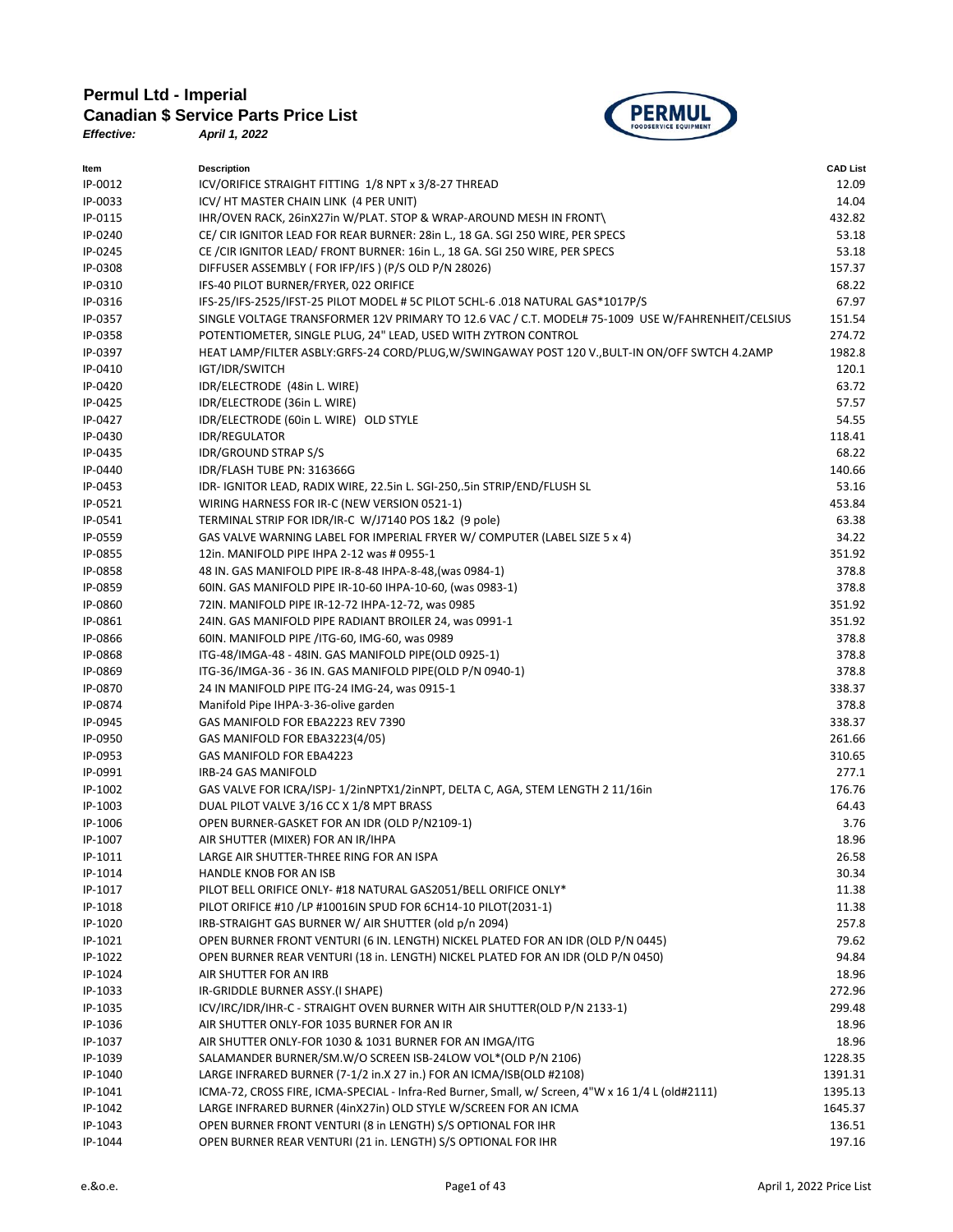## **Permul Ltd - Imperial Canadian \$ Service Parts Price List**<br>*Effective: April 1, 2022*



*Effective: April 1, 2022*

| ltem    | <b>Description</b>                                                                                | <b>CAD List</b> |
|---------|---------------------------------------------------------------------------------------------------|-----------------|
| IP-0012 | ICV/ORIFICE STRAIGHT FITTING 1/8 NPT x 3/8-27 THREAD                                              | 12.09           |
| IP-0033 | ICV/ HT MASTER CHAIN LINK (4 PER UNIT)                                                            | 14.04           |
| IP-0115 | IHR/OVEN RACK, 26inX27in W/PLAT. STOP & WRAP-AROUND MESH IN FRONT\                                | 432.82          |
| IP-0240 | CE/ CIR IGNITOR LEAD FOR REAR BURNER: 28in L., 18 GA. SGI 250 WIRE, PER SPECS                     | 53.18           |
| IP-0245 | CE / CIR IGNITOR LEAD/ FRONT BURNER: 16in L., 18 GA. SGI 250 WIRE, PER SPECS                      | 53.18           |
| IP-0308 | DIFFUSER ASSEMBLY (FOR IFP/IFS) (P/S OLD P/N 28026)                                               | 157.37          |
| IP-0310 | IFS-40 PILOT BURNER/FRYER, 022 ORIFICE                                                            | 68.22           |
| IP-0316 | IFS-25/IFS-2525/IFST-25 PILOT MODEL # 5C PILOT 5CHL-6 .018 NATURAL GAS*1017P/S                    | 67.97           |
| IP-0357 | SINGLE VOLTAGE TRANSFORMER 12V PRIMARY TO 12.6 VAC / C.T. MODEL# 75-1009 USE W/FAHRENHEIT/CELSIUS | 151.54          |
| IP-0358 | POTENTIOMETER, SINGLE PLUG, 24" LEAD, USED WITH ZYTRON CONTROL                                    | 274.72          |
| IP-0397 | HEAT LAMP/FILTER ASBLY:GRFS-24 CORD/PLUG,W/SWINGAWAY POST 120 V., BULT-IN ON/OFF SWTCH 4.2AMP     | 1982.8          |
| IP-0410 | IGT/IDR/SWITCH                                                                                    | 120.1           |
| IP-0420 | IDR/ELECTRODE (48in L. WIRE)                                                                      | 63.72           |
| IP-0425 | IDR/ELECTRODE (36in L. WIRE)                                                                      | 57.57           |
| IP-0427 | IDR/ELECTRODE (60in L. WIRE) OLD STYLE                                                            | 54.55           |
| IP-0430 | <b>IDR/REGULATOR</b>                                                                              | 118.41          |
| IP-0435 | <b>IDR/GROUND STRAP S/S</b>                                                                       | 68.22           |
| IP-0440 | IDR/FLASH TUBE PN: 316366G                                                                        | 140.66          |
| IP-0453 | IDR- IGNITOR LEAD, RADIX WIRE, 22.5in L. SGI-250,.5in STRIP/END/FLUSH SL                          | 53.16           |
| IP-0521 | WIRING HARNESS FOR IR-C (NEW VERSION 0521-1)                                                      | 453.84          |
| IP-0541 | TERMINAL STRIP FOR IDR/IR-C W/J7140 POS 1&2 (9 pole)                                              | 63.38           |
| IP-0559 | GAS VALVE WARNING LABEL FOR IMPERIAL FRYER W/ COMPUTER (LABEL SIZE 5 x 4)                         | 34.22           |
|         |                                                                                                   |                 |
| IP-0855 | 12in. MANIFOLD PIPE IHPA 2-12 was # 0955-1                                                        | 351.92          |
| IP-0858 | 48 IN. GAS MANIFOLD PIPE IR-8-48 IHPA-8-48, (was 0984-1)                                          | 378.8           |
| IP-0859 | 60IN. GAS MANIFOLD PIPE IR-10-60 IHPA-10-60, (was 0983-1)                                         | 378.8           |
| IP-0860 | 72IN. MANIFOLD PIPE IR-12-72 IHPA-12-72, was 0985                                                 | 351.92          |
| IP-0861 | 24IN. GAS MANIFOLD PIPE RADIANT BROILER 24, was 0991-1                                            | 351.92          |
| IP-0866 | 60IN. MANIFOLD PIPE /ITG-60, IMG-60, was 0989                                                     | 378.8           |
| IP-0868 | ITG-48/IMGA-48 - 48IN. GAS MANIFOLD PIPE(OLD 0925-1)                                              | 378.8           |
| IP-0869 | ITG-36/IMGA-36 - 36 IN. GAS MANIFOLD PIPE(OLD P/N 0940-1)                                         | 378.8           |
| IP-0870 | 24 IN MANIFOLD PIPE ITG-24 IMG-24, was 0915-1                                                     | 338.37          |
| IP-0874 | Manifold Pipe IHPA-3-36-olive garden                                                              | 378.8           |
| IP-0945 | GAS MANIFOLD FOR EBA2223 REV 7390                                                                 | 338.37          |
| IP-0950 | GAS MANIFOLD FOR EBA3223(4/05)                                                                    | 261.66          |
| IP-0953 | GAS MANIFOLD FOR EBA4223                                                                          | 310.65          |
| IP-0991 | IRB-24 GAS MANIFOLD                                                                               | 277.1           |
| IP-1002 | GAS VALVE FOR ICRA/ISPJ-1/2inNPTX1/2inNPT, DELTA C, AGA, STEM LENGTH 2 11/16in                    | 176.76          |
| IP-1003 | DUAL PILOT VALVE 3/16 CC X 1/8 MPT BRASS                                                          | 64.43           |
| IP-1006 | OPEN BURNER-GASKET FOR AN IDR (OLD P/N2109-1)                                                     | 3.76            |
| IP-1007 | AIR SHUTTER (MIXER) FOR AN IR/IHPA                                                                | 18.96           |
| IP-1011 | LARGE AIR SHUTTER-THREE RING FOR AN ISPA                                                          | 26.58           |
| IP-1014 | HANDLE KNOB FOR AN ISB                                                                            | 30.34           |
| IP-1017 | PILOT BELL ORIFICE ONLY- #18 NATURAL GAS2051/BELL ORIFICE ONLY*                                   | 11.38           |
| IP-1018 | PILOT ORIFICE #10 /LP #10016IN SPUD FOR 6CH14-10 PILOT(2031-1)                                    | 11.38           |
| IP-1020 | IRB-STRAIGHT GAS BURNER W/ AIR SHUTTER (old p/n 2094)                                             | 257.8           |
| IP-1021 | OPEN BURNER FRONT VENTURI (6 IN. LENGTH) NICKEL PLATED FOR AN IDR (OLD P/N 0445)                  | 79.62           |
| IP-1022 | OPEN BURNER REAR VENTURI (18 in. LENGTH) NICKEL PLATED FOR AN IDR (OLD P/N 0450)                  | 94.84           |
| IP-1024 | AIR SHUTTER FOR AN IRB                                                                            | 18.96           |
| IP-1033 | IR-GRIDDLE BURNER ASSY.(I SHAPE)                                                                  | 272.96          |
| IP-1035 | ICV/IRC/IDR/IHR-C - STRAIGHT OVEN BURNER WITH AIR SHUTTER(OLD P/N 2133-1)                         | 299.48          |
| IP-1036 | AIR SHUTTER ONLY-FOR 1035 BURNER FOR AN IR                                                        | 18.96           |
| IP-1037 | AIR SHUTTER ONLY-FOR 1030 & 1031 BURNER FOR AN IMGA/ITG                                           | 18.96           |
| IP-1039 | SALAMANDER BURNER/SM.W/O SCREEN ISB-24LOW VOL*(OLD P/N 2106)                                      | 1228.35         |
| IP-1040 | LARGE INFRARED BURNER (7-1/2 in.X 27 in.) FOR AN ICMA/ISB(OLD #2108)                              | 1391.31         |
| IP-1041 | ICMA-72, CROSS FIRE, ICMA-SPECIAL - Infra-Red Burner, Small, w/ Screen, 4"W x 16 1/4 L (old#2111) | 1395.13         |
| IP-1042 | LARGE INFRARED BURNER (4inX27in) OLD STYLE W/SCREEN FOR AN ICMA                                   | 1645.37         |
| IP-1043 | OPEN BURNER FRONT VENTURI (8 in LENGTH) S/S OPTIONAL FOR IHR                                      | 136.51          |
| IP-1044 | OPEN BURNER REAR VENTURI (21 in. LENGTH) S/S OPTIONAL FOR IHR                                     | 197.16          |
|         |                                                                                                   |                 |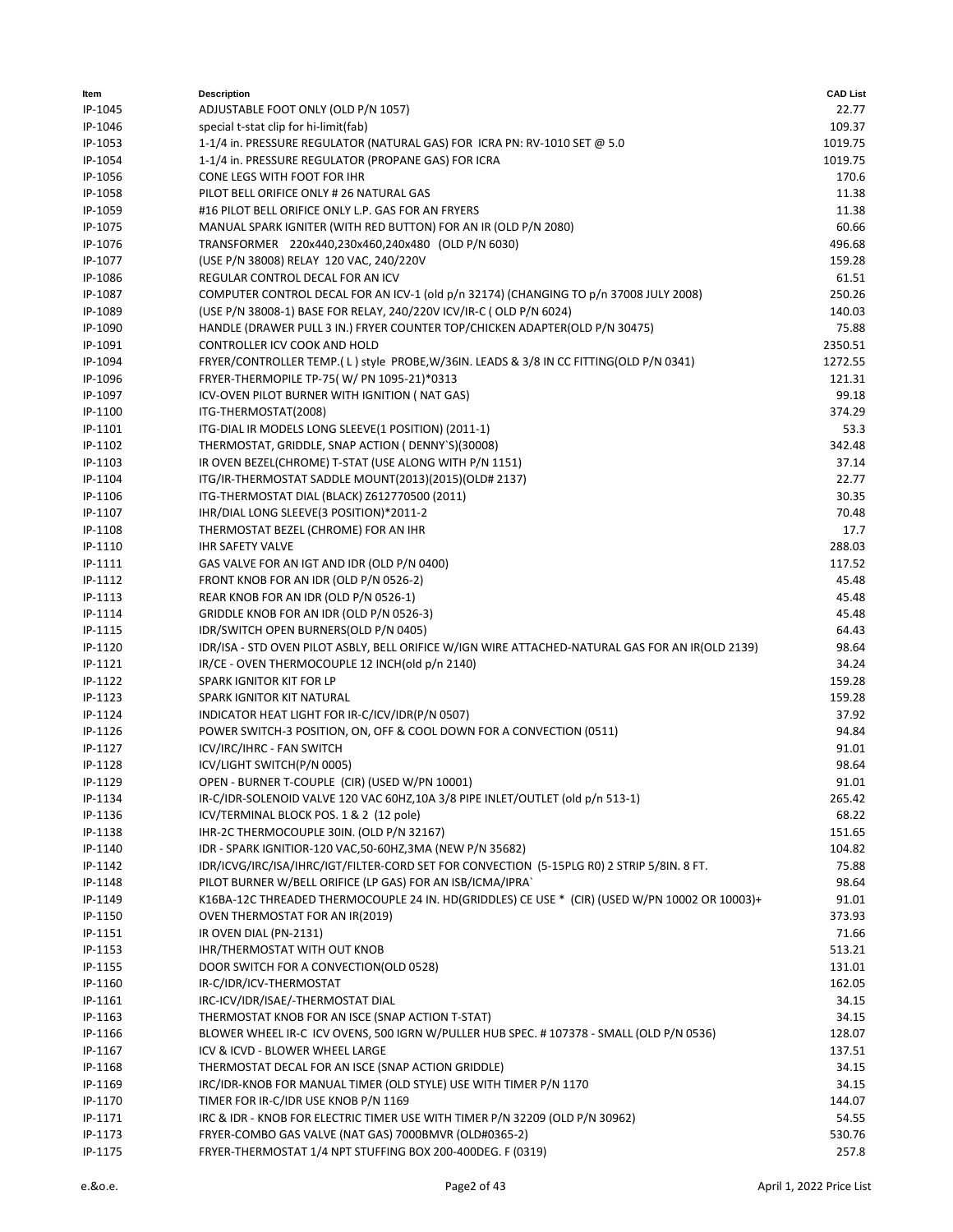| ltem    | <b>Description</b>                                                                               | <b>CAD List</b> |
|---------|--------------------------------------------------------------------------------------------------|-----------------|
| IP-1045 | ADJUSTABLE FOOT ONLY (OLD P/N 1057)                                                              | 22.77           |
| IP-1046 | special t-stat clip for hi-limit(fab)                                                            | 109.37          |
| IP-1053 | 1-1/4 in. PRESSURE REGULATOR (NATURAL GAS) FOR ICRA PN: RV-1010 SET @ 5.0                        | 1019.75         |
| IP-1054 | 1-1/4 in. PRESSURE REGULATOR (PROPANE GAS) FOR ICRA                                              | 1019.75         |
| IP-1056 | CONE LEGS WITH FOOT FOR IHR                                                                      | 170.6           |
| IP-1058 | PILOT BELL ORIFICE ONLY # 26 NATURAL GAS                                                         | 11.38           |
| IP-1059 | #16 PILOT BELL ORIFICE ONLY L.P. GAS FOR AN FRYERS                                               | 11.38           |
| IP-1075 | MANUAL SPARK IGNITER (WITH RED BUTTON) FOR AN IR (OLD P/N 2080)                                  | 60.66           |
| IP-1076 | TRANSFORMER 220x440,230x460,240x480 (OLD P/N 6030)                                               | 496.68          |
| IP-1077 | (USE P/N 38008) RELAY 120 VAC, 240/220V                                                          | 159.28          |
| IP-1086 | REGULAR CONTROL DECAL FOR AN ICV                                                                 | 61.51           |
| IP-1087 | COMPUTER CONTROL DECAL FOR AN ICV-1 (old p/n 32174) (CHANGING TO p/n 37008 JULY 2008)            | 250.26          |
| IP-1089 | (USE P/N 38008-1) BASE FOR RELAY, 240/220V ICV/IR-C (OLD P/N 6024)                               | 140.03          |
| IP-1090 | HANDLE (DRAWER PULL 3 IN.) FRYER COUNTER TOP/CHICKEN ADAPTER(OLD P/N 30475)                      | 75.88           |
| IP-1091 | CONTROLLER ICV COOK AND HOLD                                                                     | 2350.51         |
| IP-1094 | FRYER/CONTROLLER TEMP. (L) style PROBE, W/36IN. LEADS & 3/8 IN CC FITTING (OLD P/N 0341)         | 1272.55         |
| IP-1096 | FRYER-THERMOPILE TP-75(W/PN 1095-21)*0313                                                        | 121.31          |
| IP-1097 | ICV-OVEN PILOT BURNER WITH IGNITION (NAT GAS)                                                    | 99.18           |
| IP-1100 | ITG-THERMOSTAT(2008)                                                                             | 374.29          |
| IP-1101 | ITG-DIAL IR MODELS LONG SLEEVE(1 POSITION) (2011-1)                                              | 53.3            |
| IP-1102 | THERMOSTAT, GRIDDLE, SNAP ACTION ( DENNY'S)(30008)                                               | 342.48          |
| IP-1103 | IR OVEN BEZEL(CHROME) T-STAT (USE ALONG WITH P/N 1151)                                           | 37.14           |
| IP-1104 | ITG/IR-THERMOSTAT SADDLE MOUNT(2013)(2015)(OLD# 2137)                                            | 22.77           |
| IP-1106 | ITG-THERMOSTAT DIAL (BLACK) Z612770500 (2011)                                                    | 30.35           |
| IP-1107 | IHR/DIAL LONG SLEEVE(3 POSITION)*2011-2                                                          | 70.48           |
| IP-1108 | THERMOSTAT BEZEL (CHROME) FOR AN IHR                                                             | 17.7            |
| IP-1110 | <b>IHR SAFETY VALVE</b>                                                                          | 288.03          |
| IP-1111 | GAS VALVE FOR AN IGT AND IDR (OLD P/N 0400)                                                      | 117.52          |
| IP-1112 | FRONT KNOB FOR AN IDR (OLD P/N 0526-2)                                                           | 45.48           |
| IP-1113 | REAR KNOB FOR AN IDR (OLD P/N 0526-1)                                                            | 45.48           |
| IP-1114 | GRIDDLE KNOB FOR AN IDR (OLD P/N 0526-3)                                                         | 45.48           |
| IP-1115 | IDR/SWITCH OPEN BURNERS(OLD P/N 0405)                                                            | 64.43           |
| IP-1120 | IDR/ISA - STD OVEN PILOT ASBLY, BELL ORIFICE W/IGN WIRE ATTACHED-NATURAL GAS FOR AN IR(OLD 2139) | 98.64           |
| IP-1121 | IR/CE - OVEN THERMOCOUPLE 12 INCH(old p/n 2140)                                                  | 34.24           |
| IP-1122 | SPARK IGNITOR KIT FOR LP                                                                         | 159.28          |
| IP-1123 | SPARK IGNITOR KIT NATURAL                                                                        | 159.28          |
| IP-1124 | INDICATOR HEAT LIGHT FOR IR-C/ICV/IDR(P/N 0507)                                                  | 37.92           |
| IP-1126 | POWER SWITCH-3 POSITION, ON, OFF & COOL DOWN FOR A CONVECTION (0511)                             | 94.84           |
| IP-1127 | ICV/IRC/IHRC - FAN SWITCH                                                                        | 91.01           |
| IP-1128 | ICV/LIGHT SWITCH(P/N 0005)                                                                       | 98.64           |
| IP-1129 | OPEN - BURNER T-COUPLE (CIR) (USED W/PN 10001)                                                   | 91.01           |
| IP-1134 | IR-C/IDR-SOLENOID VALVE 120 VAC 60HZ,10A 3/8 PIPE INLET/OUTLET (old p/n 513-1)                   | 265.42          |
| IP-1136 | ICV/TERMINAL BLOCK POS. 1 & 2 (12 pole)                                                          | 68.22           |
| IP-1138 | IHR-2C THERMOCOUPLE 30IN. (OLD P/N 32167)                                                        | 151.65          |
| IP-1140 | IDR - SPARK IGNITIOR-120 VAC,50-60HZ,3MA (NEW P/N 35682)                                         | 104.82          |
| IP-1142 | IDR/ICVG/IRC/ISA/IHRC/IGT/FILTER-CORD SET FOR CONVECTION (5-15PLG R0) 2 STRIP 5/8IN. 8 FT.       | 75.88           |
| IP-1148 | PILOT BURNER W/BELL ORIFICE (LP GAS) FOR AN ISB/ICMA/IPRA`                                       | 98.64           |
| IP-1149 | K16BA-12C THREADED THERMOCOUPLE 24 IN. HD(GRIDDLES) CE USE * (CIR) (USED W/PN 10002 OR 10003)+   | 91.01           |
| IP-1150 | OVEN THERMOSTAT FOR AN IR(2019)                                                                  | 373.93          |
| IP-1151 | IR OVEN DIAL (PN-2131)                                                                           | 71.66           |
| IP-1153 | <b>IHR/THERMOSTAT WITH OUT KNOB</b>                                                              | 513.21          |
| IP-1155 | DOOR SWITCH FOR A CONVECTION(OLD 0528)                                                           | 131.01          |
| IP-1160 | IR-C/IDR/ICV-THERMOSTAT                                                                          | 162.05          |
| IP-1161 | IRC-ICV/IDR/ISAE/-THERMOSTAT DIAL                                                                | 34.15           |
| IP-1163 | THERMOSTAT KNOB FOR AN ISCE (SNAP ACTION T-STAT)                                                 | 34.15           |
| IP-1166 | BLOWER WHEEL IR-C ICV OVENS, 500 IGRN W/PULLER HUB SPEC. #107378 - SMALL (OLD P/N 0536)          | 128.07          |
| IP-1167 | ICV & ICVD - BLOWER WHEEL LARGE                                                                  | 137.51          |
| IP-1168 | THERMOSTAT DECAL FOR AN ISCE (SNAP ACTION GRIDDLE)                                               | 34.15           |
| IP-1169 | IRC/IDR-KNOB FOR MANUAL TIMER (OLD STYLE) USE WITH TIMER P/N 1170                                | 34.15           |
| IP-1170 | TIMER FOR IR-C/IDR USE KNOB P/N 1169                                                             | 144.07          |
| IP-1171 | IRC & IDR - KNOB FOR ELECTRIC TIMER USE WITH TIMER P/N 32209 (OLD P/N 30962)                     | 54.55           |
| IP-1173 | FRYER-COMBO GAS VALVE (NAT GAS) 7000BMVR (OLD#0365-2)                                            | 530.76          |
| IP-1175 | FRYER-THERMOSTAT 1/4 NPT STUFFING BOX 200-400DEG. F (0319)                                       | 257.8           |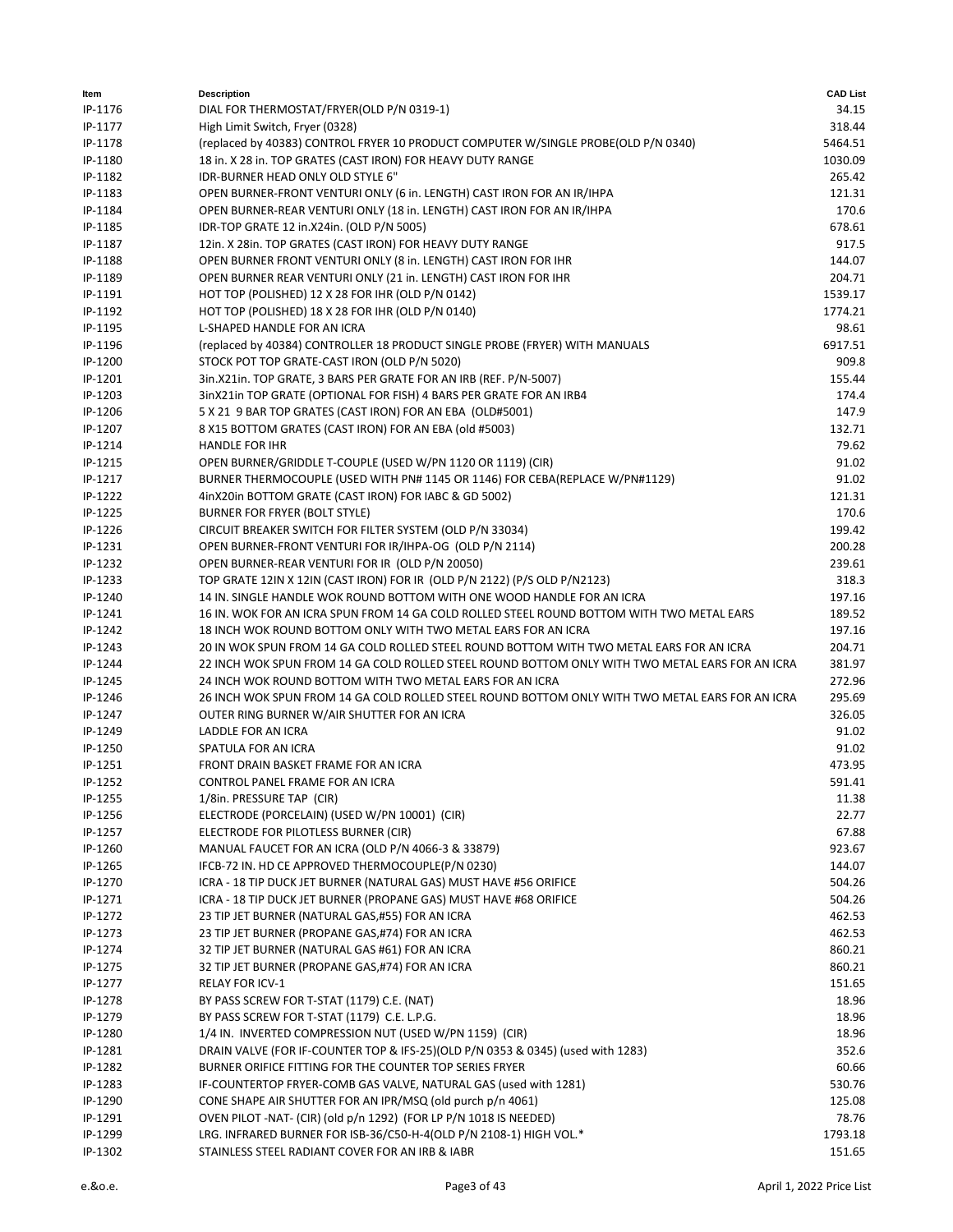| ltem    | <b>Description</b>                                                                              | <b>CAD List</b> |
|---------|-------------------------------------------------------------------------------------------------|-----------------|
| IP-1176 | DIAL FOR THERMOSTAT/FRYER(OLD P/N 0319-1)                                                       | 34.15           |
| IP-1177 | High Limit Switch, Fryer (0328)                                                                 | 318.44          |
| IP-1178 | (replaced by 40383) CONTROL FRYER 10 PRODUCT COMPUTER W/SINGLE PROBE(OLD P/N 0340)              | 5464.51         |
| IP-1180 | 18 in. X 28 in. TOP GRATES (CAST IRON) FOR HEAVY DUTY RANGE                                     | 1030.09         |
| IP-1182 | <b>IDR-BURNER HEAD ONLY OLD STYLE 6"</b>                                                        | 265.42          |
| IP-1183 | OPEN BURNER-FRONT VENTURI ONLY (6 in. LENGTH) CAST IRON FOR AN IR/IHPA                          | 121.31          |
| IP-1184 | OPEN BURNER-REAR VENTURI ONLY (18 in. LENGTH) CAST IRON FOR AN IR/IHPA                          | 170.6           |
| IP-1185 | IDR-TOP GRATE 12 in.X24in. (OLD P/N 5005)                                                       | 678.61          |
| IP-1187 | 12in. X 28in. TOP GRATES (CAST IRON) FOR HEAVY DUTY RANGE                                       | 917.5           |
| IP-1188 | OPEN BURNER FRONT VENTURI ONLY (8 in. LENGTH) CAST IRON FOR IHR                                 | 144.07          |
| IP-1189 | OPEN BURNER REAR VENTURI ONLY (21 in. LENGTH) CAST IRON FOR IHR                                 | 204.71          |
| IP-1191 | HOT TOP (POLISHED) 12 X 28 FOR IHR (OLD P/N 0142)                                               | 1539.17         |
| IP-1192 | HOT TOP (POLISHED) 18 X 28 FOR IHR (OLD P/N 0140)                                               | 1774.21         |
| IP-1195 | L-SHAPED HANDLE FOR AN ICRA                                                                     | 98.61           |
| IP-1196 | (replaced by 40384) CONTROLLER 18 PRODUCT SINGLE PROBE (FRYER) WITH MANUALS                     | 6917.51         |
| IP-1200 | STOCK POT TOP GRATE-CAST IRON (OLD P/N 5020)                                                    | 909.8           |
| IP-1201 | 3in.X21in. TOP GRATE, 3 BARS PER GRATE FOR AN IRB (REF. P/N-5007)                               | 155.44          |
| IP-1203 | 3inX21in TOP GRATE (OPTIONAL FOR FISH) 4 BARS PER GRATE FOR AN IRB4                             | 174.4           |
| IP-1206 | 5 X 21 9 BAR TOP GRATES (CAST IRON) FOR AN EBA (OLD#5001)                                       | 147.9           |
| IP-1207 | 8 X15 BOTTOM GRATES (CAST IRON) FOR AN EBA (old #5003)                                          | 132.71          |
| IP-1214 | <b>HANDLE FOR IHR</b>                                                                           | 79.62           |
| IP-1215 | OPEN BURNER/GRIDDLE T-COUPLE (USED W/PN 1120 OR 1119) (CIR)                                     | 91.02           |
| IP-1217 | BURNER THERMOCOUPLE (USED WITH PN# 1145 OR 1146) FOR CEBA(REPLACE W/PN#1129)                    | 91.02           |
| IP-1222 | 4inX20in BOTTOM GRATE (CAST IRON) FOR IABC & GD 5002)                                           | 121.31          |
| IP-1225 | <b>BURNER FOR FRYER (BOLT STYLE)</b>                                                            | 170.6           |
| IP-1226 | CIRCUIT BREAKER SWITCH FOR FILTER SYSTEM (OLD P/N 33034)                                        | 199.42          |
| IP-1231 | OPEN BURNER-FRONT VENTURI FOR IR/IHPA-OG (OLD P/N 2114)                                         | 200.28          |
| IP-1232 | OPEN BURNER-REAR VENTURI FOR IR (OLD P/N 20050)                                                 | 239.61          |
| IP-1233 | TOP GRATE 12IN X 12IN (CAST IRON) FOR IR (OLD P/N 2122) (P/S OLD P/N2123)                       | 318.3           |
| IP-1240 | 14 IN. SINGLE HANDLE WOK ROUND BOTTOM WITH ONE WOOD HANDLE FOR AN ICRA                          | 197.16          |
| IP-1241 | 16 IN. WOK FOR AN ICRA SPUN FROM 14 GA COLD ROLLED STEEL ROUND BOTTOM WITH TWO METAL EARS       | 189.52          |
| IP-1242 | 18 INCH WOK ROUND BOTTOM ONLY WITH TWO METAL EARS FOR AN ICRA                                   | 197.16          |
| IP-1243 | 20 IN WOK SPUN FROM 14 GA COLD ROLLED STEEL ROUND BOTTOM WITH TWO METAL EARS FOR AN ICRA        | 204.71          |
| IP-1244 | 22 INCH WOK SPUN FROM 14 GA COLD ROLLED STEEL ROUND BOTTOM ONLY WITH TWO METAL EARS FOR AN ICRA | 381.97          |
| IP-1245 | 24 INCH WOK ROUND BOTTOM WITH TWO METAL EARS FOR AN ICRA                                        | 272.96          |
| IP-1246 | 26 INCH WOK SPUN FROM 14 GA COLD ROLLED STEEL ROUND BOTTOM ONLY WITH TWO METAL EARS FOR AN ICRA | 295.69          |
| IP-1247 | OUTER RING BURNER W/AIR SHUTTER FOR AN ICRA                                                     | 326.05          |
| IP-1249 | LADDLE FOR AN ICRA                                                                              | 91.02           |
| IP-1250 | SPATULA FOR AN ICRA                                                                             | 91.02           |
| IP-1251 | FRONT DRAIN BASKET FRAME FOR AN ICRA                                                            | 473.95          |
| IP-1252 | CONTROL PANEL FRAME FOR AN ICRA                                                                 | 591.41          |
| IP-1255 | 1/8in. PRESSURE TAP (CIR)                                                                       | 11.38           |
| IP-1256 | ELECTRODE (PORCELAIN) (USED W/PN 10001) (CIR)                                                   | 22.77           |
| IP-1257 | ELECTRODE FOR PILOTLESS BURNER (CIR)                                                            | 67.88           |
| IP-1260 | MANUAL FAUCET FOR AN ICRA (OLD P/N 4066-3 & 33879)                                              | 923.67          |
| IP-1265 | IFCB-72 IN. HD CE APPROVED THERMOCOUPLE(P/N 0230)                                               | 144.07          |
| IP-1270 | ICRA - 18 TIP DUCK JET BURNER (NATURAL GAS) MUST HAVE #56 ORIFICE                               | 504.26          |
| IP-1271 | ICRA - 18 TIP DUCK JET BURNER (PROPANE GAS) MUST HAVE #68 ORIFICE                               | 504.26          |
| IP-1272 | 23 TIP JET BURNER (NATURAL GAS,#55) FOR AN ICRA                                                 | 462.53          |
| IP-1273 | 23 TIP JET BURNER (PROPANE GAS,#74) FOR AN ICRA                                                 | 462.53          |
| IP-1274 | 32 TIP JET BURNER (NATURAL GAS #61) FOR AN ICRA                                                 | 860.21          |
| IP-1275 | 32 TIP JET BURNER (PROPANE GAS,#74) FOR AN ICRA                                                 | 860.21          |
| IP-1277 | <b>RELAY FOR ICV-1</b>                                                                          | 151.65          |
| IP-1278 | BY PASS SCREW FOR T-STAT (1179) C.E. (NAT)                                                      | 18.96           |
| IP-1279 | BY PASS SCREW FOR T-STAT (1179) C.E. L.P.G.                                                     | 18.96           |
| IP-1280 | 1/4 IN. INVERTED COMPRESSION NUT (USED W/PN 1159) (CIR)                                         | 18.96           |
| IP-1281 | DRAIN VALVE (FOR IF-COUNTER TOP & IFS-25)(OLD P/N 0353 & 0345) (used with 1283)                 | 352.6           |
| IP-1282 | BURNER ORIFICE FITTING FOR THE COUNTER TOP SERIES FRYER                                         | 60.66           |
| IP-1283 | IF-COUNTERTOP FRYER-COMB GAS VALVE, NATURAL GAS (used with 1281)                                | 530.76          |
| IP-1290 | CONE SHAPE AIR SHUTTER FOR AN IPR/MSQ (old purch p/n 4061)                                      | 125.08          |
| IP-1291 | OVEN PILOT -NAT- (CIR) (old p/n 1292) (FOR LP P/N 1018 IS NEEDED)                               | 78.76           |
| IP-1299 | LRG. INFRARED BURNER FOR ISB-36/C50-H-4(OLD P/N 2108-1) HIGH VOL.*                              | 1793.18         |
| IP-1302 | STAINLESS STEEL RADIANT COVER FOR AN IRB & IABR                                                 | 151.65          |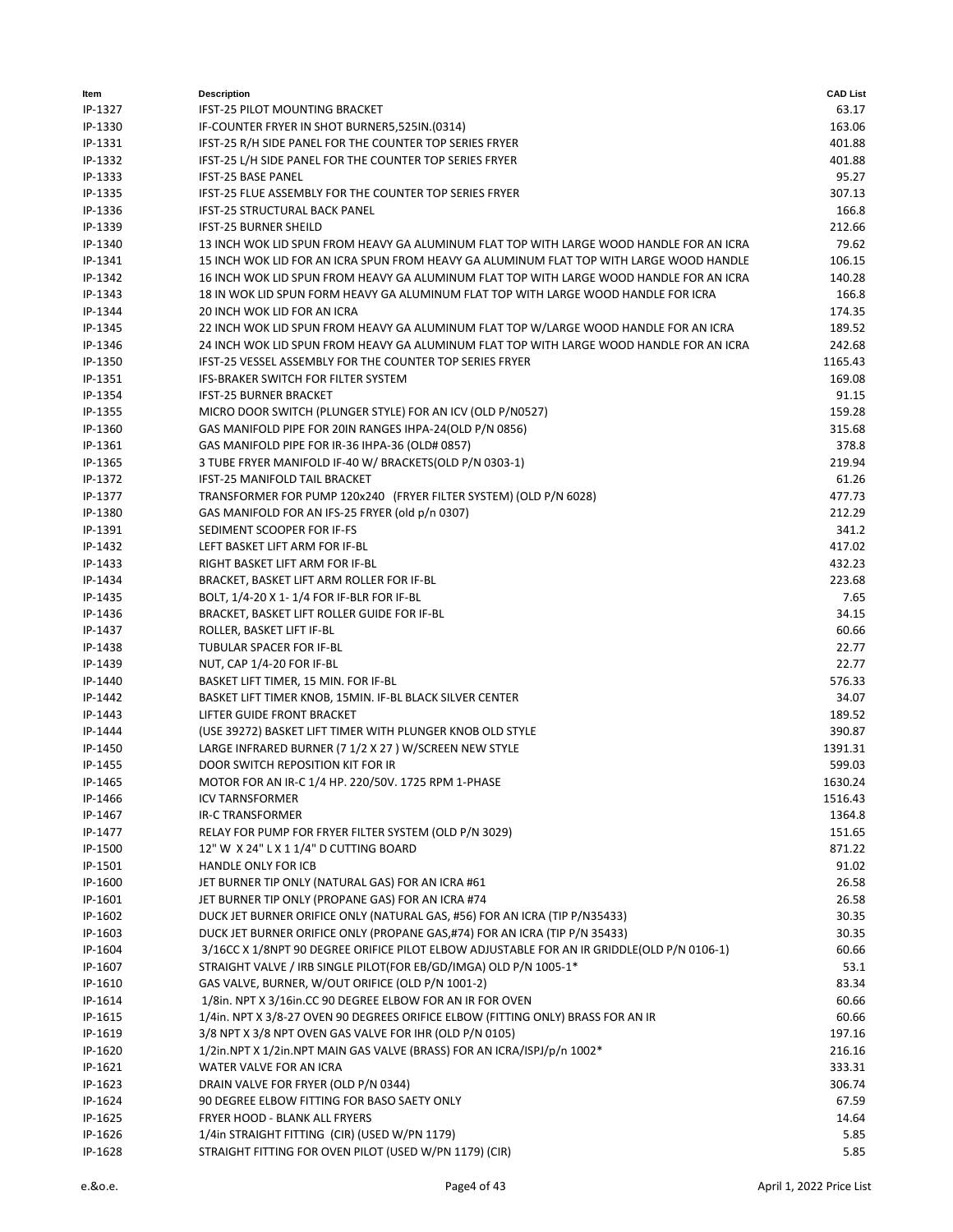| ltem    | <b>Description</b>                                                                         | <b>CAD List</b> |
|---------|--------------------------------------------------------------------------------------------|-----------------|
| IP-1327 | <b>IFST-25 PILOT MOUNTING BRACKET</b>                                                      | 63.17           |
| IP-1330 | IF-COUNTER FRYER IN SHOT BURNER5,525IN.(0314)                                              | 163.06          |
| IP-1331 | IFST-25 R/H SIDE PANEL FOR THE COUNTER TOP SERIES FRYER                                    | 401.88          |
| IP-1332 | IFST-25 L/H SIDE PANEL FOR THE COUNTER TOP SERIES FRYER                                    | 401.88          |
| IP-1333 | <b>IFST-25 BASE PANEL</b>                                                                  | 95.27           |
| IP-1335 | IFST-25 FLUE ASSEMBLY FOR THE COUNTER TOP SERIES FRYER                                     | 307.13          |
| IP-1336 | <b>IFST-25 STRUCTURAL BACK PANEL</b>                                                       | 166.8           |
| IP-1339 | <b>IFST-25 BURNER SHEILD</b>                                                               | 212.66          |
| IP-1340 | 13 INCH WOK LID SPUN FROM HEAVY GA ALUMINUM FLAT TOP WITH LARGE WOOD HANDLE FOR AN ICRA    | 79.62           |
| IP-1341 | 15 INCH WOK LID FOR AN ICRA SPUN FROM HEAVY GA ALUMINUM FLAT TOP WITH LARGE WOOD HANDLE    | 106.15          |
| IP-1342 | 16 INCH WOK LID SPUN FROM HEAVY GA ALUMINUM FLAT TOP WITH LARGE WOOD HANDLE FOR AN ICRA    | 140.28          |
| IP-1343 | 18 IN WOK LID SPUN FORM HEAVY GA ALUMINUM FLAT TOP WITH LARGE WOOD HANDLE FOR ICRA         | 166.8           |
| IP-1344 | 20 INCH WOK LID FOR AN ICRA                                                                | 174.35          |
| IP-1345 | 22 INCH WOK LID SPUN FROM HEAVY GA ALUMINUM FLAT TOP W/LARGE WOOD HANDLE FOR AN ICRA       | 189.52          |
| IP-1346 | 24 INCH WOK LID SPUN FROM HEAVY GA ALUMINUM FLAT TOP WITH LARGE WOOD HANDLE FOR AN ICRA    | 242.68          |
| IP-1350 | IFST-25 VESSEL ASSEMBLY FOR THE COUNTER TOP SERIES FRYER                                   | 1165.43         |
| IP-1351 | <b>IFS-BRAKER SWITCH FOR FILTER SYSTEM</b>                                                 | 169.08          |
|         |                                                                                            |                 |
| IP-1354 | <b>IFST-25 BURNER BRACKET</b>                                                              | 91.15           |
| IP-1355 | MICRO DOOR SWITCH (PLUNGER STYLE) FOR AN ICV (OLD P/N0527)                                 | 159.28          |
| IP-1360 | GAS MANIFOLD PIPE FOR 20IN RANGES IHPA-24(OLD P/N 0856)                                    | 315.68          |
| IP-1361 | GAS MANIFOLD PIPE FOR IR-36 IHPA-36 (OLD# 0857)                                            | 378.8           |
| IP-1365 | 3 TUBE FRYER MANIFOLD IF-40 W/ BRACKETS(OLD P/N 0303-1)                                    | 219.94          |
| IP-1372 | <b>IFST-25 MANIFOLD TAIL BRACKET</b>                                                       | 61.26           |
| IP-1377 | TRANSFORMER FOR PUMP 120x240 (FRYER FILTER SYSTEM) (OLD P/N 6028)                          | 477.73          |
| IP-1380 | GAS MANIFOLD FOR AN IFS-25 FRYER (old p/n 0307)                                            | 212.29          |
| IP-1391 | SEDIMENT SCOOPER FOR IF-FS                                                                 | 341.2           |
| IP-1432 | LEFT BASKET LIFT ARM FOR IF-BL                                                             | 417.02          |
| IP-1433 | RIGHT BASKET LIFT ARM FOR IF-BL                                                            | 432.23          |
| IP-1434 | BRACKET, BASKET LIFT ARM ROLLER FOR IF-BL                                                  | 223.68          |
| IP-1435 | BOLT, 1/4-20 X 1-1/4 FOR IF-BLR FOR IF-BL                                                  | 7.65            |
| IP-1436 | BRACKET, BASKET LIFT ROLLER GUIDE FOR IF-BL                                                | 34.15           |
| IP-1437 | ROLLER, BASKET LIFT IF-BL                                                                  | 60.66           |
| IP-1438 | TUBULAR SPACER FOR IF-BL                                                                   | 22.77           |
| IP-1439 | NUT, CAP 1/4-20 FOR IF-BL                                                                  | 22.77           |
| IP-1440 | BASKET LIFT TIMER, 15 MIN. FOR IF-BL                                                       | 576.33          |
| IP-1442 | BASKET LIFT TIMER KNOB, 15MIN. IF-BL BLACK SILVER CENTER                                   | 34.07           |
| IP-1443 | LIFTER GUIDE FRONT BRACKET                                                                 | 189.52          |
| IP-1444 | (USE 39272) BASKET LIFT TIMER WITH PLUNGER KNOB OLD STYLE                                  | 390.87          |
| IP-1450 | LARGE INFRARED BURNER (7 1/2 X 27 ) W/SCREEN NEW STYLE                                     | 1391.31         |
| IP-1455 | DOOR SWITCH REPOSITION KIT FOR IR                                                          | 599.03          |
| IP-1465 | MOTOR FOR AN IR-C 1/4 HP. 220/50V. 1725 RPM 1-PHASE                                        | 1630.24         |
| IP-1466 | <b>ICV TARNSFORMER</b>                                                                     | 1516.43         |
| IP-1467 | <b>IR-C TRANSFORMER</b>                                                                    | 1364.8          |
| IP-1477 | RELAY FOR PUMP FOR FRYER FILTER SYSTEM (OLD P/N 3029)                                      | 151.65          |
| IP-1500 | 12" W X 24" L X 1 1/4" D CUTTING BOARD                                                     | 871.22          |
| IP-1501 | <b>HANDLE ONLY FOR ICB</b>                                                                 | 91.02           |
| IP-1600 | JET BURNER TIP ONLY (NATURAL GAS) FOR AN ICRA #61                                          | 26.58           |
| IP-1601 | JET BURNER TIP ONLY (PROPANE GAS) FOR AN ICRA #74                                          | 26.58           |
| IP-1602 | DUCK JET BURNER ORIFICE ONLY (NATURAL GAS, #56) FOR AN ICRA (TIP P/N35433)                 | 30.35           |
| IP-1603 | DUCK JET BURNER ORIFICE ONLY (PROPANE GAS,#74) FOR AN ICRA (TIP P/N 35433)                 | 30.35           |
|         | 3/16CC X 1/8NPT 90 DEGREE ORIFICE PILOT ELBOW ADJUSTABLE FOR AN IR GRIDDLE(OLD P/N 0106-1) |                 |
| IP-1604 | STRAIGHT VALVE / IRB SINGLE PILOT(FOR EB/GD/IMGA) OLD P/N 1005-1*                          | 60.66           |
| IP-1607 |                                                                                            | 53.1            |
| IP-1610 | GAS VALVE, BURNER, W/OUT ORIFICE (OLD P/N 1001-2)                                          | 83.34           |
| IP-1614 | 1/8in. NPT X 3/16in.CC 90 DEGREE ELBOW FOR AN IR FOR OVEN                                  | 60.66           |
| IP-1615 | 1/4in. NPT X 3/8-27 OVEN 90 DEGREES ORIFICE ELBOW (FITTING ONLY) BRASS FOR AN IR           | 60.66           |
| IP-1619 | 3/8 NPT X 3/8 NPT OVEN GAS VALVE FOR IHR (OLD P/N 0105)                                    | 197.16          |
| IP-1620 | 1/2in.NPT X 1/2in.NPT MAIN GAS VALVE (BRASS) FOR AN ICRA/ISPJ/p/n 1002*                    | 216.16          |
| IP-1621 | WATER VALVE FOR AN ICRA                                                                    | 333.31          |
| IP-1623 | DRAIN VALVE FOR FRYER (OLD P/N 0344)                                                       | 306.74          |
| IP-1624 | 90 DEGREE ELBOW FITTING FOR BASO SAETY ONLY                                                | 67.59           |
| IP-1625 | FRYER HOOD - BLANK ALL FRYERS                                                              | 14.64           |
| IP-1626 | 1/4in STRAIGHT FITTING (CIR) (USED W/PN 1179)                                              | 5.85            |
| IP-1628 | STRAIGHT FITTING FOR OVEN PILOT (USED W/PN 1179) (CIR)                                     | 5.85            |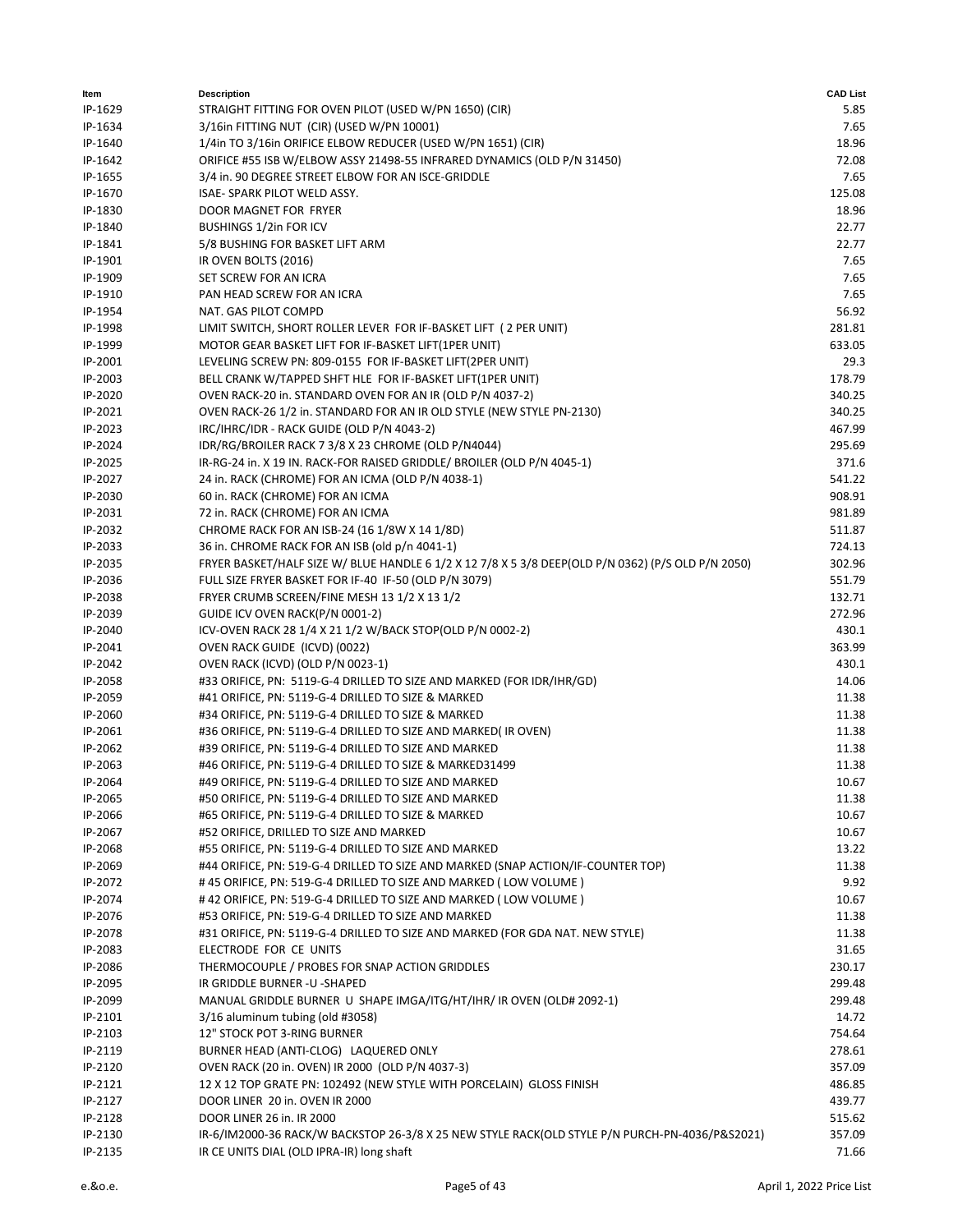| ltem               | <b>Description</b>                                                                                 | <b>CAD List</b>  |
|--------------------|----------------------------------------------------------------------------------------------------|------------------|
| IP-1629            | STRAIGHT FITTING FOR OVEN PILOT (USED W/PN 1650) (CIR)                                             | 5.85             |
| IP-1634            | 3/16in FITTING NUT (CIR) (USED W/PN 10001)                                                         | 7.65             |
| IP-1640            | 1/4in TO 3/16in ORIFICE ELBOW REDUCER (USED W/PN 1651) (CIR)                                       | 18.96            |
| IP-1642            | ORIFICE #55 ISB W/ELBOW ASSY 21498-55 INFRARED DYNAMICS (OLD P/N 31450)                            | 72.08            |
| IP-1655            | 3/4 in. 90 DEGREE STREET ELBOW FOR AN ISCE-GRIDDLE                                                 | 7.65             |
| IP-1670            | ISAE-SPARK PILOT WELD ASSY.                                                                        | 125.08           |
| IP-1830            | DOOR MAGNET FOR FRYER                                                                              | 18.96            |
| IP-1840            | <b>BUSHINGS 1/2in FOR ICV</b>                                                                      | 22.77            |
| IP-1841            | 5/8 BUSHING FOR BASKET LIFT ARM                                                                    | 22.77            |
| IP-1901            | IR OVEN BOLTS (2016)                                                                               | 7.65             |
| IP-1909            | SET SCREW FOR AN ICRA                                                                              | 7.65             |
| IP-1910            | PAN HEAD SCREW FOR AN ICRA                                                                         | 7.65             |
| IP-1954            | NAT. GAS PILOT COMPD                                                                               | 56.92            |
| IP-1998            | LIMIT SWITCH, SHORT ROLLER LEVER FOR IF-BASKET LIFT (2 PER UNIT)                                   | 281.81           |
| IP-1999            | MOTOR GEAR BASKET LIFT FOR IF-BASKET LIFT(1PER UNIT)                                               | 633.05           |
| IP-2001            | LEVELING SCREW PN: 809-0155 FOR IF-BASKET LIFT(2PER UNIT)                                          | 29.3             |
| IP-2003            | BELL CRANK W/TAPPED SHFT HLE FOR IF-BASKET LIFT(1PER UNIT)                                         | 178.79           |
| IP-2020            | OVEN RACK-20 in. STANDARD OVEN FOR AN IR (OLD P/N 4037-2)                                          | 340.25           |
| IP-2021            | OVEN RACK-26 1/2 in. STANDARD FOR AN IR OLD STYLE (NEW STYLE PN-2130)                              | 340.25           |
| IP-2023            | IRC/IHRC/IDR - RACK GUIDE (OLD P/N 4043-2)<br>IDR/RG/BROILER RACK 7 3/8 X 23 CHROME (OLD P/N4044)  | 467.99<br>295.69 |
| IP-2024<br>IP-2025 | IR-RG-24 in. X 19 IN. RACK-FOR RAISED GRIDDLE/ BROILER (OLD P/N 4045-1)                            | 371.6            |
| IP-2027            | 24 in. RACK (CHROME) FOR AN ICMA (OLD P/N 4038-1)                                                  | 541.22           |
| IP-2030            | 60 in. RACK (CHROME) FOR AN ICMA                                                                   | 908.91           |
| IP-2031            | 72 in. RACK (CHROME) FOR AN ICMA                                                                   | 981.89           |
| IP-2032            | CHROME RACK FOR AN ISB-24 (16 1/8W X 14 1/8D)                                                      | 511.87           |
| IP-2033            | 36 in. CHROME RACK FOR AN ISB (old p/n 4041-1)                                                     | 724.13           |
| IP-2035            | FRYER BASKET/HALF SIZE W/ BLUE HANDLE 6 1/2 X 12 7/8 X 5 3/8 DEEP(OLD P/N 0362) (P/S OLD P/N 2050) | 302.96           |
| IP-2036            | FULL SIZE FRYER BASKET FOR IF-40 IF-50 (OLD P/N 3079)                                              | 551.79           |
| IP-2038            | FRYER CRUMB SCREEN/FINE MESH 13 1/2 X 13 1/2                                                       | 132.71           |
| IP-2039            | GUIDE ICV OVEN RACK(P/N 0001-2)                                                                    | 272.96           |
| IP-2040            | ICV-OVEN RACK 28 1/4 X 21 1/2 W/BACK STOP(OLD P/N 0002-2)                                          | 430.1            |
| IP-2041            | OVEN RACK GUIDE (ICVD) (0022)                                                                      | 363.99           |
| IP-2042            | OVEN RACK (ICVD) (OLD P/N 0023-1)                                                                  | 430.1            |
| IP-2058            | #33 ORIFICE, PN: 5119-G-4 DRILLED TO SIZE AND MARKED (FOR IDR/IHR/GD)                              | 14.06            |
| IP-2059            | #41 ORIFICE, PN: 5119-G-4 DRILLED TO SIZE & MARKED                                                 | 11.38            |
| IP-2060            | #34 ORIFICE, PN: 5119-G-4 DRILLED TO SIZE & MARKED                                                 | 11.38            |
| IP-2061            | #36 ORIFICE, PN: 5119-G-4 DRILLED TO SIZE AND MARKED(IR OVEN)                                      | 11.38            |
| IP-2062            | #39 ORIFICE, PN: 5119-G-4 DRILLED TO SIZE AND MARKED                                               | 11.38            |
| IP-2063            | #46 ORIFICE, PN: 5119-G-4 DRILLED TO SIZE & MARKED31499                                            | 11.38            |
| IP-2064            | #49 ORIFICE, PN: 5119-G-4 DRILLED TO SIZE AND MARKED                                               | 10.67            |
| IP-2065            | #50 ORIFICE, PN: 5119-G-4 DRILLED TO SIZE AND MARKED                                               | 11.38            |
| IP-2066            | #65 ORIFICE, PN: 5119-G-4 DRILLED TO SIZE & MARKED                                                 | 10.67            |
| IP-2067            | #52 ORIFICE, DRILLED TO SIZE AND MARKED                                                            | 10.67            |
| IP-2068            | #55 ORIFICE, PN: 5119-G-4 DRILLED TO SIZE AND MARKED                                               | 13.22            |
| IP-2069            | #44 ORIFICE, PN: 519-G-4 DRILLED TO SIZE AND MARKED (SNAP ACTION/IF-COUNTER TOP)                   | 11.38            |
| IP-2072            | #45 ORIFICE, PN: 519-G-4 DRILLED TO SIZE AND MARKED (LOW VOLUME)                                   | 9.92             |
| IP-2074            | # 42 ORIFICE, PN: 519-G-4 DRILLED TO SIZE AND MARKED (LOW VOLUME)                                  | 10.67            |
| IP-2076            | #53 ORIFICE, PN: 519-G-4 DRILLED TO SIZE AND MARKED                                                | 11.38            |
| IP-2078            | #31 ORIFICE, PN: 5119-G-4 DRILLED TO SIZE AND MARKED (FOR GDA NAT. NEW STYLE)                      | 11.38            |
| IP-2083<br>IP-2086 | ELECTRODE FOR CE UNITS<br>THERMOCOUPLE / PROBES FOR SNAP ACTION GRIDDLES                           | 31.65<br>230.17  |
| IP-2095            | IR GRIDDLE BURNER -U -SHAPED                                                                       | 299.48           |
| IP-2099            | MANUAL GRIDDLE BURNER U SHAPE IMGA/ITG/HT/IHR/ IR OVEN (OLD# 2092-1)                               | 299.48           |
| IP-2101            | 3/16 aluminum tubing (old #3058)                                                                   | 14.72            |
| IP-2103            | 12" STOCK POT 3-RING BURNER                                                                        | 754.64           |
| IP-2119            | BURNER HEAD (ANTI-CLOG) LAQUERED ONLY                                                              | 278.61           |
| IP-2120            | OVEN RACK (20 in. OVEN) IR 2000 (OLD P/N 4037-3)                                                   | 357.09           |
| IP-2121            | 12 X 12 TOP GRATE PN: 102492 (NEW STYLE WITH PORCELAIN) GLOSS FINISH                               | 486.85           |
| IP-2127            | DOOR LINER 20 in. OVEN IR 2000                                                                     | 439.77           |
| IP-2128            | DOOR LINER 26 in. IR 2000                                                                          | 515.62           |
| IP-2130            | IR-6/IM2000-36 RACK/W BACKSTOP 26-3/8 X 25 NEW STYLE RACK(OLD STYLE P/N PURCH-PN-4036/P&S2021)     | 357.09           |
| IP-2135            | IR CE UNITS DIAL (OLD IPRA-IR) long shaft                                                          | 71.66            |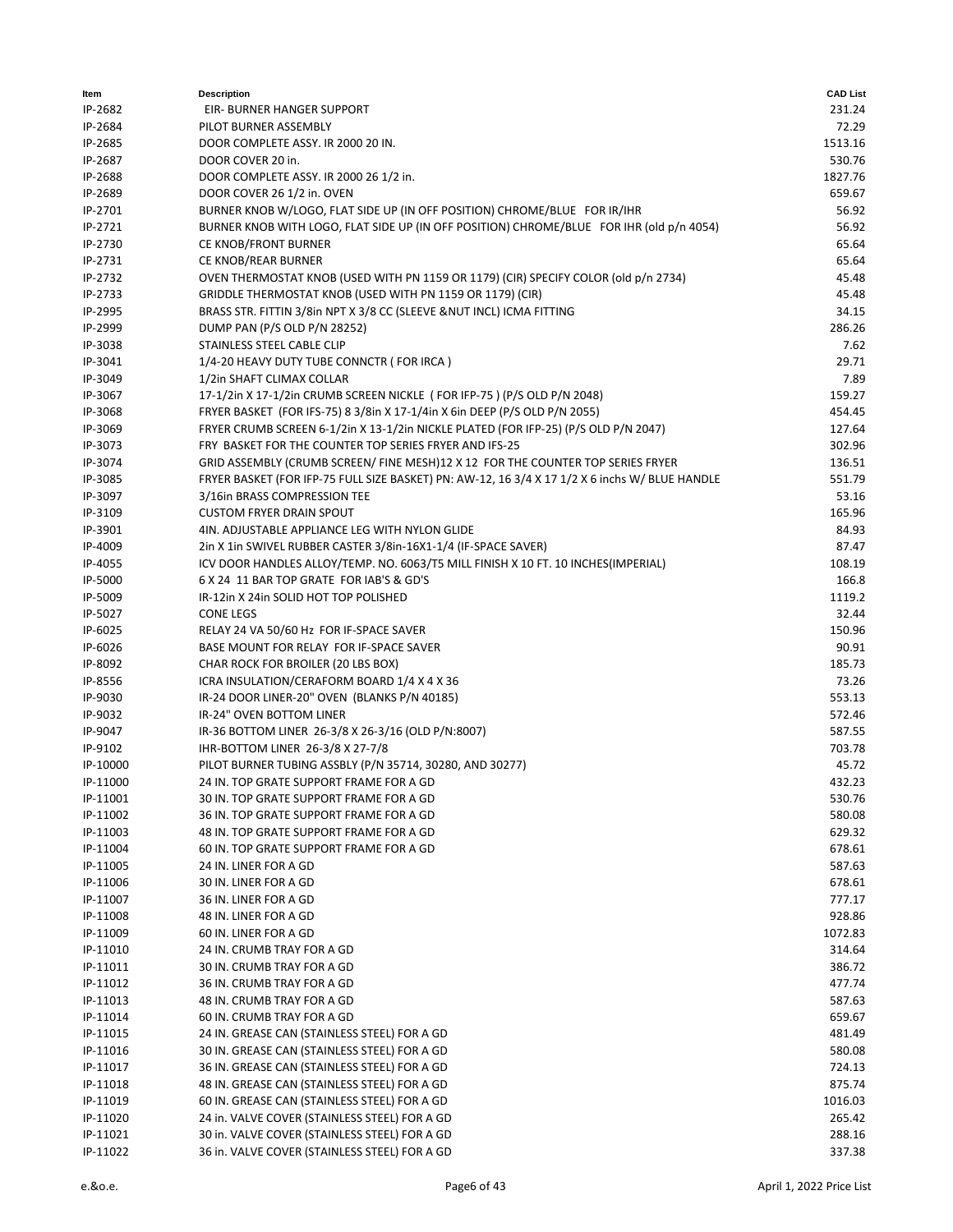| Item     | <b>Description</b>                                                                             | <b>CAD List</b> |
|----------|------------------------------------------------------------------------------------------------|-----------------|
| IP-2682  | EIR- BURNER HANGER SUPPORT                                                                     | 231.24          |
| IP-2684  | PILOT BURNER ASSEMBLY                                                                          | 72.29           |
| IP-2685  | DOOR COMPLETE ASSY. IR 2000 20 IN.                                                             | 1513.16         |
| IP-2687  | DOOR COVER 20 in.                                                                              | 530.76          |
| IP-2688  | DOOR COMPLETE ASSY. IR 2000 26 1/2 in.                                                         | 1827.76         |
| IP-2689  | DOOR COVER 26 1/2 in. OVEN                                                                     | 659.67          |
| IP-2701  | BURNER KNOB W/LOGO, FLAT SIDE UP (IN OFF POSITION) CHROME/BLUE FOR IR/IHR                      | 56.92           |
| IP-2721  | BURNER KNOB WITH LOGO, FLAT SIDE UP (IN OFF POSITION) CHROME/BLUE FOR IHR (old p/n 4054)       | 56.92           |
| IP-2730  | CE KNOB/FRONT BURNER                                                                           | 65.64           |
| IP-2731  | CE KNOB/REAR BURNER                                                                            | 65.64           |
| IP-2732  | OVEN THERMOSTAT KNOB (USED WITH PN 1159 OR 1179) (CIR) SPECIFY COLOR (old p/n 2734)            | 45.48           |
| IP-2733  | GRIDDLE THERMOSTAT KNOB (USED WITH PN 1159 OR 1179) (CIR)                                      | 45.48           |
| IP-2995  | BRASS STR. FITTIN 3/8in NPT X 3/8 CC (SLEEVE &NUT INCL) ICMA FITTING                           | 34.15           |
| IP-2999  | DUMP PAN (P/S OLD P/N 28252)                                                                   | 286.26          |
| IP-3038  | STAINLESS STEEL CABLE CLIP                                                                     | 7.62            |
| IP-3041  | 1/4-20 HEAVY DUTY TUBE CONNCTR (FOR IRCA)                                                      | 29.71           |
| IP-3049  | 1/2in SHAFT CLIMAX COLLAR                                                                      | 7.89            |
| IP-3067  | 17-1/2in X 17-1/2in CRUMB SCREEN NICKLE (FOR IFP-75) (P/S OLD P/N 2048)                        | 159.27          |
| IP-3068  | FRYER BASKET (FOR IFS-75) 8 3/8in X 17-1/4in X 6in DEEP (P/S OLD P/N 2055)                     | 454.45          |
| IP-3069  | FRYER CRUMB SCREEN 6-1/2in X 13-1/2in NICKLE PLATED (FOR IFP-25) (P/S OLD P/N 2047)            | 127.64          |
| IP-3073  | FRY BASKET FOR THE COUNTER TOP SERIES FRYER AND IFS-25                                         | 302.96          |
| IP-3074  | GRID ASSEMBLY (CRUMB SCREEN/ FINE MESH)12 X 12 FOR THE COUNTER TOP SERIES FRYER                | 136.51          |
| IP-3085  | FRYER BASKET (FOR IFP-75 FULL SIZE BASKET) PN: AW-12, 16 3/4 X 17 1/2 X 6 inchs W/ BLUE HANDLE | 551.79          |
| IP-3097  | 3/16in BRASS COMPRESSION TEE                                                                   | 53.16           |
| IP-3109  | <b>CUSTOM FRYER DRAIN SPOUT</b>                                                                | 165.96          |
| IP-3901  | 4IN. ADJUSTABLE APPLIANCE LEG WITH NYLON GLIDE                                                 | 84.93           |
| IP-4009  | 2in X 1in SWIVEL RUBBER CASTER 3/8in-16X1-1/4 (IF-SPACE SAVER)                                 | 87.47           |
| IP-4055  | ICV DOOR HANDLES ALLOY/TEMP. NO. 6063/T5 MILL FINISH X 10 FT. 10 INCHES(IMPERIAL)              | 108.19          |
| IP-5000  | 6 X 24 11 BAR TOP GRATE FOR IAB'S & GD'S                                                       | 166.8           |
| IP-5009  | IR-12in X 24in SOLID HOT TOP POLISHED                                                          | 1119.2          |
| IP-5027  | <b>CONE LEGS</b>                                                                               | 32.44           |
| IP-6025  | RELAY 24 VA 50/60 Hz FOR IF-SPACE SAVER                                                        | 150.96          |
| IP-6026  | BASE MOUNT FOR RELAY FOR IF-SPACE SAVER                                                        | 90.91           |
| IP-8092  | CHAR ROCK FOR BROILER (20 LBS BOX)                                                             | 185.73          |
| IP-8556  | ICRA INSULATION/CERAFORM BOARD 1/4 X 4 X 36                                                    | 73.26           |
| IP-9030  | IR-24 DOOR LINER-20" OVEN (BLANKS P/N 40185)                                                   | 553.13          |
| IP-9032  | IR-24" OVEN BOTTOM LINER                                                                       | 572.46          |
| IP-9047  | IR-36 BOTTOM LINER 26-3/8 X 26-3/16 (OLD P/N:8007)                                             | 587.55          |
| IP-9102  | IHR-BOTTOM LINER 26-3/8 X 27-7/8                                                               | 703.78          |
| IP-10000 | PILOT BURNER TUBING ASSBLY (P/N 35714, 30280, AND 30277)                                       | 45.72           |
| IP-11000 | 24 IN. TOP GRATE SUPPORT FRAME FOR A GD                                                        | 432.23          |
| IP-11001 | 30 IN. TOP GRATE SUPPORT FRAME FOR A GD                                                        | 530.76          |
| IP-11002 | 36 IN. TOP GRATE SUPPORT FRAME FOR A GD                                                        | 580.08          |
| IP-11003 | 48 IN. TOP GRATE SUPPORT FRAME FOR A GD                                                        | 629.32          |
| IP-11004 | 60 IN. TOP GRATE SUPPORT FRAME FOR A GD                                                        | 678.61          |
| IP-11005 | 24 IN. LINER FOR A GD                                                                          | 587.63          |
| IP-11006 | 30 IN. LINER FOR A GD                                                                          | 678.61          |
| IP-11007 | 36 IN. LINER FOR A GD                                                                          | 777.17          |
| IP-11008 | 48 IN. LINER FOR A GD                                                                          | 928.86          |
| IP-11009 | 60 IN. LINER FOR A GD                                                                          | 1072.83         |
| IP-11010 | 24 IN. CRUMB TRAY FOR A GD                                                                     | 314.64          |
| IP-11011 | 30 IN. CRUMB TRAY FOR A GD                                                                     | 386.72          |
| IP-11012 | 36 IN. CRUMB TRAY FOR A GD                                                                     | 477.74          |
| IP-11013 | 48 IN. CRUMB TRAY FOR A GD                                                                     | 587.63          |
| IP-11014 | 60 IN. CRUMB TRAY FOR A GD                                                                     | 659.67          |
| IP-11015 | 24 IN. GREASE CAN (STAINLESS STEEL) FOR A GD                                                   | 481.49          |
| IP-11016 | 30 IN. GREASE CAN (STAINLESS STEEL) FOR A GD                                                   | 580.08          |
| IP-11017 | 36 IN. GREASE CAN (STAINLESS STEEL) FOR A GD                                                   | 724.13          |
| IP-11018 | 48 IN. GREASE CAN (STAINLESS STEEL) FOR A GD                                                   | 875.74          |
| IP-11019 | 60 IN. GREASE CAN (STAINLESS STEEL) FOR A GD                                                   | 1016.03         |
| IP-11020 | 24 in. VALVE COVER (STAINLESS STEEL) FOR A GD                                                  | 265.42          |
| IP-11021 | 30 in. VALVE COVER (STAINLESS STEEL) FOR A GD                                                  | 288.16          |
| IP-11022 | 36 in. VALVE COVER (STAINLESS STEEL) FOR A GD                                                  | 337.38          |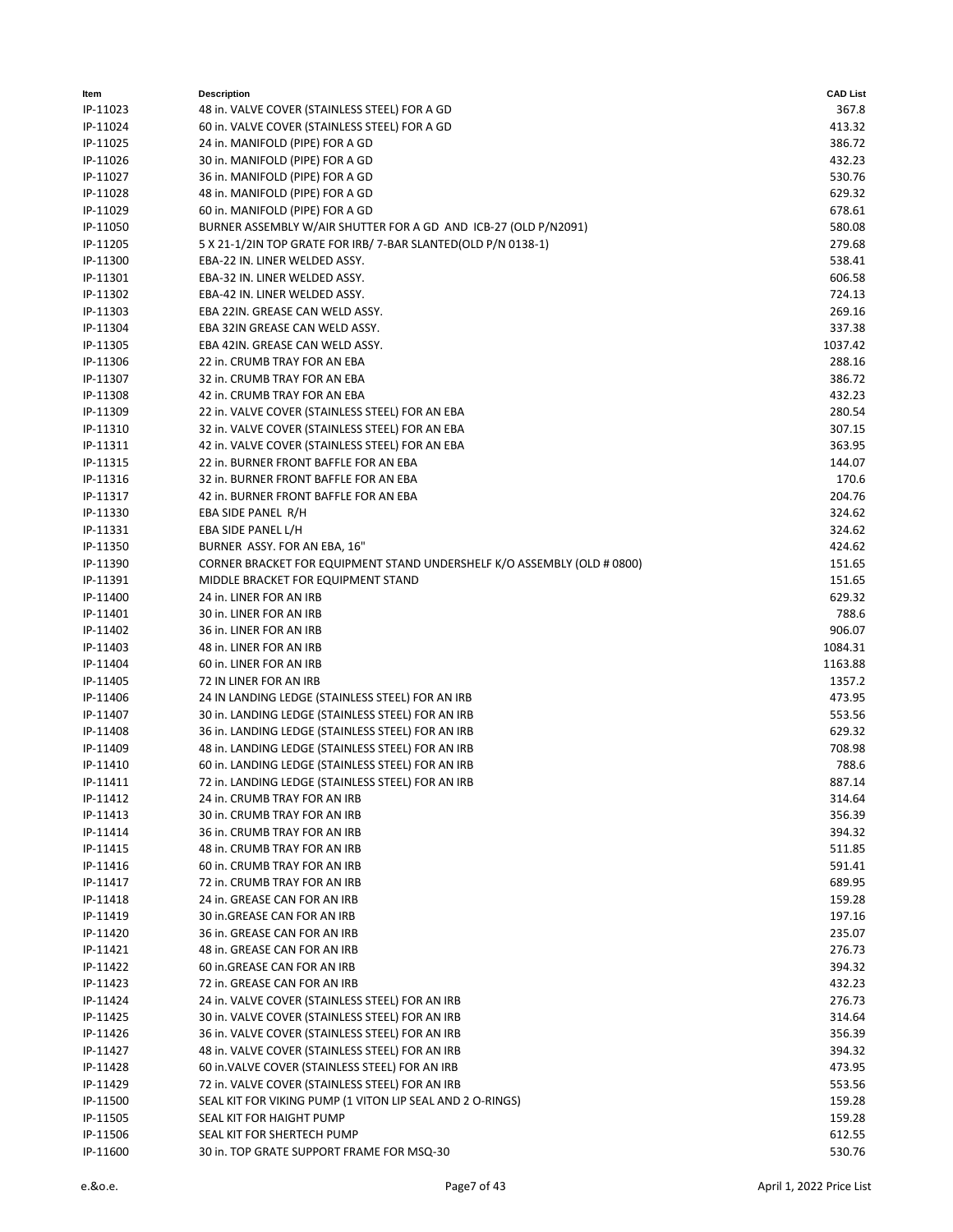| ltem     | <b>Description</b>                                                      | <b>CAD List</b> |
|----------|-------------------------------------------------------------------------|-----------------|
| IP-11023 | 48 in. VALVE COVER (STAINLESS STEEL) FOR A GD                           | 367.8           |
| IP-11024 | 60 in. VALVE COVER (STAINLESS STEEL) FOR A GD                           | 413.32          |
| IP-11025 | 24 in. MANIFOLD (PIPE) FOR A GD                                         | 386.72          |
| IP-11026 | 30 in. MANIFOLD (PIPE) FOR A GD                                         | 432.23          |
| IP-11027 | 36 in. MANIFOLD (PIPE) FOR A GD                                         | 530.76          |
| IP-11028 | 48 in. MANIFOLD (PIPE) FOR A GD                                         | 629.32          |
| IP-11029 | 60 in. MANIFOLD (PIPE) FOR A GD                                         | 678.61          |
| IP-11050 | BURNER ASSEMBLY W/AIR SHUTTER FOR A GD AND ICB-27 (OLD P/N2091)         | 580.08          |
| IP-11205 | 5 X 21-1/2IN TOP GRATE FOR IRB/ 7-BAR SLANTED(OLD P/N 0138-1)           | 279.68          |
| IP-11300 | EBA-22 IN. LINER WELDED ASSY.                                           | 538.41          |
| IP-11301 | EBA-32 IN. LINER WELDED ASSY.                                           | 606.58          |
| IP-11302 | EBA-42 IN. LINER WELDED ASSY.                                           | 724.13          |
| IP-11303 | EBA 22IN. GREASE CAN WELD ASSY.                                         | 269.16          |
| IP-11304 | EBA 32IN GREASE CAN WELD ASSY.                                          | 337.38          |
| IP-11305 | EBA 42IN. GREASE CAN WELD ASSY.                                         | 1037.42         |
| IP-11306 | 22 in. CRUMB TRAY FOR AN EBA                                            | 288.16          |
| IP-11307 | 32 in. CRUMB TRAY FOR AN EBA                                            | 386.72          |
| IP-11308 | 42 in. CRUMB TRAY FOR AN EBA                                            | 432.23          |
| IP-11309 | 22 in. VALVE COVER (STAINLESS STEEL) FOR AN EBA                         | 280.54          |
| IP-11310 | 32 in. VALVE COVER (STAINLESS STEEL) FOR AN EBA                         | 307.15          |
| IP-11311 | 42 in. VALVE COVER (STAINLESS STEEL) FOR AN EBA                         | 363.95          |
| IP-11315 | 22 in. BURNER FRONT BAFFLE FOR AN EBA                                   | 144.07          |
| IP-11316 | 32 in. BURNER FRONT BAFFLE FOR AN EBA                                   | 170.6           |
| IP-11317 | 42 in. BURNER FRONT BAFFLE FOR AN EBA                                   | 204.76          |
| IP-11330 | EBA SIDE PANEL R/H                                                      | 324.62          |
| IP-11331 | EBA SIDE PANEL L/H                                                      | 324.62          |
| IP-11350 | BURNER ASSY. FOR AN EBA, 16"                                            | 424.62          |
| IP-11390 | CORNER BRACKET FOR EQUIPMENT STAND UNDERSHELF K/O ASSEMBLY (OLD # 0800) | 151.65          |
| IP-11391 | MIDDLE BRACKET FOR EQUIPMENT STAND                                      | 151.65          |
| IP-11400 | 24 in. LINER FOR AN IRB                                                 | 629.32          |
| IP-11401 | 30 in. LINER FOR AN IRB                                                 | 788.6           |
| IP-11402 | 36 in. LINER FOR AN IRB                                                 | 906.07          |
| IP-11403 | 48 in. LINER FOR AN IRB                                                 | 1084.31         |
| IP-11404 | 60 in. LINER FOR AN IRB                                                 | 1163.88         |
| IP-11405 | 72 IN LINER FOR AN IRB                                                  | 1357.2          |
| IP-11406 | 24 IN LANDING LEDGE (STAINLESS STEEL) FOR AN IRB                        | 473.95          |
| IP-11407 | 30 in. LANDING LEDGE (STAINLESS STEEL) FOR AN IRB                       | 553.56          |
| IP-11408 | 36 in. LANDING LEDGE (STAINLESS STEEL) FOR AN IRB                       | 629.32          |
| IP-11409 | 48 in. LANDING LEDGE (STAINLESS STEEL) FOR AN IRB                       | 708.98          |
| IP-11410 | 60 in. LANDING LEDGE (STAINLESS STEEL) FOR AN IRB                       | 788.6           |
| IP-11411 | 72 in. LANDING LEDGE (STAINLESS STEEL) FOR AN IRB                       | 887.14          |
| IP-11412 | 24 in. CRUMB TRAY FOR AN IRB                                            | 314.64          |
| IP-11413 | 30 in. CRUMB TRAY FOR AN IRB                                            | 356.39          |
| IP-11414 | 36 in. CRUMB TRAY FOR AN IRB                                            | 394.32          |
| IP-11415 | 48 in. CRUMB TRAY FOR AN IRB                                            | 511.85          |
| IP-11416 | 60 in. CRUMB TRAY FOR AN IRB                                            | 591.41          |
| IP-11417 | 72 in. CRUMB TRAY FOR AN IRB                                            | 689.95          |
| IP-11418 | 24 in. GREASE CAN FOR AN IRB                                            | 159.28          |
| IP-11419 | 30 in.GREASE CAN FOR AN IRB                                             | 197.16          |
| IP-11420 | 36 in. GREASE CAN FOR AN IRB                                            | 235.07          |
| IP-11421 | 48 in. GREASE CAN FOR AN IRB                                            | 276.73          |
| IP-11422 | 60 in.GREASE CAN FOR AN IRB                                             | 394.32          |
| IP-11423 | 72 in. GREASE CAN FOR AN IRB                                            | 432.23          |
| IP-11424 | 24 in. VALVE COVER (STAINLESS STEEL) FOR AN IRB                         | 276.73          |
| IP-11425 | 30 in. VALVE COVER (STAINLESS STEEL) FOR AN IRB                         | 314.64          |
| IP-11426 | 36 in. VALVE COVER (STAINLESS STEEL) FOR AN IRB                         | 356.39          |
| IP-11427 | 48 in. VALVE COVER (STAINLESS STEEL) FOR AN IRB                         | 394.32          |
| IP-11428 | 60 in. VALVE COVER (STAINLESS STEEL) FOR AN IRB                         | 473.95          |
| IP-11429 | 72 in. VALVE COVER (STAINLESS STEEL) FOR AN IRB                         | 553.56          |
| IP-11500 | SEAL KIT FOR VIKING PUMP (1 VITON LIP SEAL AND 2 O-RINGS)               | 159.28          |
| IP-11505 | SEAL KIT FOR HAIGHT PUMP                                                | 159.28          |
| IP-11506 | SEAL KIT FOR SHERTECH PUMP                                              | 612.55          |
| IP-11600 | 30 in. TOP GRATE SUPPORT FRAME FOR MSQ-30                               | 530.76          |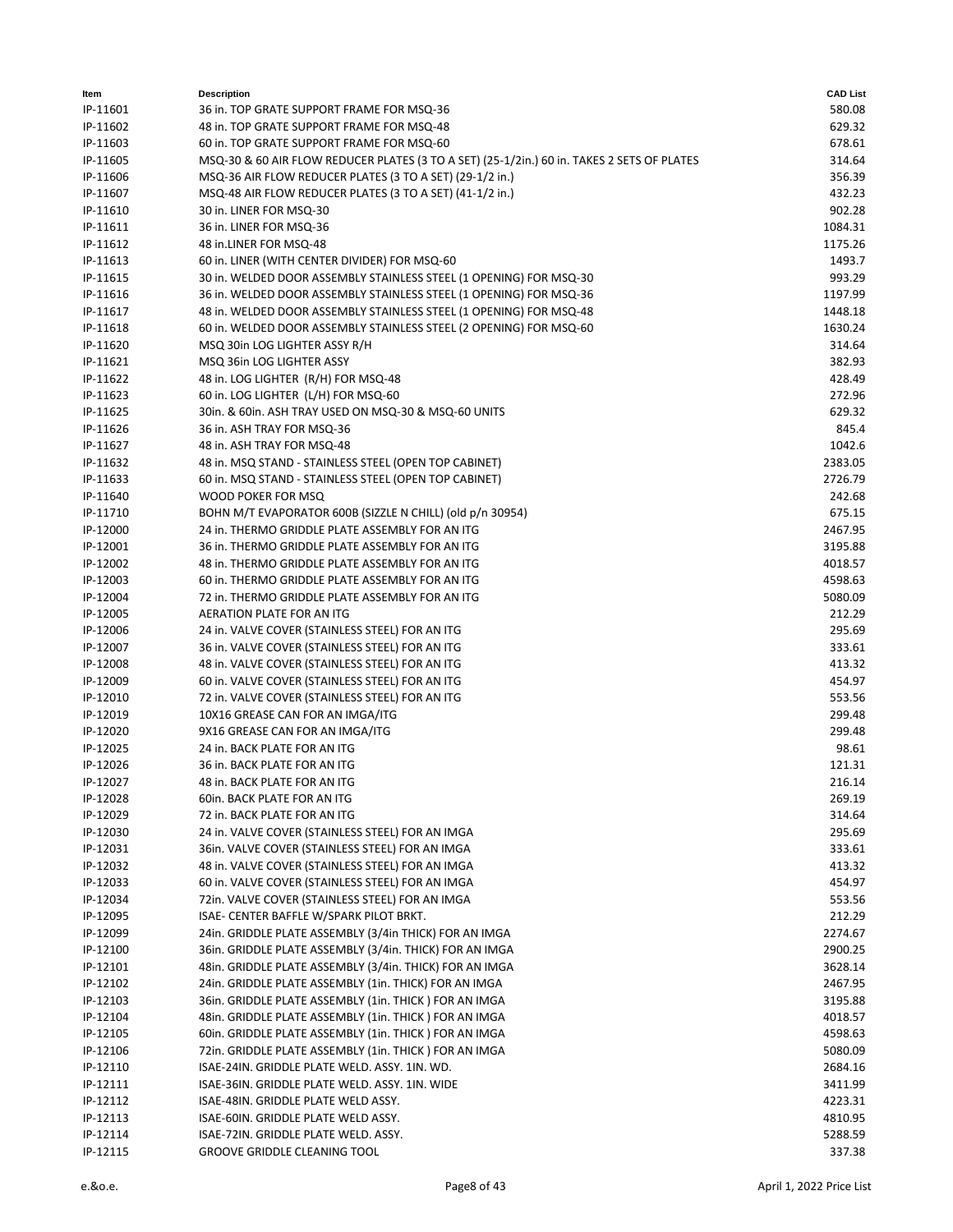| Item                 | <b>Description</b>                                                                         | <b>CAD List</b>   |
|----------------------|--------------------------------------------------------------------------------------------|-------------------|
| IP-11601             | 36 in. TOP GRATE SUPPORT FRAME FOR MSQ-36                                                  | 580.08            |
| IP-11602             | 48 in. TOP GRATE SUPPORT FRAME FOR MSQ-48                                                  | 629.32            |
| IP-11603             | 60 in. TOP GRATE SUPPORT FRAME FOR MSQ-60                                                  | 678.61            |
| IP-11605             | MSQ-30 & 60 AIR FLOW REDUCER PLATES (3 TO A SET) (25-1/2in.) 60 in. TAKES 2 SETS OF PLATES | 314.64            |
| IP-11606             | MSQ-36 AIR FLOW REDUCER PLATES (3 TO A SET) (29-1/2 in.)                                   | 356.39            |
| IP-11607             | MSQ-48 AIR FLOW REDUCER PLATES (3 TO A SET) (41-1/2 in.)                                   | 432.23            |
| IP-11610             | 30 in. LINER FOR MSQ-30                                                                    | 902.28            |
| IP-11611             | 36 in. LINER FOR MSQ-36                                                                    | 1084.31           |
| IP-11612             | 48 in.LINER FOR MSQ-48                                                                     | 1175.26           |
| IP-11613             | 60 in. LINER (WITH CENTER DIVIDER) FOR MSQ-60                                              | 1493.7            |
| IP-11615             | 30 in. WELDED DOOR ASSEMBLY STAINLESS STEEL (1 OPENING) FOR MSQ-30                         | 993.29            |
| IP-11616             | 36 in. WELDED DOOR ASSEMBLY STAINLESS STEEL (1 OPENING) FOR MSQ-36                         | 1197.99           |
| IP-11617             | 48 in. WELDED DOOR ASSEMBLY STAINLESS STEEL (1 OPENING) FOR MSQ-48                         | 1448.18           |
| IP-11618             | 60 in. WELDED DOOR ASSEMBLY STAINLESS STEEL (2 OPENING) FOR MSQ-60                         | 1630.24           |
| IP-11620             | MSQ 30in LOG LIGHTER ASSY R/H                                                              | 314.64            |
| IP-11621             | MSQ 36in LOG LIGHTER ASSY                                                                  | 382.93            |
| IP-11622             | 48 in. LOG LIGHTER (R/H) FOR MSQ-48                                                        | 428.49            |
| IP-11623             | 60 in. LOG LIGHTER (L/H) FOR MSQ-60                                                        | 272.96            |
| IP-11625             | 30in. & 60in. ASH TRAY USED ON MSQ-30 & MSQ-60 UNITS                                       | 629.32            |
| IP-11626             | 36 in. ASH TRAY FOR MSQ-36                                                                 | 845.4             |
| IP-11627             | 48 in. ASH TRAY FOR MSQ-48                                                                 | 1042.6            |
| IP-11632             | 48 in. MSQ STAND - STAINLESS STEEL (OPEN TOP CABINET)                                      | 2383.05           |
| IP-11633             | 60 in. MSQ STAND - STAINLESS STEEL (OPEN TOP CABINET)                                      | 2726.79           |
| IP-11640             | WOOD POKER FOR MSQ                                                                         | 242.68            |
| IP-11710             | BOHN M/T EVAPORATOR 600B (SIZZLE N CHILL) (old p/n 30954)                                  | 675.15            |
| IP-12000             | 24 in. THERMO GRIDDLE PLATE ASSEMBLY FOR AN ITG                                            | 2467.95           |
| IP-12001             | 36 in. THERMO GRIDDLE PLATE ASSEMBLY FOR AN ITG                                            | 3195.88           |
| IP-12002             | 48 in. THERMO GRIDDLE PLATE ASSEMBLY FOR AN ITG                                            | 4018.57           |
| IP-12003             | 60 in. THERMO GRIDDLE PLATE ASSEMBLY FOR AN ITG                                            | 4598.63           |
| IP-12004<br>IP-12005 | 72 in. THERMO GRIDDLE PLATE ASSEMBLY FOR AN ITG<br>AERATION PLATE FOR AN ITG               | 5080.09<br>212.29 |
| IP-12006             | 24 in. VALVE COVER (STAINLESS STEEL) FOR AN ITG                                            | 295.69            |
| IP-12007             | 36 in. VALVE COVER (STAINLESS STEEL) FOR AN ITG                                            | 333.61            |
| IP-12008             | 48 in. VALVE COVER (STAINLESS STEEL) FOR AN ITG                                            | 413.32            |
| IP-12009             | 60 in. VALVE COVER (STAINLESS STEEL) FOR AN ITG                                            | 454.97            |
| IP-12010             | 72 in. VALVE COVER (STAINLESS STEEL) FOR AN ITG                                            | 553.56            |
| IP-12019             | 10X16 GREASE CAN FOR AN IMGA/ITG                                                           | 299.48            |
| IP-12020             | 9X16 GREASE CAN FOR AN IMGA/ITG                                                            | 299.48            |
| IP-12025             | 24 in. BACK PLATE FOR AN ITG                                                               | 98.61             |
| IP-12026             | 36 in. BACK PLATE FOR AN ITG                                                               | 121.31            |
| IP-12027             | 48 in. BACK PLATE FOR AN ITG                                                               | 216.14            |
| IP-12028             | 60in. BACK PLATE FOR AN ITG                                                                | 269.19            |
| IP-12029             | 72 in. BACK PLATE FOR AN ITG                                                               | 314.64            |
| IP-12030             | 24 in. VALVE COVER (STAINLESS STEEL) FOR AN IMGA                                           | 295.69            |
| IP-12031             | 36in. VALVE COVER (STAINLESS STEEL) FOR AN IMGA                                            | 333.61            |
| IP-12032             | 48 in. VALVE COVER (STAINLESS STEEL) FOR AN IMGA                                           | 413.32            |
| IP-12033             | 60 in. VALVE COVER (STAINLESS STEEL) FOR AN IMGA                                           | 454.97            |
| IP-12034             | 72in. VALVE COVER (STAINLESS STEEL) FOR AN IMGA                                            | 553.56            |
| IP-12095             | ISAE- CENTER BAFFLE W/SPARK PILOT BRKT.                                                    | 212.29            |
| IP-12099             | 24in. GRIDDLE PLATE ASSEMBLY (3/4in THICK) FOR AN IMGA                                     | 2274.67           |
| IP-12100             | 36in. GRIDDLE PLATE ASSEMBLY (3/4in. THICK) FOR AN IMGA                                    | 2900.25           |
| IP-12101             | 48in. GRIDDLE PLATE ASSEMBLY (3/4in. THICK) FOR AN IMGA                                    | 3628.14           |
| IP-12102             | 24in. GRIDDLE PLATE ASSEMBLY (1in. THICK) FOR AN IMGA                                      | 2467.95           |
| IP-12103             | 36in. GRIDDLE PLATE ASSEMBLY (1in. THICK) FOR AN IMGA                                      | 3195.88           |
| IP-12104             | 48in. GRIDDLE PLATE ASSEMBLY (1in. THICK) FOR AN IMGA                                      | 4018.57           |
| IP-12105             | 60in. GRIDDLE PLATE ASSEMBLY (1in. THICK) FOR AN IMGA                                      | 4598.63           |
| IP-12106             | 72in. GRIDDLE PLATE ASSEMBLY (1in. THICK ) FOR AN IMGA                                     | 5080.09           |
| IP-12110             | ISAE-24IN. GRIDDLE PLATE WELD. ASSY. 1IN. WD.                                              | 2684.16           |
| IP-12111             | ISAE-36IN. GRIDDLE PLATE WELD. ASSY. 1IN. WIDE                                             | 3411.99           |
| IP-12112             | ISAE-48IN. GRIDDLE PLATE WELD ASSY.                                                        | 4223.31           |
| IP-12113             | ISAE-60IN. GRIDDLE PLATE WELD ASSY.                                                        | 4810.95           |
| IP-12114             | ISAE-72IN. GRIDDLE PLATE WELD. ASSY.                                                       | 5288.59           |
| IP-12115             | GROOVE GRIDDLE CLEANING TOOL                                                               | 337.38            |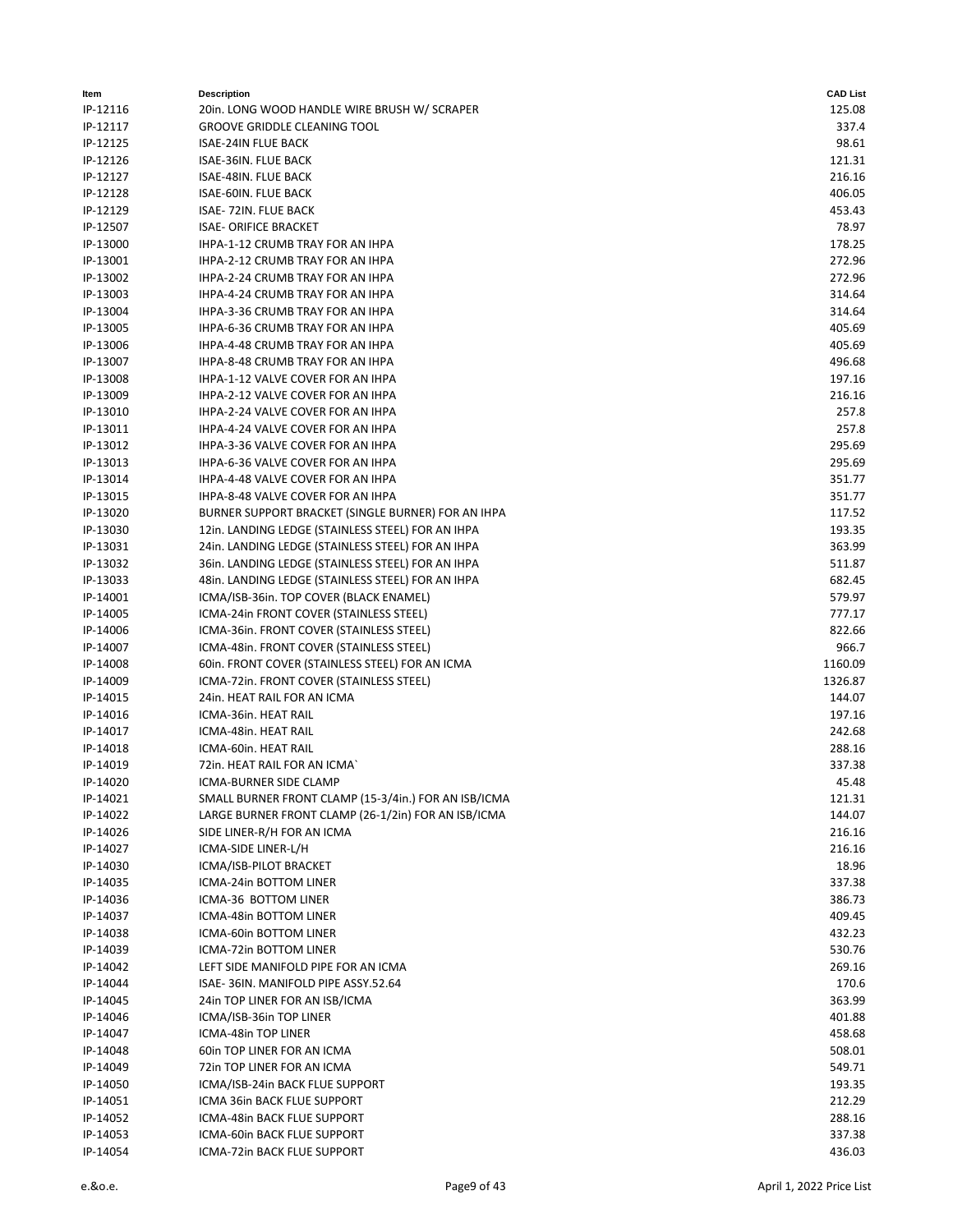| Item     | <b>Description</b>                                   | <b>CAD List</b> |
|----------|------------------------------------------------------|-----------------|
| IP-12116 | 20in. LONG WOOD HANDLE WIRE BRUSH W/ SCRAPER         | 125.08          |
| IP-12117 | <b>GROOVE GRIDDLE CLEANING TOOL</b>                  | 337.4           |
| IP-12125 | <b>ISAE-24IN FLUE BACK</b>                           | 98.61           |
| IP-12126 | ISAE-36IN. FLUE BACK                                 | 121.31          |
| IP-12127 | ISAE-48IN. FLUE BACK                                 | 216.16          |
| IP-12128 | ISAE-60IN. FLUE BACK                                 | 406.05          |
| IP-12129 | ISAE-72IN. FLUE BACK                                 | 453.43          |
| IP-12507 | <b>ISAE- ORIFICE BRACKET</b>                         | 78.97           |
| IP-13000 | IHPA-1-12 CRUMB TRAY FOR AN IHPA                     | 178.25          |
| IP-13001 | IHPA-2-12 CRUMB TRAY FOR AN IHPA                     | 272.96          |
|          | IHPA-2-24 CRUMB TRAY FOR AN IHPA                     | 272.96          |
| IP-13002 |                                                      |                 |
| IP-13003 | IHPA-4-24 CRUMB TRAY FOR AN IHPA                     | 314.64          |
| IP-13004 | IHPA-3-36 CRUMB TRAY FOR AN IHPA                     | 314.64          |
| IP-13005 | IHPA-6-36 CRUMB TRAY FOR AN IHPA                     | 405.69          |
| IP-13006 | IHPA-4-48 CRUMB TRAY FOR AN IHPA                     | 405.69          |
| IP-13007 | IHPA-8-48 CRUMB TRAY FOR AN IHPA                     | 496.68          |
| IP-13008 | IHPA-1-12 VALVE COVER FOR AN IHPA                    | 197.16          |
| IP-13009 | IHPA-2-12 VALVE COVER FOR AN IHPA                    | 216.16          |
| IP-13010 | IHPA-2-24 VALVE COVER FOR AN IHPA                    | 257.8           |
| IP-13011 | IHPA-4-24 VALVE COVER FOR AN IHPA                    | 257.8           |
| IP-13012 | IHPA-3-36 VALVE COVER FOR AN IHPA                    | 295.69          |
| IP-13013 | IHPA-6-36 VALVE COVER FOR AN IHPA                    | 295.69          |
| IP-13014 | IHPA-4-48 VALVE COVER FOR AN IHPA                    | 351.77          |
| IP-13015 | <b>IHPA-8-48 VALVE COVER FOR AN IHPA</b>             | 351.77          |
| IP-13020 | BURNER SUPPORT BRACKET (SINGLE BURNER) FOR AN IHPA   | 117.52          |
| IP-13030 | 12in. LANDING LEDGE (STAINLESS STEEL) FOR AN IHPA    | 193.35          |
| IP-13031 | 24in. LANDING LEDGE (STAINLESS STEEL) FOR AN IHPA    | 363.99          |
| IP-13032 | 36in. LANDING LEDGE (STAINLESS STEEL) FOR AN IHPA    | 511.87          |
| IP-13033 | 48in. LANDING LEDGE (STAINLESS STEEL) FOR AN IHPA    | 682.45          |
| IP-14001 | ICMA/ISB-36in. TOP COVER (BLACK ENAMEL)              | 579.97          |
| IP-14005 | ICMA-24in FRONT COVER (STAINLESS STEEL)              | 777.17          |
| IP-14006 | ICMA-36in. FRONT COVER (STAINLESS STEEL)             | 822.66          |
| IP-14007 | ICMA-48in. FRONT COVER (STAINLESS STEEL)             | 966.7           |
| IP-14008 | 60in. FRONT COVER (STAINLESS STEEL) FOR AN ICMA      | 1160.09         |
| IP-14009 | ICMA-72in. FRONT COVER (STAINLESS STEEL)             | 1326.87         |
| IP-14015 | 24in. HEAT RAIL FOR AN ICMA                          | 144.07          |
| IP-14016 | ICMA-36in. HEAT RAIL                                 | 197.16          |
| IP-14017 | ICMA-48in. HEAT RAIL                                 | 242.68          |
|          | ICMA-60in. HEAT RAIL                                 |                 |
| IP-14018 |                                                      | 288.16          |
| IP-14019 | 72in. HEAT RAIL FOR AN ICMA`                         | 337.38          |
| IP-14020 | <b>ICMA-BURNER SIDE CLAMP</b>                        | 45.48           |
| IP-14021 | SMALL BURNER FRONT CLAMP (15-3/4in.) FOR AN ISB/ICMA | 121.31          |
| IP-14022 | LARGE BURNER FRONT CLAMP (26-1/2in) FOR AN ISB/ICMA  | 144.07          |
| IP-14026 | SIDE LINER-R/H FOR AN ICMA                           | 216.16          |
| IP-14027 | ICMA-SIDE LINER-L/H                                  | 216.16          |
| IP-14030 | ICMA/ISB-PILOT BRACKET                               | 18.96           |
| IP-14035 | ICMA-24in BOTTOM LINER                               | 337.38          |
| IP-14036 | ICMA-36 BOTTOM LINER                                 | 386.73          |
| IP-14037 | ICMA-48in BOTTOM LINER                               | 409.45          |
| IP-14038 | ICMA-60in BOTTOM LINER                               | 432.23          |
| IP-14039 | ICMA-72in BOTTOM LINER                               | 530.76          |
| IP-14042 | LEFT SIDE MANIFOLD PIPE FOR AN ICMA                  | 269.16          |
| IP-14044 | ISAE-36IN. MANIFOLD PIPE ASSY.52.64                  | 170.6           |
| IP-14045 | 24in TOP LINER FOR AN ISB/ICMA                       | 363.99          |
| IP-14046 | ICMA/ISB-36in TOP LINER                              | 401.88          |
| IP-14047 | ICMA-48in TOP LINER                                  | 458.68          |
| IP-14048 | 60in TOP LINER FOR AN ICMA                           | 508.01          |
| IP-14049 | 72in TOP LINER FOR AN ICMA                           | 549.71          |
| IP-14050 | ICMA/ISB-24in BACK FLUE SUPPORT                      | 193.35          |
| IP-14051 | ICMA 36in BACK FLUE SUPPORT                          | 212.29          |
| IP-14052 | ICMA-48in BACK FLUE SUPPORT                          | 288.16          |
| IP-14053 | ICMA-60in BACK FLUE SUPPORT                          | 337.38          |
| IP-14054 | ICMA-72in BACK FLUE SUPPORT                          | 436.03          |
|          |                                                      |                 |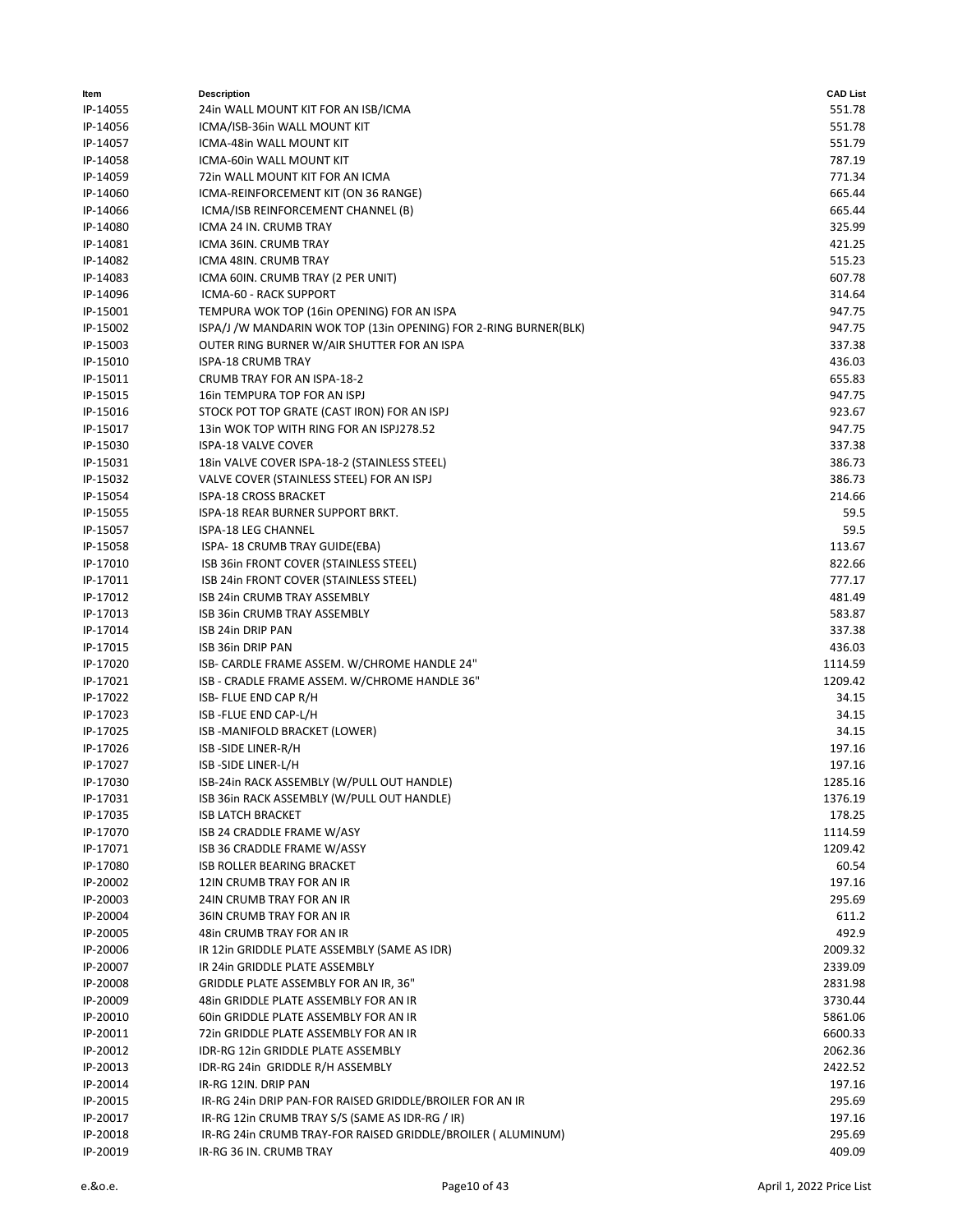| 551.78<br>IP-14055<br>24in WALL MOUNT KIT FOR AN ISB/ICMA<br>551.78<br>IP-14056<br>ICMA/ISB-36in WALL MOUNT KIT<br>551.79<br>IP-14057<br>ICMA-48in WALL MOUNT KIT<br>787.19<br>IP-14058<br>ICMA-60in WALL MOUNT KIT<br>771.34<br>IP-14059<br>72in WALL MOUNT KIT FOR AN ICMA<br>665.44<br>IP-14060<br>ICMA-REINFORCEMENT KIT (ON 36 RANGE)<br>665.44<br>IP-14066<br>ICMA/ISB REINFORCEMENT CHANNEL (B)<br>IP-14080<br>ICMA 24 IN. CRUMB TRAY<br>325.99<br>421.25<br>IP-14081<br>ICMA 36IN. CRUMB TRAY<br>515.23<br>IP-14082<br>ICMA 48IN. CRUMB TRAY<br>607.78<br>IP-14083<br>ICMA 60IN. CRUMB TRAY (2 PER UNIT)<br>IP-14096<br>ICMA-60 - RACK SUPPORT<br>314.64<br>947.75<br>IP-15001<br>TEMPURA WOK TOP (16in OPENING) FOR AN ISPA<br>ISPA/J /W MANDARIN WOK TOP (13in OPENING) FOR 2-RING BURNER(BLK)<br>947.75<br>IP-15002<br>IP-15003<br>OUTER RING BURNER W/AIR SHUTTER FOR AN ISPA<br>337.38<br>IP-15010<br><b>ISPA-18 CRUMB TRAY</b><br>436.03<br>655.83<br>IP-15011<br>CRUMB TRAY FOR AN ISPA-18-2<br>947.75<br>IP-15015<br>16in TEMPURA TOP FOR AN ISPJ<br>IP-15016<br>STOCK POT TOP GRATE (CAST IRON) FOR AN ISPJ<br>923.67<br>13in WOK TOP WITH RING FOR AN ISPJ278.52<br>947.75<br>IP-15017<br>337.38<br>IP-15030<br><b>ISPA-18 VALVE COVER</b><br>386.73<br>IP-15031<br>18in VALVE COVER ISPA-18-2 (STAINLESS STEEL)<br>386.73<br>IP-15032<br>VALVE COVER (STAINLESS STEEL) FOR AN ISPJ<br>IP-15054<br>ISPA-18 CROSS BRACKET<br>214.66<br>IP-15055<br>ISPA-18 REAR BURNER SUPPORT BRKT.<br>59.5<br>IP-15057<br>ISPA-18 LEG CHANNEL<br>59.5<br>IP-15058<br>ISPA- 18 CRUMB TRAY GUIDE(EBA)<br>113.67<br>822.66<br>IP-17010<br>ISB 36in FRONT COVER (STAINLESS STEEL)<br>IP-17011<br>ISB 24in FRONT COVER (STAINLESS STEEL)<br>777.17<br>IP-17012<br>ISB 24in CRUMB TRAY ASSEMBLY<br>481.49<br>IP-17013<br>ISB 36in CRUMB TRAY ASSEMBLY<br>583.87<br>IP-17014<br>337.38<br><b>ISB 24in DRIP PAN</b><br>IP-17015<br>436.03<br>ISB 36in DRIP PAN<br>IP-17020<br>ISB- CARDLE FRAME ASSEM. W/CHROME HANDLE 24"<br>1114.59<br>1209.42<br>IP-17021<br>ISB - CRADLE FRAME ASSEM. W/CHROME HANDLE 36"<br>IP-17022<br>ISB-FLUE END CAP R/H<br>34.15<br>IP-17023<br>ISB-FLUE END CAP-L/H<br>34.15<br>IP-17025<br>ISB-MANIFOLD BRACKET (LOWER)<br>34.15<br>197.16<br>IP-17026<br>ISB-SIDE LINER-R/H<br>IP-17027<br>ISB-SIDE LINER-L/H<br>197.16<br>1285.16<br>IP-17030<br>ISB-24in RACK ASSEMBLY (W/PULL OUT HANDLE)<br>ISB 36in RACK ASSEMBLY (W/PULL OUT HANDLE)<br>IP-17031<br>1376.19<br>IP-17035<br><b>ISB LATCH BRACKET</b><br>178.25<br>IP-17070<br>ISB 24 CRADDLE FRAME W/ASY<br>1114.59<br>IP-17071<br>ISB 36 CRADDLE FRAME W/ASSY<br>1209.42<br>IP-17080<br>ISB ROLLER BEARING BRACKET<br>60.54<br>IP-20002<br>12IN CRUMB TRAY FOR AN IR<br>197.16<br>IP-20003<br>295.69<br>24IN CRUMB TRAY FOR AN IR<br>IP-20004<br>36IN CRUMB TRAY FOR AN IR<br>611.2<br>492.9<br>IP-20005<br>48in CRUMB TRAY FOR AN IR<br>2009.32<br>IP-20006<br>IR 12in GRIDDLE PLATE ASSEMBLY (SAME AS IDR)<br>IP-20007<br>2339.09<br>IR 24in GRIDDLE PLATE ASSEMBLY<br>IP-20008<br>GRIDDLE PLATE ASSEMBLY FOR AN IR, 36"<br>2831.98<br>IP-20009<br>48in GRIDDLE PLATE ASSEMBLY FOR AN IR<br>3730.44<br>IP-20010<br>60in GRIDDLE PLATE ASSEMBLY FOR AN IR<br>5861.06<br>72in GRIDDLE PLATE ASSEMBLY FOR AN IR<br>6600.33<br>IP-20011<br>2062.36<br>IP-20012<br>IDR-RG 12in GRIDDLE PLATE ASSEMBLY<br>IDR-RG 24in GRIDDLE R/H ASSEMBLY<br>IP-20013<br>2422.52<br>IP-20014<br>IR-RG 12IN. DRIP PAN<br>197.16<br>IP-20015<br>IR-RG 24in DRIP PAN-FOR RAISED GRIDDLE/BROILER FOR AN IR<br>295.69<br>IR-RG 12in CRUMB TRAY S/S (SAME AS IDR-RG / IR)<br>IP-20017<br>197.16<br>IP-20018<br>IR-RG 24in CRUMB TRAY-FOR RAISED GRIDDLE/BROILER ( ALUMINUM)<br>295.69<br>IP-20019<br>409.09<br>IR-RG 36 IN. CRUMB TRAY | ltem | <b>Description</b> | <b>CAD List</b> |
|---------------------------------------------------------------------------------------------------------------------------------------------------------------------------------------------------------------------------------------------------------------------------------------------------------------------------------------------------------------------------------------------------------------------------------------------------------------------------------------------------------------------------------------------------------------------------------------------------------------------------------------------------------------------------------------------------------------------------------------------------------------------------------------------------------------------------------------------------------------------------------------------------------------------------------------------------------------------------------------------------------------------------------------------------------------------------------------------------------------------------------------------------------------------------------------------------------------------------------------------------------------------------------------------------------------------------------------------------------------------------------------------------------------------------------------------------------------------------------------------------------------------------------------------------------------------------------------------------------------------------------------------------------------------------------------------------------------------------------------------------------------------------------------------------------------------------------------------------------------------------------------------------------------------------------------------------------------------------------------------------------------------------------------------------------------------------------------------------------------------------------------------------------------------------------------------------------------------------------------------------------------------------------------------------------------------------------------------------------------------------------------------------------------------------------------------------------------------------------------------------------------------------------------------------------------------------------------------------------------------------------------------------------------------------------------------------------------------------------------------------------------------------------------------------------------------------------------------------------------------------------------------------------------------------------------------------------------------------------------------------------------------------------------------------------------------------------------------------------------------------------------------------------------------------------------------------------------------------------------------------------------------------------------------------------------------------------------------------------------------------------------------------------------------------------------------------------------------------------------------------------------------------------------------------------------------------------------------------------------------------------------------------------------------------------------------------------------------------------------------------------------------------------------------|------|--------------------|-----------------|
|                                                                                                                                                                                                                                                                                                                                                                                                                                                                                                                                                                                                                                                                                                                                                                                                                                                                                                                                                                                                                                                                                                                                                                                                                                                                                                                                                                                                                                                                                                                                                                                                                                                                                                                                                                                                                                                                                                                                                                                                                                                                                                                                                                                                                                                                                                                                                                                                                                                                                                                                                                                                                                                                                                                                                                                                                                                                                                                                                                                                                                                                                                                                                                                                                                                                                                                                                                                                                                                                                                                                                                                                                                                                                                                                                                                             |      |                    |                 |
|                                                                                                                                                                                                                                                                                                                                                                                                                                                                                                                                                                                                                                                                                                                                                                                                                                                                                                                                                                                                                                                                                                                                                                                                                                                                                                                                                                                                                                                                                                                                                                                                                                                                                                                                                                                                                                                                                                                                                                                                                                                                                                                                                                                                                                                                                                                                                                                                                                                                                                                                                                                                                                                                                                                                                                                                                                                                                                                                                                                                                                                                                                                                                                                                                                                                                                                                                                                                                                                                                                                                                                                                                                                                                                                                                                                             |      |                    |                 |
|                                                                                                                                                                                                                                                                                                                                                                                                                                                                                                                                                                                                                                                                                                                                                                                                                                                                                                                                                                                                                                                                                                                                                                                                                                                                                                                                                                                                                                                                                                                                                                                                                                                                                                                                                                                                                                                                                                                                                                                                                                                                                                                                                                                                                                                                                                                                                                                                                                                                                                                                                                                                                                                                                                                                                                                                                                                                                                                                                                                                                                                                                                                                                                                                                                                                                                                                                                                                                                                                                                                                                                                                                                                                                                                                                                                             |      |                    |                 |
|                                                                                                                                                                                                                                                                                                                                                                                                                                                                                                                                                                                                                                                                                                                                                                                                                                                                                                                                                                                                                                                                                                                                                                                                                                                                                                                                                                                                                                                                                                                                                                                                                                                                                                                                                                                                                                                                                                                                                                                                                                                                                                                                                                                                                                                                                                                                                                                                                                                                                                                                                                                                                                                                                                                                                                                                                                                                                                                                                                                                                                                                                                                                                                                                                                                                                                                                                                                                                                                                                                                                                                                                                                                                                                                                                                                             |      |                    |                 |
|                                                                                                                                                                                                                                                                                                                                                                                                                                                                                                                                                                                                                                                                                                                                                                                                                                                                                                                                                                                                                                                                                                                                                                                                                                                                                                                                                                                                                                                                                                                                                                                                                                                                                                                                                                                                                                                                                                                                                                                                                                                                                                                                                                                                                                                                                                                                                                                                                                                                                                                                                                                                                                                                                                                                                                                                                                                                                                                                                                                                                                                                                                                                                                                                                                                                                                                                                                                                                                                                                                                                                                                                                                                                                                                                                                                             |      |                    |                 |
|                                                                                                                                                                                                                                                                                                                                                                                                                                                                                                                                                                                                                                                                                                                                                                                                                                                                                                                                                                                                                                                                                                                                                                                                                                                                                                                                                                                                                                                                                                                                                                                                                                                                                                                                                                                                                                                                                                                                                                                                                                                                                                                                                                                                                                                                                                                                                                                                                                                                                                                                                                                                                                                                                                                                                                                                                                                                                                                                                                                                                                                                                                                                                                                                                                                                                                                                                                                                                                                                                                                                                                                                                                                                                                                                                                                             |      |                    |                 |
|                                                                                                                                                                                                                                                                                                                                                                                                                                                                                                                                                                                                                                                                                                                                                                                                                                                                                                                                                                                                                                                                                                                                                                                                                                                                                                                                                                                                                                                                                                                                                                                                                                                                                                                                                                                                                                                                                                                                                                                                                                                                                                                                                                                                                                                                                                                                                                                                                                                                                                                                                                                                                                                                                                                                                                                                                                                                                                                                                                                                                                                                                                                                                                                                                                                                                                                                                                                                                                                                                                                                                                                                                                                                                                                                                                                             |      |                    |                 |
|                                                                                                                                                                                                                                                                                                                                                                                                                                                                                                                                                                                                                                                                                                                                                                                                                                                                                                                                                                                                                                                                                                                                                                                                                                                                                                                                                                                                                                                                                                                                                                                                                                                                                                                                                                                                                                                                                                                                                                                                                                                                                                                                                                                                                                                                                                                                                                                                                                                                                                                                                                                                                                                                                                                                                                                                                                                                                                                                                                                                                                                                                                                                                                                                                                                                                                                                                                                                                                                                                                                                                                                                                                                                                                                                                                                             |      |                    |                 |
|                                                                                                                                                                                                                                                                                                                                                                                                                                                                                                                                                                                                                                                                                                                                                                                                                                                                                                                                                                                                                                                                                                                                                                                                                                                                                                                                                                                                                                                                                                                                                                                                                                                                                                                                                                                                                                                                                                                                                                                                                                                                                                                                                                                                                                                                                                                                                                                                                                                                                                                                                                                                                                                                                                                                                                                                                                                                                                                                                                                                                                                                                                                                                                                                                                                                                                                                                                                                                                                                                                                                                                                                                                                                                                                                                                                             |      |                    |                 |
|                                                                                                                                                                                                                                                                                                                                                                                                                                                                                                                                                                                                                                                                                                                                                                                                                                                                                                                                                                                                                                                                                                                                                                                                                                                                                                                                                                                                                                                                                                                                                                                                                                                                                                                                                                                                                                                                                                                                                                                                                                                                                                                                                                                                                                                                                                                                                                                                                                                                                                                                                                                                                                                                                                                                                                                                                                                                                                                                                                                                                                                                                                                                                                                                                                                                                                                                                                                                                                                                                                                                                                                                                                                                                                                                                                                             |      |                    |                 |
|                                                                                                                                                                                                                                                                                                                                                                                                                                                                                                                                                                                                                                                                                                                                                                                                                                                                                                                                                                                                                                                                                                                                                                                                                                                                                                                                                                                                                                                                                                                                                                                                                                                                                                                                                                                                                                                                                                                                                                                                                                                                                                                                                                                                                                                                                                                                                                                                                                                                                                                                                                                                                                                                                                                                                                                                                                                                                                                                                                                                                                                                                                                                                                                                                                                                                                                                                                                                                                                                                                                                                                                                                                                                                                                                                                                             |      |                    |                 |
|                                                                                                                                                                                                                                                                                                                                                                                                                                                                                                                                                                                                                                                                                                                                                                                                                                                                                                                                                                                                                                                                                                                                                                                                                                                                                                                                                                                                                                                                                                                                                                                                                                                                                                                                                                                                                                                                                                                                                                                                                                                                                                                                                                                                                                                                                                                                                                                                                                                                                                                                                                                                                                                                                                                                                                                                                                                                                                                                                                                                                                                                                                                                                                                                                                                                                                                                                                                                                                                                                                                                                                                                                                                                                                                                                                                             |      |                    |                 |
|                                                                                                                                                                                                                                                                                                                                                                                                                                                                                                                                                                                                                                                                                                                                                                                                                                                                                                                                                                                                                                                                                                                                                                                                                                                                                                                                                                                                                                                                                                                                                                                                                                                                                                                                                                                                                                                                                                                                                                                                                                                                                                                                                                                                                                                                                                                                                                                                                                                                                                                                                                                                                                                                                                                                                                                                                                                                                                                                                                                                                                                                                                                                                                                                                                                                                                                                                                                                                                                                                                                                                                                                                                                                                                                                                                                             |      |                    |                 |
|                                                                                                                                                                                                                                                                                                                                                                                                                                                                                                                                                                                                                                                                                                                                                                                                                                                                                                                                                                                                                                                                                                                                                                                                                                                                                                                                                                                                                                                                                                                                                                                                                                                                                                                                                                                                                                                                                                                                                                                                                                                                                                                                                                                                                                                                                                                                                                                                                                                                                                                                                                                                                                                                                                                                                                                                                                                                                                                                                                                                                                                                                                                                                                                                                                                                                                                                                                                                                                                                                                                                                                                                                                                                                                                                                                                             |      |                    |                 |
|                                                                                                                                                                                                                                                                                                                                                                                                                                                                                                                                                                                                                                                                                                                                                                                                                                                                                                                                                                                                                                                                                                                                                                                                                                                                                                                                                                                                                                                                                                                                                                                                                                                                                                                                                                                                                                                                                                                                                                                                                                                                                                                                                                                                                                                                                                                                                                                                                                                                                                                                                                                                                                                                                                                                                                                                                                                                                                                                                                                                                                                                                                                                                                                                                                                                                                                                                                                                                                                                                                                                                                                                                                                                                                                                                                                             |      |                    |                 |
|                                                                                                                                                                                                                                                                                                                                                                                                                                                                                                                                                                                                                                                                                                                                                                                                                                                                                                                                                                                                                                                                                                                                                                                                                                                                                                                                                                                                                                                                                                                                                                                                                                                                                                                                                                                                                                                                                                                                                                                                                                                                                                                                                                                                                                                                                                                                                                                                                                                                                                                                                                                                                                                                                                                                                                                                                                                                                                                                                                                                                                                                                                                                                                                                                                                                                                                                                                                                                                                                                                                                                                                                                                                                                                                                                                                             |      |                    |                 |
|                                                                                                                                                                                                                                                                                                                                                                                                                                                                                                                                                                                                                                                                                                                                                                                                                                                                                                                                                                                                                                                                                                                                                                                                                                                                                                                                                                                                                                                                                                                                                                                                                                                                                                                                                                                                                                                                                                                                                                                                                                                                                                                                                                                                                                                                                                                                                                                                                                                                                                                                                                                                                                                                                                                                                                                                                                                                                                                                                                                                                                                                                                                                                                                                                                                                                                                                                                                                                                                                                                                                                                                                                                                                                                                                                                                             |      |                    |                 |
|                                                                                                                                                                                                                                                                                                                                                                                                                                                                                                                                                                                                                                                                                                                                                                                                                                                                                                                                                                                                                                                                                                                                                                                                                                                                                                                                                                                                                                                                                                                                                                                                                                                                                                                                                                                                                                                                                                                                                                                                                                                                                                                                                                                                                                                                                                                                                                                                                                                                                                                                                                                                                                                                                                                                                                                                                                                                                                                                                                                                                                                                                                                                                                                                                                                                                                                                                                                                                                                                                                                                                                                                                                                                                                                                                                                             |      |                    |                 |
|                                                                                                                                                                                                                                                                                                                                                                                                                                                                                                                                                                                                                                                                                                                                                                                                                                                                                                                                                                                                                                                                                                                                                                                                                                                                                                                                                                                                                                                                                                                                                                                                                                                                                                                                                                                                                                                                                                                                                                                                                                                                                                                                                                                                                                                                                                                                                                                                                                                                                                                                                                                                                                                                                                                                                                                                                                                                                                                                                                                                                                                                                                                                                                                                                                                                                                                                                                                                                                                                                                                                                                                                                                                                                                                                                                                             |      |                    |                 |
|                                                                                                                                                                                                                                                                                                                                                                                                                                                                                                                                                                                                                                                                                                                                                                                                                                                                                                                                                                                                                                                                                                                                                                                                                                                                                                                                                                                                                                                                                                                                                                                                                                                                                                                                                                                                                                                                                                                                                                                                                                                                                                                                                                                                                                                                                                                                                                                                                                                                                                                                                                                                                                                                                                                                                                                                                                                                                                                                                                                                                                                                                                                                                                                                                                                                                                                                                                                                                                                                                                                                                                                                                                                                                                                                                                                             |      |                    |                 |
|                                                                                                                                                                                                                                                                                                                                                                                                                                                                                                                                                                                                                                                                                                                                                                                                                                                                                                                                                                                                                                                                                                                                                                                                                                                                                                                                                                                                                                                                                                                                                                                                                                                                                                                                                                                                                                                                                                                                                                                                                                                                                                                                                                                                                                                                                                                                                                                                                                                                                                                                                                                                                                                                                                                                                                                                                                                                                                                                                                                                                                                                                                                                                                                                                                                                                                                                                                                                                                                                                                                                                                                                                                                                                                                                                                                             |      |                    |                 |
|                                                                                                                                                                                                                                                                                                                                                                                                                                                                                                                                                                                                                                                                                                                                                                                                                                                                                                                                                                                                                                                                                                                                                                                                                                                                                                                                                                                                                                                                                                                                                                                                                                                                                                                                                                                                                                                                                                                                                                                                                                                                                                                                                                                                                                                                                                                                                                                                                                                                                                                                                                                                                                                                                                                                                                                                                                                                                                                                                                                                                                                                                                                                                                                                                                                                                                                                                                                                                                                                                                                                                                                                                                                                                                                                                                                             |      |                    |                 |
|                                                                                                                                                                                                                                                                                                                                                                                                                                                                                                                                                                                                                                                                                                                                                                                                                                                                                                                                                                                                                                                                                                                                                                                                                                                                                                                                                                                                                                                                                                                                                                                                                                                                                                                                                                                                                                                                                                                                                                                                                                                                                                                                                                                                                                                                                                                                                                                                                                                                                                                                                                                                                                                                                                                                                                                                                                                                                                                                                                                                                                                                                                                                                                                                                                                                                                                                                                                                                                                                                                                                                                                                                                                                                                                                                                                             |      |                    |                 |
|                                                                                                                                                                                                                                                                                                                                                                                                                                                                                                                                                                                                                                                                                                                                                                                                                                                                                                                                                                                                                                                                                                                                                                                                                                                                                                                                                                                                                                                                                                                                                                                                                                                                                                                                                                                                                                                                                                                                                                                                                                                                                                                                                                                                                                                                                                                                                                                                                                                                                                                                                                                                                                                                                                                                                                                                                                                                                                                                                                                                                                                                                                                                                                                                                                                                                                                                                                                                                                                                                                                                                                                                                                                                                                                                                                                             |      |                    |                 |
|                                                                                                                                                                                                                                                                                                                                                                                                                                                                                                                                                                                                                                                                                                                                                                                                                                                                                                                                                                                                                                                                                                                                                                                                                                                                                                                                                                                                                                                                                                                                                                                                                                                                                                                                                                                                                                                                                                                                                                                                                                                                                                                                                                                                                                                                                                                                                                                                                                                                                                                                                                                                                                                                                                                                                                                                                                                                                                                                                                                                                                                                                                                                                                                                                                                                                                                                                                                                                                                                                                                                                                                                                                                                                                                                                                                             |      |                    |                 |
|                                                                                                                                                                                                                                                                                                                                                                                                                                                                                                                                                                                                                                                                                                                                                                                                                                                                                                                                                                                                                                                                                                                                                                                                                                                                                                                                                                                                                                                                                                                                                                                                                                                                                                                                                                                                                                                                                                                                                                                                                                                                                                                                                                                                                                                                                                                                                                                                                                                                                                                                                                                                                                                                                                                                                                                                                                                                                                                                                                                                                                                                                                                                                                                                                                                                                                                                                                                                                                                                                                                                                                                                                                                                                                                                                                                             |      |                    |                 |
|                                                                                                                                                                                                                                                                                                                                                                                                                                                                                                                                                                                                                                                                                                                                                                                                                                                                                                                                                                                                                                                                                                                                                                                                                                                                                                                                                                                                                                                                                                                                                                                                                                                                                                                                                                                                                                                                                                                                                                                                                                                                                                                                                                                                                                                                                                                                                                                                                                                                                                                                                                                                                                                                                                                                                                                                                                                                                                                                                                                                                                                                                                                                                                                                                                                                                                                                                                                                                                                                                                                                                                                                                                                                                                                                                                                             |      |                    |                 |
|                                                                                                                                                                                                                                                                                                                                                                                                                                                                                                                                                                                                                                                                                                                                                                                                                                                                                                                                                                                                                                                                                                                                                                                                                                                                                                                                                                                                                                                                                                                                                                                                                                                                                                                                                                                                                                                                                                                                                                                                                                                                                                                                                                                                                                                                                                                                                                                                                                                                                                                                                                                                                                                                                                                                                                                                                                                                                                                                                                                                                                                                                                                                                                                                                                                                                                                                                                                                                                                                                                                                                                                                                                                                                                                                                                                             |      |                    |                 |
|                                                                                                                                                                                                                                                                                                                                                                                                                                                                                                                                                                                                                                                                                                                                                                                                                                                                                                                                                                                                                                                                                                                                                                                                                                                                                                                                                                                                                                                                                                                                                                                                                                                                                                                                                                                                                                                                                                                                                                                                                                                                                                                                                                                                                                                                                                                                                                                                                                                                                                                                                                                                                                                                                                                                                                                                                                                                                                                                                                                                                                                                                                                                                                                                                                                                                                                                                                                                                                                                                                                                                                                                                                                                                                                                                                                             |      |                    |                 |
|                                                                                                                                                                                                                                                                                                                                                                                                                                                                                                                                                                                                                                                                                                                                                                                                                                                                                                                                                                                                                                                                                                                                                                                                                                                                                                                                                                                                                                                                                                                                                                                                                                                                                                                                                                                                                                                                                                                                                                                                                                                                                                                                                                                                                                                                                                                                                                                                                                                                                                                                                                                                                                                                                                                                                                                                                                                                                                                                                                                                                                                                                                                                                                                                                                                                                                                                                                                                                                                                                                                                                                                                                                                                                                                                                                                             |      |                    |                 |
|                                                                                                                                                                                                                                                                                                                                                                                                                                                                                                                                                                                                                                                                                                                                                                                                                                                                                                                                                                                                                                                                                                                                                                                                                                                                                                                                                                                                                                                                                                                                                                                                                                                                                                                                                                                                                                                                                                                                                                                                                                                                                                                                                                                                                                                                                                                                                                                                                                                                                                                                                                                                                                                                                                                                                                                                                                                                                                                                                                                                                                                                                                                                                                                                                                                                                                                                                                                                                                                                                                                                                                                                                                                                                                                                                                                             |      |                    |                 |
|                                                                                                                                                                                                                                                                                                                                                                                                                                                                                                                                                                                                                                                                                                                                                                                                                                                                                                                                                                                                                                                                                                                                                                                                                                                                                                                                                                                                                                                                                                                                                                                                                                                                                                                                                                                                                                                                                                                                                                                                                                                                                                                                                                                                                                                                                                                                                                                                                                                                                                                                                                                                                                                                                                                                                                                                                                                                                                                                                                                                                                                                                                                                                                                                                                                                                                                                                                                                                                                                                                                                                                                                                                                                                                                                                                                             |      |                    |                 |
|                                                                                                                                                                                                                                                                                                                                                                                                                                                                                                                                                                                                                                                                                                                                                                                                                                                                                                                                                                                                                                                                                                                                                                                                                                                                                                                                                                                                                                                                                                                                                                                                                                                                                                                                                                                                                                                                                                                                                                                                                                                                                                                                                                                                                                                                                                                                                                                                                                                                                                                                                                                                                                                                                                                                                                                                                                                                                                                                                                                                                                                                                                                                                                                                                                                                                                                                                                                                                                                                                                                                                                                                                                                                                                                                                                                             |      |                    |                 |
|                                                                                                                                                                                                                                                                                                                                                                                                                                                                                                                                                                                                                                                                                                                                                                                                                                                                                                                                                                                                                                                                                                                                                                                                                                                                                                                                                                                                                                                                                                                                                                                                                                                                                                                                                                                                                                                                                                                                                                                                                                                                                                                                                                                                                                                                                                                                                                                                                                                                                                                                                                                                                                                                                                                                                                                                                                                                                                                                                                                                                                                                                                                                                                                                                                                                                                                                                                                                                                                                                                                                                                                                                                                                                                                                                                                             |      |                    |                 |
|                                                                                                                                                                                                                                                                                                                                                                                                                                                                                                                                                                                                                                                                                                                                                                                                                                                                                                                                                                                                                                                                                                                                                                                                                                                                                                                                                                                                                                                                                                                                                                                                                                                                                                                                                                                                                                                                                                                                                                                                                                                                                                                                                                                                                                                                                                                                                                                                                                                                                                                                                                                                                                                                                                                                                                                                                                                                                                                                                                                                                                                                                                                                                                                                                                                                                                                                                                                                                                                                                                                                                                                                                                                                                                                                                                                             |      |                    |                 |
|                                                                                                                                                                                                                                                                                                                                                                                                                                                                                                                                                                                                                                                                                                                                                                                                                                                                                                                                                                                                                                                                                                                                                                                                                                                                                                                                                                                                                                                                                                                                                                                                                                                                                                                                                                                                                                                                                                                                                                                                                                                                                                                                                                                                                                                                                                                                                                                                                                                                                                                                                                                                                                                                                                                                                                                                                                                                                                                                                                                                                                                                                                                                                                                                                                                                                                                                                                                                                                                                                                                                                                                                                                                                                                                                                                                             |      |                    |                 |
|                                                                                                                                                                                                                                                                                                                                                                                                                                                                                                                                                                                                                                                                                                                                                                                                                                                                                                                                                                                                                                                                                                                                                                                                                                                                                                                                                                                                                                                                                                                                                                                                                                                                                                                                                                                                                                                                                                                                                                                                                                                                                                                                                                                                                                                                                                                                                                                                                                                                                                                                                                                                                                                                                                                                                                                                                                                                                                                                                                                                                                                                                                                                                                                                                                                                                                                                                                                                                                                                                                                                                                                                                                                                                                                                                                                             |      |                    |                 |
|                                                                                                                                                                                                                                                                                                                                                                                                                                                                                                                                                                                                                                                                                                                                                                                                                                                                                                                                                                                                                                                                                                                                                                                                                                                                                                                                                                                                                                                                                                                                                                                                                                                                                                                                                                                                                                                                                                                                                                                                                                                                                                                                                                                                                                                                                                                                                                                                                                                                                                                                                                                                                                                                                                                                                                                                                                                                                                                                                                                                                                                                                                                                                                                                                                                                                                                                                                                                                                                                                                                                                                                                                                                                                                                                                                                             |      |                    |                 |
|                                                                                                                                                                                                                                                                                                                                                                                                                                                                                                                                                                                                                                                                                                                                                                                                                                                                                                                                                                                                                                                                                                                                                                                                                                                                                                                                                                                                                                                                                                                                                                                                                                                                                                                                                                                                                                                                                                                                                                                                                                                                                                                                                                                                                                                                                                                                                                                                                                                                                                                                                                                                                                                                                                                                                                                                                                                                                                                                                                                                                                                                                                                                                                                                                                                                                                                                                                                                                                                                                                                                                                                                                                                                                                                                                                                             |      |                    |                 |
|                                                                                                                                                                                                                                                                                                                                                                                                                                                                                                                                                                                                                                                                                                                                                                                                                                                                                                                                                                                                                                                                                                                                                                                                                                                                                                                                                                                                                                                                                                                                                                                                                                                                                                                                                                                                                                                                                                                                                                                                                                                                                                                                                                                                                                                                                                                                                                                                                                                                                                                                                                                                                                                                                                                                                                                                                                                                                                                                                                                                                                                                                                                                                                                                                                                                                                                                                                                                                                                                                                                                                                                                                                                                                                                                                                                             |      |                    |                 |
|                                                                                                                                                                                                                                                                                                                                                                                                                                                                                                                                                                                                                                                                                                                                                                                                                                                                                                                                                                                                                                                                                                                                                                                                                                                                                                                                                                                                                                                                                                                                                                                                                                                                                                                                                                                                                                                                                                                                                                                                                                                                                                                                                                                                                                                                                                                                                                                                                                                                                                                                                                                                                                                                                                                                                                                                                                                                                                                                                                                                                                                                                                                                                                                                                                                                                                                                                                                                                                                                                                                                                                                                                                                                                                                                                                                             |      |                    |                 |
|                                                                                                                                                                                                                                                                                                                                                                                                                                                                                                                                                                                                                                                                                                                                                                                                                                                                                                                                                                                                                                                                                                                                                                                                                                                                                                                                                                                                                                                                                                                                                                                                                                                                                                                                                                                                                                                                                                                                                                                                                                                                                                                                                                                                                                                                                                                                                                                                                                                                                                                                                                                                                                                                                                                                                                                                                                                                                                                                                                                                                                                                                                                                                                                                                                                                                                                                                                                                                                                                                                                                                                                                                                                                                                                                                                                             |      |                    |                 |
|                                                                                                                                                                                                                                                                                                                                                                                                                                                                                                                                                                                                                                                                                                                                                                                                                                                                                                                                                                                                                                                                                                                                                                                                                                                                                                                                                                                                                                                                                                                                                                                                                                                                                                                                                                                                                                                                                                                                                                                                                                                                                                                                                                                                                                                                                                                                                                                                                                                                                                                                                                                                                                                                                                                                                                                                                                                                                                                                                                                                                                                                                                                                                                                                                                                                                                                                                                                                                                                                                                                                                                                                                                                                                                                                                                                             |      |                    |                 |
|                                                                                                                                                                                                                                                                                                                                                                                                                                                                                                                                                                                                                                                                                                                                                                                                                                                                                                                                                                                                                                                                                                                                                                                                                                                                                                                                                                                                                                                                                                                                                                                                                                                                                                                                                                                                                                                                                                                                                                                                                                                                                                                                                                                                                                                                                                                                                                                                                                                                                                                                                                                                                                                                                                                                                                                                                                                                                                                                                                                                                                                                                                                                                                                                                                                                                                                                                                                                                                                                                                                                                                                                                                                                                                                                                                                             |      |                    |                 |
|                                                                                                                                                                                                                                                                                                                                                                                                                                                                                                                                                                                                                                                                                                                                                                                                                                                                                                                                                                                                                                                                                                                                                                                                                                                                                                                                                                                                                                                                                                                                                                                                                                                                                                                                                                                                                                                                                                                                                                                                                                                                                                                                                                                                                                                                                                                                                                                                                                                                                                                                                                                                                                                                                                                                                                                                                                                                                                                                                                                                                                                                                                                                                                                                                                                                                                                                                                                                                                                                                                                                                                                                                                                                                                                                                                                             |      |                    |                 |
|                                                                                                                                                                                                                                                                                                                                                                                                                                                                                                                                                                                                                                                                                                                                                                                                                                                                                                                                                                                                                                                                                                                                                                                                                                                                                                                                                                                                                                                                                                                                                                                                                                                                                                                                                                                                                                                                                                                                                                                                                                                                                                                                                                                                                                                                                                                                                                                                                                                                                                                                                                                                                                                                                                                                                                                                                                                                                                                                                                                                                                                                                                                                                                                                                                                                                                                                                                                                                                                                                                                                                                                                                                                                                                                                                                                             |      |                    |                 |
|                                                                                                                                                                                                                                                                                                                                                                                                                                                                                                                                                                                                                                                                                                                                                                                                                                                                                                                                                                                                                                                                                                                                                                                                                                                                                                                                                                                                                                                                                                                                                                                                                                                                                                                                                                                                                                                                                                                                                                                                                                                                                                                                                                                                                                                                                                                                                                                                                                                                                                                                                                                                                                                                                                                                                                                                                                                                                                                                                                                                                                                                                                                                                                                                                                                                                                                                                                                                                                                                                                                                                                                                                                                                                                                                                                                             |      |                    |                 |
|                                                                                                                                                                                                                                                                                                                                                                                                                                                                                                                                                                                                                                                                                                                                                                                                                                                                                                                                                                                                                                                                                                                                                                                                                                                                                                                                                                                                                                                                                                                                                                                                                                                                                                                                                                                                                                                                                                                                                                                                                                                                                                                                                                                                                                                                                                                                                                                                                                                                                                                                                                                                                                                                                                                                                                                                                                                                                                                                                                                                                                                                                                                                                                                                                                                                                                                                                                                                                                                                                                                                                                                                                                                                                                                                                                                             |      |                    |                 |
|                                                                                                                                                                                                                                                                                                                                                                                                                                                                                                                                                                                                                                                                                                                                                                                                                                                                                                                                                                                                                                                                                                                                                                                                                                                                                                                                                                                                                                                                                                                                                                                                                                                                                                                                                                                                                                                                                                                                                                                                                                                                                                                                                                                                                                                                                                                                                                                                                                                                                                                                                                                                                                                                                                                                                                                                                                                                                                                                                                                                                                                                                                                                                                                                                                                                                                                                                                                                                                                                                                                                                                                                                                                                                                                                                                                             |      |                    |                 |
|                                                                                                                                                                                                                                                                                                                                                                                                                                                                                                                                                                                                                                                                                                                                                                                                                                                                                                                                                                                                                                                                                                                                                                                                                                                                                                                                                                                                                                                                                                                                                                                                                                                                                                                                                                                                                                                                                                                                                                                                                                                                                                                                                                                                                                                                                                                                                                                                                                                                                                                                                                                                                                                                                                                                                                                                                                                                                                                                                                                                                                                                                                                                                                                                                                                                                                                                                                                                                                                                                                                                                                                                                                                                                                                                                                                             |      |                    |                 |
|                                                                                                                                                                                                                                                                                                                                                                                                                                                                                                                                                                                                                                                                                                                                                                                                                                                                                                                                                                                                                                                                                                                                                                                                                                                                                                                                                                                                                                                                                                                                                                                                                                                                                                                                                                                                                                                                                                                                                                                                                                                                                                                                                                                                                                                                                                                                                                                                                                                                                                                                                                                                                                                                                                                                                                                                                                                                                                                                                                                                                                                                                                                                                                                                                                                                                                                                                                                                                                                                                                                                                                                                                                                                                                                                                                                             |      |                    |                 |
|                                                                                                                                                                                                                                                                                                                                                                                                                                                                                                                                                                                                                                                                                                                                                                                                                                                                                                                                                                                                                                                                                                                                                                                                                                                                                                                                                                                                                                                                                                                                                                                                                                                                                                                                                                                                                                                                                                                                                                                                                                                                                                                                                                                                                                                                                                                                                                                                                                                                                                                                                                                                                                                                                                                                                                                                                                                                                                                                                                                                                                                                                                                                                                                                                                                                                                                                                                                                                                                                                                                                                                                                                                                                                                                                                                                             |      |                    |                 |
|                                                                                                                                                                                                                                                                                                                                                                                                                                                                                                                                                                                                                                                                                                                                                                                                                                                                                                                                                                                                                                                                                                                                                                                                                                                                                                                                                                                                                                                                                                                                                                                                                                                                                                                                                                                                                                                                                                                                                                                                                                                                                                                                                                                                                                                                                                                                                                                                                                                                                                                                                                                                                                                                                                                                                                                                                                                                                                                                                                                                                                                                                                                                                                                                                                                                                                                                                                                                                                                                                                                                                                                                                                                                                                                                                                                             |      |                    |                 |
|                                                                                                                                                                                                                                                                                                                                                                                                                                                                                                                                                                                                                                                                                                                                                                                                                                                                                                                                                                                                                                                                                                                                                                                                                                                                                                                                                                                                                                                                                                                                                                                                                                                                                                                                                                                                                                                                                                                                                                                                                                                                                                                                                                                                                                                                                                                                                                                                                                                                                                                                                                                                                                                                                                                                                                                                                                                                                                                                                                                                                                                                                                                                                                                                                                                                                                                                                                                                                                                                                                                                                                                                                                                                                                                                                                                             |      |                    |                 |
|                                                                                                                                                                                                                                                                                                                                                                                                                                                                                                                                                                                                                                                                                                                                                                                                                                                                                                                                                                                                                                                                                                                                                                                                                                                                                                                                                                                                                                                                                                                                                                                                                                                                                                                                                                                                                                                                                                                                                                                                                                                                                                                                                                                                                                                                                                                                                                                                                                                                                                                                                                                                                                                                                                                                                                                                                                                                                                                                                                                                                                                                                                                                                                                                                                                                                                                                                                                                                                                                                                                                                                                                                                                                                                                                                                                             |      |                    |                 |
|                                                                                                                                                                                                                                                                                                                                                                                                                                                                                                                                                                                                                                                                                                                                                                                                                                                                                                                                                                                                                                                                                                                                                                                                                                                                                                                                                                                                                                                                                                                                                                                                                                                                                                                                                                                                                                                                                                                                                                                                                                                                                                                                                                                                                                                                                                                                                                                                                                                                                                                                                                                                                                                                                                                                                                                                                                                                                                                                                                                                                                                                                                                                                                                                                                                                                                                                                                                                                                                                                                                                                                                                                                                                                                                                                                                             |      |                    |                 |
|                                                                                                                                                                                                                                                                                                                                                                                                                                                                                                                                                                                                                                                                                                                                                                                                                                                                                                                                                                                                                                                                                                                                                                                                                                                                                                                                                                                                                                                                                                                                                                                                                                                                                                                                                                                                                                                                                                                                                                                                                                                                                                                                                                                                                                                                                                                                                                                                                                                                                                                                                                                                                                                                                                                                                                                                                                                                                                                                                                                                                                                                                                                                                                                                                                                                                                                                                                                                                                                                                                                                                                                                                                                                                                                                                                                             |      |                    |                 |
|                                                                                                                                                                                                                                                                                                                                                                                                                                                                                                                                                                                                                                                                                                                                                                                                                                                                                                                                                                                                                                                                                                                                                                                                                                                                                                                                                                                                                                                                                                                                                                                                                                                                                                                                                                                                                                                                                                                                                                                                                                                                                                                                                                                                                                                                                                                                                                                                                                                                                                                                                                                                                                                                                                                                                                                                                                                                                                                                                                                                                                                                                                                                                                                                                                                                                                                                                                                                                                                                                                                                                                                                                                                                                                                                                                                             |      |                    |                 |
|                                                                                                                                                                                                                                                                                                                                                                                                                                                                                                                                                                                                                                                                                                                                                                                                                                                                                                                                                                                                                                                                                                                                                                                                                                                                                                                                                                                                                                                                                                                                                                                                                                                                                                                                                                                                                                                                                                                                                                                                                                                                                                                                                                                                                                                                                                                                                                                                                                                                                                                                                                                                                                                                                                                                                                                                                                                                                                                                                                                                                                                                                                                                                                                                                                                                                                                                                                                                                                                                                                                                                                                                                                                                                                                                                                                             |      |                    |                 |
|                                                                                                                                                                                                                                                                                                                                                                                                                                                                                                                                                                                                                                                                                                                                                                                                                                                                                                                                                                                                                                                                                                                                                                                                                                                                                                                                                                                                                                                                                                                                                                                                                                                                                                                                                                                                                                                                                                                                                                                                                                                                                                                                                                                                                                                                                                                                                                                                                                                                                                                                                                                                                                                                                                                                                                                                                                                                                                                                                                                                                                                                                                                                                                                                                                                                                                                                                                                                                                                                                                                                                                                                                                                                                                                                                                                             |      |                    |                 |
|                                                                                                                                                                                                                                                                                                                                                                                                                                                                                                                                                                                                                                                                                                                                                                                                                                                                                                                                                                                                                                                                                                                                                                                                                                                                                                                                                                                                                                                                                                                                                                                                                                                                                                                                                                                                                                                                                                                                                                                                                                                                                                                                                                                                                                                                                                                                                                                                                                                                                                                                                                                                                                                                                                                                                                                                                                                                                                                                                                                                                                                                                                                                                                                                                                                                                                                                                                                                                                                                                                                                                                                                                                                                                                                                                                                             |      |                    |                 |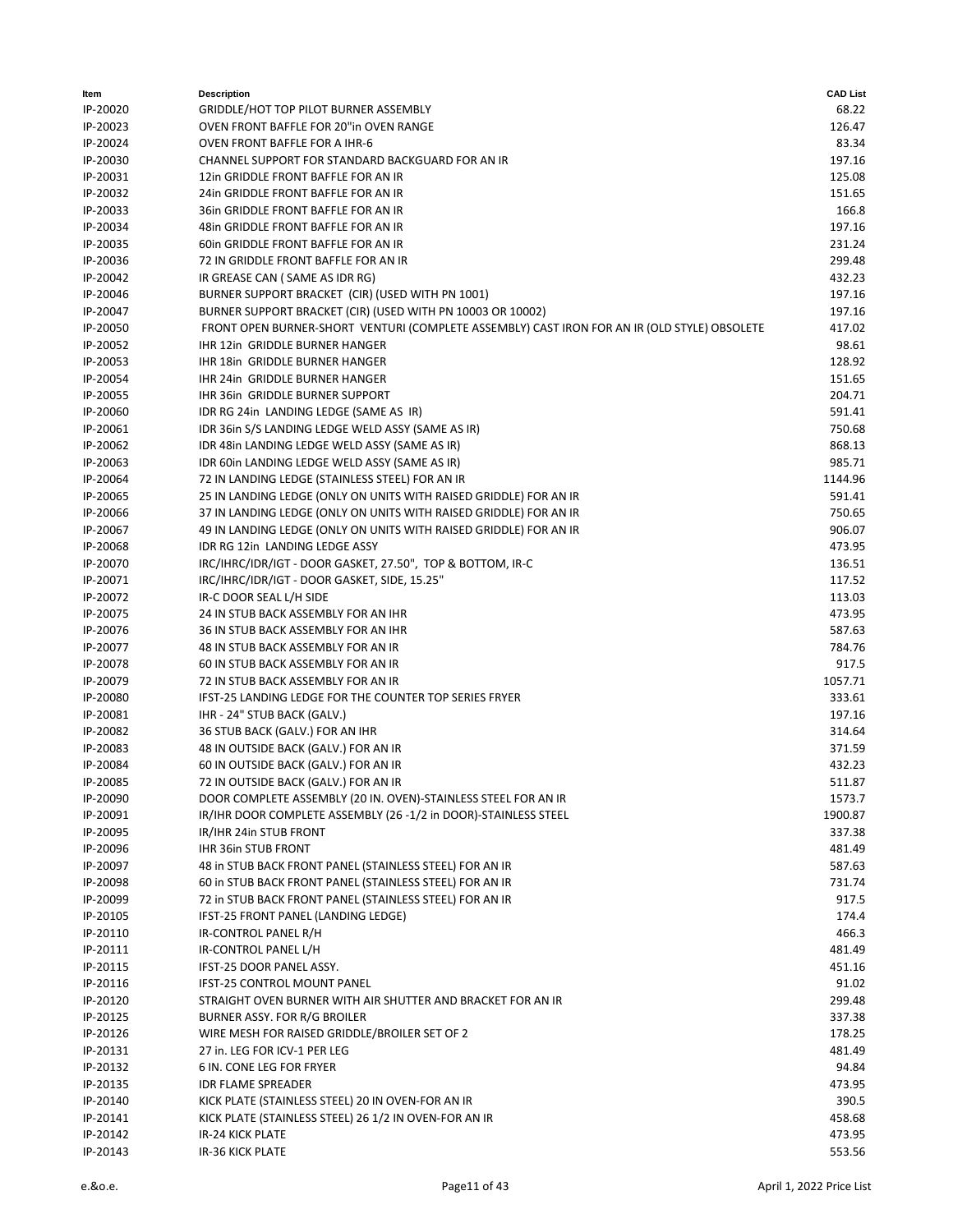| Item     | <b>Description</b>                                                                           | <b>CAD List</b> |
|----------|----------------------------------------------------------------------------------------------|-----------------|
| IP-20020 | GRIDDLE/HOT TOP PILOT BURNER ASSEMBLY                                                        | 68.22           |
| IP-20023 | OVEN FRONT BAFFLE FOR 20"in OVEN RANGE                                                       | 126.47          |
| IP-20024 | OVEN FRONT BAFFLE FOR A IHR-6                                                                | 83.34           |
| IP-20030 | CHANNEL SUPPORT FOR STANDARD BACKGUARD FOR AN IR                                             | 197.16          |
| IP-20031 | 12in GRIDDLE FRONT BAFFLE FOR AN IR                                                          | 125.08          |
| IP-20032 | 24in GRIDDLE FRONT BAFFLE FOR AN IR                                                          | 151.65          |
| IP-20033 | 36in GRIDDLE FRONT BAFFLE FOR AN IR                                                          | 166.8           |
| IP-20034 | 48in GRIDDLE FRONT BAFFLE FOR AN IR                                                          | 197.16          |
| IP-20035 | 60in GRIDDLE FRONT BAFFLE FOR AN IR                                                          | 231.24          |
| IP-20036 | 72 IN GRIDDLE FRONT BAFFLE FOR AN IR                                                         | 299.48          |
| IP-20042 |                                                                                              | 432.23          |
|          | IR GREASE CAN (SAME AS IDR RG)                                                               |                 |
| IP-20046 | BURNER SUPPORT BRACKET (CIR) (USED WITH PN 1001)                                             | 197.16          |
| IP-20047 | BURNER SUPPORT BRACKET (CIR) (USED WITH PN 10003 OR 10002)                                   | 197.16          |
| IP-20050 | FRONT OPEN BURNER-SHORT VENTURI (COMPLETE ASSEMBLY) CAST IRON FOR AN IR (OLD STYLE) OBSOLETE | 417.02          |
| IP-20052 | IHR 12in GRIDDLE BURNER HANGER                                                               | 98.61           |
| IP-20053 | IHR 18in GRIDDLE BURNER HANGER                                                               | 128.92          |
| IP-20054 | IHR 24in GRIDDLE BURNER HANGER                                                               | 151.65          |
| IP-20055 | IHR 36in GRIDDLE BURNER SUPPORT                                                              | 204.71          |
| IP-20060 | IDR RG 24in LANDING LEDGE (SAME AS IR)                                                       | 591.41          |
| IP-20061 | IDR 36in S/S LANDING LEDGE WELD ASSY (SAME AS IR)                                            | 750.68          |
| IP-20062 | IDR 48in LANDING LEDGE WELD ASSY (SAME AS IR)                                                | 868.13          |
| IP-20063 | IDR 60in LANDING LEDGE WELD ASSY (SAME AS IR)                                                | 985.71          |
| IP-20064 | 72 IN LANDING LEDGE (STAINLESS STEEL) FOR AN IR                                              | 1144.96         |
| IP-20065 | 25 IN LANDING LEDGE (ONLY ON UNITS WITH RAISED GRIDDLE) FOR AN IR                            | 591.41          |
| IP-20066 | 37 IN LANDING LEDGE (ONLY ON UNITS WITH RAISED GRIDDLE) FOR AN IR                            | 750.65          |
| IP-20067 | 49 IN LANDING LEDGE (ONLY ON UNITS WITH RAISED GRIDDLE) FOR AN IR                            | 906.07          |
| IP-20068 | IDR RG 12in LANDING LEDGE ASSY                                                               | 473.95          |
| IP-20070 | IRC/IHRC/IDR/IGT - DOOR GASKET, 27.50", TOP & BOTTOM, IR-C                                   | 136.51          |
| IP-20071 | IRC/IHRC/IDR/IGT - DOOR GASKET, SIDE, 15.25"                                                 | 117.52          |
| IP-20072 | IR-C DOOR SEAL L/H SIDE                                                                      | 113.03          |
| IP-20075 | 24 IN STUB BACK ASSEMBLY FOR AN IHR                                                          | 473.95          |
| IP-20076 | 36 IN STUB BACK ASSEMBLY FOR AN IHR                                                          | 587.63          |
| IP-20077 | 48 IN STUB BACK ASSEMBLY FOR AN IR                                                           | 784.76          |
| IP-20078 | 60 IN STUB BACK ASSEMBLY FOR AN IR                                                           | 917.5           |
| IP-20079 | 72 IN STUB BACK ASSEMBLY FOR AN IR                                                           | 1057.71         |
| IP-20080 | IFST-25 LANDING LEDGE FOR THE COUNTER TOP SERIES FRYER                                       | 333.61          |
| IP-20081 | IHR - 24" STUB BACK (GALV.)                                                                  | 197.16          |
| IP-20082 | 36 STUB BACK (GALV.) FOR AN IHR                                                              | 314.64          |
| IP-20083 | 48 IN OUTSIDE BACK (GALV.) FOR AN IR                                                         | 371.59          |
|          |                                                                                              |                 |
| IP-20084 | 60 IN OUTSIDE BACK (GALV.) FOR AN IR                                                         | 432.23          |
| IP-20085 | 72 IN OUTSIDE BACK (GALV.) FOR AN IR                                                         | 511.87          |
| IP-20090 | DOOR COMPLETE ASSEMBLY (20 IN. OVEN)-STAINLESS STEEL FOR AN IR                               | 1573.7          |
| IP-20091 | IR/IHR DOOR COMPLETE ASSEMBLY (26 -1/2 in DOOR)-STAINLESS STEEL                              | 1900.87         |
| IP-20095 | IR/IHR 24in STUB FRONT                                                                       | 337.38          |
| IP-20096 | IHR 36in STUB FRONT                                                                          | 481.49          |
| IP-20097 | 48 in STUB BACK FRONT PANEL (STAINLESS STEEL) FOR AN IR                                      | 587.63          |
| IP-20098 | 60 in STUB BACK FRONT PANEL (STAINLESS STEEL) FOR AN IR                                      | 731.74          |
| IP-20099 | 72 in STUB BACK FRONT PANEL (STAINLESS STEEL) FOR AN IR                                      | 917.5           |
| IP-20105 | IFST-25 FRONT PANEL (LANDING LEDGE)                                                          | 174.4           |
| IP-20110 | IR-CONTROL PANEL R/H                                                                         | 466.3           |
| IP-20111 | IR-CONTROL PANEL L/H                                                                         | 481.49          |
| IP-20115 | IFST-25 DOOR PANEL ASSY.                                                                     | 451.16          |
| IP-20116 | <b>IFST-25 CONTROL MOUNT PANEL</b>                                                           | 91.02           |
| IP-20120 | STRAIGHT OVEN BURNER WITH AIR SHUTTER AND BRACKET FOR AN IR                                  | 299.48          |
| IP-20125 | BURNER ASSY. FOR R/G BROILER                                                                 | 337.38          |
| IP-20126 | WIRE MESH FOR RAISED GRIDDLE/BROILER SET OF 2                                                | 178.25          |
| IP-20131 | 27 in. LEG FOR ICV-1 PER LEG                                                                 | 481.49          |
| IP-20132 | 6 IN. CONE LEG FOR FRYER                                                                     | 94.84           |
| IP-20135 | <b>IDR FLAME SPREADER</b>                                                                    | 473.95          |
| IP-20140 | KICK PLATE (STAINLESS STEEL) 20 IN OVEN-FOR AN IR                                            | 390.5           |
| IP-20141 | KICK PLATE (STAINLESS STEEL) 26 1/2 IN OVEN-FOR AN IR                                        | 458.68          |
| IP-20142 | <b>IR-24 KICK PLATE</b>                                                                      | 473.95          |
| IP-20143 | IR-36 KICK PLATE                                                                             | 553.56          |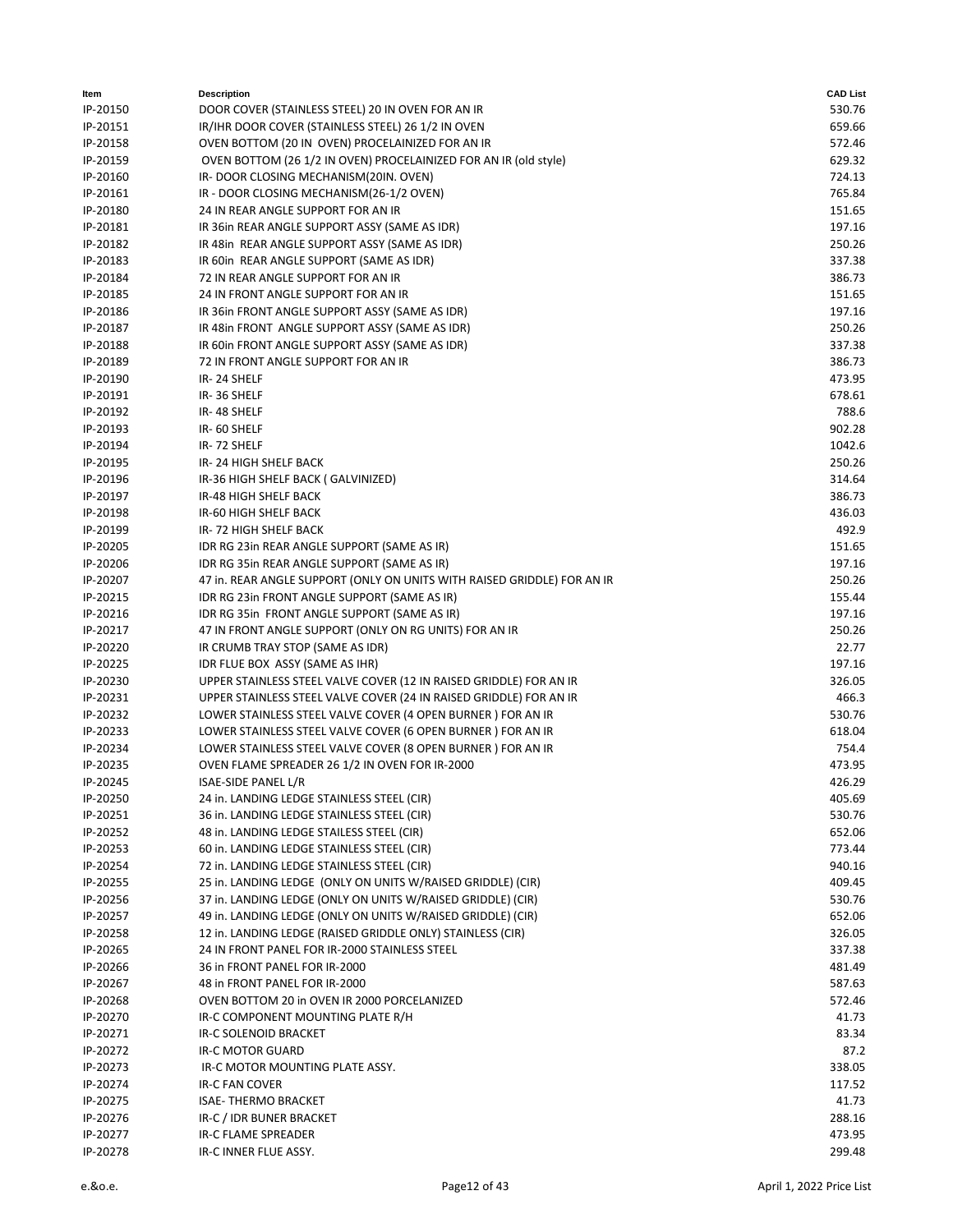| Item     | <b>Description</b>                                                      | <b>CAD List</b> |
|----------|-------------------------------------------------------------------------|-----------------|
| IP-20150 | DOOR COVER (STAINLESS STEEL) 20 IN OVEN FOR AN IR                       | 530.76          |
| IP-20151 | IR/IHR DOOR COVER (STAINLESS STEEL) 26 1/2 IN OVEN                      | 659.66          |
| IP-20158 | OVEN BOTTOM (20 IN OVEN) PROCELAINIZED FOR AN IR                        | 572.46          |
| IP-20159 | OVEN BOTTOM (26 1/2 IN OVEN) PROCELAINIZED FOR AN IR (old style)        | 629.32          |
| IP-20160 | IR-DOOR CLOSING MECHANISM(20IN. OVEN)                                   | 724.13          |
| IP-20161 | IR - DOOR CLOSING MECHANISM(26-1/2 OVEN)                                | 765.84          |
| IP-20180 | 24 IN REAR ANGLE SUPPORT FOR AN IR                                      | 151.65          |
| IP-20181 | IR 36in REAR ANGLE SUPPORT ASSY (SAME AS IDR)                           | 197.16          |
| IP-20182 | IR 48in REAR ANGLE SUPPORT ASSY (SAME AS IDR)                           | 250.26          |
| IP-20183 | IR 60in REAR ANGLE SUPPORT (SAME AS IDR)                                | 337.38          |
| IP-20184 | 72 IN REAR ANGLE SUPPORT FOR AN IR                                      | 386.73          |
| IP-20185 | 24 IN FRONT ANGLE SUPPORT FOR AN IR                                     | 151.65          |
| IP-20186 | IR 36in FRONT ANGLE SUPPORT ASSY (SAME AS IDR)                          | 197.16          |
| IP-20187 | IR 48in FRONT ANGLE SUPPORT ASSY (SAME AS IDR)                          | 250.26          |
| IP-20188 | IR 60in FRONT ANGLE SUPPORT ASSY (SAME AS IDR)                          | 337.38          |
| IP-20189 | 72 IN FRONT ANGLE SUPPORT FOR AN IR                                     | 386.73          |
| IP-20190 | IR-24 SHELF                                                             | 473.95          |
| IP-20191 | IR-36 SHELF                                                             | 678.61          |
| IP-20192 | IR-48 SHELF                                                             | 788.6           |
| IP-20193 | IR-60 SHELF                                                             | 902.28          |
| IP-20194 | IR-72 SHELF                                                             | 1042.6          |
| IP-20195 | IR-24 HIGH SHELF BACK                                                   | 250.26          |
| IP-20196 | IR-36 HIGH SHELF BACK (GALVINIZED)                                      | 314.64          |
| IP-20197 | IR-48 HIGH SHELF BACK                                                   | 386.73          |
| IP-20198 | IR-60 HIGH SHELF BACK                                                   | 436.03          |
| IP-20199 | IR-72 HIGH SHELF BACK                                                   | 492.9           |
| IP-20205 | IDR RG 23in REAR ANGLE SUPPORT (SAME AS IR)                             | 151.65          |
| IP-20206 | IDR RG 35in REAR ANGLE SUPPORT (SAME AS IR)                             | 197.16          |
| IP-20207 | 47 in. REAR ANGLE SUPPORT (ONLY ON UNITS WITH RAISED GRIDDLE) FOR AN IR | 250.26          |
| IP-20215 | IDR RG 23in FRONT ANGLE SUPPORT (SAME AS IR)                            | 155.44          |
| IP-20216 | IDR RG 35in FRONT ANGLE SUPPORT (SAME AS IR)                            | 197.16          |
| IP-20217 | 47 IN FRONT ANGLE SUPPORT (ONLY ON RG UNITS) FOR AN IR                  | 250.26          |
| IP-20220 | IR CRUMB TRAY STOP (SAME AS IDR)                                        | 22.77           |
| IP-20225 | IDR FLUE BOX ASSY (SAME AS IHR)                                         | 197.16          |
| IP-20230 | UPPER STAINLESS STEEL VALVE COVER (12 IN RAISED GRIDDLE) FOR AN IR      | 326.05          |
| IP-20231 | UPPER STAINLESS STEEL VALVE COVER (24 IN RAISED GRIDDLE) FOR AN IR      | 466.3           |
| IP-20232 | LOWER STAINLESS STEEL VALVE COVER (4 OPEN BURNER ) FOR AN IR            | 530.76          |
| IP-20233 | LOWER STAINLESS STEEL VALVE COVER (6 OPEN BURNER ) FOR AN IR            | 618.04          |
| IP-20234 | LOWER STAINLESS STEEL VALVE COVER (8 OPEN BURNER) FOR AN IR             | 754.4           |
| IP-20235 | OVEN FLAME SPREADER 26 1/2 IN OVEN FOR IR-2000                          | 473.95          |
| IP-20245 | ISAE-SIDE PANEL L/R                                                     | 426.29          |
| IP-20250 | 24 in. LANDING LEDGE STAINLESS STEEL (CIR)                              | 405.69          |
| IP-20251 | 36 in. LANDING LEDGE STAINLESS STEEL (CIR)                              | 530.76          |
| IP-20252 | 48 in. LANDING LEDGE STAILESS STEEL (CIR)                               | 652.06          |
| IP-20253 | 60 in. LANDING LEDGE STAINLESS STEEL (CIR)                              | 773.44          |
| IP-20254 | 72 in. LANDING LEDGE STAINLESS STEEL (CIR)                              | 940.16          |
| IP-20255 | 25 in. LANDING LEDGE (ONLY ON UNITS W/RAISED GRIDDLE) (CIR)             | 409.45          |
| IP-20256 | 37 in. LANDING LEDGE (ONLY ON UNITS W/RAISED GRIDDLE) (CIR)             | 530.76          |
| IP-20257 | 49 in. LANDING LEDGE (ONLY ON UNITS W/RAISED GRIDDLE) (CIR)             | 652.06          |
| IP-20258 | 12 in. LANDING LEDGE (RAISED GRIDDLE ONLY) STAINLESS (CIR)              | 326.05          |
| IP-20265 | 24 IN FRONT PANEL FOR IR-2000 STAINLESS STEEL                           | 337.38          |
| IP-20266 | 36 in FRONT PANEL FOR IR-2000                                           | 481.49          |
| IP-20267 | 48 in FRONT PANEL FOR IR-2000                                           | 587.63          |
| IP-20268 | OVEN BOTTOM 20 in OVEN IR 2000 PORCELANIZED                             | 572.46          |
| IP-20270 | IR-C COMPONENT MOUNTING PLATE R/H                                       | 41.73           |
| IP-20271 | IR-C SOLENOID BRACKET                                                   | 83.34           |
| IP-20272 | IR-C MOTOR GUARD                                                        | 87.2            |
| IP-20273 | IR-C MOTOR MOUNTING PLATE ASSY.                                         | 338.05          |
| IP-20274 | <b>IR-C FAN COVER</b>                                                   | 117.52          |
| IP-20275 | <b>ISAE- THERMO BRACKET</b>                                             | 41.73           |
| IP-20276 | IR-C / IDR BUNER BRACKET                                                | 288.16          |
| IP-20277 | IR-C FLAME SPREADER                                                     | 473.95          |
| IP-20278 | IR-C INNER FLUE ASSY.                                                   | 299.48          |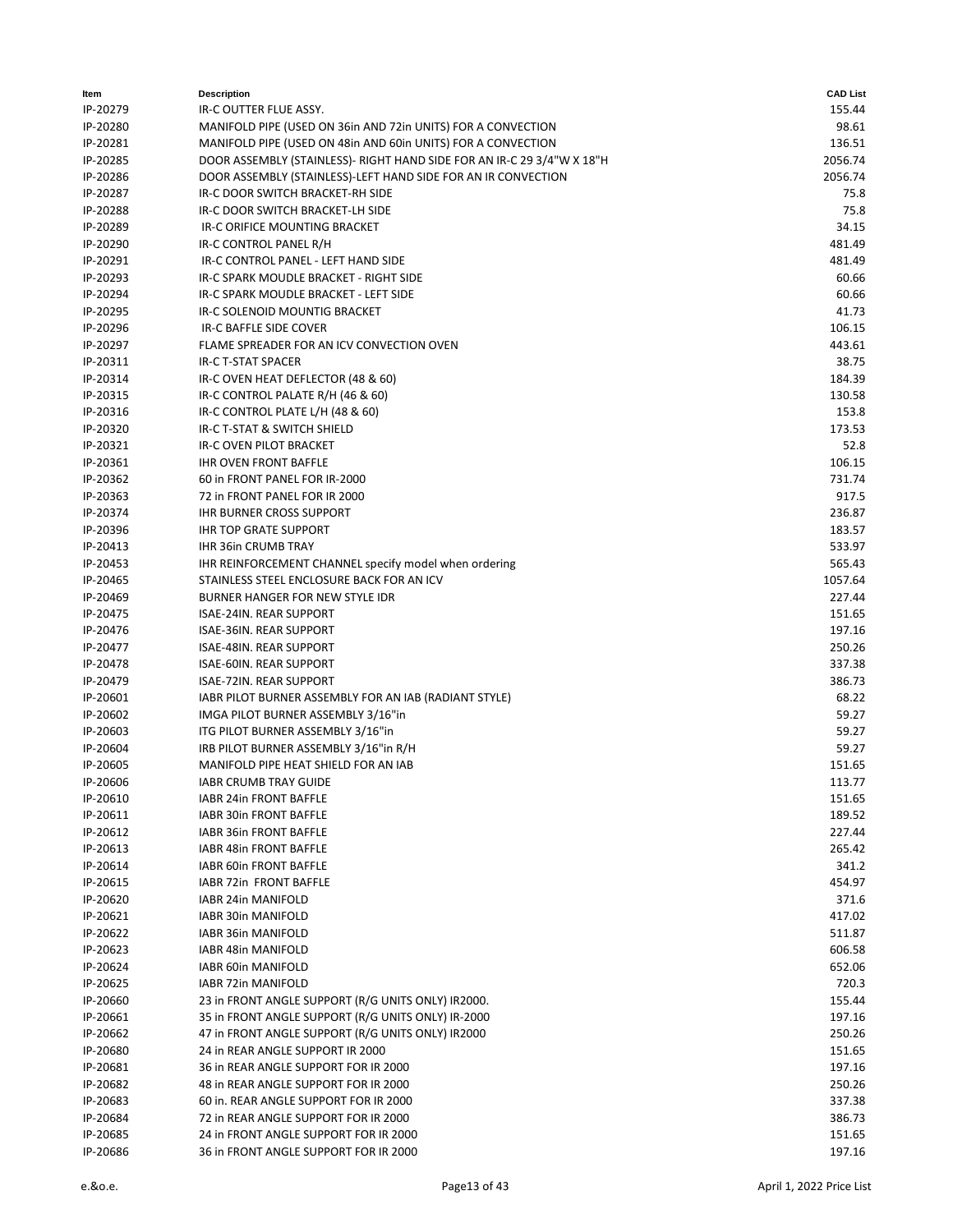| ltem     | <b>Description</b>                                                     | <b>CAD List</b> |
|----------|------------------------------------------------------------------------|-----------------|
| IP-20279 | IR-C OUTTER FLUE ASSY.                                                 | 155.44          |
| IP-20280 | MANIFOLD PIPE (USED ON 36in AND 72in UNITS) FOR A CONVECTION           | 98.61           |
| IP-20281 | MANIFOLD PIPE (USED ON 48in AND 60in UNITS) FOR A CONVECTION           | 136.51          |
| IP-20285 | DOOR ASSEMBLY (STAINLESS)- RIGHT HAND SIDE FOR AN IR-C 29 3/4"W X 18"H | 2056.74         |
| IP-20286 | DOOR ASSEMBLY (STAINLESS)-LEFT HAND SIDE FOR AN IR CONVECTION          | 2056.74         |
| IP-20287 | IR-C DOOR SWITCH BRACKET-RH SIDE                                       | 75.8            |
| IP-20288 | IR-C DOOR SWITCH BRACKET-LH SIDE                                       | 75.8            |
| IP-20289 | IR-C ORIFICE MOUNTING BRACKET                                          | 34.15           |
| IP-20290 | IR-C CONTROL PANEL R/H                                                 | 481.49          |
| IP-20291 | IR-C CONTROL PANEL - LEFT HAND SIDE                                    | 481.49          |
| IP-20293 | IR-C SPARK MOUDLE BRACKET - RIGHT SIDE                                 | 60.66           |
| IP-20294 | IR-C SPARK MOUDLE BRACKET - LEFT SIDE                                  | 60.66           |
| IP-20295 | IR-C SOLENOID MOUNTIG BRACKET                                          | 41.73           |
| IP-20296 | IR-C BAFFLE SIDE COVER                                                 | 106.15          |
| IP-20297 | FLAME SPREADER FOR AN ICV CONVECTION OVEN                              | 443.61          |
| IP-20311 | <b>IR-C T-STAT SPACER</b>                                              | 38.75           |
| IP-20314 | IR-C OVEN HEAT DEFLECTOR (48 & 60)                                     | 184.39          |
| IP-20315 | IR-C CONTROL PALATE R/H (46 & 60)                                      | 130.58          |
| IP-20316 | IR-C CONTROL PLATE L/H (48 & 60)                                       | 153.8           |
| IP-20320 | IR-C T-STAT & SWITCH SHIELD                                            | 173.53          |
| IP-20321 | IR-C OVEN PILOT BRACKET                                                | 52.8            |
| IP-20361 | <b>IHR OVEN FRONT BAFFLE</b>                                           | 106.15          |
| IP-20362 | 60 in FRONT PANEL FOR IR-2000                                          | 731.74          |
| IP-20363 | 72 in FRONT PANEL FOR IR 2000                                          | 917.5           |
| IP-20374 | <b>IHR BURNER CROSS SUPPORT</b>                                        | 236.87          |
| IP-20396 | <b>IHR TOP GRATE SUPPORT</b>                                           | 183.57          |
| IP-20413 | <b>IHR 36in CRUMB TRAY</b>                                             | 533.97          |
| IP-20453 | IHR REINFORCEMENT CHANNEL specify model when ordering                  | 565.43          |
| IP-20465 | STAINLESS STEEL ENCLOSURE BACK FOR AN ICV                              | 1057.64         |
| IP-20469 | BURNER HANGER FOR NEW STYLE IDR                                        | 227.44          |
| IP-20475 | ISAE-24IN. REAR SUPPORT                                                | 151.65          |
| IP-20476 | ISAE-36IN. REAR SUPPORT                                                | 197.16          |
| IP-20477 | ISAE-48IN. REAR SUPPORT                                                | 250.26          |
| IP-20478 | ISAE-60IN. REAR SUPPORT                                                | 337.38          |
| IP-20479 | ISAE-72IN. REAR SUPPORT                                                | 386.73          |
| IP-20601 | IABR PILOT BURNER ASSEMBLY FOR AN IAB (RADIANT STYLE)                  | 68.22           |
| IP-20602 | IMGA PILOT BURNER ASSEMBLY 3/16"in                                     | 59.27           |
| IP-20603 | ITG PILOT BURNER ASSEMBLY 3/16"in                                      | 59.27           |
| IP-20604 | IRB PILOT BURNER ASSEMBLY 3/16"in R/H                                  | 59.27           |
| IP-20605 | MANIFOLD PIPE HEAT SHIELD FOR AN IAB                                   | 151.65          |
| IP-20606 | IABR CRUMB TRAY GUIDE                                                  | 113.77          |
| IP-20610 | IABR 24in FRONT BAFFLE                                                 | 151.65          |
| IP-20611 | IABR 30in FRONT BAFFLE                                                 | 189.52          |
| IP-20612 | IABR 36in FRONT BAFFLE                                                 | 227.44          |
| IP-20613 | <b>IABR 48in FRONT BAFFLE</b>                                          | 265.42          |
| IP-20614 | IABR 60in FRONT BAFFLE                                                 | 341.2           |
| IP-20615 | IABR 72in FRONT BAFFLE                                                 | 454.97          |
| IP-20620 | IABR 24in MANIFOLD                                                     | 371.6           |
| IP-20621 | IABR 30in MANIFOLD                                                     | 417.02          |
| IP-20622 | IABR 36in MANIFOLD                                                     | 511.87          |
| IP-20623 | IABR 48in MANIFOLD                                                     | 606.58          |
| IP-20624 | IABR 60in MANIFOLD                                                     | 652.06          |
| IP-20625 | IABR 72in MANIFOLD                                                     | 720.3           |
| IP-20660 | 23 in FRONT ANGLE SUPPORT (R/G UNITS ONLY) IR2000.                     | 155.44          |
| IP-20661 | 35 in FRONT ANGLE SUPPORT (R/G UNITS ONLY) IR-2000                     | 197.16          |
| IP-20662 | 47 in FRONT ANGLE SUPPORT (R/G UNITS ONLY) IR2000                      | 250.26          |
| IP-20680 | 24 in REAR ANGLE SUPPORT IR 2000                                       | 151.65          |
| IP-20681 | 36 in REAR ANGLE SUPPORT FOR IR 2000                                   | 197.16          |
| IP-20682 | 48 in REAR ANGLE SUPPORT FOR IR 2000                                   | 250.26          |
| IP-20683 | 60 in. REAR ANGLE SUPPORT FOR IR 2000                                  | 337.38          |
| IP-20684 | 72 in REAR ANGLE SUPPORT FOR IR 2000                                   | 386.73          |
| IP-20685 | 24 in FRONT ANGLE SUPPORT FOR IR 2000                                  | 151.65          |
| IP-20686 | 36 in FRONT ANGLE SUPPORT FOR IR 2000                                  | 197.16          |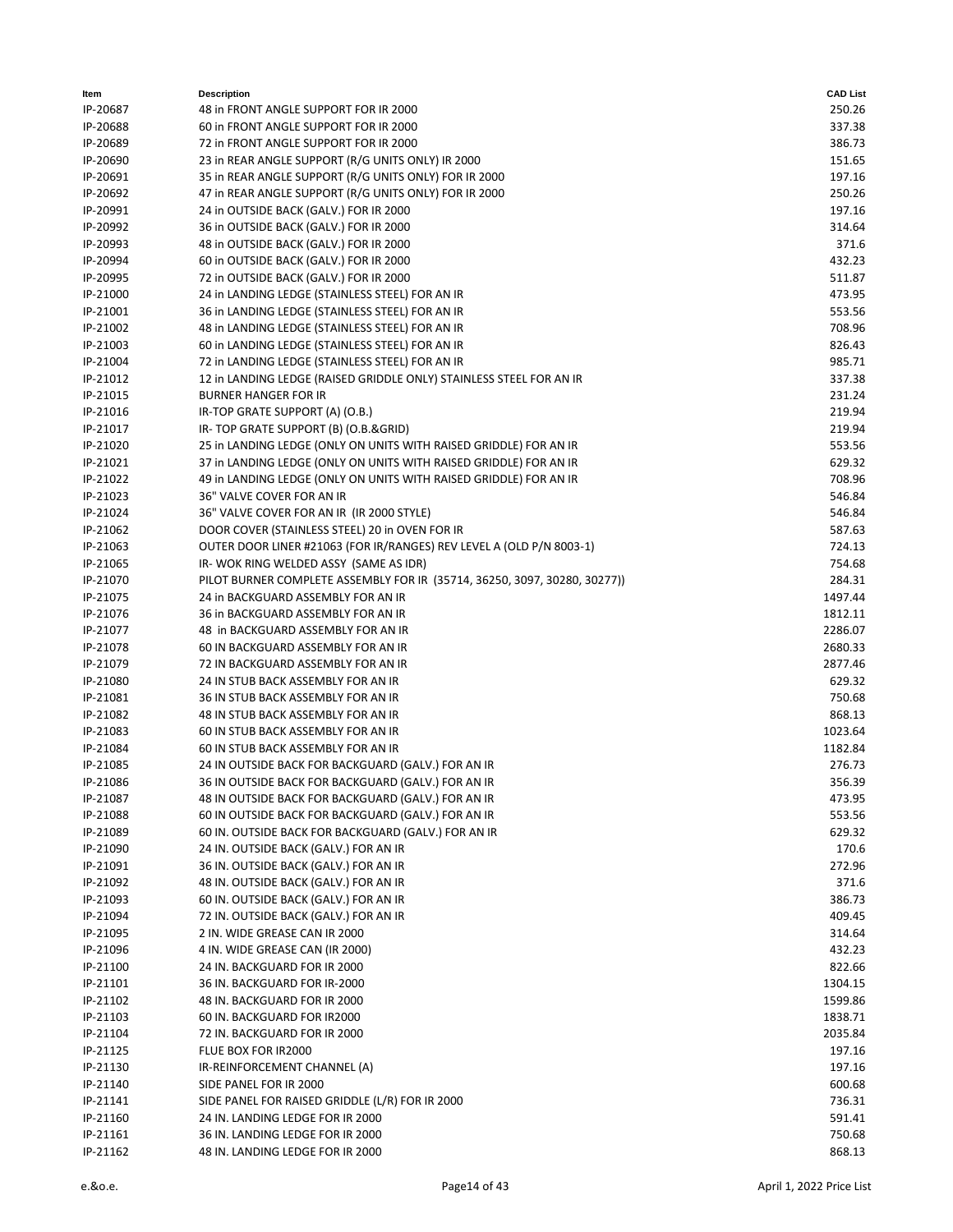| Item     | <b>Description</b>                                                        | <b>CAD List</b> |
|----------|---------------------------------------------------------------------------|-----------------|
| IP-20687 | 48 in FRONT ANGLE SUPPORT FOR IR 2000                                     | 250.26          |
| IP-20688 | 60 in FRONT ANGLE SUPPORT FOR IR 2000                                     | 337.38          |
| IP-20689 | 72 in FRONT ANGLE SUPPORT FOR IR 2000                                     | 386.73          |
| IP-20690 | 23 in REAR ANGLE SUPPORT (R/G UNITS ONLY) IR 2000                         | 151.65          |
| IP-20691 | 35 in REAR ANGLE SUPPORT (R/G UNITS ONLY) FOR IR 2000                     | 197.16          |
| IP-20692 | 47 in REAR ANGLE SUPPORT (R/G UNITS ONLY) FOR IR 2000                     | 250.26          |
| IP-20991 | 24 in OUTSIDE BACK (GALV.) FOR IR 2000                                    | 197.16          |
| IP-20992 | 36 in OUTSIDE BACK (GALV.) FOR IR 2000                                    | 314.64          |
| IP-20993 | 48 in OUTSIDE BACK (GALV.) FOR IR 2000                                    | 371.6           |
| IP-20994 | 60 in OUTSIDE BACK (GALV.) FOR IR 2000                                    | 432.23          |
| IP-20995 | 72 in OUTSIDE BACK (GALV.) FOR IR 2000                                    | 511.87          |
| IP-21000 | 24 in LANDING LEDGE (STAINLESS STEEL) FOR AN IR                           | 473.95          |
| IP-21001 | 36 in LANDING LEDGE (STAINLESS STEEL) FOR AN IR                           | 553.56          |
| IP-21002 | 48 in LANDING LEDGE (STAINLESS STEEL) FOR AN IR                           | 708.96          |
| IP-21003 | 60 in LANDING LEDGE (STAINLESS STEEL) FOR AN IR                           | 826.43          |
| IP-21004 | 72 in LANDING LEDGE (STAINLESS STEEL) FOR AN IR                           | 985.71          |
| IP-21012 | 12 in LANDING LEDGE (RAISED GRIDDLE ONLY) STAINLESS STEEL FOR AN IR       | 337.38          |
| IP-21015 | <b>BURNER HANGER FOR IR</b>                                               | 231.24          |
| IP-21016 | IR-TOP GRATE SUPPORT (A) (O.B.)                                           | 219.94          |
|          | IR-TOP GRATE SUPPORT (B) (O.B.&GRID)                                      |                 |
| IP-21017 |                                                                           | 219.94          |
| IP-21020 | 25 in LANDING LEDGE (ONLY ON UNITS WITH RAISED GRIDDLE) FOR AN IR         | 553.56          |
| IP-21021 | 37 in LANDING LEDGE (ONLY ON UNITS WITH RAISED GRIDDLE) FOR AN IR         | 629.32          |
| IP-21022 | 49 in LANDING LEDGE (ONLY ON UNITS WITH RAISED GRIDDLE) FOR AN IR         | 708.96          |
| IP-21023 | 36" VALVE COVER FOR AN IR                                                 | 546.84          |
| IP-21024 | 36" VALVE COVER FOR AN IR (IR 2000 STYLE)                                 | 546.84          |
| IP-21062 | DOOR COVER (STAINLESS STEEL) 20 in OVEN FOR IR                            | 587.63          |
| IP-21063 | OUTER DOOR LINER #21063 (FOR IR/RANGES) REV LEVEL A (OLD P/N 8003-1)      | 724.13          |
| IP-21065 | IR-WOK RING WELDED ASSY (SAME AS IDR)                                     | 754.68          |
| IP-21070 | PILOT BURNER COMPLETE ASSEMBLY FOR IR (35714, 36250, 3097, 30280, 30277)) | 284.31          |
| IP-21075 | 24 in BACKGUARD ASSEMBLY FOR AN IR                                        | 1497.44         |
| IP-21076 | 36 in BACKGUARD ASSEMBLY FOR AN IR                                        | 1812.11         |
| IP-21077 | 48 in BACKGUARD ASSEMBLY FOR AN IR                                        | 2286.07         |
| IP-21078 | 60 IN BACKGUARD ASSEMBLY FOR AN IR                                        | 2680.33         |
| IP-21079 | 72 IN BACKGUARD ASSEMBLY FOR AN IR                                        | 2877.46         |
| IP-21080 | 24 IN STUB BACK ASSEMBLY FOR AN IR                                        | 629.32          |
| IP-21081 | 36 IN STUB BACK ASSEMBLY FOR AN IR                                        | 750.68          |
| IP-21082 | 48 IN STUB BACK ASSEMBLY FOR AN IR                                        | 868.13          |
| IP-21083 | 60 IN STUB BACK ASSEMBLY FOR AN IR                                        | 1023.64         |
| IP-21084 | 60 IN STUB BACK ASSEMBLY FOR AN IR                                        | 1182.84         |
| IP-21085 | 24 IN OUTSIDE BACK FOR BACKGUARD (GALV.) FOR AN IR                        | 276.73          |
| IP-21086 | 36 IN OUTSIDE BACK FOR BACKGUARD (GALV.) FOR AN IR                        | 356.39          |
| IP-21087 | 48 IN OUTSIDE BACK FOR BACKGUARD (GALV.) FOR AN IR                        | 473.95          |
| IP-21088 | 60 IN OUTSIDE BACK FOR BACKGUARD (GALV.) FOR AN IR                        | 553.56          |
| IP-21089 | 60 IN. OUTSIDE BACK FOR BACKGUARD (GALV.) FOR AN IR                       | 629.32          |
| IP-21090 | 24 IN. OUTSIDE BACK (GALV.) FOR AN IR                                     | 170.6           |
| IP-21091 | 36 IN. OUTSIDE BACK (GALV.) FOR AN IR                                     | 272.96          |
| IP-21092 | 48 IN. OUTSIDE BACK (GALV.) FOR AN IR                                     | 371.6           |
| IP-21093 | 60 IN. OUTSIDE BACK (GALV.) FOR AN IR                                     | 386.73          |
| IP-21094 | 72 IN. OUTSIDE BACK (GALV.) FOR AN IR                                     | 409.45          |
| IP-21095 | 2 IN. WIDE GREASE CAN IR 2000                                             | 314.64          |
| IP-21096 | 4 IN. WIDE GREASE CAN (IR 2000)                                           | 432.23          |
| IP-21100 | 24 IN. BACKGUARD FOR IR 2000                                              | 822.66          |
| IP-21101 | 36 IN. BACKGUARD FOR IR-2000                                              | 1304.15         |
| IP-21102 | 48 IN. BACKGUARD FOR IR 2000                                              | 1599.86         |
| IP-21103 | 60 IN. BACKGUARD FOR IR2000                                               | 1838.71         |
| IP-21104 | 72 IN. BACKGUARD FOR IR 2000                                              | 2035.84         |
| IP-21125 | FLUE BOX FOR IR2000                                                       | 197.16          |
| IP-21130 | IR-REINFORCEMENT CHANNEL (A)                                              | 197.16          |
| IP-21140 | SIDE PANEL FOR IR 2000                                                    | 600.68          |
| IP-21141 | SIDE PANEL FOR RAISED GRIDDLE (L/R) FOR IR 2000                           | 736.31          |
| IP-21160 | 24 IN. LANDING LEDGE FOR IR 2000                                          | 591.41          |
| IP-21161 | 36 IN. LANDING LEDGE FOR IR 2000                                          | 750.68          |
| IP-21162 | 48 IN. LANDING LEDGE FOR IR 2000                                          | 868.13          |
|          |                                                                           |                 |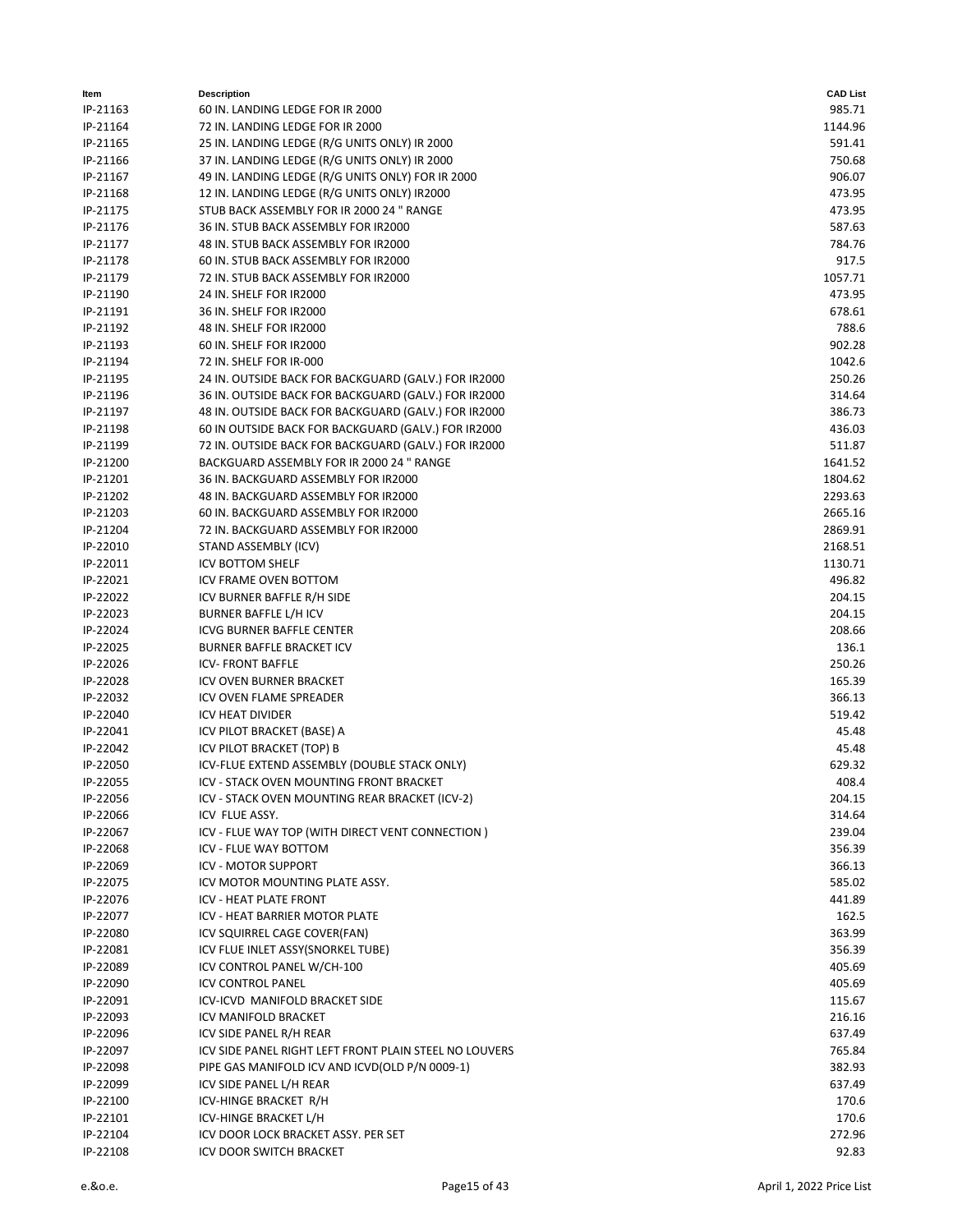| ltem     | <b>Description</b>                                     | <b>CAD List</b> |
|----------|--------------------------------------------------------|-----------------|
| IP-21163 | 60 IN. LANDING LEDGE FOR IR 2000                       | 985.71          |
| IP-21164 | 72 IN. LANDING LEDGE FOR IR 2000                       | 1144.96         |
| IP-21165 | 25 IN. LANDING LEDGE (R/G UNITS ONLY) IR 2000          | 591.41          |
| IP-21166 | 37 IN. LANDING LEDGE (R/G UNITS ONLY) IR 2000          | 750.68          |
| IP-21167 | 49 IN. LANDING LEDGE (R/G UNITS ONLY) FOR IR 2000      | 906.07          |
| IP-21168 | 12 IN. LANDING LEDGE (R/G UNITS ONLY) IR2000           | 473.95          |
| IP-21175 | STUB BACK ASSEMBLY FOR IR 2000 24 " RANGE              | 473.95          |
| IP-21176 | 36 IN. STUB BACK ASSEMBLY FOR IR2000                   | 587.63          |
| IP-21177 | 48 IN. STUB BACK ASSEMBLY FOR IR2000                   | 784.76          |
| IP-21178 | 60 IN. STUB BACK ASSEMBLY FOR IR2000                   | 917.5           |
| IP-21179 | 72 IN. STUB BACK ASSEMBLY FOR IR2000                   | 1057.71         |
| IP-21190 | 24 IN. SHELF FOR IR2000                                | 473.95          |
| IP-21191 | 36 IN. SHELF FOR IR2000                                | 678.61          |
| IP-21192 | 48 IN. SHELF FOR IR2000                                | 788.6           |
| IP-21193 | 60 IN. SHELF FOR IR2000                                | 902.28          |
| IP-21194 | 72 IN. SHELF FOR IR-000                                | 1042.6          |
| IP-21195 | 24 IN. OUTSIDE BACK FOR BACKGUARD (GALV.) FOR IR2000   | 250.26          |
| IP-21196 | 36 IN. OUTSIDE BACK FOR BACKGUARD (GALV.) FOR IR2000   | 314.64          |
| IP-21197 | 48 IN. OUTSIDE BACK FOR BACKGUARD (GALV.) FOR IR2000   | 386.73          |
| IP-21198 | 60 IN OUTSIDE BACK FOR BACKGUARD (GALV.) FOR IR2000    | 436.03          |
| IP-21199 | 72 IN. OUTSIDE BACK FOR BACKGUARD (GALV.) FOR IR2000   | 511.87          |
| IP-21200 | BACKGUARD ASSEMBLY FOR IR 2000 24 " RANGE              | 1641.52         |
| IP-21201 | 36 IN. BACKGUARD ASSEMBLY FOR IR2000                   | 1804.62         |
| IP-21202 | 48 IN. BACKGUARD ASSEMBLY FOR IR2000                   | 2293.63         |
| IP-21203 | 60 IN. BACKGUARD ASSEMBLY FOR IR2000                   | 2665.16         |
| IP-21204 | 72 IN. BACKGUARD ASSEMBLY FOR IR2000                   | 2869.91         |
| IP-22010 | STAND ASSEMBLY (ICV)                                   | 2168.51         |
| IP-22011 | <b>ICV BOTTOM SHELF</b>                                | 1130.71         |
| IP-22021 | ICV FRAME OVEN BOTTOM                                  | 496.82          |
| IP-22022 | ICV BURNER BAFFLE R/H SIDE                             | 204.15          |
| IP-22023 | BURNER BAFFLE L/H ICV                                  | 204.15          |
| IP-22024 | <b>ICVG BURNER BAFFLE CENTER</b>                       | 208.66          |
| IP-22025 | <b>BURNER BAFFLE BRACKET ICV</b>                       | 136.1           |
| IP-22026 | <b>ICV-FRONT BAFFLE</b>                                | 250.26          |
| IP-22028 | <b>ICV OVEN BURNER BRACKET</b>                         | 165.39          |
| IP-22032 | ICV OVEN FLAME SPREADER                                | 366.13          |
| IP-22040 | <b>ICV HEAT DIVIDER</b>                                | 519.42          |
| IP-22041 | ICV PILOT BRACKET (BASE) A                             | 45.48           |
| IP-22042 | ICV PILOT BRACKET (TOP) B                              | 45.48           |
| IP-22050 | ICV-FLUE EXTEND ASSEMBLY (DOUBLE STACK ONLY)           | 629.32          |
| IP-22055 | ICV - STACK OVEN MOUNTING FRONT BRACKET                | 408.4           |
| IP-22056 | ICV - STACK OVEN MOUNTING REAR BRACKET (ICV-2)         | 204.15          |
| IP-22066 | ICV FLUE ASSY.                                         | 314.64          |
| IP-22067 | ICV - FLUE WAY TOP (WITH DIRECT VENT CONNECTION)       | 239.04          |
| IP-22068 | ICV - FLUE WAY BOTTOM                                  | 356.39          |
| IP-22069 | <b>ICV - MOTOR SUPPORT</b>                             | 366.13          |
| IP-22075 | ICV MOTOR MOUNTING PLATE ASSY.                         | 585.02          |
| IP-22076 | ICV - HEAT PLATE FRONT                                 | 441.89          |
| IP-22077 | ICV - HEAT BARRIER MOTOR PLATE                         | 162.5           |
| IP-22080 | ICV SQUIRREL CAGE COVER(FAN)                           | 363.99          |
| IP-22081 | ICV FLUE INLET ASSY(SNORKEL TUBE)                      | 356.39          |
| IP-22089 | ICV CONTROL PANEL W/CH-100                             | 405.69          |
| IP-22090 | <b>ICV CONTROL PANEL</b>                               | 405.69          |
| IP-22091 | ICV-ICVD MANIFOLD BRACKET SIDE                         | 115.67          |
| IP-22093 | ICV MANIFOLD BRACKET                                   | 216.16          |
| IP-22096 | ICV SIDE PANEL R/H REAR                                | 637.49          |
| IP-22097 | ICV SIDE PANEL RIGHT LEFT FRONT PLAIN STEEL NO LOUVERS | 765.84          |
| IP-22098 | PIPE GAS MANIFOLD ICV AND ICVD(OLD P/N 0009-1)         | 382.93          |
| IP-22099 | ICV SIDE PANEL L/H REAR                                | 637.49          |
| IP-22100 | ICV-HINGE BRACKET R/H                                  | 170.6           |
| IP-22101 | ICV-HINGE BRACKET L/H                                  | 170.6           |
| IP-22104 | ICV DOOR LOCK BRACKET ASSY. PER SET                    | 272.96          |
| IP-22108 | ICV DOOR SWITCH BRACKET                                | 92.83           |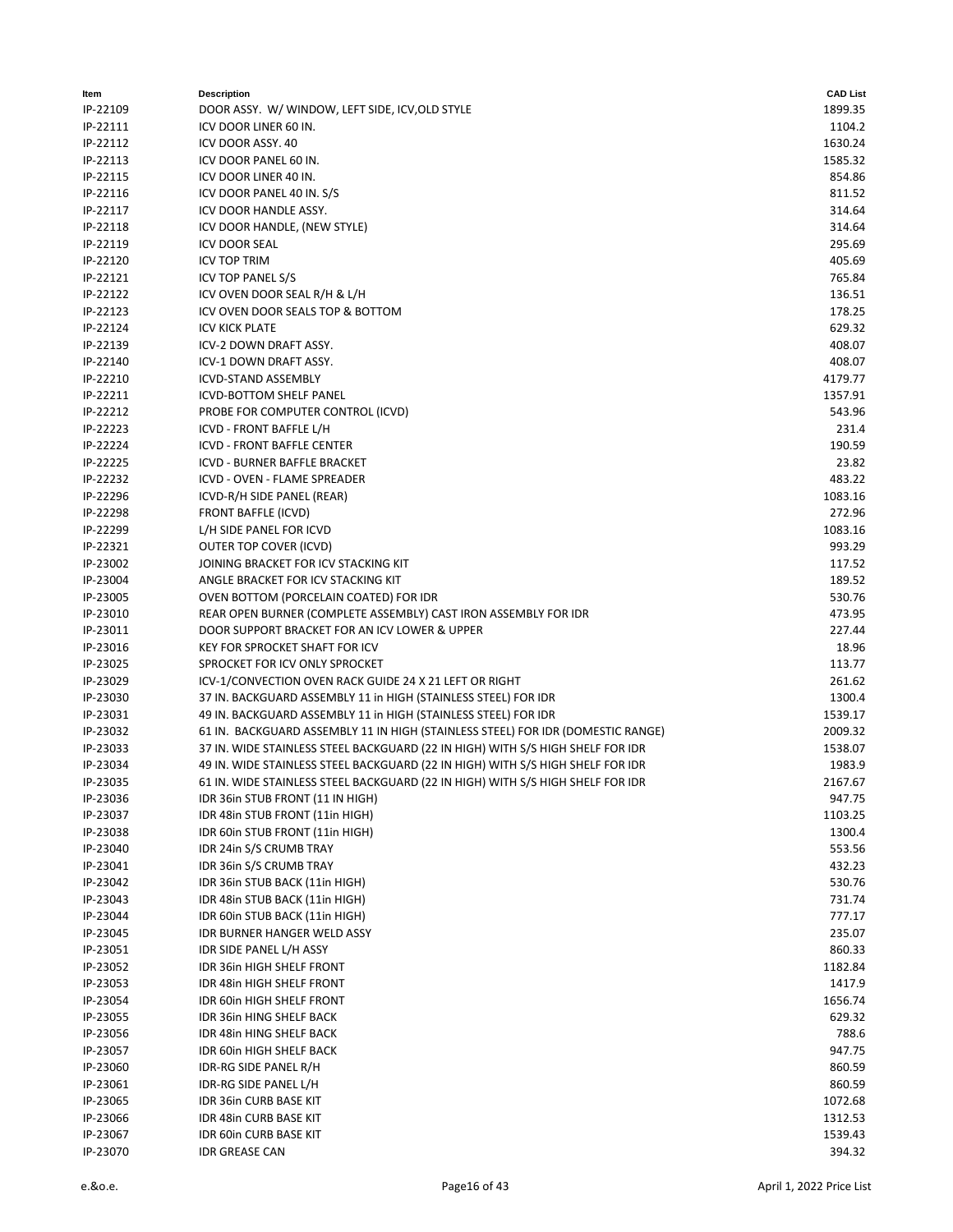| ltem     | <b>Description</b>                                                              | <b>CAD List</b> |
|----------|---------------------------------------------------------------------------------|-----------------|
| IP-22109 | DOOR ASSY. W/ WINDOW, LEFT SIDE, ICV, OLD STYLE                                 | 1899.35         |
| IP-22111 | ICV DOOR LINER 60 IN.                                                           | 1104.2          |
| IP-22112 | ICV DOOR ASSY. 40                                                               | 1630.24         |
| IP-22113 | ICV DOOR PANEL 60 IN.                                                           | 1585.32         |
| IP-22115 | ICV DOOR LINER 40 IN.                                                           | 854.86          |
| IP-22116 | ICV DOOR PANEL 40 IN. S/S                                                       | 811.52          |
| IP-22117 | ICV DOOR HANDLE ASSY.                                                           | 314.64          |
| IP-22118 | ICV DOOR HANDLE, (NEW STYLE)                                                    | 314.64          |
| IP-22119 | <b>ICV DOOR SEAL</b>                                                            | 295.69          |
| IP-22120 | <b>ICV TOP TRIM</b>                                                             | 405.69          |
| IP-22121 | <b>ICV TOP PANEL S/S</b>                                                        | 765.84          |
| IP-22122 | ICV OVEN DOOR SEAL R/H & L/H                                                    | 136.51          |
| IP-22123 | ICV OVEN DOOR SEALS TOP & BOTTOM                                                | 178.25          |
| IP-22124 | <b>ICV KICK PLATE</b>                                                           | 629.32          |
| IP-22139 | ICV-2 DOWN DRAFT ASSY.                                                          | 408.07          |
| IP-22140 | ICV-1 DOWN DRAFT ASSY.                                                          | 408.07          |
| IP-22210 | <b>ICVD-STAND ASSEMBLY</b>                                                      | 4179.77         |
| IP-22211 | ICVD-BOTTOM SHELF PANEL                                                         | 1357.91         |
| IP-22212 | PROBE FOR COMPUTER CONTROL (ICVD)                                               | 543.96          |
| IP-22223 | ICVD - FRONT BAFFLE L/H                                                         | 231.4           |
| IP-22224 | <b>ICVD - FRONT BAFFLE CENTER</b>                                               | 190.59          |
| IP-22225 | ICVD - BURNER BAFFLE BRACKET                                                    | 23.82           |
| IP-22232 | ICVD - OVEN - FLAME SPREADER                                                    | 483.22          |
| IP-22296 | ICVD-R/H SIDE PANEL (REAR)                                                      | 1083.16         |
| IP-22298 | FRONT BAFFLE (ICVD)                                                             | 272.96          |
| IP-22299 | L/H SIDE PANEL FOR ICVD                                                         | 1083.16         |
| IP-22321 | OUTER TOP COVER (ICVD)                                                          | 993.29          |
| IP-23002 | JOINING BRACKET FOR ICV STACKING KIT                                            | 117.52          |
| IP-23004 | ANGLE BRACKET FOR ICV STACKING KIT                                              | 189.52          |
| IP-23005 | OVEN BOTTOM (PORCELAIN COATED) FOR IDR                                          | 530.76          |
| IP-23010 | REAR OPEN BURNER (COMPLETE ASSEMBLY) CAST IRON ASSEMBLY FOR IDR                 | 473.95          |
| IP-23011 | DOOR SUPPORT BRACKET FOR AN ICV LOWER & UPPER                                   | 227.44          |
| IP-23016 | <b>KEY FOR SPROCKET SHAFT FOR ICV</b>                                           | 18.96           |
| IP-23025 | SPROCKET FOR ICV ONLY SPROCKET                                                  | 113.77          |
| IP-23029 | ICV-1/CONVECTION OVEN RACK GUIDE 24 X 21 LEFT OR RIGHT                          | 261.62          |
| IP-23030 | 37 IN. BACKGUARD ASSEMBLY 11 in HIGH (STAINLESS STEEL) FOR IDR                  | 1300.4          |
| IP-23031 | 49 IN. BACKGUARD ASSEMBLY 11 in HIGH (STAINLESS STEEL) FOR IDR                  | 1539.17         |
| IP-23032 | 61 IN. BACKGUARD ASSEMBLY 11 IN HIGH (STAINLESS STEEL) FOR IDR (DOMESTIC RANGE) | 2009.32         |
| IP-23033 | 37 IN. WIDE STAINLESS STEEL BACKGUARD (22 IN HIGH) WITH S/S HIGH SHELF FOR IDR  | 1538.07         |
| IP-23034 | 49 IN. WIDE STAINLESS STEEL BACKGUARD (22 IN HIGH) WITH S/S HIGH SHELF FOR IDR  | 1983.9          |
| IP-23035 | 61 IN. WIDE STAINLESS STEEL BACKGUARD (22 IN HIGH) WITH S/S HIGH SHELF FOR IDR  | 2167.67         |
| IP-23036 | IDR 36in STUB FRONT (11 IN HIGH)                                                | 947.75          |
| IP-23037 | IDR 48in STUB FRONT (11in HIGH)                                                 | 1103.25         |
| IP-23038 | IDR 60in STUB FRONT (11in HIGH)                                                 | 1300.4          |
| IP-23040 | IDR 24in S/S CRUMB TRAY                                                         | 553.56          |
| IP-23041 | IDR 36in S/S CRUMB TRAY                                                         | 432.23          |
| IP-23042 | IDR 36in STUB BACK (11in HIGH)                                                  | 530.76          |
| IP-23043 | IDR 48in STUB BACK (11in HIGH)                                                  | 731.74          |
| IP-23044 | IDR 60in STUB BACK (11in HIGH)                                                  | 777.17          |
| IP-23045 | IDR BURNER HANGER WELD ASSY                                                     | 235.07          |
| IP-23051 | IDR SIDE PANEL L/H ASSY                                                         | 860.33          |
| IP-23052 | IDR 36in HIGH SHELF FRONT                                                       | 1182.84         |
| IP-23053 | IDR 48in HIGH SHELF FRONT                                                       | 1417.9          |
| IP-23054 | IDR 60in HIGH SHELF FRONT                                                       | 1656.74         |
| IP-23055 | IDR 36in HING SHELF BACK                                                        | 629.32          |
| IP-23056 | IDR 48in HING SHELF BACK                                                        | 788.6           |
| IP-23057 | IDR 60in HIGH SHELF BACK                                                        | 947.75          |
| IP-23060 | IDR-RG SIDE PANEL R/H                                                           | 860.59          |
| IP-23061 | IDR-RG SIDE PANEL L/H                                                           | 860.59          |
| IP-23065 | <b>IDR 36in CURB BASE KIT</b>                                                   | 1072.68         |
| IP-23066 | IDR 48in CURB BASE KIT                                                          | 1312.53         |
| IP-23067 | <b>IDR 60in CURB BASE KIT</b>                                                   | 1539.43         |
| IP-23070 | <b>IDR GREASE CAN</b>                                                           | 394.32          |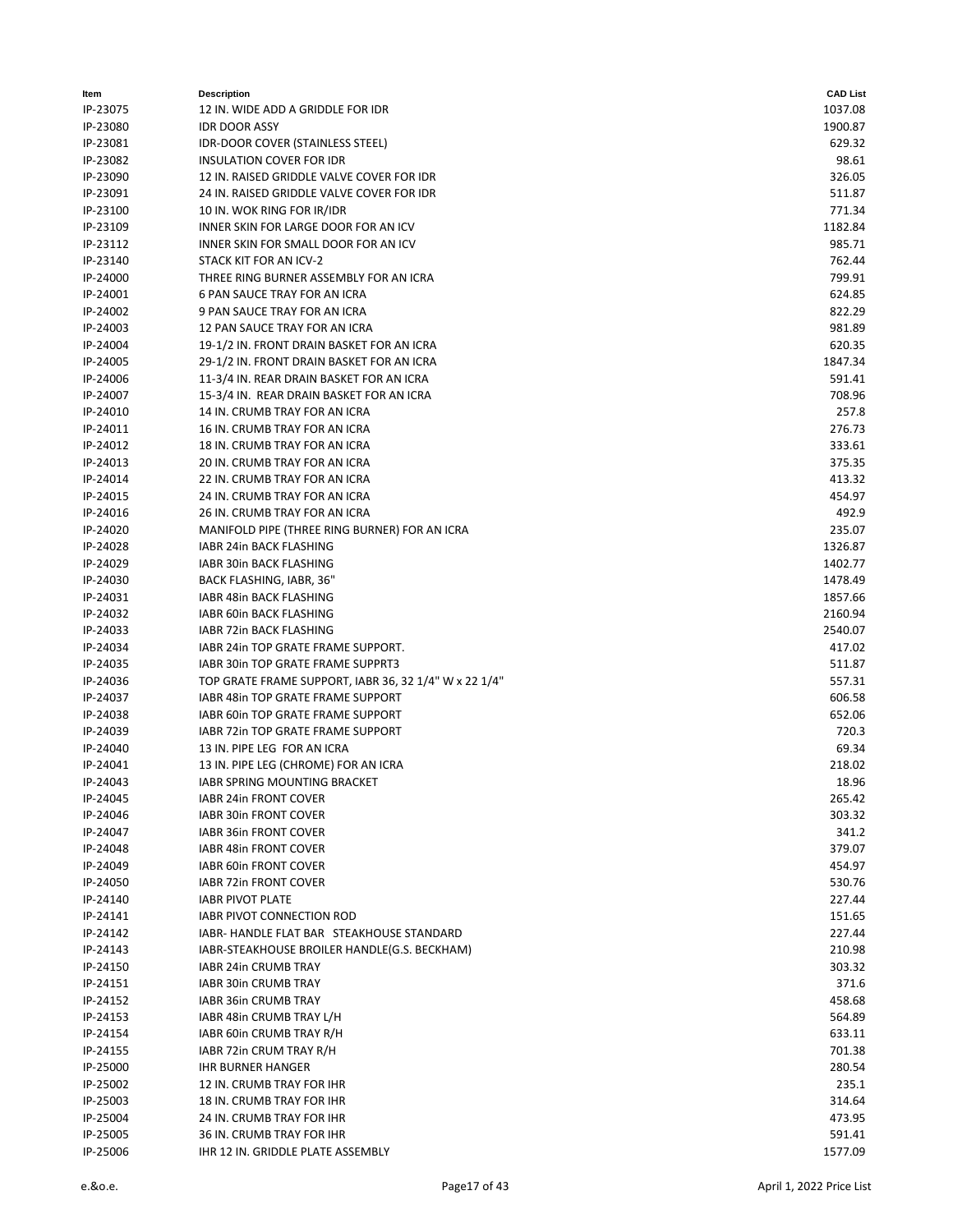| Item     | <b>Description</b>                                    | <b>CAD List</b> |
|----------|-------------------------------------------------------|-----------------|
| IP-23075 | 12 IN. WIDE ADD A GRIDDLE FOR IDR                     | 1037.08         |
| IP-23080 | <b>IDR DOOR ASSY</b>                                  | 1900.87         |
| IP-23081 | <b>IDR-DOOR COVER (STAINLESS STEEL)</b>               | 629.32          |
| IP-23082 | INSULATION COVER FOR IDR                              | 98.61           |
| IP-23090 | 12 IN. RAISED GRIDDLE VALVE COVER FOR IDR             | 326.05          |
| IP-23091 | 24 IN. RAISED GRIDDLE VALVE COVER FOR IDR             | 511.87          |
| IP-23100 | 10 IN. WOK RING FOR IR/IDR                            | 771.34          |
| IP-23109 | INNER SKIN FOR LARGE DOOR FOR AN ICV                  | 1182.84         |
| IP-23112 | <b>INNER SKIN FOR SMALL DOOR FOR AN ICV</b>           | 985.71          |
| IP-23140 | STACK KIT FOR AN ICV-2                                | 762.44          |
| IP-24000 | THREE RING BURNER ASSEMBLY FOR AN ICRA                | 799.91          |
| IP-24001 | 6 PAN SAUCE TRAY FOR AN ICRA                          | 624.85          |
| IP-24002 | 9 PAN SAUCE TRAY FOR AN ICRA                          | 822.29          |
| IP-24003 | 12 PAN SAUCE TRAY FOR AN ICRA                         | 981.89          |
| IP-24004 | 19-1/2 IN. FRONT DRAIN BASKET FOR AN ICRA             | 620.35          |
| IP-24005 | 29-1/2 IN. FRONT DRAIN BASKET FOR AN ICRA             | 1847.34         |
| IP-24006 | 11-3/4 IN. REAR DRAIN BASKET FOR AN ICRA              | 591.41          |
| IP-24007 | 15-3/4 IN. REAR DRAIN BASKET FOR AN ICRA              | 708.96          |
| IP-24010 | 14 IN. CRUMB TRAY FOR AN ICRA                         | 257.8           |
| IP-24011 | 16 IN. CRUMB TRAY FOR AN ICRA                         | 276.73          |
| IP-24012 | 18 IN. CRUMB TRAY FOR AN ICRA                         | 333.61          |
| IP-24013 | 20 IN. CRUMB TRAY FOR AN ICRA                         | 375.35          |
| IP-24014 | 22 IN. CRUMB TRAY FOR AN ICRA                         | 413.32          |
| IP-24015 | 24 IN. CRUMB TRAY FOR AN ICRA                         | 454.97          |
| IP-24016 | 26 IN. CRUMB TRAY FOR AN ICRA                         | 492.9           |
| IP-24020 | MANIFOLD PIPE (THREE RING BURNER) FOR AN ICRA         | 235.07          |
| IP-24028 | IABR 24in BACK FLASHING                               | 1326.87         |
| IP-24029 | IABR 30in BACK FLASHING                               | 1402.77         |
| IP-24030 | BACK FLASHING, IABR, 36"                              | 1478.49         |
| IP-24031 | IABR 48in BACK FLASHING                               | 1857.66         |
| IP-24032 | IABR 60in BACK FLASHING                               | 2160.94         |
| IP-24033 | IABR 72in BACK FLASHING                               | 2540.07         |
| IP-24034 | IABR 24in TOP GRATE FRAME SUPPORT.                    | 417.02          |
| IP-24035 | IABR 30in TOP GRATE FRAME SUPPRT3                     | 511.87          |
| IP-24036 | TOP GRATE FRAME SUPPORT, IABR 36, 32 1/4" W x 22 1/4" | 557.31          |
| IP-24037 | IABR 48in TOP GRATE FRAME SUPPORT                     | 606.58          |
| IP-24038 | IABR 60in TOP GRATE FRAME SUPPORT                     | 652.06          |
| IP-24039 | IABR 72in TOP GRATE FRAME SUPPORT                     | 720.3           |
| IP-24040 | 13 IN. PIPE LEG FOR AN ICRA                           | 69.34           |
| IP-24041 | 13 IN. PIPE LEG (CHROME) FOR AN ICRA                  | 218.02          |
| IP-24043 | IABR SPRING MOUNTING BRACKET                          | 18.96           |
| IP-24045 | <b>IABR 24in FRONT COVER</b>                          | 265.42          |
| IP-24046 | IABR 30in FRONT COVER                                 | 303.32          |
| IP-24047 | IABR 36in FRONT COVER                                 | 341.2           |
| IP-24048 | IABR 48in FRONT COVER                                 | 379.07          |
| IP-24049 | IABR 60in FRONT COVER                                 | 454.97          |
| IP-24050 | IABR 72in FRONT COVER                                 | 530.76          |
| IP-24140 | <b>IABR PIVOT PLATE</b>                               | 227.44          |
| IP-24141 | <b>IABR PIVOT CONNECTION ROD</b>                      | 151.65          |
| IP-24142 | IABR- HANDLE FLAT BAR STEAKHOUSE STANDARD             | 227.44          |
| IP-24143 | IABR-STEAKHOUSE BROILER HANDLE(G.S. BECKHAM)          | 210.98          |
| IP-24150 | IABR 24in CRUMB TRAY                                  | 303.32          |
| IP-24151 | IABR 30in CRUMB TRAY                                  | 371.6           |
| IP-24152 | IABR 36in CRUMB TRAY                                  | 458.68          |
| IP-24153 | IABR 48in CRUMB TRAY L/H                              | 564.89          |
| IP-24154 | IABR 60in CRUMB TRAY R/H                              | 633.11          |
| IP-24155 | IABR 72in CRUM TRAY R/H                               | 701.38          |
| IP-25000 | <b>IHR BURNER HANGER</b>                              | 280.54          |
| IP-25002 | 12 IN. CRUMB TRAY FOR IHR                             | 235.1           |
| IP-25003 | 18 IN. CRUMB TRAY FOR IHR                             | 314.64          |
| IP-25004 | 24 IN. CRUMB TRAY FOR IHR                             | 473.95          |
| IP-25005 | 36 IN. CRUMB TRAY FOR IHR                             | 591.41          |
| IP-25006 | IHR 12 IN. GRIDDLE PLATE ASSEMBLY                     | 1577.09         |
|          |                                                       |                 |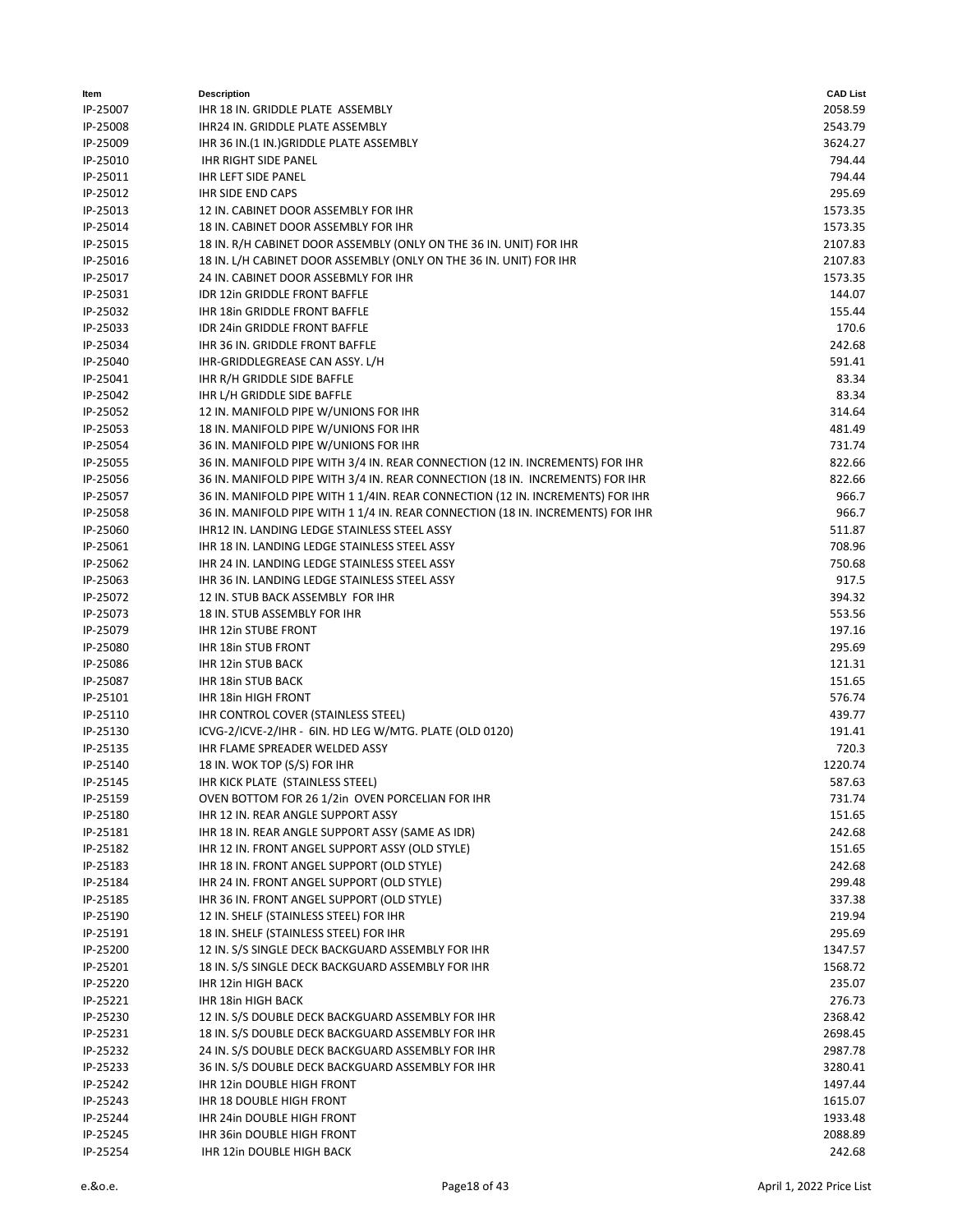| ltem     | <b>Description</b>                                                              | <b>CAD List</b> |
|----------|---------------------------------------------------------------------------------|-----------------|
| IP-25007 | IHR 18 IN. GRIDDLE PLATE ASSEMBLY                                               | 2058.59         |
| IP-25008 | IHR24 IN. GRIDDLE PLATE ASSEMBLY                                                | 2543.79         |
| IP-25009 | IHR 36 IN.(1 IN.) GRIDDLE PLATE ASSEMBLY                                        | 3624.27         |
| IP-25010 | <b>IHR RIGHT SIDE PANEL</b>                                                     | 794.44          |
| IP-25011 | <b>IHR LEFT SIDE PANEL</b>                                                      | 794.44          |
| IP-25012 | <b>IHR SIDE END CAPS</b>                                                        | 295.69          |
| IP-25013 | 12 IN. CABINET DOOR ASSEMBLY FOR IHR                                            | 1573.35         |
| IP-25014 | 18 IN. CABINET DOOR ASSEMBLY FOR IHR                                            | 1573.35         |
| IP-25015 | 18 IN. R/H CABINET DOOR ASSEMBLY (ONLY ON THE 36 IN. UNIT) FOR IHR              | 2107.83         |
| IP-25016 | 18 IN. L/H CABINET DOOR ASSEMBLY (ONLY ON THE 36 IN. UNIT) FOR IHR              | 2107.83         |
| IP-25017 | 24 IN. CABINET DOOR ASSEBMLY FOR IHR                                            | 1573.35         |
| IP-25031 | IDR 12in GRIDDLE FRONT BAFFLE                                                   | 144.07          |
| IP-25032 | IHR 18in GRIDDLE FRONT BAFFLE                                                   | 155.44          |
| IP-25033 | IDR 24in GRIDDLE FRONT BAFFLE                                                   | 170.6           |
| IP-25034 | IHR 36 IN. GRIDDLE FRONT BAFFLE                                                 | 242.68          |
| IP-25040 | IHR-GRIDDLEGREASE CAN ASSY. L/H                                                 | 591.41          |
| IP-25041 | IHR R/H GRIDDLE SIDE BAFFLE                                                     | 83.34           |
| IP-25042 | IHR L/H GRIDDLE SIDE BAFFLE                                                     | 83.34           |
| IP-25052 | 12 IN. MANIFOLD PIPE W/UNIONS FOR IHR                                           | 314.64          |
| IP-25053 | 18 IN. MANIFOLD PIPE W/UNIONS FOR IHR                                           | 481.49          |
| IP-25054 | 36 IN. MANIFOLD PIPE W/UNIONS FOR IHR                                           | 731.74          |
| IP-25055 | 36 IN. MANIFOLD PIPE WITH 3/4 IN. REAR CONNECTION (12 IN. INCREMENTS) FOR IHR   | 822.66          |
| IP-25056 | 36 IN. MANIFOLD PIPE WITH 3/4 IN. REAR CONNECTION (18 IN. INCREMENTS) FOR IHR   | 822.66          |
| IP-25057 | 36 IN. MANIFOLD PIPE WITH 1 1/4IN. REAR CONNECTION (12 IN. INCREMENTS) FOR IHR  | 966.7           |
| IP-25058 | 36 IN. MANIFOLD PIPE WITH 1 1/4 IN. REAR CONNECTION (18 IN. INCREMENTS) FOR IHR | 966.7           |
| IP-25060 | IHR12 IN. LANDING LEDGE STAINLESS STEEL ASSY                                    | 511.87          |
| IP-25061 | IHR 18 IN. LANDING LEDGE STAINLESS STEEL ASSY                                   | 708.96          |
| IP-25062 | IHR 24 IN. LANDING LEDGE STAINLESS STEEL ASSY                                   | 750.68          |
| IP-25063 | IHR 36 IN. LANDING LEDGE STAINLESS STEEL ASSY                                   | 917.5           |
| IP-25072 | 12 IN. STUB BACK ASSEMBLY FOR IHR                                               | 394.32          |
| IP-25073 | 18 IN. STUB ASSEMBLY FOR IHR                                                    | 553.56          |
| IP-25079 | <b>IHR 12in STUBE FRONT</b>                                                     | 197.16          |
| IP-25080 | IHR 18in STUB FRONT                                                             | 295.69          |
| IP-25086 | <b>IHR 12in STUB BACK</b>                                                       | 121.31          |
| IP-25087 | <b>IHR 18in STUB BACK</b>                                                       | 151.65          |
| IP-25101 | <b>IHR 18in HIGH FRONT</b>                                                      | 576.74          |
| IP-25110 | <b>IHR CONTROL COVER (STAINLESS STEEL)</b>                                      | 439.77          |
| IP-25130 | ICVG-2/ICVE-2/IHR - 6IN. HD LEG W/MTG. PLATE (OLD 0120)                         | 191.41          |
| IP-25135 | IHR FLAME SPREADER WELDED ASSY                                                  | 720.3           |
| IP-25140 | 18 IN. WOK TOP (S/S) FOR IHR                                                    | 1220.74         |
| IP-25145 | IHR KICK PLATE (STAINLESS STEEL)                                                | 587.63          |
| IP-25159 | OVEN BOTTOM FOR 26 1/2in OVEN PORCELIAN FOR IHR                                 | 731.74          |
| IP-25180 | IHR 12 IN. REAR ANGLE SUPPORT ASSY                                              | 151.65          |
| IP-25181 | IHR 18 IN. REAR ANGLE SUPPORT ASSY (SAME AS IDR)                                | 242.68          |
| IP-25182 | IHR 12 IN. FRONT ANGEL SUPPORT ASSY (OLD STYLE)                                 | 151.65          |
| IP-25183 | IHR 18 IN. FRONT ANGEL SUPPORT (OLD STYLE)                                      | 242.68          |
| IP-25184 | IHR 24 IN. FRONT ANGEL SUPPORT (OLD STYLE)                                      | 299.48          |
| IP-25185 | IHR 36 IN. FRONT ANGEL SUPPORT (OLD STYLE)                                      | 337.38          |
| IP-25190 | 12 IN. SHELF (STAINLESS STEEL) FOR IHR                                          | 219.94          |
| IP-25191 | 18 IN. SHELF (STAINLESS STEEL) FOR IHR                                          | 295.69          |
| IP-25200 | 12 IN. S/S SINGLE DECK BACKGUARD ASSEMBLY FOR IHR                               | 1347.57         |
| IP-25201 | 18 IN. S/S SINGLE DECK BACKGUARD ASSEMBLY FOR IHR                               | 1568.72         |
| IP-25220 | IHR 12in HIGH BACK                                                              | 235.07          |
| IP-25221 | IHR 18in HIGH BACK                                                              | 276.73          |
| IP-25230 | 12 IN. S/S DOUBLE DECK BACKGUARD ASSEMBLY FOR IHR                               | 2368.42         |
| IP-25231 | 18 IN. S/S DOUBLE DECK BACKGUARD ASSEMBLY FOR IHR                               | 2698.45         |
| IP-25232 | 24 IN. S/S DOUBLE DECK BACKGUARD ASSEMBLY FOR IHR                               | 2987.78         |
| IP-25233 | 36 IN. S/S DOUBLE DECK BACKGUARD ASSEMBLY FOR IHR                               | 3280.41         |
| IP-25242 | IHR 12in DOUBLE HIGH FRONT                                                      | 1497.44         |
| IP-25243 | IHR 18 DOUBLE HIGH FRONT                                                        | 1615.07         |
| IP-25244 | IHR 24in DOUBLE HIGH FRONT                                                      | 1933.48         |
| IP-25245 | IHR 36in DOUBLE HIGH FRONT                                                      | 2088.89         |
| IP-25254 | IHR 12in DOUBLE HIGH BACK                                                       | 242.68          |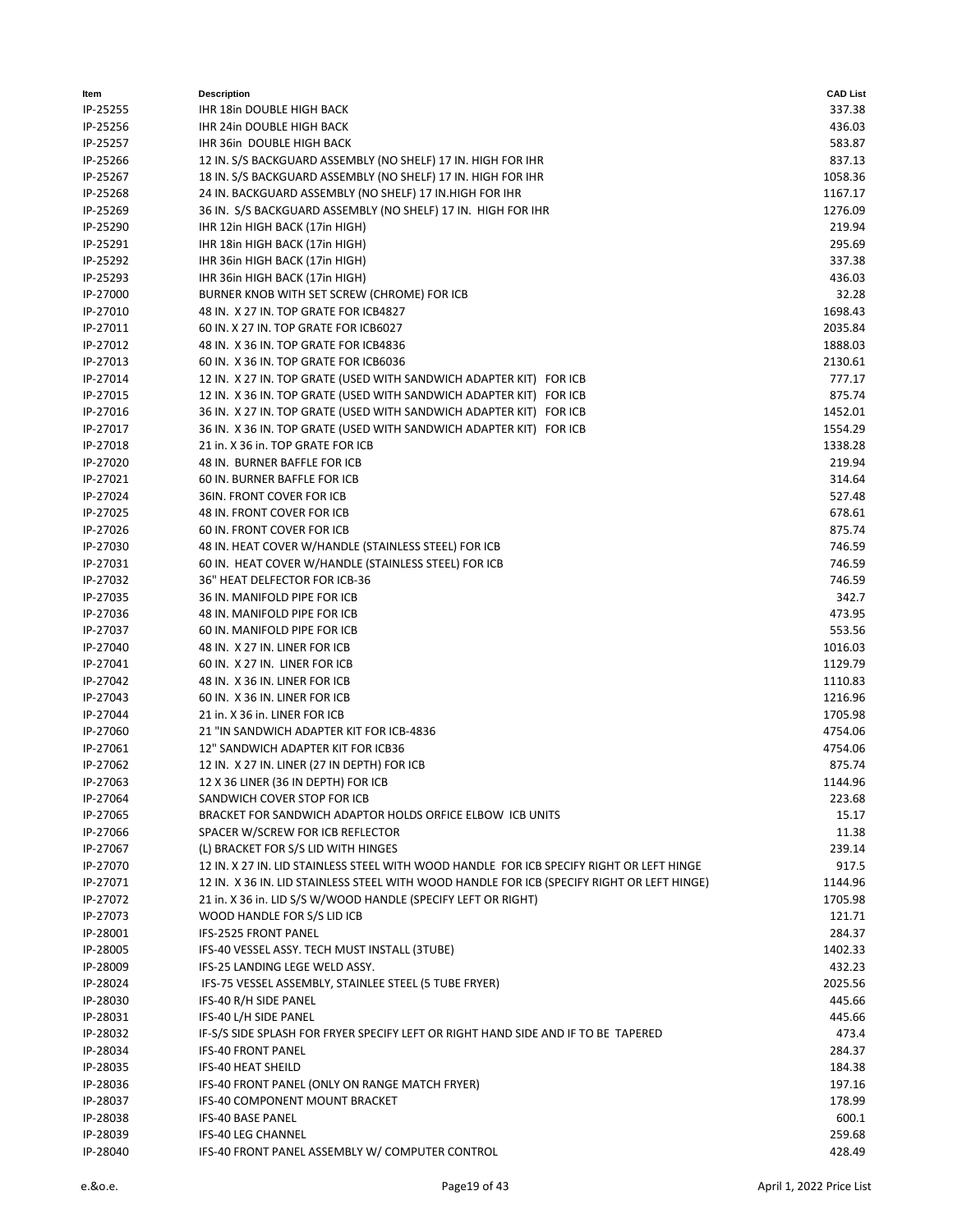| ltem     | <b>Description</b>                                                                         | <b>CAD List</b> |
|----------|--------------------------------------------------------------------------------------------|-----------------|
| IP-25255 | IHR 18in DOUBLE HIGH BACK                                                                  | 337.38          |
| IP-25256 | IHR 24in DOUBLE HIGH BACK                                                                  | 436.03          |
| IP-25257 | IHR 36in DOUBLE HIGH BACK                                                                  | 583.87          |
| IP-25266 | 12 IN. S/S BACKGUARD ASSEMBLY (NO SHELF) 17 IN. HIGH FOR IHR                               | 837.13          |
| IP-25267 | 18 IN. S/S BACKGUARD ASSEMBLY (NO SHELF) 17 IN. HIGH FOR IHR                               | 1058.36         |
| IP-25268 | 24 IN. BACKGUARD ASSEMBLY (NO SHELF) 17 IN. HIGH FOR IHR                                   | 1167.17         |
| IP-25269 | 36 IN. S/S BACKGUARD ASSEMBLY (NO SHELF) 17 IN. HIGH FOR IHR                               | 1276.09         |
| IP-25290 | IHR 12in HIGH BACK (17in HIGH)                                                             | 219.94          |
| IP-25291 | IHR 18in HIGH BACK (17in HIGH)                                                             | 295.69          |
| IP-25292 | IHR 36in HIGH BACK (17in HIGH)                                                             | 337.38          |
| IP-25293 | IHR 36in HIGH BACK (17in HIGH)                                                             | 436.03          |
| IP-27000 | BURNER KNOB WITH SET SCREW (CHROME) FOR ICB                                                | 32.28           |
| IP-27010 | 48 IN. X 27 IN. TOP GRATE FOR ICB4827                                                      | 1698.43         |
| IP-27011 | 60 IN. X 27 IN. TOP GRATE FOR ICB6027                                                      | 2035.84         |
| IP-27012 | 48 IN. X 36 IN. TOP GRATE FOR ICB4836                                                      | 1888.03         |
| IP-27013 | 60 IN. X 36 IN. TOP GRATE FOR ICB6036                                                      | 2130.61         |
| IP-27014 | 12 IN. X 27 IN. TOP GRATE (USED WITH SANDWICH ADAPTER KIT) FOR ICB                         | 777.17          |
| IP-27015 | 12 IN. X 36 IN. TOP GRATE (USED WITH SANDWICH ADAPTER KIT) FOR ICB                         | 875.74          |
| IP-27016 | 36 IN. X 27 IN. TOP GRATE (USED WITH SANDWICH ADAPTER KIT) FOR ICB                         | 1452.01         |
| IP-27017 | 36 IN. X 36 IN. TOP GRATE (USED WITH SANDWICH ADAPTER KIT) FOR ICB                         | 1554.29         |
| IP-27018 | 21 in. X 36 in. TOP GRATE FOR ICB                                                          | 1338.28         |
| IP-27020 | 48 IN. BURNER BAFFLE FOR ICB                                                               | 219.94          |
| IP-27021 | 60 IN. BURNER BAFFLE FOR ICB                                                               | 314.64          |
| IP-27024 | 36IN. FRONT COVER FOR ICB                                                                  | 527.48          |
| IP-27025 | 48 IN. FRONT COVER FOR ICB                                                                 | 678.61          |
| IP-27026 | 60 IN. FRONT COVER FOR ICB                                                                 | 875.74          |
| IP-27030 | 48 IN. HEAT COVER W/HANDLE (STAINLESS STEEL) FOR ICB                                       | 746.59          |
| IP-27031 | 60 IN. HEAT COVER W/HANDLE (STAINLESS STEEL) FOR ICB                                       | 746.59          |
| IP-27032 | 36" HEAT DELFECTOR FOR ICB-36                                                              | 746.59          |
| IP-27035 | 36 IN. MANIFOLD PIPE FOR ICB                                                               | 342.7           |
| IP-27036 | 48 IN. MANIFOLD PIPE FOR ICB                                                               | 473.95          |
| IP-27037 | 60 IN. MANIFOLD PIPE FOR ICB                                                               | 553.56          |
| IP-27040 | 48 IN. X 27 IN. LINER FOR ICB                                                              | 1016.03         |
| IP-27041 | 60 IN. X 27 IN. LINER FOR ICB                                                              | 1129.79         |
| IP-27042 | 48 IN. X 36 IN. LINER FOR ICB                                                              | 1110.83         |
| IP-27043 | 60 IN. X 36 IN. LINER FOR ICB                                                              | 1216.96         |
| IP-27044 | 21 in. X 36 in. LINER FOR ICB                                                              | 1705.98         |
| IP-27060 | 21 "IN SANDWICH ADAPTER KIT FOR ICB-4836                                                   | 4754.06         |
| IP-27061 | 12" SANDWICH ADAPTER KIT FOR ICB36                                                         | 4754.06         |
| IP-27062 | 12 IN. X 27 IN. LINER (27 IN DEPTH) FOR ICB                                                | 875.74          |
| IP-27063 | 12 X 36 LINER (36 IN DEPTH) FOR ICB                                                        | 1144.96         |
| IP-27064 | SANDWICH COVER STOP FOR ICB                                                                | 223.68          |
| IP-27065 | BRACKET FOR SANDWICH ADAPTOR HOLDS ORFICE ELBOW ICB UNITS                                  | 15.17           |
| IP-27066 | SPACER W/SCREW FOR ICB REFLECTOR                                                           | 11.38           |
| IP-27067 | (L) BRACKET FOR S/S LID WITH HINGES                                                        | 239.14          |
| IP-27070 | 12 IN. X 27 IN. LID STAINLESS STEEL WITH WOOD HANDLE FOR ICB SPECIFY RIGHT OR LEFT HINGE   | 917.5           |
| IP-27071 | 12 IN. X 36 IN. LID STAINLESS STEEL WITH WOOD HANDLE FOR ICB (SPECIFY RIGHT OR LEFT HINGE) | 1144.96         |
| IP-27072 | 21 in. X 36 in. LID S/S W/WOOD HANDLE (SPECIFY LEFT OR RIGHT)                              | 1705.98         |
| IP-27073 | WOOD HANDLE FOR S/S LID ICB                                                                | 121.71          |
| IP-28001 | IFS-2525 FRONT PANEL                                                                       | 284.37          |
| IP-28005 | IFS-40 VESSEL ASSY. TECH MUST INSTALL (3TUBE)                                              | 1402.33         |
| IP-28009 | IFS-25 LANDING LEGE WELD ASSY.                                                             | 432.23          |
| IP-28024 | IFS-75 VESSEL ASSEMBLY, STAINLEE STEEL (5 TUBE FRYER)                                      | 2025.56         |
| IP-28030 | IFS-40 R/H SIDE PANEL                                                                      | 445.66          |
| IP-28031 | IFS-40 L/H SIDE PANEL                                                                      | 445.66          |
| IP-28032 | IF-S/S SIDE SPLASH FOR FRYER SPECIFY LEFT OR RIGHT HAND SIDE AND IF TO BE TAPERED          | 473.4           |
| IP-28034 | <b>IFS-40 FRONT PANEL</b>                                                                  | 284.37          |
| IP-28035 | IFS-40 HEAT SHEILD                                                                         | 184.38          |
| IP-28036 | IFS-40 FRONT PANEL (ONLY ON RANGE MATCH FRYER)                                             | 197.16          |
| IP-28037 | IFS-40 COMPONENT MOUNT BRACKET                                                             | 178.99          |
| IP-28038 | <b>IFS-40 BASE PANEL</b>                                                                   | 600.1           |
| IP-28039 | IFS-40 LEG CHANNEL                                                                         | 259.68          |
| IP-28040 | IFS-40 FRONT PANEL ASSEMBLY W/ COMPUTER CONTROL                                            | 428.49          |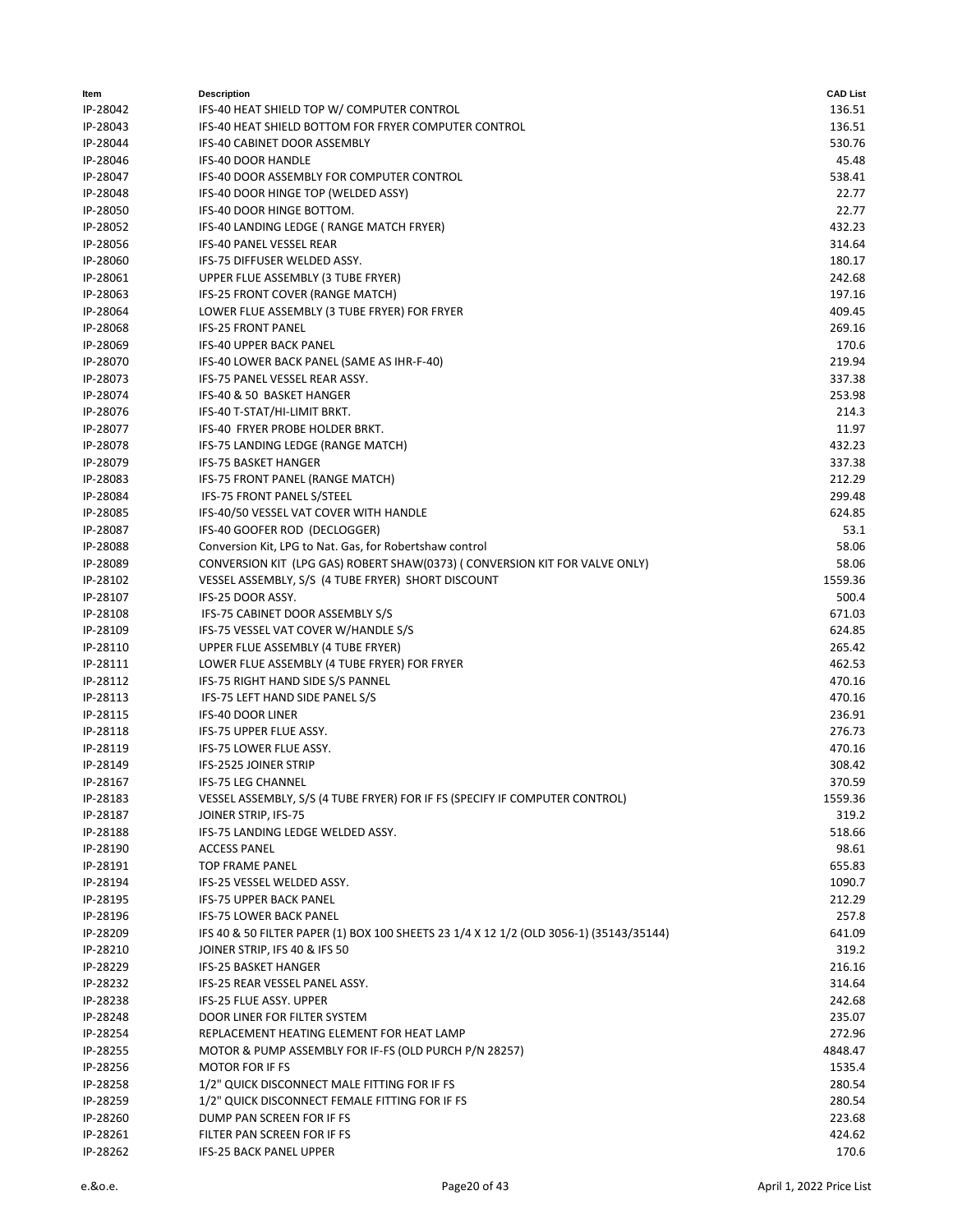| Item                 | <b>Description</b>                                                                     | <b>CAD List</b> |
|----------------------|----------------------------------------------------------------------------------------|-----------------|
| IP-28042             | IFS-40 HEAT SHIELD TOP W/ COMPUTER CONTROL                                             | 136.51          |
| IP-28043             | IFS-40 HEAT SHIELD BOTTOM FOR FRYER COMPUTER CONTROL                                   | 136.51          |
| IP-28044             | IFS-40 CABINET DOOR ASSEMBLY                                                           | 530.76          |
| IP-28046             | IFS-40 DOOR HANDLE                                                                     | 45.48           |
| IP-28047             | IFS-40 DOOR ASSEMBLY FOR COMPUTER CONTROL                                              | 538.41          |
| IP-28048             | IFS-40 DOOR HINGE TOP (WELDED ASSY)                                                    | 22.77           |
| IP-28050             | IFS-40 DOOR HINGE BOTTOM.                                                              | 22.77           |
| IP-28052             | IFS-40 LANDING LEDGE (RANGE MATCH FRYER)                                               | 432.23          |
| IP-28056             | IFS-40 PANEL VESSEL REAR                                                               | 314.64          |
| IP-28060             | IFS-75 DIFFUSER WELDED ASSY.                                                           | 180.17          |
| IP-28061             | UPPER FLUE ASSEMBLY (3 TUBE FRYER)                                                     | 242.68          |
| IP-28063             | IFS-25 FRONT COVER (RANGE MATCH)                                                       | 197.16          |
| IP-28064             | LOWER FLUE ASSEMBLY (3 TUBE FRYER) FOR FRYER                                           | 409.45          |
| IP-28068             | <b>IFS-25 FRONT PANEL</b>                                                              | 269.16          |
| IP-28069             | <b>IFS-40 UPPER BACK PANEL</b>                                                         | 170.6           |
| IP-28070             | IFS-40 LOWER BACK PANEL (SAME AS IHR-F-40)                                             | 219.94          |
| IP-28073             | IFS-75 PANEL VESSEL REAR ASSY.                                                         | 337.38          |
| IP-28074             | IFS-40 & 50 BASKET HANGER                                                              | 253.98          |
| IP-28076             | IFS-40 T-STAT/HI-LIMIT BRKT.<br>IFS-40 FRYER PROBE HOLDER BRKT.                        | 214.3           |
| IP-28077             |                                                                                        | 11.97<br>432.23 |
| IP-28078             | IFS-75 LANDING LEDGE (RANGE MATCH)<br><b>IFS-75 BASKET HANGER</b>                      | 337.38          |
| IP-28079             |                                                                                        | 212.29          |
| IP-28083<br>IP-28084 | IFS-75 FRONT PANEL (RANGE MATCH)<br>IFS-75 FRONT PANEL S/STEEL                         | 299.48          |
| IP-28085             | IFS-40/50 VESSEL VAT COVER WITH HANDLE                                                 | 624.85          |
| IP-28087             | IFS-40 GOOFER ROD (DECLOGGER)                                                          | 53.1            |
| IP-28088             | Conversion Kit, LPG to Nat. Gas, for Robertshaw control                                | 58.06           |
| IP-28089             | CONVERSION KIT (LPG GAS) ROBERT SHAW(0373) (CONVERSION KIT FOR VALVE ONLY)             | 58.06           |
| IP-28102             | VESSEL ASSEMBLY, S/S (4 TUBE FRYER) SHORT DISCOUNT                                     | 1559.36         |
| IP-28107             | IFS-25 DOOR ASSY.                                                                      | 500.4           |
| IP-28108             | IFS-75 CABINET DOOR ASSEMBLY S/S                                                       | 671.03          |
| IP-28109             | IFS-75 VESSEL VAT COVER W/HANDLE S/S                                                   | 624.85          |
| IP-28110             | UPPER FLUE ASSEMBLY (4 TUBE FRYER)                                                     | 265.42          |
| IP-28111             | LOWER FLUE ASSEMBLY (4 TUBE FRYER) FOR FRYER                                           | 462.53          |
| IP-28112             | IFS-75 RIGHT HAND SIDE S/S PANNEL                                                      | 470.16          |
| IP-28113             | IFS-75 LEFT HAND SIDE PANEL S/S                                                        | 470.16          |
| IP-28115             | <b>IFS-40 DOOR LINER</b>                                                               | 236.91          |
| IP-28118             | IFS-75 UPPER FLUE ASSY.                                                                | 276.73          |
| IP-28119             | IFS-75 LOWER FLUE ASSY.                                                                | 470.16          |
| IP-28149             | IFS-2525 JOINER STRIP                                                                  | 308.42          |
| IP-28167             | IFS-75 LEG CHANNEL                                                                     | 370.59          |
| IP-28183             | VESSEL ASSEMBLY, S/S (4 TUBE FRYER) FOR IF FS (SPECIFY IF COMPUTER CONTROL)            | 1559.36         |
| IP-28187             | JOINER STRIP, IFS-75                                                                   | 319.2           |
| IP-28188             | IFS-75 LANDING LEDGE WELDED ASSY.                                                      | 518.66          |
| IP-28190             | <b>ACCESS PANEL</b>                                                                    | 98.61           |
| IP-28191             | <b>TOP FRAME PANEL</b>                                                                 | 655.83          |
| IP-28194             | IFS-25 VESSEL WELDED ASSY.                                                             | 1090.7          |
| IP-28195             | <b>IFS-75 UPPER BACK PANEL</b>                                                         | 212.29          |
| IP-28196             | IFS-75 LOWER BACK PANEL                                                                | 257.8           |
| IP-28209             | IFS 40 & 50 FILTER PAPER (1) BOX 100 SHEETS 23 1/4 X 12 1/2 (OLD 3056-1) (35143/35144) | 641.09          |
| IP-28210             | JOINER STRIP, IFS 40 & IFS 50                                                          | 319.2           |
| IP-28229             | IFS-25 BASKET HANGER                                                                   | 216.16          |
| IP-28232             | IFS-25 REAR VESSEL PANEL ASSY.                                                         | 314.64          |
| IP-28238             | IFS-25 FLUE ASSY. UPPER                                                                | 242.68          |
| IP-28248             | DOOR LINER FOR FILTER SYSTEM                                                           | 235.07          |
| IP-28254             | REPLACEMENT HEATING ELEMENT FOR HEAT LAMP                                              | 272.96          |
| IP-28255             | MOTOR & PUMP ASSEMBLY FOR IF-FS (OLD PURCH P/N 28257)                                  | 4848.47         |
| IP-28256             | <b>MOTOR FOR IF FS</b>                                                                 | 1535.4          |
| IP-28258             | 1/2" QUICK DISCONNECT MALE FITTING FOR IF FS                                           | 280.54          |
| IP-28259             | 1/2" QUICK DISCONNECT FEMALE FITTING FOR IF FS                                         | 280.54          |
| IP-28260             | DUMP PAN SCREEN FOR IF FS                                                              | 223.68          |
| IP-28261             | FILTER PAN SCREEN FOR IF FS                                                            | 424.62          |
| IP-28262             | <b>IFS-25 BACK PANEL UPPER</b>                                                         | 170.6           |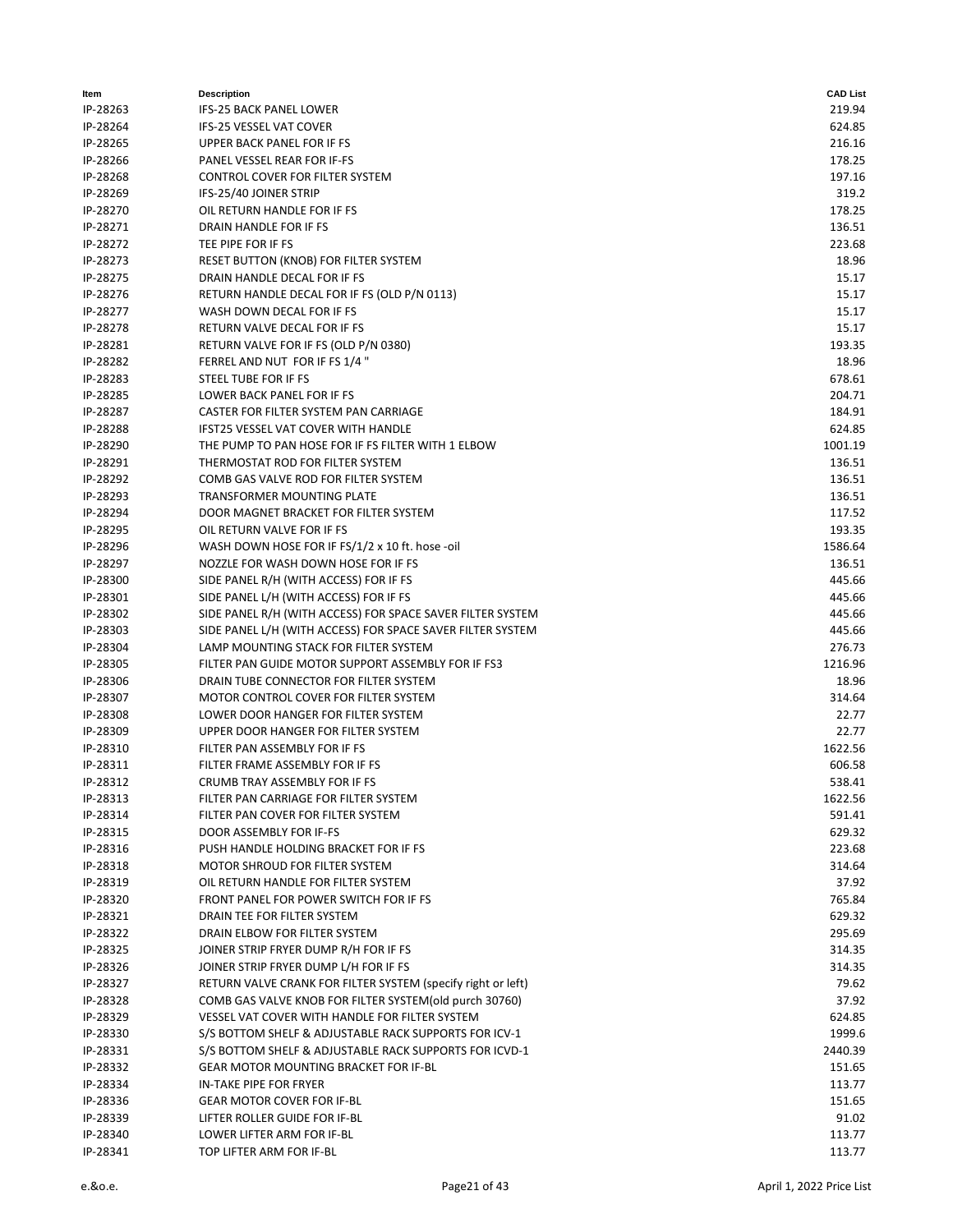| Item     | <b>Description</b>                                           | <b>CAD List</b> |
|----------|--------------------------------------------------------------|-----------------|
| IP-28263 | IFS-25 BACK PANEL LOWER                                      | 219.94          |
| IP-28264 | IFS-25 VESSEL VAT COVER                                      | 624.85          |
| IP-28265 | <b>UPPER BACK PANEL FOR IF FS</b>                            | 216.16          |
| IP-28266 | PANEL VESSEL REAR FOR IF-FS                                  | 178.25          |
| IP-28268 | CONTROL COVER FOR FILTER SYSTEM                              | 197.16          |
| IP-28269 | IFS-25/40 JOINER STRIP                                       | 319.2           |
| IP-28270 | OIL RETURN HANDLE FOR IF FS                                  | 178.25          |
| IP-28271 | DRAIN HANDLE FOR IF FS                                       | 136.51          |
| IP-28272 | TEE PIPE FOR IF FS                                           | 223.68          |
| IP-28273 | RESET BUTTON (KNOB) FOR FILTER SYSTEM                        | 18.96           |
| IP-28275 | DRAIN HANDLE DECAL FOR IF FS                                 | 15.17           |
| IP-28276 | RETURN HANDLE DECAL FOR IF FS (OLD P/N 0113)                 | 15.17           |
| IP-28277 | WASH DOWN DECAL FOR IF FS                                    | 15.17           |
| IP-28278 | RETURN VALVE DECAL FOR IF FS                                 | 15.17           |
| IP-28281 | RETURN VALVE FOR IF FS (OLD P/N 0380)                        | 193.35          |
| IP-28282 | FERREL AND NUT FOR IF FS 1/4"                                | 18.96           |
| IP-28283 | STEEL TUBE FOR IF FS                                         | 678.61          |
| IP-28285 | LOWER BACK PANEL FOR IF FS                                   | 204.71          |
| IP-28287 | CASTER FOR FILTER SYSTEM PAN CARRIAGE                        | 184.91          |
| IP-28288 | <b>IFST25 VESSEL VAT COVER WITH HANDLE</b>                   | 624.85          |
|          | THE PUMP TO PAN HOSE FOR IF FS FILTER WITH 1 ELBOW           | 1001.19         |
| IP-28290 | THERMOSTAT ROD FOR FILTER SYSTEM                             |                 |
| IP-28291 |                                                              | 136.51          |
| IP-28292 | COMB GAS VALVE ROD FOR FILTER SYSTEM                         | 136.51          |
| IP-28293 | TRANSFORMER MOUNTING PLATE                                   | 136.51          |
| IP-28294 | DOOR MAGNET BRACKET FOR FILTER SYSTEM                        | 117.52          |
| IP-28295 | OIL RETURN VALVE FOR IF FS                                   | 193.35          |
| IP-28296 | WASH DOWN HOSE FOR IF FS/1/2 x 10 ft. hose -oil              | 1586.64         |
| IP-28297 | NOZZLE FOR WASH DOWN HOSE FOR IF FS                          | 136.51          |
| IP-28300 | SIDE PANEL R/H (WITH ACCESS) FOR IF FS                       | 445.66          |
| IP-28301 | SIDE PANEL L/H (WITH ACCESS) FOR IF FS                       | 445.66          |
| IP-28302 | SIDE PANEL R/H (WITH ACCESS) FOR SPACE SAVER FILTER SYSTEM   | 445.66          |
| IP-28303 | SIDE PANEL L/H (WITH ACCESS) FOR SPACE SAVER FILTER SYSTEM   | 445.66          |
| IP-28304 | LAMP MOUNTING STACK FOR FILTER SYSTEM                        | 276.73          |
| IP-28305 | FILTER PAN GUIDE MOTOR SUPPORT ASSEMBLY FOR IF FS3           | 1216.96         |
| IP-28306 | DRAIN TUBE CONNECTOR FOR FILTER SYSTEM                       | 18.96           |
| IP-28307 | MOTOR CONTROL COVER FOR FILTER SYSTEM                        | 314.64          |
| IP-28308 | LOWER DOOR HANGER FOR FILTER SYSTEM                          | 22.77           |
| IP-28309 | UPPER DOOR HANGER FOR FILTER SYSTEM                          | 22.77           |
| IP-28310 | FILTER PAN ASSEMBLY FOR IF FS                                | 1622.56         |
| IP-28311 | FILTER FRAME ASSEMBLY FOR IF FS                              | 606.58          |
| IP-28312 | CRUMB TRAY ASSEMBLY FOR IF FS                                | 538.41          |
| IP-28313 | FILTER PAN CARRIAGE FOR FILTER SYSTEM                        | 1622.56         |
| IP-28314 | FILTER PAN COVER FOR FILTER SYSTEM                           | 591.41          |
| IP-28315 | DOOR ASSEMBLY FOR IF-FS                                      | 629.32          |
| IP-28316 | PUSH HANDLE HOLDING BRACKET FOR IF FS                        | 223.68          |
| IP-28318 | MOTOR SHROUD FOR FILTER SYSTEM                               | 314.64          |
| IP-28319 | OIL RETURN HANDLE FOR FILTER SYSTEM                          | 37.92           |
| IP-28320 | FRONT PANEL FOR POWER SWITCH FOR IF FS                       | 765.84          |
| IP-28321 | DRAIN TEE FOR FILTER SYSTEM                                  | 629.32          |
| IP-28322 | DRAIN ELBOW FOR FILTER SYSTEM                                | 295.69          |
| IP-28325 | JOINER STRIP FRYER DUMP R/H FOR IF FS                        | 314.35          |
| IP-28326 | JOINER STRIP FRYER DUMP L/H FOR IF FS                        | 314.35          |
| IP-28327 | RETURN VALVE CRANK FOR FILTER SYSTEM (specify right or left) | 79.62           |
| IP-28328 | COMB GAS VALVE KNOB FOR FILTER SYSTEM (old purch 30760)      | 37.92           |
| IP-28329 | VESSEL VAT COVER WITH HANDLE FOR FILTER SYSTEM               | 624.85          |
| IP-28330 | S/S BOTTOM SHELF & ADJUSTABLE RACK SUPPORTS FOR ICV-1        | 1999.6          |
| IP-28331 | S/S BOTTOM SHELF & ADJUSTABLE RACK SUPPORTS FOR ICVD-1       | 2440.39         |
| IP-28332 | GEAR MOTOR MOUNTING BRACKET FOR IF-BL                        | 151.65          |
| IP-28334 | IN-TAKE PIPE FOR FRYER                                       | 113.77          |
| IP-28336 | <b>GEAR MOTOR COVER FOR IF-BL</b>                            | 151.65          |
| IP-28339 | LIFTER ROLLER GUIDE FOR IF-BL                                | 91.02           |
| IP-28340 | LOWER LIFTER ARM FOR IF-BL                                   | 113.77          |
| IP-28341 | TOP LIFTER ARM FOR IF-BL                                     | 113.77          |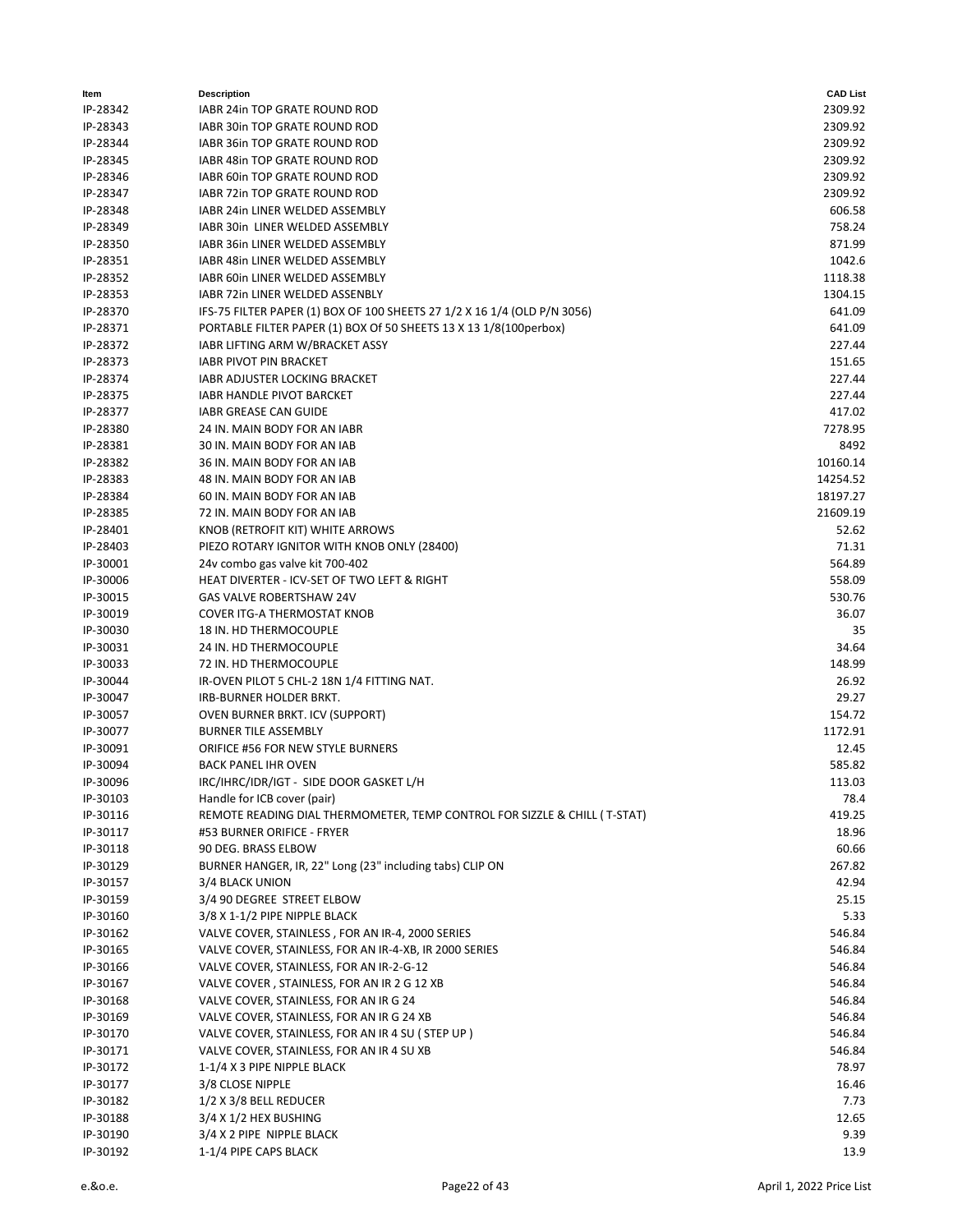| Item     | <b>Description</b>                                                        | <b>CAD List</b> |
|----------|---------------------------------------------------------------------------|-----------------|
| IP-28342 | IABR 24in TOP GRATE ROUND ROD                                             | 2309.92         |
| IP-28343 | IABR 30in TOP GRATE ROUND ROD                                             | 2309.92         |
| IP-28344 | IABR 36in TOP GRATE ROUND ROD                                             | 2309.92         |
| IP-28345 | IABR 48in TOP GRATE ROUND ROD                                             | 2309.92         |
| IP-28346 | IABR 60in TOP GRATE ROUND ROD                                             | 2309.92         |
| IP-28347 | IABR 72in TOP GRATE ROUND ROD                                             | 2309.92         |
| IP-28348 | IABR 24in LINER WELDED ASSEMBLY                                           | 606.58          |
| IP-28349 | IABR 30in LINER WELDED ASSEMBLY                                           | 758.24          |
| IP-28350 | IABR 36in LINER WELDED ASSEMBLY                                           | 871.99          |
| IP-28351 | IABR 48in LINER WELDED ASSEMBLY                                           | 1042.6          |
| IP-28352 | IABR 60in LINER WELDED ASSEMBLY                                           | 1118.38         |
| IP-28353 | IABR 72in LINER WELDED ASSENBLY                                           | 1304.15         |
| IP-28370 | IFS-75 FILTER PAPER (1) BOX OF 100 SHEETS 27 1/2 X 16 1/4 (OLD P/N 3056)  | 641.09          |
| IP-28371 | PORTABLE FILTER PAPER (1) BOX Of 50 SHEETS 13 X 13 1/8(100 per box)       | 641.09          |
| IP-28372 | IABR LIFTING ARM W/BRACKET ASSY                                           | 227.44          |
| IP-28373 | <b>IABR PIVOT PIN BRACKET</b>                                             | 151.65          |
| IP-28374 | <b>IABR ADJUSTER LOCKING BRACKET</b>                                      | 227.44          |
| IP-28375 | <b>IABR HANDLE PIVOT BARCKET</b>                                          | 227.44          |
| IP-28377 | <b>IABR GREASE CAN GUIDE</b>                                              | 417.02          |
| IP-28380 | 24 IN. MAIN BODY FOR AN IABR                                              | 7278.95         |
| IP-28381 | 30 IN. MAIN BODY FOR AN IAB                                               | 8492            |
| IP-28382 | 36 IN. MAIN BODY FOR AN IAB                                               | 10160.14        |
| IP-28383 | 48 IN. MAIN BODY FOR AN IAB                                               | 14254.52        |
| IP-28384 | 60 IN. MAIN BODY FOR AN IAB                                               | 18197.27        |
| IP-28385 | 72 IN. MAIN BODY FOR AN IAB                                               | 21609.19        |
| IP-28401 | KNOB (RETROFIT KIT) WHITE ARROWS                                          | 52.62           |
| IP-28403 | PIEZO ROTARY IGNITOR WITH KNOB ONLY (28400)                               | 71.31           |
| IP-30001 | 24y combo gas valve kit 700-402                                           | 564.89          |
| IP-30006 | HEAT DIVERTER - ICV-SET OF TWO LEFT & RIGHT                               | 558.09          |
| IP-30015 | GAS VALVE ROBERTSHAW 24V                                                  | 530.76          |
| IP-30019 | <b>COVER ITG-A THERMOSTAT KNOB</b>                                        | 36.07           |
| IP-30030 | 18 IN. HD THERMOCOUPLE                                                    | 35              |
| IP-30031 | 24 IN. HD THERMOCOUPLE                                                    | 34.64           |
| IP-30033 | 72 IN. HD THERMOCOUPLE                                                    | 148.99          |
| IP-30044 | IR-OVEN PILOT 5 CHL-2 18N 1/4 FITTING NAT.                                | 26.92           |
| IP-30047 | IRB-BURNER HOLDER BRKT.                                                   | 29.27           |
| IP-30057 | OVEN BURNER BRKT. ICV (SUPPORT)                                           | 154.72          |
| IP-30077 | <b>BURNER TILE ASSEMBLY</b>                                               | 1172.91         |
| IP-30091 | <b>ORIFICE #56 FOR NEW STYLE BURNERS</b>                                  | 12.45           |
| IP-30094 | <b>BACK PANEL IHR OVEN</b>                                                | 585.82          |
| IP-30096 | IRC/IHRC/IDR/IGT - SIDE DOOR GASKET L/H                                   | 113.03          |
| IP-30103 | Handle for ICB cover (pair)                                               | 78.4            |
| IP-30116 | REMOTE READING DIAL THERMOMETER, TEMP CONTROL FOR SIZZLE & CHILL (T-STAT) | 419.25          |
| IP-30117 | #53 BURNER ORIFICE - FRYER                                                | 18.96           |
| IP-30118 | 90 DEG. BRASS ELBOW                                                       | 60.66           |
| IP-30129 | BURNER HANGER, IR, 22" Long (23" including tabs) CLIP ON                  | 267.82          |
| IP-30157 | 3/4 BLACK UNION                                                           | 42.94           |
| IP-30159 | 3/4 90 DEGREE STREET ELBOW                                                | 25.15           |
| IP-30160 | 3/8 X 1-1/2 PIPE NIPPLE BLACK                                             | 5.33            |
| IP-30162 | VALVE COVER, STAINLESS, FOR AN IR-4, 2000 SERIES                          | 546.84          |
| IP-30165 | VALVE COVER, STAINLESS, FOR AN IR-4-XB, IR 2000 SERIES                    | 546.84          |
| IP-30166 | VALVE COVER, STAINLESS, FOR AN IR-2-G-12                                  | 546.84          |
| IP-30167 | VALVE COVER, STAINLESS, FOR AN IR 2 G 12 XB                               | 546.84          |
| IP-30168 | VALVE COVER, STAINLESS, FOR AN IR G 24                                    | 546.84          |
| IP-30169 | VALVE COVER, STAINLESS, FOR AN IR G 24 XB                                 | 546.84          |
| IP-30170 | VALVE COVER, STAINLESS, FOR AN IR 4 SU (STEP UP)                          | 546.84          |
| IP-30171 | VALVE COVER, STAINLESS, FOR AN IR 4 SU XB                                 | 546.84          |
| IP-30172 | 1-1/4 X 3 PIPE NIPPLE BLACK                                               | 78.97           |
| IP-30177 | 3/8 CLOSE NIPPLE                                                          | 16.46           |
| IP-30182 | 1/2 X 3/8 BELL REDUCER                                                    | 7.73            |
| IP-30188 | 3/4 X 1/2 HEX BUSHING                                                     | 12.65           |
| IP-30190 | 3/4 X 2 PIPE NIPPLE BLACK                                                 | 9.39            |
| IP-30192 | 1-1/4 PIPE CAPS BLACK                                                     | 13.9            |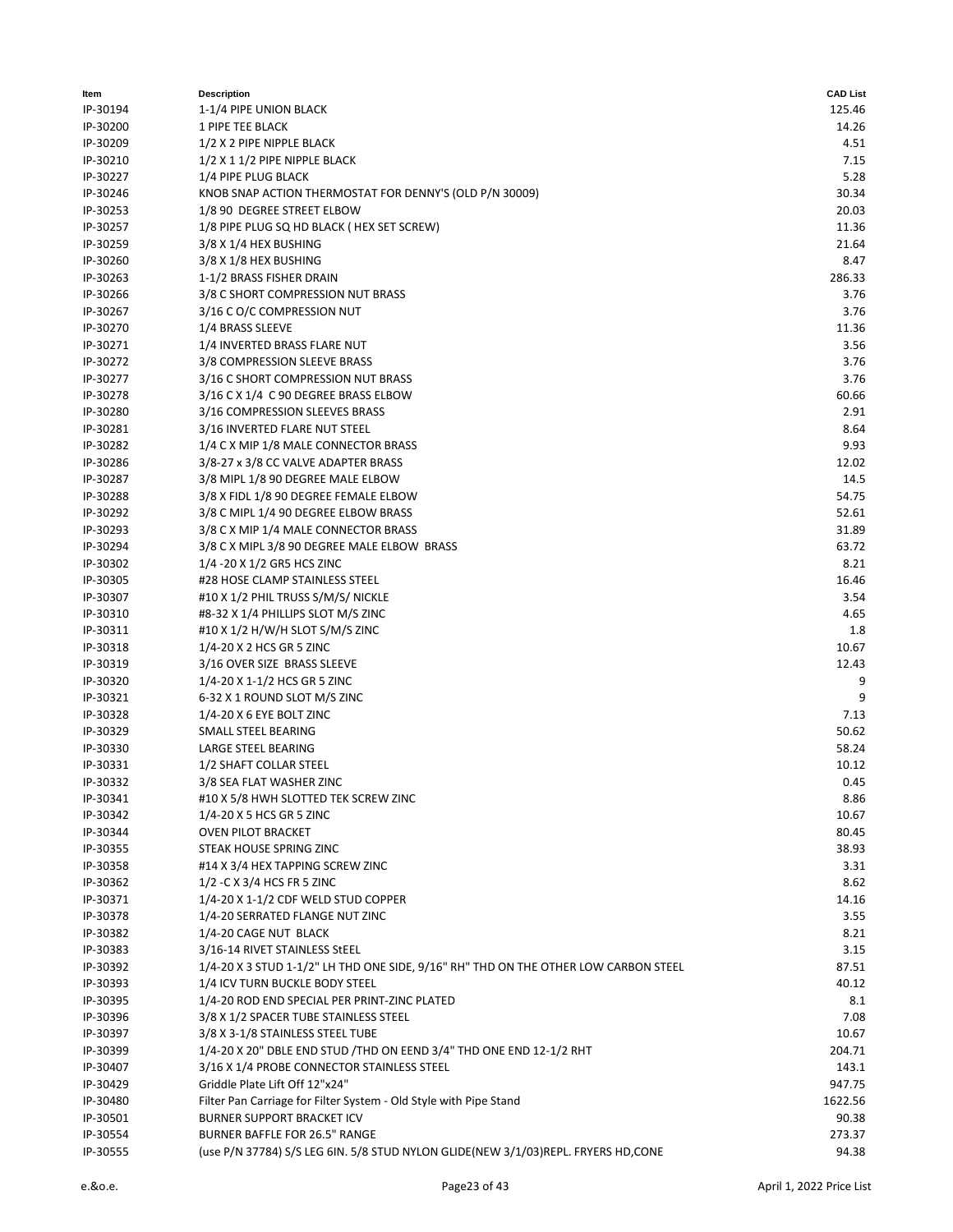| ltem     | <b>Description</b>                                                                  | <b>CAD List</b> |
|----------|-------------------------------------------------------------------------------------|-----------------|
| IP-30194 | 1-1/4 PIPE UNION BLACK                                                              | 125.46          |
| IP-30200 | 1 PIPE TEE BLACK                                                                    | 14.26           |
| IP-30209 | 1/2 X 2 PIPE NIPPLE BLACK                                                           | 4.51            |
| IP-30210 | 1/2 X 1 1/2 PIPE NIPPLE BLACK                                                       | 7.15            |
| IP-30227 | 1/4 PIPE PLUG BLACK                                                                 | 5.28            |
| IP-30246 | KNOB SNAP ACTION THERMOSTAT FOR DENNY'S (OLD P/N 30009)                             | 30.34           |
| IP-30253 | 1/8 90 DEGREE STREET ELBOW                                                          | 20.03           |
| IP-30257 | 1/8 PIPE PLUG SQ HD BLACK ( HEX SET SCREW)                                          | 11.36           |
| IP-30259 | 3/8 X 1/4 HEX BUSHING                                                               | 21.64           |
| IP-30260 | 3/8 X 1/8 HEX BUSHING                                                               | 8.47            |
| IP-30263 | 1-1/2 BRASS FISHER DRAIN                                                            | 286.33          |
| IP-30266 | 3/8 C SHORT COMPRESSION NUT BRASS                                                   | 3.76            |
| IP-30267 | 3/16 C O/C COMPRESSION NUT                                                          | 3.76            |
| IP-30270 | 1/4 BRASS SLEEVE                                                                    | 11.36           |
| IP-30271 | 1/4 INVERTED BRASS FLARE NUT                                                        | 3.56            |
| IP-30272 | 3/8 COMPRESSION SLEEVE BRASS                                                        | 3.76            |
| IP-30277 |                                                                                     | 3.76            |
|          | 3/16 C SHORT COMPRESSION NUT BRASS                                                  |                 |
| IP-30278 | 3/16 C X 1/4 C 90 DEGREE BRASS ELBOW                                                | 60.66           |
| IP-30280 | 3/16 COMPRESSION SLEEVES BRASS                                                      | 2.91            |
| IP-30281 | 3/16 INVERTED FLARE NUT STEEL                                                       | 8.64            |
| IP-30282 | 1/4 C X MIP 1/8 MALE CONNECTOR BRASS                                                | 9.93            |
| IP-30286 | 3/8-27 x 3/8 CC VALVE ADAPTER BRASS                                                 | 12.02           |
| IP-30287 | 3/8 MIPL 1/8 90 DEGREE MALE ELBOW                                                   | 14.5            |
| IP-30288 | 3/8 X FIDL 1/8 90 DEGREE FEMALE ELBOW                                               | 54.75           |
| IP-30292 | 3/8 C MIPL 1/4 90 DEGREE ELBOW BRASS                                                | 52.61           |
| IP-30293 | 3/8 C X MIP 1/4 MALE CONNECTOR BRASS                                                | 31.89           |
| IP-30294 | 3/8 C X MIPL 3/8 90 DEGREE MALE ELBOW BRASS                                         | 63.72           |
| IP-30302 | 1/4 - 20 X 1/2 GR5 HCS ZINC                                                         | 8.21            |
| IP-30305 | #28 HOSE CLAMP STAINLESS STEEL                                                      | 16.46           |
| IP-30307 | #10 X 1/2 PHIL TRUSS S/M/S/ NICKLE                                                  | 3.54            |
| IP-30310 | #8-32 X 1/4 PHILLIPS SLOT M/S ZINC                                                  | 4.65            |
| IP-30311 | #10 X 1/2 H/W/H SLOT S/M/S ZINC                                                     | 1.8             |
| IP-30318 | 1/4-20 X 2 HCS GR 5 ZINC                                                            | 10.67           |
| IP-30319 | 3/16 OVER SIZE BRASS SLEEVE                                                         | 12.43           |
| IP-30320 | 1/4-20 X 1-1/2 HCS GR 5 ZINC                                                        | 9               |
| IP-30321 | 6-32 X 1 ROUND SLOT M/S ZINC                                                        | 9               |
| IP-30328 | 1/4-20 X 6 EYE BOLT ZINC                                                            | 7.13            |
| IP-30329 | SMALL STEEL BEARING                                                                 | 50.62           |
| IP-30330 | LARGE STEEL BEARING                                                                 | 58.24           |
| IP-30331 | 1/2 SHAFT COLLAR STEEL                                                              | 10.12           |
| IP-30332 | 3/8 SEA FLAT WASHER ZINC                                                            | 0.45            |
| IP-30341 | #10 X 5/8 HWH SLOTTED TEK SCREW ZINC                                                | 8.86            |
| IP-30342 | 1/4-20 X 5 HCS GR 5 ZINC                                                            | 10.67           |
| IP-30344 | <b>OVEN PILOT BRACKET</b>                                                           | 80.45           |
| IP-30355 | STEAK HOUSE SPRING ZINC                                                             | 38.93           |
| IP-30358 | #14 X 3/4 HEX TAPPING SCREW ZINC                                                    | 3.31            |
| IP-30362 | 1/2 - C X 3/4 HCS FR 5 ZINC                                                         | 8.62            |
| IP-30371 | 1/4-20 X 1-1/2 CDF WELD STUD COPPER                                                 | 14.16           |
| IP-30378 | 1/4-20 SERRATED FLANGE NUT ZINC                                                     | 3.55            |
| IP-30382 | 1/4-20 CAGE NUT BLACK                                                               | 8.21            |
| IP-30383 | 3/16-14 RIVET STAINLESS StEEL                                                       | 3.15            |
| IP-30392 | 1/4-20 X 3 STUD 1-1/2" LH THD ONE SIDE, 9/16" RH" THD ON THE OTHER LOW CARBON STEEL | 87.51           |
| IP-30393 | 1/4 ICV TURN BUCKLE BODY STEEL                                                      | 40.12           |
| IP-30395 | 1/4-20 ROD END SPECIAL PER PRINT-ZINC PLATED                                        | 8.1             |
|          |                                                                                     |                 |
| IP-30396 | 3/8 X 1/2 SPACER TUBE STAINLESS STEEL                                               | 7.08            |
| IP-30397 | 3/8 X 3-1/8 STAINLESS STEEL TUBE                                                    | 10.67           |
| IP-30399 | 1/4-20 X 20" DBLE END STUD /THD ON EEND 3/4" THD ONE END 12-1/2 RHT                 | 204.71          |
| IP-30407 | 3/16 X 1/4 PROBE CONNECTOR STAINLESS STEEL                                          | 143.1           |
| IP-30429 | Griddle Plate Lift Off 12"x24"                                                      | 947.75          |
| IP-30480 | Filter Pan Carriage for Filter System - Old Style with Pipe Stand                   | 1622.56         |
| IP-30501 | <b>BURNER SUPPORT BRACKET ICV</b>                                                   | 90.38           |
| IP-30554 | <b>BURNER BAFFLE FOR 26.5" RANGE</b>                                                | 273.37          |
| IP-30555 | (use P/N 37784) S/S LEG 6IN. 5/8 STUD NYLON GLIDE(NEW 3/1/03)REPL. FRYERS HD, CONE  | 94.38           |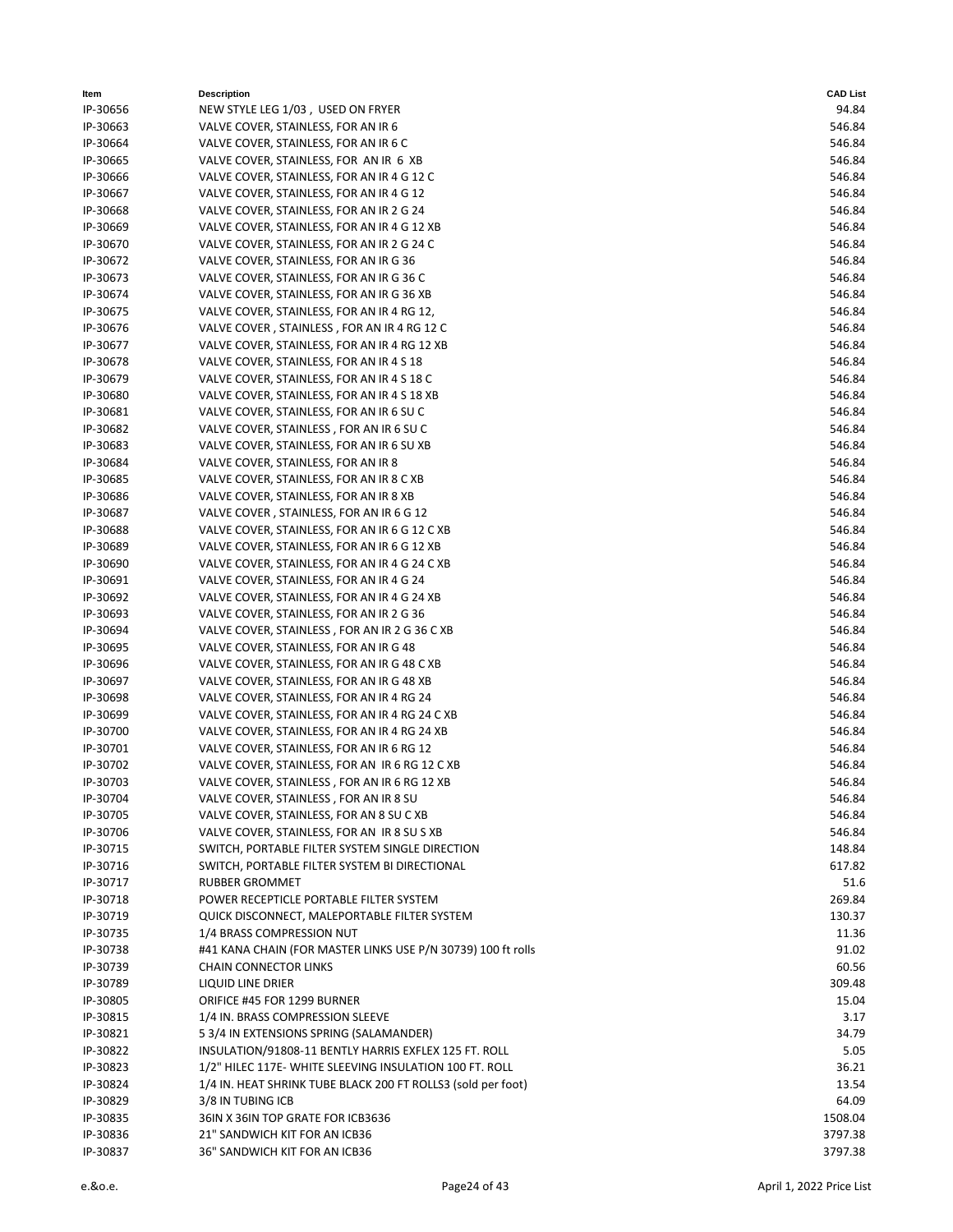| Item     | <b>Description</b>                                           | <b>CAD List</b> |
|----------|--------------------------------------------------------------|-----------------|
| IP-30656 | NEW STYLE LEG 1/03, USED ON FRYER                            | 94.84           |
| IP-30663 | VALVE COVER, STAINLESS, FOR AN IR 6                          | 546.84          |
| IP-30664 | VALVE COVER, STAINLESS, FOR AN IR 6 C                        | 546.84          |
| IP-30665 | VALVE COVER, STAINLESS, FOR AN IR 6 XB                       | 546.84          |
| IP-30666 | VALVE COVER, STAINLESS, FOR AN IR 4 G 12 C                   | 546.84          |
| IP-30667 | VALVE COVER, STAINLESS, FOR AN IR 4 G 12                     | 546.84          |
| IP-30668 | VALVE COVER, STAINLESS, FOR AN IR 2 G 24                     | 546.84          |
| IP-30669 | VALVE COVER, STAINLESS, FOR AN IR 4 G 12 XB                  | 546.84          |
| IP-30670 | VALVE COVER, STAINLESS, FOR AN IR 2 G 24 C                   | 546.84          |
| IP-30672 | VALVE COVER, STAINLESS, FOR AN IR G 36                       | 546.84          |
| IP-30673 | VALVE COVER, STAINLESS, FOR AN IR G 36 C                     | 546.84          |
| IP-30674 | VALVE COVER, STAINLESS, FOR AN IR G 36 XB                    | 546.84          |
| IP-30675 | VALVE COVER, STAINLESS, FOR AN IR 4 RG 12,                   | 546.84          |
| IP-30676 | VALVE COVER, STAINLESS, FOR AN IR 4 RG 12 C                  | 546.84          |
| IP-30677 | VALVE COVER, STAINLESS, FOR AN IR 4 RG 12 XB                 | 546.84          |
| IP-30678 | VALVE COVER, STAINLESS, FOR AN IR 4 S 18                     | 546.84          |
| IP-30679 | VALVE COVER, STAINLESS, FOR AN IR 4 S 18 C                   | 546.84          |
| IP-30680 | VALVE COVER, STAINLESS, FOR AN IR 4 S 18 XB                  | 546.84          |
| IP-30681 | VALVE COVER, STAINLESS, FOR AN IR 6 SU C                     | 546.84          |
| IP-30682 | VALVE COVER, STAINLESS, FOR AN IR 6 SUC                      | 546.84          |
| IP-30683 | VALVE COVER, STAINLESS, FOR AN IR 6 SU XB                    | 546.84          |
| IP-30684 | VALVE COVER, STAINLESS, FOR AN IR 8                          | 546.84          |
| IP-30685 | VALVE COVER, STAINLESS, FOR AN IR 8 C XB                     | 546.84          |
| IP-30686 | VALVE COVER, STAINLESS, FOR AN IR 8 XB                       | 546.84          |
| IP-30687 | VALVE COVER, STAINLESS, FOR AN IR 6 G 12                     | 546.84          |
| IP-30688 | VALVE COVER, STAINLESS, FOR AN IR 6 G 12 C XB                | 546.84          |
| IP-30689 | VALVE COVER, STAINLESS, FOR AN IR 6 G 12 XB                  | 546.84          |
| IP-30690 | VALVE COVER, STAINLESS, FOR AN IR 4 G 24 C XB                | 546.84          |
| IP-30691 | VALVE COVER, STAINLESS, FOR AN IR 4 G 24                     | 546.84          |
| IP-30692 | VALVE COVER, STAINLESS, FOR AN IR 4 G 24 XB                  | 546.84          |
| IP-30693 | VALVE COVER, STAINLESS, FOR AN IR 2 G 36                     | 546.84          |
| IP-30694 | VALVE COVER, STAINLESS, FOR AN IR 2 G 36 C XB                | 546.84          |
| IP-30695 | VALVE COVER, STAINLESS, FOR AN IR G 48                       | 546.84          |
| IP-30696 | VALVE COVER, STAINLESS, FOR AN IR G 48 C XB                  | 546.84          |
| IP-30697 | VALVE COVER, STAINLESS, FOR AN IR G 48 XB                    | 546.84          |
| IP-30698 | VALVE COVER, STAINLESS, FOR AN IR 4 RG 24                    | 546.84          |
| IP-30699 | VALVE COVER, STAINLESS, FOR AN IR 4 RG 24 C XB               | 546.84          |
| IP-30700 | VALVE COVER, STAINLESS, FOR AN IR 4 RG 24 XB                 | 546.84          |
| IP-30701 | VALVE COVER, STAINLESS, FOR AN IR 6 RG 12                    | 546.84          |
| IP-30702 | VALVE COVER, STAINLESS, FOR AN IR 6 RG 12 C XB               | 546.84          |
| IP-30703 | VALVE COVER, STAINLESS, FOR AN IR 6 RG 12 XB                 | 546.84          |
| IP-30704 | VALVE COVER, STAINLESS, FOR AN IR 8 SU                       | 546.84          |
| IP-30705 | VALVE COVER, STAINLESS, FOR AN 8 SU C XB                     | 546.84          |
| IP-30706 | VALVE COVER, STAINLESS, FOR AN IR 8 SU S XB                  | 546.84          |
| IP-30715 | SWITCH, PORTABLE FILTER SYSTEM SINGLE DIRECTION              | 148.84          |
| IP-30716 | SWITCH, PORTABLE FILTER SYSTEM BI DIRECTIONAL                | 617.82          |
| IP-30717 | RUBBER GROMMET                                               | 51.6            |
| IP-30718 | POWER RECEPTICLE PORTABLE FILTER SYSTEM                      | 269.84          |
| IP-30719 | QUICK DISCONNECT, MALEPORTABLE FILTER SYSTEM                 | 130.37          |
| IP-30735 | 1/4 BRASS COMPRESSION NUT                                    | 11.36           |
| IP-30738 | #41 KANA CHAIN (FOR MASTER LINKS USE P/N 30739) 100 ft rolls | 91.02           |
| IP-30739 | <b>CHAIN CONNECTOR LINKS</b>                                 | 60.56           |
| IP-30789 | LIQUID LINE DRIER                                            | 309.48          |
| IP-30805 | ORIFICE #45 FOR 1299 BURNER                                  | 15.04           |
| IP-30815 | 1/4 IN. BRASS COMPRESSION SLEEVE                             | 3.17            |
| IP-30821 | 5 3/4 IN EXTENSIONS SPRING (SALAMANDER)                      | 34.79           |
| IP-30822 | INSULATION/91808-11 BENTLY HARRIS EXFLEX 125 FT. ROLL        | 5.05            |
| IP-30823 | 1/2" HILEC 117E- WHITE SLEEVING INSULATION 100 FT. ROLL      | 36.21           |
| IP-30824 | 1/4 IN. HEAT SHRINK TUBE BLACK 200 FT ROLLS3 (sold per foot) | 13.54           |
| IP-30829 | 3/8 IN TUBING ICB                                            | 64.09           |
| IP-30835 | 36IN X 36IN TOP GRATE FOR ICB3636                            | 1508.04         |
| IP-30836 | 21" SANDWICH KIT FOR AN ICB36                                | 3797.38         |
| IP-30837 | 36" SANDWICH KIT FOR AN ICB36                                | 3797.38         |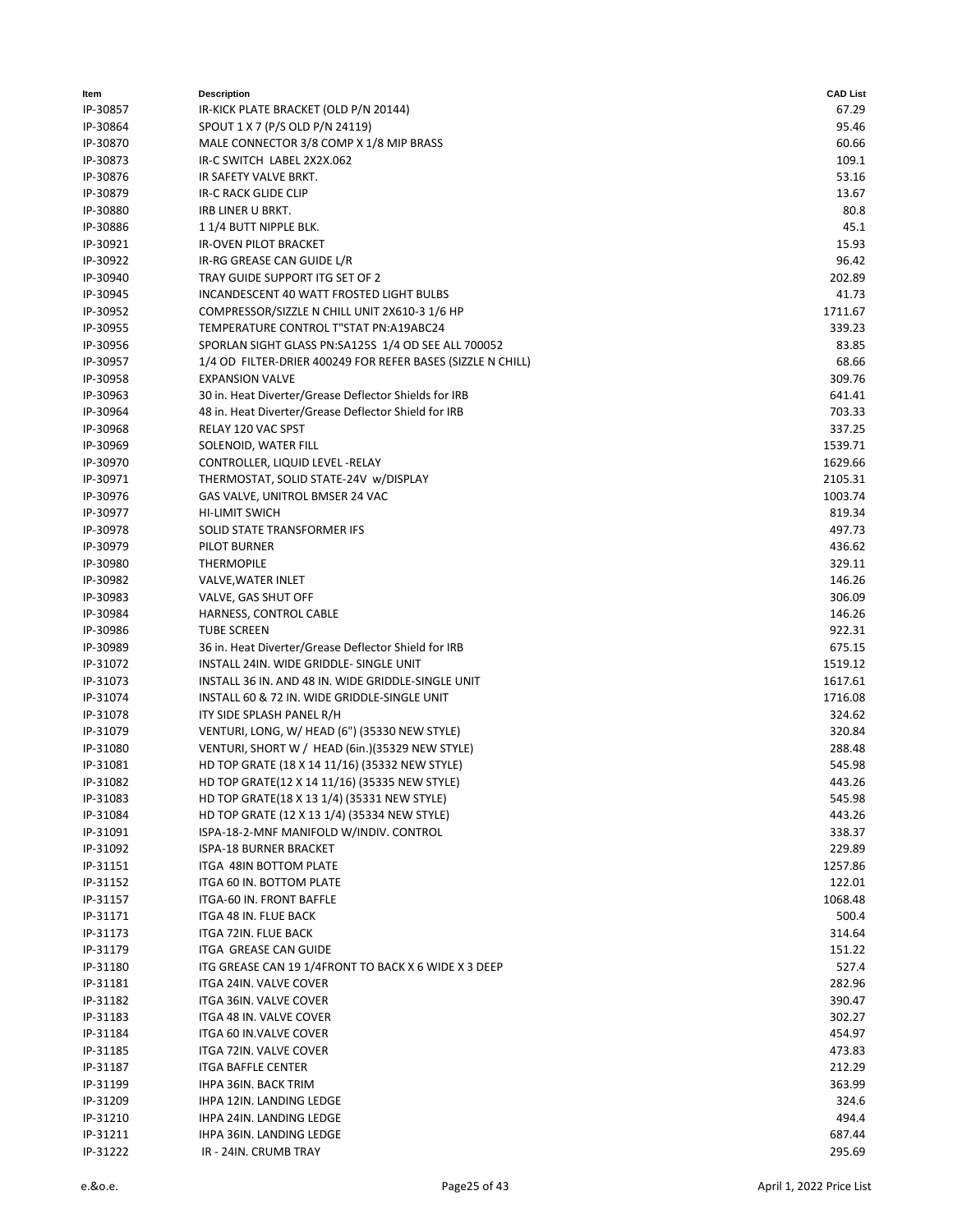| Item                 | <b>Description</b>                                                                          | <b>CAD List</b>  |
|----------------------|---------------------------------------------------------------------------------------------|------------------|
| IP-30857             | IR-KICK PLATE BRACKET (OLD P/N 20144)                                                       | 67.29            |
| IP-30864             | SPOUT 1 X 7 (P/S OLD P/N 24119)                                                             | 95.46            |
| IP-30870             | MALE CONNECTOR 3/8 COMP X 1/8 MIP BRASS                                                     | 60.66            |
| IP-30873             | IR-C SWITCH LABEL 2X2X.062                                                                  | 109.1            |
| IP-30876             | IR SAFETY VALVE BRKT.                                                                       | 53.16            |
| IP-30879             | IR-C RACK GLIDE CLIP                                                                        | 13.67            |
| IP-30880             | <b>IRB LINER U BRKT.</b>                                                                    | 80.8             |
| IP-30886             | 11/4 BUTT NIPPLE BLK.                                                                       | 45.1             |
| IP-30921             | <b>IR-OVEN PILOT BRACKET</b>                                                                | 15.93            |
| IP-30922             | IR-RG GREASE CAN GUIDE L/R                                                                  | 96.42            |
| IP-30940             | TRAY GUIDE SUPPORT ITG SET OF 2                                                             | 202.89           |
| IP-30945             | <b>INCANDESCENT 40 WATT FROSTED LIGHT BULBS</b>                                             | 41.73            |
| IP-30952             | COMPRESSOR/SIZZLE N CHILL UNIT 2X610-3 1/6 HP                                               | 1711.67          |
| IP-30955             | TEMPERATURE CONTROL T"STAT PN:A19ABC24                                                      | 339.23           |
| IP-30956             | SPORLAN SIGHT GLASS PN:SA125S 1/4 OD SEE ALL 700052                                         | 83.85            |
| IP-30957             | 1/4 OD FILTER-DRIER 400249 FOR REFER BASES (SIZZLE N CHILL)                                 | 68.66            |
| IP-30958             | <b>EXPANSION VALVE</b>                                                                      | 309.76           |
| IP-30963             | 30 in. Heat Diverter/Grease Deflector Shields for IRB                                       | 641.41           |
| IP-30964             | 48 in. Heat Diverter/Grease Deflector Shield for IRB                                        | 703.33           |
| IP-30968             | RELAY 120 VAC SPST                                                                          | 337.25           |
| IP-30969             | SOLENOID, WATER FILL                                                                        | 1539.71          |
| IP-30970             | CONTROLLER, LIQUID LEVEL - RELAY                                                            | 1629.66          |
| IP-30971             | THERMOSTAT, SOLID STATE-24V w/DISPLAY                                                       | 2105.31          |
| IP-30976             | GAS VALVE, UNITROL BMSER 24 VAC                                                             | 1003.74          |
| IP-30977             | <b>HI-LIMIT SWICH</b>                                                                       | 819.34           |
| IP-30978             | SOLID STATE TRANSFORMER IFS                                                                 | 497.73           |
| IP-30979             | PILOT BURNER                                                                                | 436.62           |
| IP-30980             | <b>THERMOPILE</b>                                                                           | 329.11           |
| IP-30982             | VALVE, WATER INLET                                                                          | 146.26           |
| IP-30983             | VALVE, GAS SHUT OFF                                                                         | 306.09           |
| IP-30984             | HARNESS, CONTROL CABLE                                                                      | 146.26           |
| IP-30986             | <b>TUBE SCREEN</b>                                                                          | 922.31           |
| IP-30989             | 36 in. Heat Diverter/Grease Deflector Shield for IRB                                        | 675.15           |
| IP-31072             | INSTALL 24IN. WIDE GRIDDLE- SINGLE UNIT                                                     | 1519.12          |
| IP-31073             | INSTALL 36 IN. AND 48 IN. WIDE GRIDDLE-SINGLE UNIT                                          | 1617.61          |
| IP-31074             | INSTALL 60 & 72 IN. WIDE GRIDDLE-SINGLE UNIT                                                | 1716.08          |
| IP-31078             | ITY SIDE SPLASH PANEL R/H                                                                   | 324.62           |
| IP-31079             | VENTURI, LONG, W/ HEAD (6") (35330 NEW STYLE)                                               | 320.84           |
| IP-31080             | VENTURI, SHORT W / HEAD (6in.) (35329 NEW STYLE)                                            | 288.48           |
| IP-31081             | HD TOP GRATE (18 X 14 11/16) (35332 NEW STYLE)                                              | 545.98           |
| IP-31082             | HD TOP GRATE(12 X 14 11/16) (35335 NEW STYLE)                                               | 443.26           |
| IP-31083             | HD TOP GRATE(18 X 13 1/4) (35331 NEW STYLE)<br>HD TOP GRATE (12 X 13 1/4) (35334 NEW STYLE) | 545.98           |
| IP-31084             |                                                                                             | 443.26           |
| IP-31091             | ISPA-18-2-MNF MANIFOLD W/INDIV. CONTROL                                                     | 338.37<br>229.89 |
| IP-31092<br>IP-31151 | ISPA-18 BURNER BRACKET<br>ITGA 48IN BOTTOM PLATE                                            | 1257.86          |
| IP-31152             | ITGA 60 IN. BOTTOM PLATE                                                                    | 122.01           |
| IP-31157             | ITGA-60 IN. FRONT BAFFLE                                                                    | 1068.48          |
| IP-31171             | ITGA 48 IN. FLUE BACK                                                                       | 500.4            |
| IP-31173             | ITGA 72IN. FLUE BACK                                                                        | 314.64           |
| IP-31179             | ITGA GREASE CAN GUIDE                                                                       | 151.22           |
| IP-31180             | ITG GREASE CAN 19 1/4FRONT TO BACK X 6 WIDE X 3 DEEP                                        | 527.4            |
| IP-31181             | ITGA 24IN. VALVE COVER                                                                      | 282.96           |
| IP-31182             | ITGA 36IN. VALVE COVER                                                                      | 390.47           |
| IP-31183             | ITGA 48 IN. VALVE COVER                                                                     | 302.27           |
| IP-31184             | ITGA 60 IN.VALVE COVER                                                                      | 454.97           |
| IP-31185             | ITGA 72IN. VALVE COVER                                                                      | 473.83           |
| IP-31187             | <b>ITGA BAFFLE CENTER</b>                                                                   | 212.29           |
| IP-31199             | <b>IHPA 36IN. BACK TRIM</b>                                                                 | 363.99           |
| IP-31209             | IHPA 12IN. LANDING LEDGE                                                                    | 324.6            |
| IP-31210             | IHPA 24IN. LANDING LEDGE                                                                    | 494.4            |
| IP-31211             | IHPA 36IN. LANDING LEDGE                                                                    | 687.44           |
| IP-31222             | IR - 24IN. CRUMB TRAY                                                                       | 295.69           |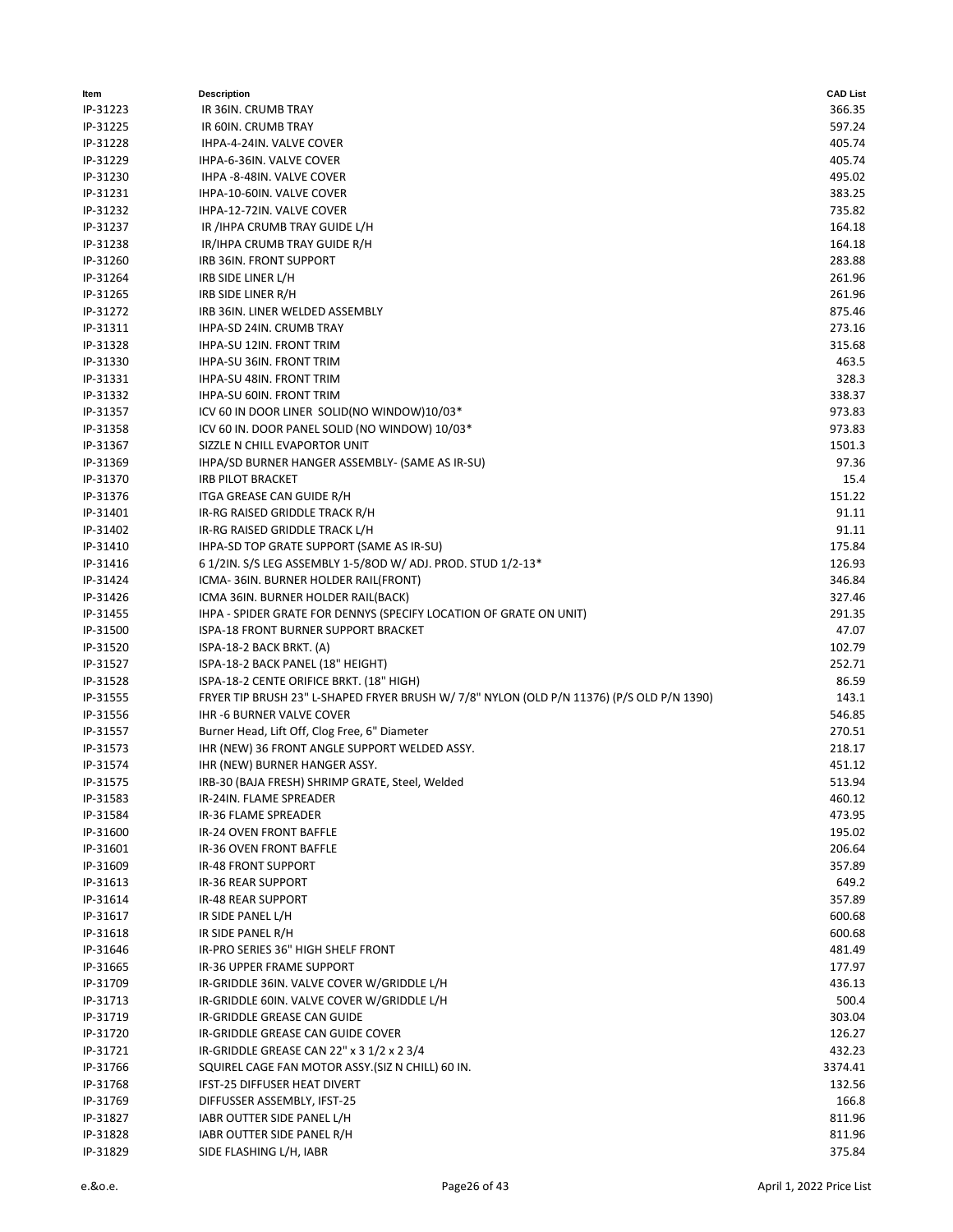| ltem                 | <b>Description</b>                                                                        | <b>CAD List</b>  |
|----------------------|-------------------------------------------------------------------------------------------|------------------|
| IP-31223             | IR 36IN. CRUMB TRAY                                                                       | 366.35           |
| IP-31225             | IR 60IN. CRUMB TRAY                                                                       | 597.24           |
| IP-31228             | IHPA-4-24IN. VALVE COVER                                                                  | 405.74           |
| IP-31229             | IHPA-6-36IN. VALVE COVER                                                                  | 405.74           |
| IP-31230             | IHPA -8-48IN. VALVE COVER                                                                 | 495.02           |
| IP-31231             | IHPA-10-60IN. VALVE COVER                                                                 | 383.25           |
| IP-31232             | IHPA-12-72IN. VALVE COVER                                                                 | 735.82           |
| IP-31237             | IR /IHPA CRUMB TRAY GUIDE L/H                                                             | 164.18           |
| IP-31238             | IR/IHPA CRUMB TRAY GUIDE R/H                                                              | 164.18           |
| IP-31260             | IRB 36IN. FRONT SUPPORT                                                                   | 283.88           |
| IP-31264             | IRB SIDE LINER L/H                                                                        | 261.96           |
| IP-31265             | IRB SIDE LINER R/H                                                                        | 261.96           |
| IP-31272             | IRB 36IN. LINER WELDED ASSEMBLY                                                           | 875.46           |
| IP-31311             | IHPA-SD 24IN. CRUMB TRAY                                                                  | 273.16           |
| IP-31328             | <b>IHPA-SU 12IN. FRONT TRIM</b>                                                           | 315.68           |
| IP-31330             | <b>IHPA-SU 36IN. FRONT TRIM</b>                                                           | 463.5            |
| IP-31331             | <b>IHPA-SU 48IN. FRONT TRIM</b>                                                           | 328.3            |
| IP-31332             | <b>IHPA-SU 60IN. FRONT TRIM</b>                                                           | 338.37           |
| IP-31357             | ICV 60 IN DOOR LINER SOLID(NO WINDOW)10/03*                                               | 973.83           |
| IP-31358             | ICV 60 IN. DOOR PANEL SOLID (NO WINDOW) 10/03*                                            | 973.83           |
| IP-31367             | SIZZLE N CHILL EVAPORTOR UNIT                                                             | 1501.3           |
| IP-31369             | IHPA/SD BURNER HANGER ASSEMBLY- (SAME AS IR-SU)<br><b>IRB PILOT BRACKET</b>               | 97.36            |
| IP-31370             | ITGA GREASE CAN GUIDE R/H                                                                 | 15.4<br>151.22   |
| IP-31376             | IR-RG RAISED GRIDDLE TRACK R/H                                                            | 91.11            |
| IP-31401<br>IP-31402 | IR-RG RAISED GRIDDLE TRACK L/H                                                            | 91.11            |
| IP-31410             | IHPA-SD TOP GRATE SUPPORT (SAME AS IR-SU)                                                 | 175.84           |
| IP-31416             | 6 1/2IN. S/S LEG ASSEMBLY 1-5/8OD W/ ADJ. PROD. STUD 1/2-13*                              | 126.93           |
| IP-31424             | ICMA-36IN. BURNER HOLDER RAIL(FRONT)                                                      | 346.84           |
| IP-31426             | ICMA 36IN. BURNER HOLDER RAIL(BACK)                                                       | 327.46           |
| IP-31455             | <b>IHPA - SPIDER GRATE FOR DENNYS (SPECIFY LOCATION OF GRATE ON UNIT)</b>                 | 291.35           |
| IP-31500             | ISPA-18 FRONT BURNER SUPPORT BRACKET                                                      | 47.07            |
| IP-31520             | ISPA-18-2 BACK BRKT. (A)                                                                  | 102.79           |
| IP-31527             | ISPA-18-2 BACK PANEL (18" HEIGHT)                                                         | 252.71           |
| IP-31528             | ISPA-18-2 CENTE ORIFICE BRKT. (18" HIGH)                                                  | 86.59            |
| IP-31555             | FRYER TIP BRUSH 23" L-SHAPED FRYER BRUSH W/ 7/8" NYLON (OLD P/N 11376) (P/S OLD P/N 1390) | 143.1            |
| IP-31556             | <b>IHR-6 BURNER VALVE COVER</b>                                                           | 546.85           |
| IP-31557             | Burner Head, Lift Off, Clog Free, 6" Diameter                                             | 270.51           |
| IP-31573             | IHR (NEW) 36 FRONT ANGLE SUPPORT WELDED ASSY.                                             | 218.17           |
| IP-31574             | IHR (NEW) BURNER HANGER ASSY.                                                             | 451.12           |
| IP-31575             | IRB-30 (BAJA FRESH) SHRIMP GRATE, Steel, Welded                                           | 513.94           |
| IP-31583             | IR-24IN. FLAME SPREADER                                                                   | 460.12           |
| IP-31584             | IR-36 FLAME SPREADER                                                                      | 473.95           |
| IP-31600             | IR-24 OVEN FRONT BAFFLE                                                                   | 195.02           |
| IP-31601             | IR-36 OVEN FRONT BAFFLE                                                                   | 206.64           |
| IP-31609             | <b>IR-48 FRONT SUPPORT</b>                                                                | 357.89           |
| IP-31613             | IR-36 REAR SUPPORT                                                                        | 649.2            |
| IP-31614             | IR-48 REAR SUPPORT                                                                        | 357.89           |
| IP-31617             | IR SIDE PANEL L/H                                                                         | 600.68           |
| IP-31618             | IR SIDE PANEL R/H                                                                         | 600.68           |
| IP-31646             | IR-PRO SERIES 36" HIGH SHELF FRONT                                                        | 481.49           |
| IP-31665             | IR-36 UPPER FRAME SUPPORT                                                                 | 177.97           |
| IP-31709             | IR-GRIDDLE 36IN. VALVE COVER W/GRIDDLE L/H                                                | 436.13           |
| IP-31713             | IR-GRIDDLE 60IN. VALVE COVER W/GRIDDLE L/H                                                | 500.4            |
| IP-31719             | IR-GRIDDLE GREASE CAN GUIDE                                                               | 303.04           |
| IP-31720             | IR-GRIDDLE GREASE CAN GUIDE COVER                                                         | 126.27           |
| IP-31721             | IR-GRIDDLE GREASE CAN 22" x 3 1/2 x 2 3/4                                                 | 432.23           |
| IP-31766             | SQUIREL CAGE FAN MOTOR ASSY. (SIZ N CHILL) 60 IN.                                         | 3374.41          |
| IP-31768             | IFST-25 DIFFUSER HEAT DIVERT                                                              | 132.56           |
| IP-31769             | DIFFUSSER ASSEMBLY, IFST-25                                                               | 166.8            |
| IP-31827             | IABR OUTTER SIDE PANEL L/H                                                                | 811.96           |
| IP-31828             | IABR OUTTER SIDE PANEL R/H                                                                | 811.96<br>375.84 |
| IP-31829             | SIDE FLASHING L/H, IABR                                                                   |                  |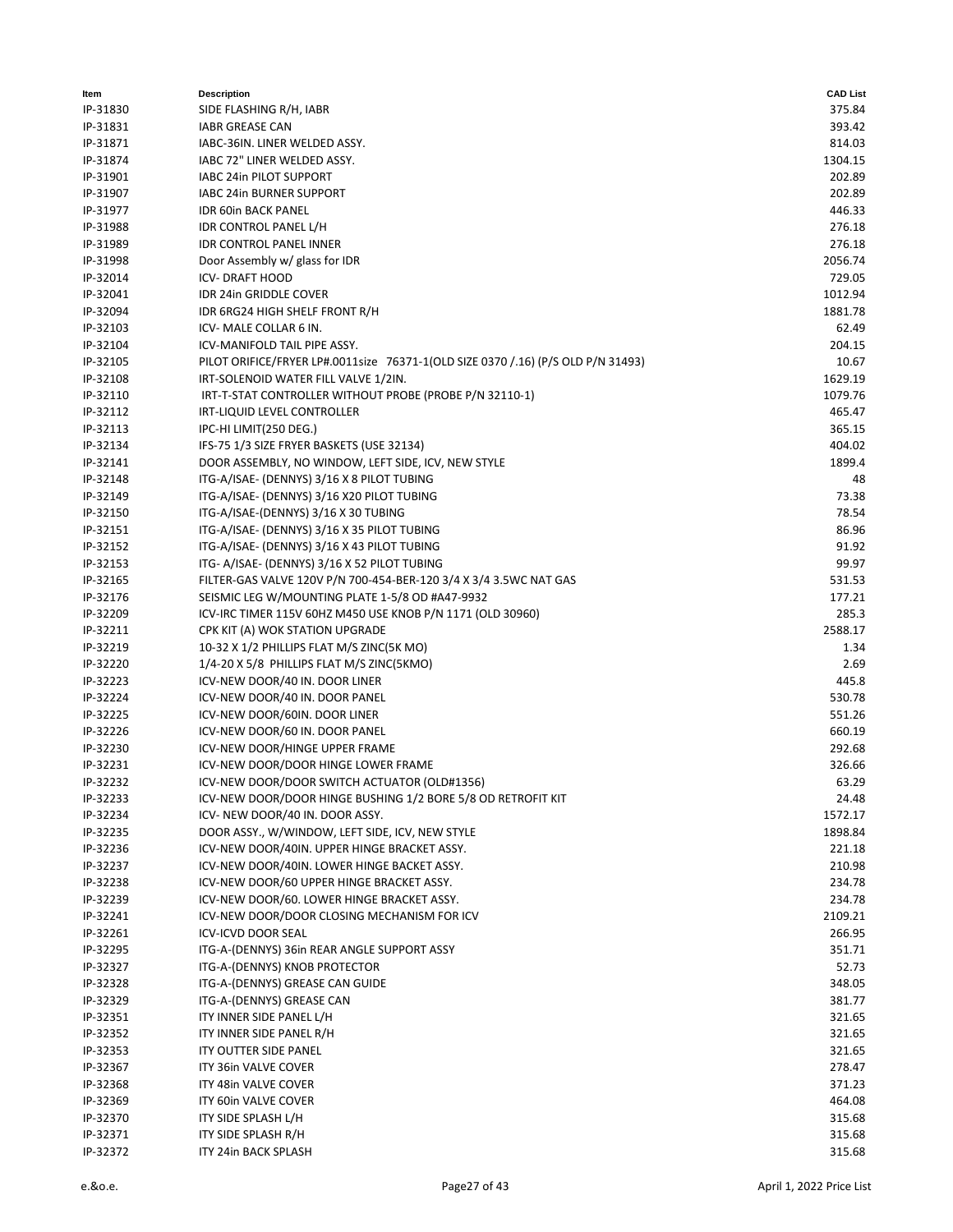| Item     | <b>Description</b>                                                                | <b>CAD List</b> |
|----------|-----------------------------------------------------------------------------------|-----------------|
| IP-31830 | SIDE FLASHING R/H, IABR                                                           | 375.84          |
| IP-31831 | <b>IABR GREASE CAN</b>                                                            | 393.42          |
| IP-31871 | IABC-36IN. LINER WELDED ASSY.                                                     | 814.03          |
| IP-31874 | IABC 72" LINER WELDED ASSY.                                                       | 1304.15         |
| IP-31901 | IABC 24in PILOT SUPPORT                                                           | 202.89          |
| IP-31907 | IABC 24in BURNER SUPPORT                                                          | 202.89          |
| IP-31977 | <b>IDR 60in BACK PANEL</b>                                                        | 446.33          |
| IP-31988 | IDR CONTROL PANEL L/H                                                             | 276.18          |
| IP-31989 | <b>IDR CONTROL PANEL INNER</b>                                                    | 276.18          |
| IP-31998 | Door Assembly w/ glass for IDR                                                    | 2056.74         |
| IP-32014 | <b>ICV-DRAFT HOOD</b>                                                             | 729.05          |
| IP-32041 | IDR 24in GRIDDLE COVER                                                            | 1012.94         |
| IP-32094 | IDR 6RG24 HIGH SHELF FRONT R/H                                                    | 1881.78         |
| IP-32103 | ICV- MALE COLLAR 6 IN.                                                            | 62.49           |
| IP-32104 | ICV-MANIFOLD TAIL PIPE ASSY.                                                      | 204.15          |
| IP-32105 |                                                                                   | 10.67           |
|          | PILOT ORIFICE/FRYER LP#.0011size 76371-1(OLD SIZE 0370 / .16) (P/S OLD P/N 31493) |                 |
| IP-32108 | IRT-SOLENOID WATER FILL VALVE 1/2IN.                                              | 1629.19         |
| IP-32110 | IRT-T-STAT CONTROLLER WITHOUT PROBE (PROBE P/N 32110-1)                           | 1079.76         |
| IP-32112 | IRT-LIQUID LEVEL CONTROLLER                                                       | 465.47          |
| IP-32113 | IPC-HI LIMIT(250 DEG.)                                                            | 365.15          |
| IP-32134 | IFS-75 1/3 SIZE FRYER BASKETS (USE 32134)                                         | 404.02          |
| IP-32141 | DOOR ASSEMBLY, NO WINDOW, LEFT SIDE, ICV, NEW STYLE                               | 1899.4          |
| IP-32148 | ITG-A/ISAE- (DENNYS) 3/16 X 8 PILOT TUBING                                        | 48              |
| IP-32149 | ITG-A/ISAE- (DENNYS) 3/16 X20 PILOT TUBING                                        | 73.38           |
| IP-32150 | ITG-A/ISAE-(DENNYS) 3/16 X 30 TUBING                                              | 78.54           |
| IP-32151 | ITG-A/ISAE- (DENNYS) 3/16 X 35 PILOT TUBING                                       | 86.96           |
| IP-32152 | ITG-A/ISAE- (DENNYS) 3/16 X 43 PILOT TUBING                                       | 91.92           |
| IP-32153 | ITG- A/ISAE- (DENNYS) 3/16 X 52 PILOT TUBING                                      | 99.97           |
| IP-32165 | FILTER-GAS VALVE 120V P/N 700-454-BER-120 3/4 X 3/4 3.5WC NAT GAS                 | 531.53          |
| IP-32176 | SEISMIC LEG W/MOUNTING PLATE 1-5/8 OD #A47-9932                                   | 177.21          |
| IP-32209 | ICV-IRC TIMER 115V 60HZ M450 USE KNOB P/N 1171 (OLD 30960)                        | 285.3           |
| IP-32211 | CPK KIT (A) WOK STATION UPGRADE                                                   | 2588.17         |
| IP-32219 | 10-32 X 1/2 PHILLIPS FLAT M/S ZINC(5K MO)                                         | 1.34            |
| IP-32220 | 1/4-20 X 5/8 PHILLIPS FLAT M/S ZINC(5KMO)                                         | 2.69            |
| IP-32223 | ICV-NEW DOOR/40 IN. DOOR LINER                                                    | 445.8           |
| IP-32224 | ICV-NEW DOOR/40 IN. DOOR PANEL                                                    | 530.78          |
| IP-32225 | ICV-NEW DOOR/60IN. DOOR LINER                                                     | 551.26          |
| IP-32226 | ICV-NEW DOOR/60 IN. DOOR PANEL                                                    | 660.19          |
| IP-32230 | ICV-NEW DOOR/HINGE UPPER FRAME                                                    | 292.68          |
| IP-32231 | ICV-NEW DOOR/DOOR HINGE LOWER FRAME                                               | 326.66          |
| IP-32232 | ICV-NEW DOOR/DOOR SWITCH ACTUATOR (OLD#1356)                                      | 63.29           |
| IP-32233 | ICV-NEW DOOR/DOOR HINGE BUSHING 1/2 BORE 5/8 OD RETROFIT KIT                      | 24.48           |
| IP-32234 | ICV- NEW DOOR/40 IN. DOOR ASSY.                                                   | 1572.17         |
| IP-32235 | DOOR ASSY., W/WINDOW, LEFT SIDE, ICV, NEW STYLE                                   | 1898.84         |
| IP-32236 | ICV-NEW DOOR/40IN. UPPER HINGE BRACKET ASSY.                                      | 221.18          |
| IP-32237 | ICV-NEW DOOR/40IN. LOWER HINGE BACKET ASSY.                                       | 210.98          |
| IP-32238 | ICV-NEW DOOR/60 UPPER HINGE BRACKET ASSY.                                         | 234.78          |
| IP-32239 | ICV-NEW DOOR/60. LOWER HINGE BRACKET ASSY.                                        | 234.78          |
| IP-32241 | ICV-NEW DOOR/DOOR CLOSING MECHANISM FOR ICV                                       | 2109.21         |
| IP-32261 | <b>ICV-ICVD DOOR SEAL</b>                                                         | 266.95          |
| IP-32295 | ITG-A-(DENNYS) 36in REAR ANGLE SUPPORT ASSY                                       | 351.71          |
| IP-32327 | ITG-A-(DENNYS) KNOB PROTECTOR                                                     | 52.73           |
|          | ITG-A-(DENNYS) GREASE CAN GUIDE                                                   |                 |
| IP-32328 |                                                                                   | 348.05          |
| IP-32329 | ITG-A-(DENNYS) GREASE CAN                                                         | 381.77          |
| IP-32351 | ITY INNER SIDE PANEL L/H                                                          | 321.65          |
| IP-32352 | ITY INNER SIDE PANEL R/H                                                          | 321.65          |
| IP-32353 | ITY OUTTER SIDE PANEL                                                             | 321.65          |
| IP-32367 | ITY 36in VALVE COVER                                                              | 278.47          |
| IP-32368 | ITY 48in VALVE COVER                                                              | 371.23          |
| IP-32369 | ITY 60in VALVE COVER                                                              | 464.08          |
| IP-32370 | ITY SIDE SPLASH L/H                                                               | 315.68          |
| IP-32371 | ITY SIDE SPLASH R/H                                                               | 315.68          |
| IP-32372 | ITY 24in BACK SPLASH                                                              | 315.68          |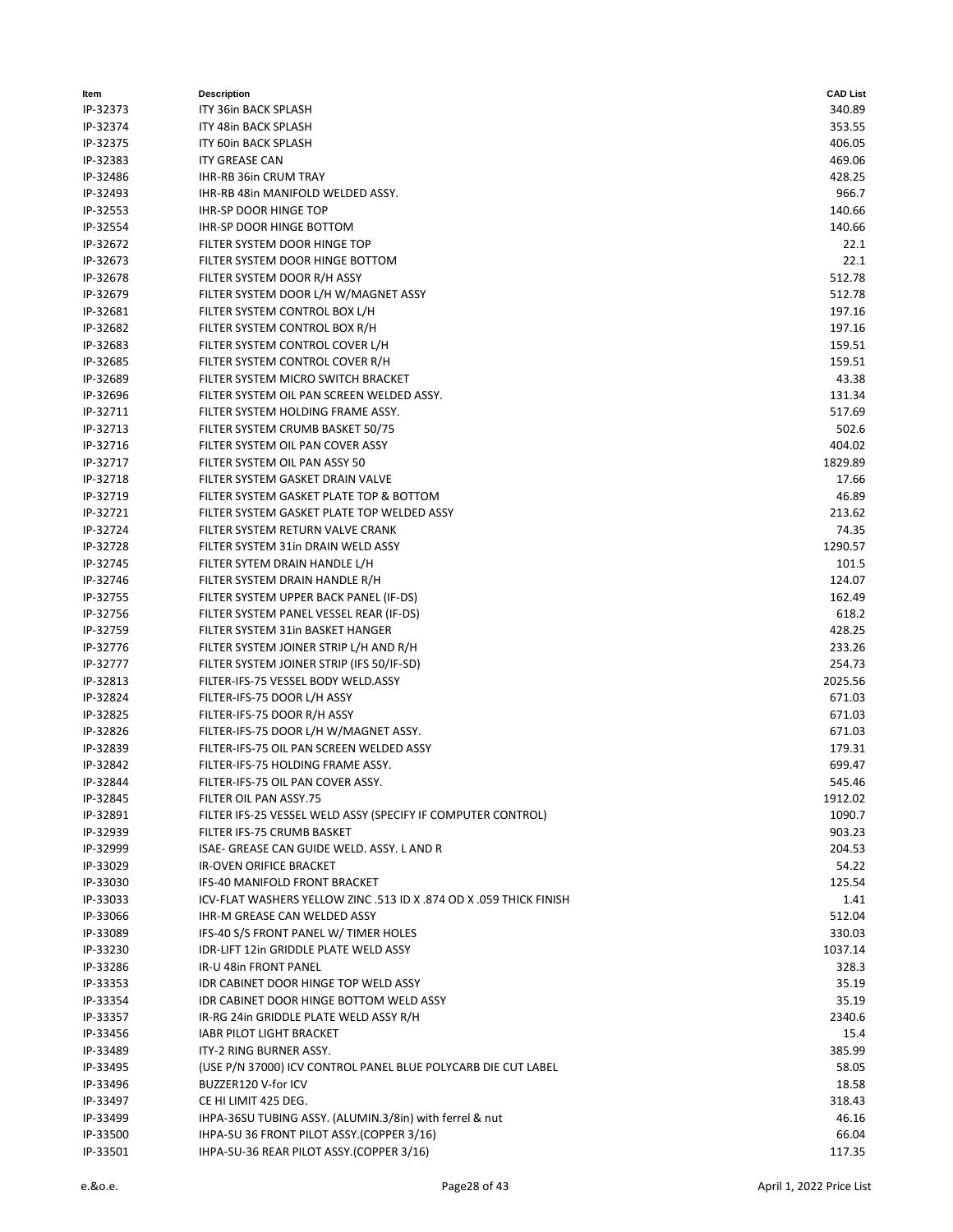| ltem     | <b>Description</b>                                                 | <b>CAD List</b> |
|----------|--------------------------------------------------------------------|-----------------|
| IP-32373 | ITY 36in BACK SPLASH                                               | 340.89          |
| IP-32374 | ITY 48in BACK SPLASH                                               | 353.55          |
| IP-32375 | <b>ITY 60in BACK SPLASH</b>                                        | 406.05          |
| IP-32383 | <b>ITY GREASE CAN</b>                                              | 469.06          |
| IP-32486 | IHR-RB 36in CRUM TRAY                                              | 428.25          |
| IP-32493 | IHR-RB 48in MANIFOLD WELDED ASSY.                                  | 966.7           |
| IP-32553 | <b>IHR-SP DOOR HINGE TOP</b>                                       | 140.66          |
| IP-32554 | IHR-SP DOOR HINGE BOTTOM                                           | 140.66          |
| IP-32672 | FILTER SYSTEM DOOR HINGE TOP                                       | 22.1            |
| IP-32673 | FILTER SYSTEM DOOR HINGE BOTTOM                                    | 22.1            |
| IP-32678 | FILTER SYSTEM DOOR R/H ASSY                                        | 512.78          |
| IP-32679 | FILTER SYSTEM DOOR L/H W/MAGNET ASSY                               | 512.78          |
| IP-32681 | FILTER SYSTEM CONTROL BOX L/H                                      | 197.16          |
| IP-32682 | FILTER SYSTEM CONTROL BOX R/H                                      | 197.16          |
| IP-32683 | FILTER SYSTEM CONTROL COVER L/H                                    | 159.51          |
| IP-32685 | FILTER SYSTEM CONTROL COVER R/H                                    | 159.51          |
| IP-32689 | FILTER SYSTEM MICRO SWITCH BRACKET                                 | 43.38           |
| IP-32696 | FILTER SYSTEM OIL PAN SCREEN WELDED ASSY.                          | 131.34          |
| IP-32711 | FILTER SYSTEM HOLDING FRAME ASSY.                                  | 517.69          |
| IP-32713 | FILTER SYSTEM CRUMB BASKET 50/75                                   | 502.6           |
| IP-32716 | FILTER SYSTEM OIL PAN COVER ASSY                                   | 404.02          |
| IP-32717 | FILTER SYSTEM OIL PAN ASSY 50                                      | 1829.89         |
| IP-32718 | FILTER SYSTEM GASKET DRAIN VALVE                                   | 17.66           |
| IP-32719 | FILTER SYSTEM GASKET PLATE TOP & BOTTOM                            | 46.89           |
| IP-32721 | FILTER SYSTEM GASKET PLATE TOP WELDED ASSY                         | 213.62          |
| IP-32724 | FILTER SYSTEM RETURN VALVE CRANK                                   | 74.35           |
| IP-32728 | FILTER SYSTEM 31in DRAIN WELD ASSY                                 | 1290.57         |
| IP-32745 | FILTER SYTEM DRAIN HANDLE L/H                                      | 101.5           |
| IP-32746 | FILTER SYSTEM DRAIN HANDLE R/H                                     | 124.07          |
| IP-32755 | FILTER SYSTEM UPPER BACK PANEL (IF-DS)                             | 162.49          |
| IP-32756 | FILTER SYSTEM PANEL VESSEL REAR (IF-DS)                            | 618.2           |
| IP-32759 | FILTER SYSTEM 31in BASKET HANGER                                   | 428.25          |
| IP-32776 | FILTER SYSTEM JOINER STRIP L/H AND R/H                             | 233.26          |
| IP-32777 | FILTER SYSTEM JOINER STRIP (IFS 50/IF-SD)                          | 254.73          |
| IP-32813 | FILTER-IFS-75 VESSEL BODY WELD.ASSY                                | 2025.56         |
| IP-32824 | FILTER-IFS-75 DOOR L/H ASSY                                        | 671.03          |
| IP-32825 | FILTER-IFS-75 DOOR R/H ASSY                                        | 671.03          |
| IP-32826 | FILTER-IFS-75 DOOR L/H W/MAGNET ASSY.                              | 671.03          |
| IP-32839 | FILTER-IFS-75 OIL PAN SCREEN WELDED ASSY                           | 179.31          |
| IP-32842 | FILTER-IFS-75 HOLDING FRAME ASSY.                                  | 699.47          |
| IP-32844 | FILTER-IFS-75 OIL PAN COVER ASSY.                                  | 545.46          |
| IP-32845 | FILTER OIL PAN ASSY.75                                             | 1912.02         |
| IP-32891 | FILTER IFS-25 VESSEL WELD ASSY (SPECIFY IF COMPUTER CONTROL)       | 1090.7          |
| IP-32939 | FILTER IFS-75 CRUMB BASKET                                         | 903.23          |
| IP-32999 | ISAE- GREASE CAN GUIDE WELD. ASSY. LAND R                          | 204.53          |
| IP-33029 | IR-OVEN ORIFICE BRACKET                                            | 54.22           |
| IP-33030 | IFS-40 MANIFOLD FRONT BRACKET                                      | 125.54          |
| IP-33033 | ICV-FLAT WASHERS YELLOW ZINC .513 ID X .874 OD X .059 THICK FINISH | 1.41            |
| IP-33066 | IHR-M GREASE CAN WELDED ASSY                                       | 512.04          |
| IP-33089 | IFS-40 S/S FRONT PANEL W/ TIMER HOLES                              | 330.03          |
| IP-33230 | IDR-LIFT 12in GRIDDLE PLATE WELD ASSY                              | 1037.14         |
| IP-33286 | IR-U 48in FRONT PANEL                                              | 328.3           |
| IP-33353 | IDR CABINET DOOR HINGE TOP WELD ASSY                               | 35.19           |
| IP-33354 | IDR CABINET DOOR HINGE BOTTOM WELD ASSY                            | 35.19           |
| IP-33357 | IR-RG 24in GRIDDLE PLATE WELD ASSY R/H                             | 2340.6          |
| IP-33456 | <b>IABR PILOT LIGHT BRACKET</b>                                    | 15.4            |
| IP-33489 | ITY-2 RING BURNER ASSY.                                            | 385.99          |
| IP-33495 | (USE P/N 37000) ICV CONTROL PANEL BLUE POLYCARB DIE CUT LABEL      | 58.05           |
| IP-33496 | BUZZER120 V-for ICV                                                | 18.58           |
| IP-33497 | CE HI LIMIT 425 DEG.                                               | 318.43          |
| IP-33499 | IHPA-36SU TUBING ASSY. (ALUMIN.3/8in) with ferrel & nut            | 46.16           |
| IP-33500 | IHPA-SU 36 FRONT PILOT ASSY.(COPPER 3/16)                          | 66.04           |
| IP-33501 | IHPA-SU-36 REAR PILOT ASSY.(COPPER 3/16)                           | 117.35          |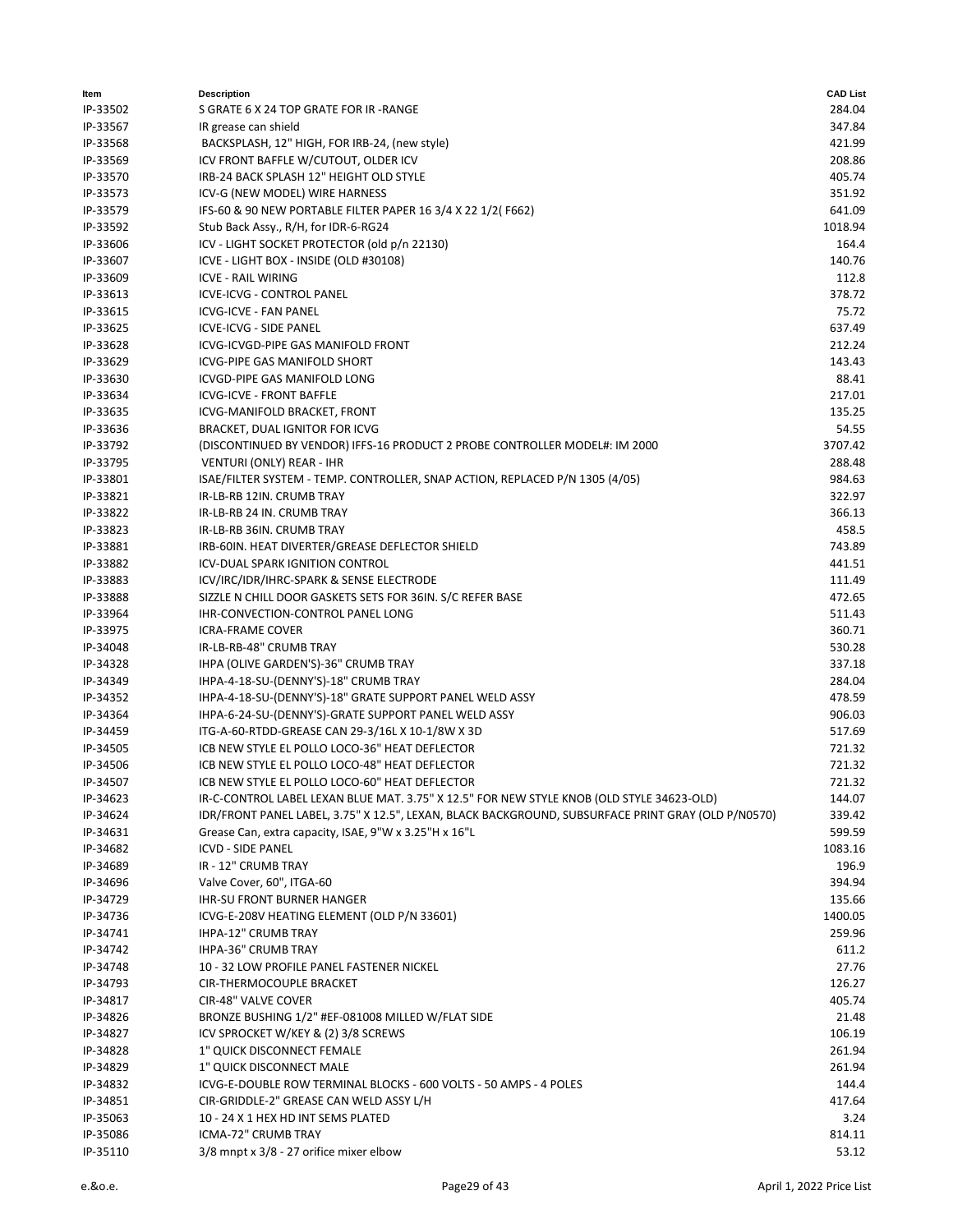| ltem     | <b>Description</b>                                                                                 | <b>CAD List</b> |
|----------|----------------------------------------------------------------------------------------------------|-----------------|
| IP-33502 | S GRATE 6 X 24 TOP GRATE FOR IR -RANGE                                                             | 284.04          |
| IP-33567 | IR grease can shield                                                                               | 347.84          |
| IP-33568 | BACKSPLASH, 12" HIGH, FOR IRB-24, (new style)                                                      | 421.99          |
| IP-33569 | ICV FRONT BAFFLE W/CUTOUT, OLDER ICV                                                               | 208.86          |
| IP-33570 | IRB-24 BACK SPLASH 12" HEIGHT OLD STYLE                                                            | 405.74          |
| IP-33573 | ICV-G (NEW MODEL) WIRE HARNESS                                                                     | 351.92          |
| IP-33579 | IFS-60 & 90 NEW PORTABLE FILTER PAPER 16 3/4 X 22 1/2(F662)                                        | 641.09          |
| IP-33592 | Stub Back Assy., R/H, for IDR-6-RG24                                                               | 1018.94         |
| IP-33606 | ICV - LIGHT SOCKET PROTECTOR (old p/n 22130)                                                       | 164.4           |
| IP-33607 | ICVE - LIGHT BOX - INSIDE (OLD #30108)                                                             | 140.76          |
| IP-33609 | <b>ICVE - RAIL WIRING</b>                                                                          | 112.8           |
| IP-33613 | ICVE-ICVG - CONTROL PANEL                                                                          | 378.72          |
| IP-33615 | <b>ICVG-ICVE - FAN PANEL</b>                                                                       | 75.72           |
| IP-33625 | ICVE-ICVG - SIDE PANEL                                                                             | 637.49          |
| IP-33628 | ICVG-ICVGD-PIPE GAS MANIFOLD FRONT                                                                 | 212.24          |
| IP-33629 | ICVG-PIPE GAS MANIFOLD SHORT                                                                       | 143.43          |
| IP-33630 | ICVGD-PIPE GAS MANIFOLD LONG                                                                       | 88.41           |
| IP-33634 | <b>ICVG-ICVE - FRONT BAFFLE</b>                                                                    | 217.01          |
| IP-33635 | ICVG-MANIFOLD BRACKET, FRONT                                                                       | 135.25          |
| IP-33636 | BRACKET, DUAL IGNITOR FOR ICVG                                                                     | 54.55           |
| IP-33792 | (DISCONTINUED BY VENDOR) IFFS-16 PRODUCT 2 PROBE CONTROLLER MODEL#: IM 2000                        | 3707.42         |
| IP-33795 | VENTURI (ONLY) REAR - IHR                                                                          | 288.48          |
| IP-33801 | ISAE/FILTER SYSTEM - TEMP. CONTROLLER, SNAP ACTION, REPLACED P/N 1305 (4/05)                       | 984.63          |
| IP-33821 | IR-LB-RB 12IN. CRUMB TRAY                                                                          | 322.97          |
| IP-33822 | IR-LB-RB 24 IN. CRUMB TRAY                                                                         | 366.13          |
| IP-33823 | IR-LB-RB 36IN. CRUMB TRAY                                                                          | 458.5           |
| IP-33881 | IRB-60IN. HEAT DIVERTER/GREASE DEFLECTOR SHIELD                                                    | 743.89          |
| IP-33882 | ICV-DUAL SPARK IGNITION CONTROL                                                                    | 441.51          |
| IP-33883 | ICV/IRC/IDR/IHRC-SPARK & SENSE ELECTRODE                                                           | 111.49          |
| IP-33888 | SIZZLE N CHILL DOOR GASKETS SETS FOR 36IN. S/C REFER BASE                                          | 472.65          |
| IP-33964 | IHR-CONVECTION-CONTROL PANEL LONG                                                                  | 511.43          |
| IP-33975 | <b>ICRA-FRAME COVER</b>                                                                            | 360.71          |
| IP-34048 | IR-LB-RB-48" CRUMB TRAY                                                                            | 530.28          |
| IP-34328 | IHPA (OLIVE GARDEN'S)-36" CRUMB TRAY                                                               | 337.18          |
| IP-34349 | IHPA-4-18-SU-(DENNY'S)-18" CRUMB TRAY                                                              | 284.04          |
| IP-34352 | IHPA-4-18-SU-(DENNY'S)-18" GRATE SUPPORT PANEL WELD ASSY                                           | 478.59          |
| IP-34364 | IHPA-6-24-SU-(DENNY'S)-GRATE SUPPORT PANEL WELD ASSY                                               | 906.03          |
| IP-34459 | ITG-A-60-RTDD-GREASE CAN 29-3/16L X 10-1/8W X 3D                                                   | 517.69          |
| IP-34505 | ICB NEW STYLE EL POLLO LOCO-36" HEAT DEFLECTOR                                                     | 721.32          |
| IP-34506 | ICB NEW STYLE EL POLLO LOCO-48" HEAT DEFLECTOR                                                     | 721.32          |
| IP-34507 | ICB NEW STYLE EL POLLO LOCO-60" HEAT DEFLECTOR                                                     | 721.32          |
| IP-34623 | IR-C-CONTROL LABEL LEXAN BLUE MAT. 3.75" X 12.5" FOR NEW STYLE KNOB (OLD STYLE 34623-OLD)          | 144.07          |
| IP-34624 | IDR/FRONT PANEL LABEL, 3.75" X 12.5", LEXAN, BLACK BACKGROUND, SUBSURFACE PRINT GRAY (OLD P/N0570) | 339.42          |
| IP-34631 | Grease Can, extra capacity, ISAE, 9"W x 3.25"H x 16"L                                              | 599.59          |
| IP-34682 | <b>ICVD - SIDE PANEL</b>                                                                           | 1083.16         |
| IP-34689 | IR - 12" CRUMB TRAY                                                                                | 196.9           |
| IP-34696 | Valve Cover, 60", ITGA-60                                                                          | 394.94          |
| IP-34729 | <b>IHR-SU FRONT BURNER HANGER</b>                                                                  | 135.66          |
| IP-34736 | ICVG-E-208V HEATING ELEMENT (OLD P/N 33601)                                                        | 1400.05         |
| IP-34741 | IHPA-12" CRUMB TRAY                                                                                | 259.96          |
| IP-34742 | <b>IHPA-36" CRUMB TRAY</b>                                                                         | 611.2           |
| IP-34748 | 10 - 32 LOW PROFILE PANEL FASTENER NICKEL                                                          | 27.76           |
| IP-34793 | CIR-THERMOCOUPLE BRACKET                                                                           | 126.27          |
| IP-34817 | CIR-48" VALVE COVER                                                                                | 405.74          |
| IP-34826 | BRONZE BUSHING 1/2" #EF-081008 MILLED W/FLAT SIDE                                                  | 21.48           |
| IP-34827 | ICV SPROCKET W/KEY & (2) 3/8 SCREWS                                                                | 106.19          |
| IP-34828 | 1" QUICK DISCONNECT FEMALE                                                                         | 261.94          |
| IP-34829 | 1" QUICK DISCONNECT MALE                                                                           | 261.94          |
| IP-34832 | ICVG-E-DOUBLE ROW TERMINAL BLOCKS - 600 VOLTS - 50 AMPS - 4 POLES                                  | 144.4           |
| IP-34851 | CIR-GRIDDLE-2" GREASE CAN WELD ASSY L/H                                                            | 417.64          |
| IP-35063 | 10 - 24 X 1 HEX HD INT SEMS PLATED                                                                 | 3.24            |
| IP-35086 | ICMA-72" CRUMB TRAY                                                                                | 814.11          |
| IP-35110 | 3/8 mnpt x 3/8 - 27 orifice mixer elbow                                                            | 53.12           |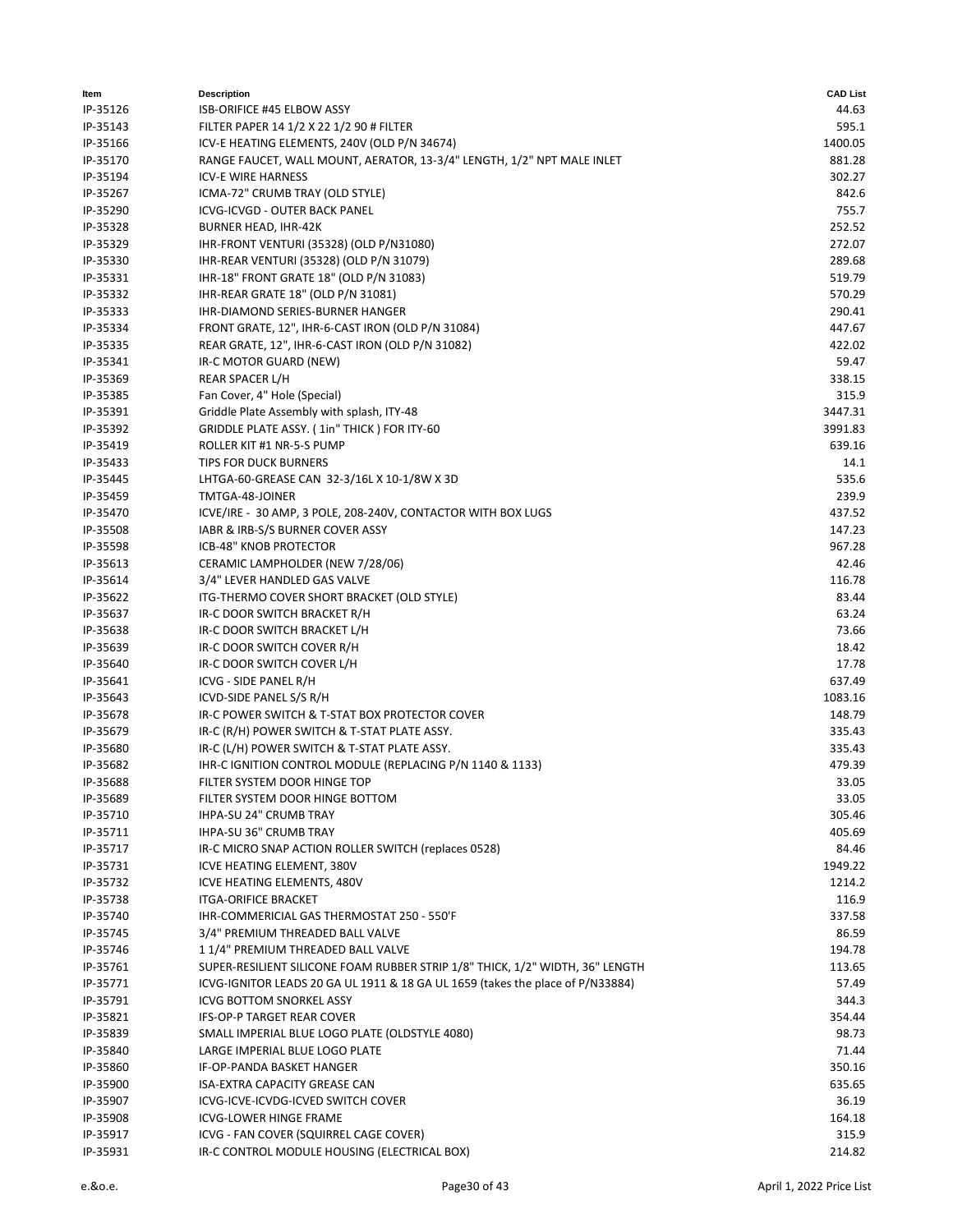| ltem                 | <b>Description</b>                                                                                        | <b>CAD List</b>  |
|----------------------|-----------------------------------------------------------------------------------------------------------|------------------|
| IP-35126             | ISB-ORIFICE #45 ELBOW ASSY                                                                                | 44.63            |
| IP-35143             | FILTER PAPER 14 1/2 X 22 1/2 90 # FILTER                                                                  | 595.1            |
| IP-35166             | ICV-E HEATING ELEMENTS, 240V (OLD P/N 34674)                                                              | 1400.05          |
| IP-35170             | RANGE FAUCET, WALL MOUNT, AERATOR, 13-3/4" LENGTH, 1/2" NPT MALE INLET                                    | 881.28           |
| IP-35194             | <b>ICV-E WIRE HARNESS</b>                                                                                 | 302.27           |
| IP-35267             | ICMA-72" CRUMB TRAY (OLD STYLE)                                                                           | 842.6            |
| IP-35290             | ICVG-ICVGD - OUTER BACK PANEL                                                                             | 755.7            |
| IP-35328             | <b>BURNER HEAD, IHR-42K</b>                                                                               | 252.52           |
| IP-35329             | IHR-FRONT VENTURI (35328) (OLD P/N31080)                                                                  | 272.07           |
| IP-35330             | IHR-REAR VENTURI (35328) (OLD P/N 31079)                                                                  | 289.68           |
| IP-35331             | IHR-18" FRONT GRATE 18" (OLD P/N 31083)                                                                   | 519.79           |
| IP-35332             | IHR-REAR GRATE 18" (OLD P/N 31081)                                                                        | 570.29           |
| IP-35333             | IHR-DIAMOND SERIES-BURNER HANGER                                                                          | 290.41           |
| IP-35334             | FRONT GRATE, 12", IHR-6-CAST IRON (OLD P/N 31084)                                                         | 447.67           |
| IP-35335             | REAR GRATE, 12", IHR-6-CAST IRON (OLD P/N 31082)                                                          | 422.02           |
| IP-35341             | IR-C MOTOR GUARD (NEW)                                                                                    | 59.47            |
| IP-35369             | REAR SPACER L/H                                                                                           | 338.15           |
| IP-35385             | Fan Cover, 4" Hole (Special)                                                                              | 315.9            |
| IP-35391             | Griddle Plate Assembly with splash, ITY-48                                                                | 3447.31          |
| IP-35392             | GRIDDLE PLATE ASSY. (1in" THICK) FOR ITY-60                                                               | 3991.83          |
| IP-35419             | ROLLER KIT #1 NR-5-S PUMP                                                                                 | 639.16           |
| IP-35433             | TIPS FOR DUCK BURNERS                                                                                     | 14.1             |
| IP-35445             | LHTGA-60-GREASE CAN 32-3/16L X 10-1/8W X 3D                                                               | 535.6            |
| IP-35459             | TMTGA-48-JOINER                                                                                           | 239.9            |
| IP-35470             | ICVE/IRE - 30 AMP, 3 POLE, 208-240V, CONTACTOR WITH BOX LUGS                                              | 437.52           |
| IP-35508             | IABR & IRB-S/S BURNER COVER ASSY                                                                          | 147.23           |
| IP-35598             | ICB-48" KNOB PROTECTOR                                                                                    | 967.28           |
| IP-35613             | CERAMIC LAMPHOLDER (NEW 7/28/06)                                                                          | 42.46            |
| IP-35614             | 3/4" LEVER HANDLED GAS VALVE                                                                              | 116.78           |
| IP-35622             | ITG-THERMO COVER SHORT BRACKET (OLD STYLE)                                                                | 83.44            |
| IP-35637             | IR-C DOOR SWITCH BRACKET R/H                                                                              | 63.24            |
| IP-35638             | IR-C DOOR SWITCH BRACKET L/H                                                                              | 73.66            |
| IP-35639             | IR-C DOOR SWITCH COVER R/H                                                                                | 18.42            |
| IP-35640             | IR-C DOOR SWITCH COVER L/H                                                                                | 17.78            |
| IP-35641             | ICVG - SIDE PANEL R/H                                                                                     | 637.49           |
| IP-35643             | ICVD-SIDE PANEL S/S R/H                                                                                   | 1083.16          |
| IP-35678             | IR-C POWER SWITCH & T-STAT BOX PROTECTOR COVER                                                            | 148.79           |
| IP-35679             | IR-C (R/H) POWER SWITCH & T-STAT PLATE ASSY.                                                              | 335.43           |
| IP-35680<br>IP-35682 | IR-C (L/H) POWER SWITCH & T-STAT PLATE ASSY.<br>IHR-C IGNITION CONTROL MODULE (REPLACING P/N 1140 & 1133) | 335.43<br>479.39 |
| IP-35688             | FILTER SYSTEM DOOR HINGE TOP                                                                              | 33.05            |
| IP-35689             | FILTER SYSTEM DOOR HINGE BOTTOM                                                                           | 33.05            |
| IP-35710             | <b>IHPA-SU 24" CRUMB TRAY</b>                                                                             | 305.46           |
| IP-35711             | <b>IHPA-SU 36" CRUMB TRAY</b>                                                                             | 405.69           |
| IP-35717             | IR-C MICRO SNAP ACTION ROLLER SWITCH (replaces 0528)                                                      | 84.46            |
| IP-35731             | ICVE HEATING ELEMENT, 380V                                                                                | 1949.22          |
| IP-35732             | ICVE HEATING ELEMENTS, 480V                                                                               | 1214.2           |
| IP-35738             | <b>ITGA-ORIFICE BRACKET</b>                                                                               | 116.9            |
| IP-35740             | IHR-COMMERICIAL GAS THERMOSTAT 250 - 550'F                                                                | 337.58           |
| IP-35745             | 3/4" PREMIUM THREADED BALL VALVE                                                                          | 86.59            |
| IP-35746             | 11/4" PREMIUM THREADED BALL VALVE                                                                         | 194.78           |
| IP-35761             | SUPER-RESILIENT SILICONE FOAM RUBBER STRIP 1/8" THICK, 1/2" WIDTH, 36" LENGTH                             | 113.65           |
| IP-35771             | ICVG-IGNITOR LEADS 20 GA UL 1911 & 18 GA UL 1659 (takes the place of P/N33884)                            | 57.49            |
| IP-35791             | ICVG BOTTOM SNORKEL ASSY                                                                                  | 344.3            |
| IP-35821             | IFS-OP-P TARGET REAR COVER                                                                                | 354.44           |
| IP-35839             | SMALL IMPERIAL BLUE LOGO PLATE (OLDSTYLE 4080)                                                            | 98.73            |
| IP-35840             | LARGE IMPERIAL BLUE LOGO PLATE                                                                            | 71.44            |
| IP-35860             | IF-OP-PANDA BASKET HANGER                                                                                 | 350.16           |
| IP-35900             | ISA-EXTRA CAPACITY GREASE CAN                                                                             | 635.65           |
| IP-35907             | ICVG-ICVE-ICVDG-ICVED SWITCH COVER                                                                        | 36.19            |
| IP-35908             | <b>ICVG-LOWER HINGE FRAME</b>                                                                             | 164.18           |
| IP-35917             | ICVG - FAN COVER (SQUIRREL CAGE COVER)                                                                    | 315.9            |
| IP-35931             | IR-C CONTROL MODULE HOUSING (ELECTRICAL BOX)                                                              | 214.82           |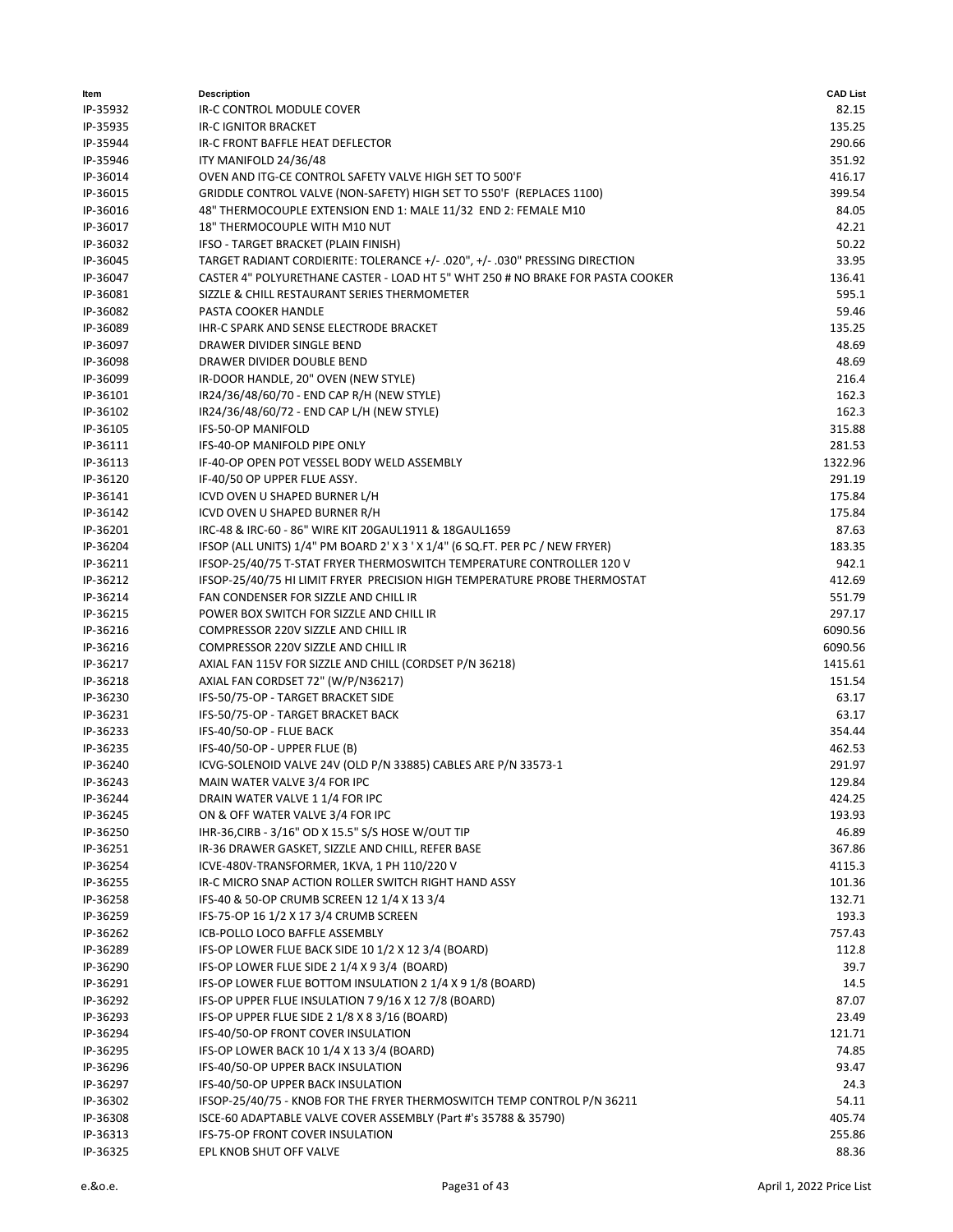| ltem     | <b>Description</b>                                                             | <b>CAD List</b> |
|----------|--------------------------------------------------------------------------------|-----------------|
| IP-35932 | IR-C CONTROL MODULE COVER                                                      | 82.15           |
| IP-35935 | <b>IR-C IGNITOR BRACKET</b>                                                    | 135.25          |
| IP-35944 | IR-C FRONT BAFFLE HEAT DEFLECTOR                                               | 290.66          |
| IP-35946 | ITY MANIFOLD 24/36/48                                                          | 351.92          |
| IP-36014 | OVEN AND ITG-CE CONTROL SAFETY VALVE HIGH SET TO 500'F                         | 416.17          |
| IP-36015 | GRIDDLE CONTROL VALVE (NON-SAFETY) HIGH SET TO 550'F (REPLACES 1100)           | 399.54          |
| IP-36016 | 48" THERMOCOUPLE EXTENSION END 1: MALE 11/32 END 2: FEMALE M10                 | 84.05           |
| IP-36017 | 18" THERMOCOUPLE WITH M10 NUT                                                  | 42.21           |
| IP-36032 | IFSO - TARGET BRACKET (PLAIN FINISH)                                           | 50.22           |
| IP-36045 | TARGET RADIANT CORDIERITE: TOLERANCE +/- .020", +/- .030" PRESSING DIRECTION   | 33.95           |
| IP-36047 | CASTER 4" POLYURETHANE CASTER - LOAD HT 5" WHT 250 # NO BRAKE FOR PASTA COOKER | 136.41          |
| IP-36081 | SIZZLE & CHILL RESTAURANT SERIES THERMOMETER                                   | 595.1           |
| IP-36082 | PASTA COOKER HANDLE                                                            | 59.46           |
| IP-36089 | IHR-C SPARK AND SENSE ELECTRODE BRACKET                                        | 135.25          |
| IP-36097 | DRAWER DIVIDER SINGLE BEND                                                     | 48.69           |
| IP-36098 | DRAWER DIVIDER DOUBLE BEND                                                     | 48.69           |
| IP-36099 | IR-DOOR HANDLE, 20" OVEN (NEW STYLE)                                           | 216.4           |
| IP-36101 | IR24/36/48/60/70 - END CAP R/H (NEW STYLE)                                     | 162.3           |
| IP-36102 | IR24/36/48/60/72 - END CAP L/H (NEW STYLE)                                     | 162.3           |
| IP-36105 | <b>IFS-50-OP MANIFOLD</b>                                                      | 315.88          |
| IP-36111 | IFS-40-OP MANIFOLD PIPE ONLY                                                   | 281.53          |
| IP-36113 | IF-40-OP OPEN POT VESSEL BODY WELD ASSEMBLY                                    | 1322.96         |
| IP-36120 | IF-40/50 OP UPPER FLUE ASSY.                                                   | 291.19          |
| IP-36141 | ICVD OVEN U SHAPED BURNER L/H                                                  | 175.84          |
| IP-36142 | ICVD OVEN U SHAPED BURNER R/H                                                  | 175.84          |
| IP-36201 | IRC-48 & IRC-60 - 86" WIRE KIT 20GAUL1911 & 18GAUL1659                         | 87.63           |
| IP-36204 | IFSOP (ALL UNITS) 1/4" PM BOARD 2' X 3 ' X 1/4" (6 SQ.FT. PER PC / NEW FRYER)  | 183.35          |
| IP-36211 | IFSOP-25/40/75 T-STAT FRYER THERMOSWITCH TEMPERATURE CONTROLLER 120 V          | 942.1           |
| IP-36212 | IFSOP-25/40/75 HI LIMIT FRYER PRECISION HIGH TEMPERATURE PROBE THERMOSTAT      | 412.69          |
| IP-36214 | FAN CONDENSER FOR SIZZLE AND CHILL IR                                          | 551.79          |
| IP-36215 | POWER BOX SWITCH FOR SIZZLE AND CHILL IR                                       | 297.17          |
| IP-36216 | COMPRESSOR 220V SIZZLE AND CHILL IR                                            | 6090.56         |
| IP-36216 | COMPRESSOR 220V SIZZLE AND CHILL IR                                            | 6090.56         |
| IP-36217 | AXIAL FAN 115V FOR SIZZLE AND CHILL (CORDSET P/N 36218)                        | 1415.61         |
| IP-36218 | AXIAL FAN CORDSET 72" (W/P/N36217)                                             | 151.54          |
| IP-36230 | IFS-50/75-OP - TARGET BRACKET SIDE                                             | 63.17           |
| IP-36231 | IFS-50/75-OP - TARGET BRACKET BACK                                             | 63.17           |
| IP-36233 | IFS-40/50-OP - FLUE BACK                                                       | 354.44          |
| IP-36235 | IFS-40/50-OP - UPPER FLUE (B)                                                  | 462.53          |
| IP-36240 | ICVG-SOLENOID VALVE 24V (OLD P/N 33885) CABLES ARE P/N 33573-1                 | 291.97          |
| IP-36243 | MAIN WATER VALVE 3/4 FOR IPC                                                   | 129.84          |
| IP-36244 | DRAIN WATER VALVE 1 1/4 FOR IPC                                                | 424.25          |
| IP-36245 | ON & OFF WATER VALVE 3/4 FOR IPC                                               | 193.93          |
| IP-36250 | IHR-36, CIRB - 3/16" OD X 15.5" S/S HOSE W/OUT TIP                             | 46.89           |
| IP-36251 | IR-36 DRAWER GASKET, SIZZLE AND CHILL, REFER BASE                              | 367.86          |
| IP-36254 | ICVE-480V-TRANSFORMER, 1KVA, 1 PH 110/220 V                                    | 4115.3          |
| IP-36255 | IR-C MICRO SNAP ACTION ROLLER SWITCH RIGHT HAND ASSY                           | 101.36          |
| IP-36258 | IFS-40 & 50-OP CRUMB SCREEN 12 1/4 X 13 3/4                                    | 132.71          |
| IP-36259 | IFS-75-OP 16 1/2 X 17 3/4 CRUMB SCREEN                                         | 193.3           |
| IP-36262 | ICB-POLLO LOCO BAFFLE ASSEMBLY                                                 | 757.43          |
| IP-36289 | IFS-OP LOWER FLUE BACK SIDE 10 1/2 X 12 3/4 (BOARD)                            | 112.8           |
| IP-36290 | IFS-OP LOWER FLUE SIDE 2 1/4 X 9 3/4 (BOARD)                                   | 39.7            |
| IP-36291 | IFS-OP LOWER FLUE BOTTOM INSULATION 2 1/4 X 9 1/8 (BOARD)                      | 14.5            |
| IP-36292 | IFS-OP UPPER FLUE INSULATION 7 9/16 X 12 7/8 (BOARD)                           | 87.07           |
| IP-36293 | IFS-OP UPPER FLUE SIDE 2 1/8 X 8 3/16 (BOARD)                                  | 23.49           |
| IP-36294 | IFS-40/50-OP FRONT COVER INSULATION                                            | 121.71          |
| IP-36295 | IFS-OP LOWER BACK 10 1/4 X 13 3/4 (BOARD)                                      | 74.85           |
| IP-36296 | IFS-40/50-OP UPPER BACK INSULATION                                             | 93.47           |
| IP-36297 | IFS-40/50-OP UPPER BACK INSULATION                                             | 24.3            |
| IP-36302 | IFSOP-25/40/75 - KNOB FOR THE FRYER THERMOSWITCH TEMP CONTROL P/N 36211        | 54.11           |
| IP-36308 | ISCE-60 ADAPTABLE VALVE COVER ASSEMBLY (Part #'s 35788 & 35790)                | 405.74          |
| IP-36313 | IFS-75-OP FRONT COVER INSULATION                                               | 255.86          |
| IP-36325 | EPL KNOB SHUT OFF VALVE                                                        | 88.36           |
|          |                                                                                |                 |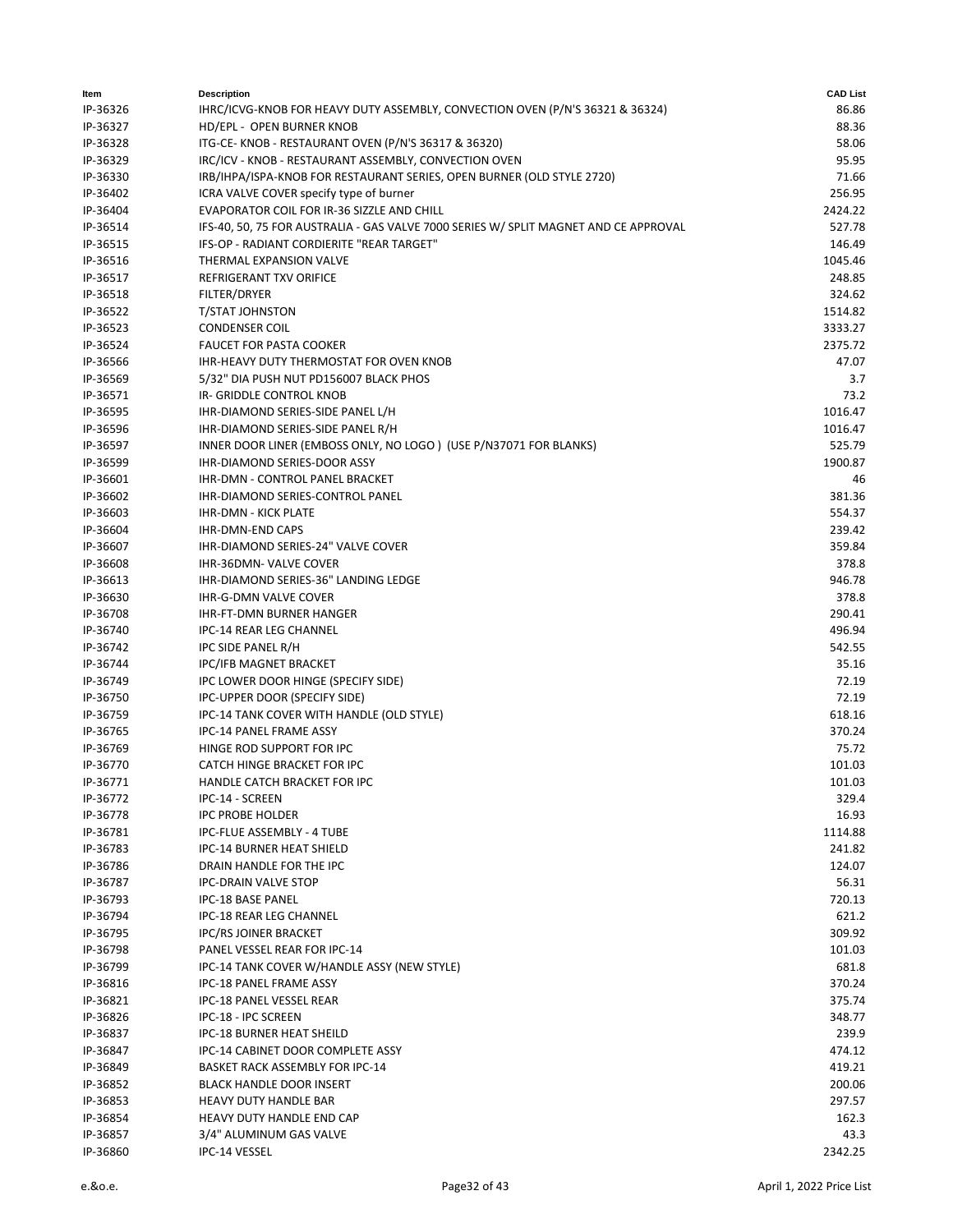| ltem     | <b>Description</b>                                                                   | <b>CAD List</b> |
|----------|--------------------------------------------------------------------------------------|-----------------|
| IP-36326 | IHRC/ICVG-KNOB FOR HEAVY DUTY ASSEMBLY, CONVECTION OVEN (P/N'S 36321 & 36324)        | 86.86           |
| IP-36327 | HD/EPL - OPEN BURNER KNOB                                                            | 88.36           |
| IP-36328 | ITG-CE- KNOB - RESTAURANT OVEN (P/N'S 36317 & 36320)                                 | 58.06           |
| IP-36329 | IRC/ICV - KNOB - RESTAURANT ASSEMBLY, CONVECTION OVEN                                | 95.95           |
| IP-36330 | IRB/IHPA/ISPA-KNOB FOR RESTAURANT SERIES, OPEN BURNER (OLD STYLE 2720)               | 71.66           |
| IP-36402 | ICRA VALVE COVER specify type of burner                                              | 256.95          |
| IP-36404 | EVAPORATOR COIL FOR IR-36 SIZZLE AND CHILL                                           | 2424.22         |
| IP-36514 | IFS-40, 50, 75 FOR AUSTRALIA - GAS VALVE 7000 SERIES W/ SPLIT MAGNET AND CE APPROVAL | 527.78          |
| IP-36515 | IFS-OP - RADIANT CORDIERITE "REAR TARGET"                                            | 146.49          |
| IP-36516 | THERMAL EXPANSION VALVE                                                              | 1045.46         |
| IP-36517 | <b>REFRIGERANT TXV ORIFICE</b>                                                       | 248.85          |
| IP-36518 | FILTER/DRYER                                                                         | 324.62          |
| IP-36522 | T/STAT JOHNSTON                                                                      | 1514.82         |
| IP-36523 | <b>CONDENSER COIL</b>                                                                | 3333.27         |
| IP-36524 | <b>FAUCET FOR PASTA COOKER</b>                                                       | 2375.72         |
| IP-36566 | IHR-HEAVY DUTY THERMOSTAT FOR OVEN KNOB                                              | 47.07           |
| IP-36569 | 5/32" DIA PUSH NUT PD156007 BLACK PHOS                                               | 3.7             |
| IP-36571 | IR- GRIDDLE CONTROL KNOB                                                             | 73.2            |
| IP-36595 | IHR-DIAMOND SERIES-SIDE PANEL L/H                                                    | 1016.47         |
| IP-36596 | IHR-DIAMOND SERIES-SIDE PANEL R/H                                                    | 1016.47         |
| IP-36597 | INNER DOOR LINER (EMBOSS ONLY, NO LOGO) (USE P/N37071 FOR BLANKS)                    | 525.79          |
| IP-36599 | IHR-DIAMOND SERIES-DOOR ASSY                                                         | 1900.87         |
| IP-36601 | IHR-DMN - CONTROL PANEL BRACKET                                                      | 46              |
| IP-36602 | IHR-DIAMOND SERIES-CONTROL PANEL                                                     | 381.36          |
| IP-36603 | <b>IHR-DMN - KICK PLATE</b>                                                          | 554.37          |
| IP-36604 | IHR-DMN-END CAPS                                                                     | 239.42          |
| IP-36607 | IHR-DIAMOND SERIES-24" VALVE COVER                                                   | 359.84          |
| IP-36608 | IHR-36DMN-VALVE COVER                                                                | 378.8           |
| IP-36613 | IHR-DIAMOND SERIES-36" LANDING LEDGE                                                 | 946.78          |
| IP-36630 | <b>IHR-G-DMN VALVE COVER</b>                                                         | 378.8           |
| IP-36708 | <b>IHR-FT-DMN BURNER HANGER</b>                                                      | 290.41          |
| IP-36740 | IPC-14 REAR LEG CHANNEL                                                              | 496.94          |
| IP-36742 | IPC SIDE PANEL R/H                                                                   | 542.55          |
| IP-36744 | <b>IPC/IFB MAGNET BRACKET</b>                                                        | 35.16           |
| IP-36749 | IPC LOWER DOOR HINGE (SPECIFY SIDE)                                                  | 72.19           |
| IP-36750 | IPC-UPPER DOOR (SPECIFY SIDE)                                                        | 72.19           |
| IP-36759 | IPC-14 TANK COVER WITH HANDLE (OLD STYLE)                                            | 618.16          |
| IP-36765 | IPC-14 PANEL FRAME ASSY                                                              | 370.24          |
| IP-36769 | HINGE ROD SUPPORT FOR IPC                                                            | 75.72           |
| IP-36770 | CATCH HINGE BRACKET FOR IPC                                                          | 101.03          |
| IP-36771 | HANDLE CATCH BRACKET FOR IPC                                                         | 101.03          |
| IP-36772 | IPC-14 - SCREEN                                                                      | 329.4           |
| IP-36778 | <b>IPC PROBE HOLDER</b>                                                              | 16.93           |
| IP-36781 | IPC-FLUE ASSEMBLY - 4 TUBE                                                           | 1114.88         |
| IP-36783 | IPC-14 BURNER HEAT SHIELD                                                            | 241.82          |
| IP-36786 | DRAIN HANDLE FOR THE IPC                                                             | 124.07          |
| IP-36787 | IPC-DRAIN VALVE STOP                                                                 | 56.31           |
| IP-36793 | IPC-18 BASE PANEL                                                                    | 720.13          |
| IP-36794 | IPC-18 REAR LEG CHANNEL                                                              | 621.2           |
| IP-36795 | <b>IPC/RS JOINER BRACKET</b>                                                         | 309.92          |
| IP-36798 | PANEL VESSEL REAR FOR IPC-14                                                         | 101.03          |
| IP-36799 | IPC-14 TANK COVER W/HANDLE ASSY (NEW STYLE)                                          | 681.8           |
| IP-36816 | IPC-18 PANEL FRAME ASSY                                                              | 370.24          |
| IP-36821 | IPC-18 PANEL VESSEL REAR                                                             | 375.74          |
| IP-36826 | IPC-18 - IPC SCREEN                                                                  | 348.77          |
| IP-36837 | <b>IPC-18 BURNER HEAT SHEILD</b>                                                     | 239.9           |
| IP-36847 | IPC-14 CABINET DOOR COMPLETE ASSY                                                    | 474.12          |
| IP-36849 | BASKET RACK ASSEMBLY FOR IPC-14                                                      | 419.21          |
| IP-36852 | <b>BLACK HANDLE DOOR INSERT</b>                                                      | 200.06          |
| IP-36853 | <b>HEAVY DUTY HANDLE BAR</b>                                                         | 297.57          |
| IP-36854 | HEAVY DUTY HANDLE END CAP                                                            | 162.3           |
| IP-36857 | 3/4" ALUMINUM GAS VALVE                                                              | 43.3            |
| IP-36860 | IPC-14 VESSEL                                                                        | 2342.25         |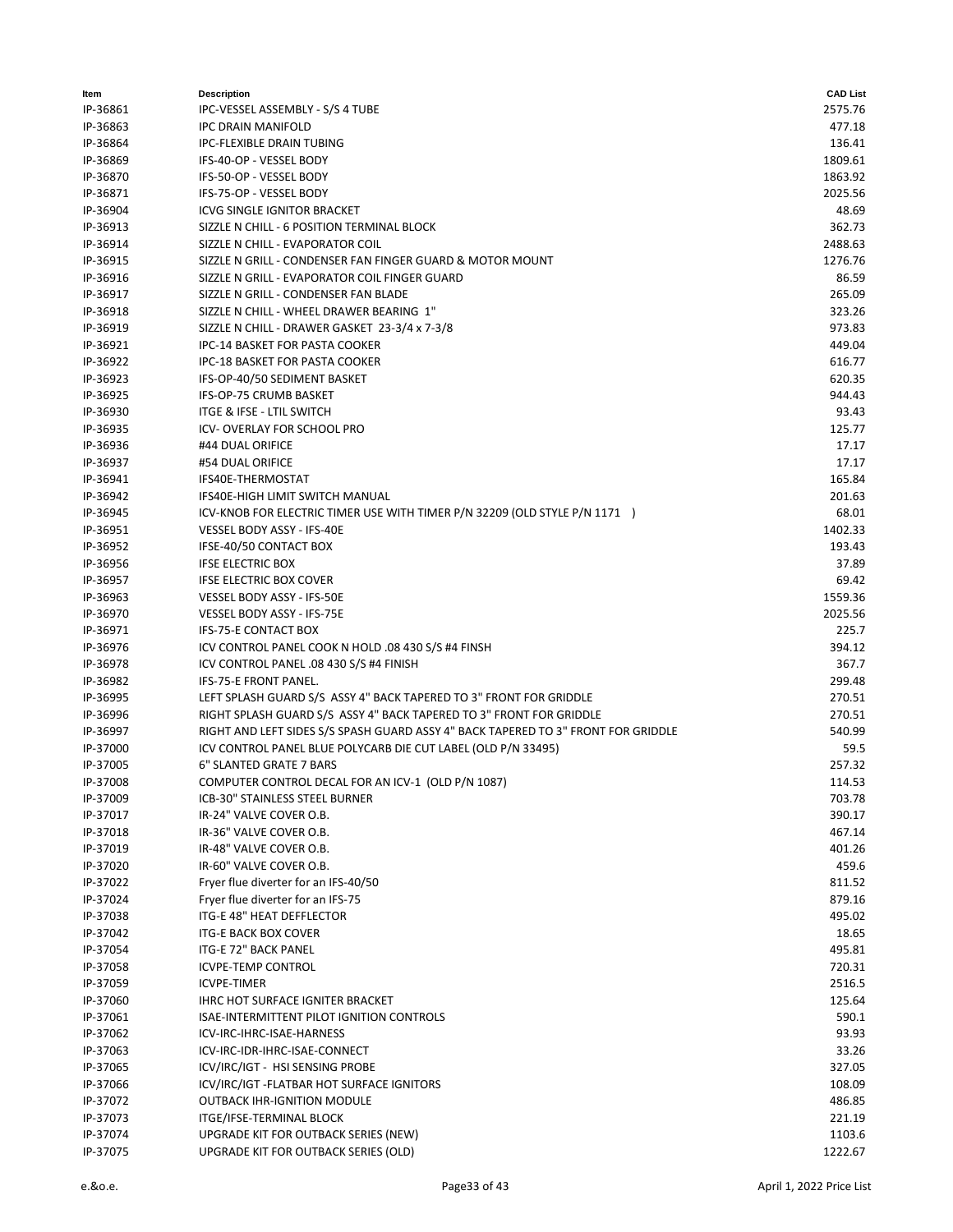| ltem     | <b>Description</b>                                                                | <b>CAD List</b> |
|----------|-----------------------------------------------------------------------------------|-----------------|
| IP-36861 | IPC-VESSEL ASSEMBLY - S/S 4 TUBE                                                  | 2575.76         |
| IP-36863 | <b>IPC DRAIN MANIFOLD</b>                                                         | 477.18          |
| IP-36864 | <b>IPC-FLEXIBLE DRAIN TUBING</b>                                                  | 136.41          |
| IP-36869 | IFS-40-OP - VESSEL BODY                                                           | 1809.61         |
| IP-36870 | IFS-50-OP - VESSEL BODY                                                           | 1863.92         |
| IP-36871 | IFS-75-OP - VESSEL BODY                                                           | 2025.56         |
| IP-36904 | <b>ICVG SINGLE IGNITOR BRACKET</b>                                                | 48.69           |
| IP-36913 | SIZZLE N CHILL - 6 POSITION TERMINAL BLOCK                                        | 362.73          |
| IP-36914 | SIZZLE N CHILL - EVAPORATOR COIL                                                  | 2488.63         |
| IP-36915 | SIZZLE N GRILL - CONDENSER FAN FINGER GUARD & MOTOR MOUNT                         | 1276.76         |
| IP-36916 | SIZZLE N GRILL - EVAPORATOR COIL FINGER GUARD                                     | 86.59           |
| IP-36917 | SIZZLE N GRILL - CONDENSER FAN BLADE                                              | 265.09          |
| IP-36918 | SIZZLE N CHILL - WHEEL DRAWER BEARING 1"                                          | 323.26          |
| IP-36919 | SIZZLE N CHILL - DRAWER GASKET 23-3/4 x 7-3/8                                     | 973.83          |
| IP-36921 | IPC-14 BASKET FOR PASTA COOKER                                                    | 449.04          |
| IP-36922 | IPC-18 BASKET FOR PASTA COOKER                                                    | 616.77          |
| IP-36923 | IFS-OP-40/50 SEDIMENT BASKET                                                      | 620.35          |
| IP-36925 | IFS-OP-75 CRUMB BASKET                                                            | 944.43          |
| IP-36930 | ITGE & IFSE - LTIL SWITCH                                                         | 93.43           |
| IP-36935 | <b>ICV-OVERLAY FOR SCHOOL PRO</b>                                                 | 125.77          |
| IP-36936 | #44 DUAL ORIFICE                                                                  | 17.17           |
| IP-36937 | #54 DUAL ORIFICE                                                                  | 17.17           |
| IP-36941 | IFS40E-THERMOSTAT                                                                 | 165.84          |
| IP-36942 | <b>IFS40E-HIGH LIMIT SWITCH MANUAL</b>                                            | 201.63          |
| IP-36945 | ICV-KNOB FOR ELECTRIC TIMER USE WITH TIMER P/N 32209 (OLD STYLE P/N 1171)         | 68.01           |
| IP-36951 | VESSEL BODY ASSY - IFS-40E                                                        | 1402.33         |
| IP-36952 | IFSE-40/50 CONTACT BOX                                                            | 193.43          |
| IP-36956 | <b>IFSE ELECTRIC BOX</b>                                                          | 37.89           |
| IP-36957 | <b>IFSE ELECTRIC BOX COVER</b>                                                    | 69.42           |
| IP-36963 | <b>VESSEL BODY ASSY - IFS-50E</b>                                                 | 1559.36         |
| IP-36970 | VESSEL BODY ASSY - IFS-75E                                                        | 2025.56         |
| IP-36971 | IFS-75-E CONTACT BOX                                                              | 225.7           |
| IP-36976 | ICV CONTROL PANEL COOK N HOLD .08 430 S/S #4 FINSH                                | 394.12          |
| IP-36978 | ICV CONTROL PANEL .08 430 S/S #4 FINISH                                           | 367.7           |
| IP-36982 | <b>IFS-75-E FRONT PANEL.</b>                                                      | 299.48          |
| IP-36995 | LEFT SPLASH GUARD S/S ASSY 4" BACK TAPERED TO 3" FRONT FOR GRIDDLE                | 270.51          |
| IP-36996 | RIGHT SPLASH GUARD S/S ASSY 4" BACK TAPERED TO 3" FRONT FOR GRIDDLE               | 270.51          |
| IP-36997 | RIGHT AND LEFT SIDES S/S SPASH GUARD ASSY 4" BACK TAPERED TO 3" FRONT FOR GRIDDLE | 540.99          |
| IP-37000 | ICV CONTROL PANEL BLUE POLYCARB DIE CUT LABEL (OLD P/N 33495)                     | 59.5            |
| IP-37005 | 6" SLANTED GRATE 7 BARS                                                           | 257.32          |
| IP-37008 | COMPUTER CONTROL DECAL FOR AN ICV-1 (OLD P/N 1087)                                | 114.53          |
| IP-37009 | ICB-30" STAINLESS STEEL BURNER                                                    | 703.78          |
| IP-37017 | IR-24" VALVE COVER O.B.                                                           | 390.17          |
| IP-37018 | IR-36" VALVE COVER O.B.                                                           | 467.14          |
| IP-37019 | IR-48" VALVE COVER O.B.                                                           | 401.26          |
| IP-37020 | IR-60" VALVE COVER O.B.                                                           | 459.6           |
| IP-37022 | Fryer flue diverter for an IFS-40/50                                              | 811.52          |
| IP-37024 | Fryer flue diverter for an IFS-75                                                 | 879.16          |
| IP-37038 | ITG-E 48" HEAT DEFFLECTOR                                                         | 495.02          |
| IP-37042 | <b>ITG-E BACK BOX COVER</b>                                                       | 18.65           |
| IP-37054 | ITG-E 72" BACK PANEL                                                              | 495.81          |
| IP-37058 | <b>ICVPE-TEMP CONTROL</b>                                                         | 720.31          |
| IP-37059 | <b>ICVPE-TIMER</b>                                                                | 2516.5          |
| IP-37060 | IHRC HOT SURFACE IGNITER BRACKET                                                  | 125.64          |
| IP-37061 | ISAE-INTERMITTENT PILOT IGNITION CONTROLS                                         | 590.1           |
| IP-37062 | ICV-IRC-IHRC-ISAE-HARNESS                                                         | 93.93           |
| IP-37063 | ICV-IRC-IDR-IHRC-ISAE-CONNECT                                                     | 33.26           |
| IP-37065 | ICV/IRC/IGT - HSI SENSING PROBE                                                   | 327.05          |
| IP-37066 | ICV/IRC/IGT-FLATBAR HOT SURFACE IGNITORS                                          | 108.09          |
| IP-37072 | <b>OUTBACK IHR-IGNITION MODULE</b>                                                | 486.85          |
| IP-37073 | ITGE/IFSE-TERMINAL BLOCK                                                          | 221.19          |
| IP-37074 | UPGRADE KIT FOR OUTBACK SERIES (NEW)                                              | 1103.6          |
| IP-37075 | UPGRADE KIT FOR OUTBACK SERIES (OLD)                                              | 1222.67         |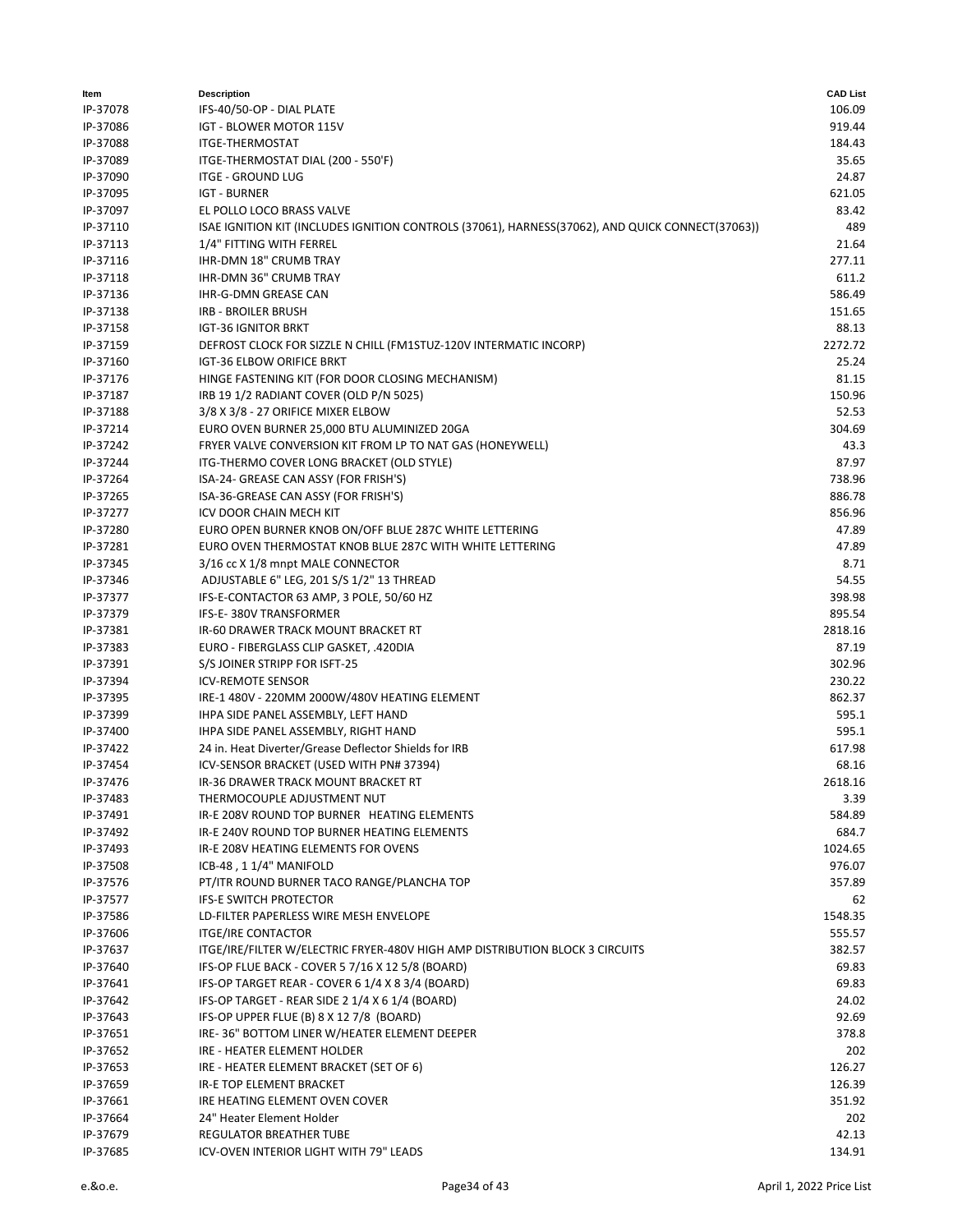| ltem     | <b>Description</b>                                                                               | <b>CAD List</b> |
|----------|--------------------------------------------------------------------------------------------------|-----------------|
| IP-37078 | IFS-40/50-OP - DIAL PLATE                                                                        | 106.09          |
| IP-37086 | IGT - BLOWER MOTOR 115V                                                                          | 919.44          |
| IP-37088 | <b>ITGE-THERMOSTAT</b>                                                                           | 184.43          |
| IP-37089 | ITGE-THERMOSTAT DIAL (200 - 550'F)                                                               | 35.65           |
| IP-37090 | <b>ITGE - GROUND LUG</b>                                                                         | 24.87           |
| IP-37095 | <b>IGT - BURNER</b>                                                                              | 621.05          |
| IP-37097 | EL POLLO LOCO BRASS VALVE                                                                        | 83.42           |
| IP-37110 | ISAE IGNITION KIT (INCLUDES IGNITION CONTROLS (37061), HARNESS(37062), AND QUICK CONNECT(37063)) | 489             |
| IP-37113 | 1/4" FITTING WITH FERREL                                                                         | 21.64           |
| IP-37116 | <b>IHR-DMN 18" CRUMB TRAY</b>                                                                    | 277.11          |
| IP-37118 | IHR-DMN 36" CRUMB TRAY                                                                           | 611.2           |
| IP-37136 | IHR-G-DMN GREASE CAN                                                                             | 586.49          |
| IP-37138 | <b>IRB - BROILER BRUSH</b>                                                                       | 151.65          |
| IP-37158 | <b>IGT-36 IGNITOR BRKT</b>                                                                       | 88.13           |
| IP-37159 | DEFROST CLOCK FOR SIZZLE N CHILL (FM1STUZ-120V INTERMATIC INCORP)                                | 2272.72         |
| IP-37160 | IGT-36 ELBOW ORIFICE BRKT                                                                        | 25.24           |
| IP-37176 | HINGE FASTENING KIT (FOR DOOR CLOSING MECHANISM)                                                 | 81.15           |
| IP-37187 | IRB 19 1/2 RADIANT COVER (OLD P/N 5025)                                                          | 150.96          |
| IP-37188 | 3/8 X 3/8 - 27 ORIFICE MIXER ELBOW                                                               | 52.53           |
| IP-37214 | EURO OVEN BURNER 25,000 BTU ALUMINIZED 20GA                                                      | 304.69          |
| IP-37242 | FRYER VALVE CONVERSION KIT FROM LP TO NAT GAS (HONEYWELL)                                        | 43.3            |
| IP-37244 | ITG-THERMO COVER LONG BRACKET (OLD STYLE)                                                        | 87.97           |
| IP-37264 | ISA-24- GREASE CAN ASSY (FOR FRISH'S)                                                            | 738.96          |
| IP-37265 | ISA-36-GREASE CAN ASSY (FOR FRISH'S)                                                             | 886.78          |
| IP-37277 | ICV DOOR CHAIN MECH KIT                                                                          | 856.96          |
| IP-37280 | EURO OPEN BURNER KNOB ON/OFF BLUE 287C WHITE LETTERING                                           | 47.89           |
| IP-37281 | EURO OVEN THERMOSTAT KNOB BLUE 287C WITH WHITE LETTERING                                         | 47.89           |
| IP-37345 | 3/16 cc X 1/8 mnpt MALE CONNECTOR                                                                | 8.71            |
| IP-37346 | ADJUSTABLE 6" LEG, 201 S/S 1/2" 13 THREAD                                                        | 54.55           |
| IP-37377 | IFS-E-CONTACTOR 63 AMP, 3 POLE, 50/60 HZ                                                         | 398.98          |
| IP-37379 | IFS-E-380V TRANSFORMER                                                                           | 895.54          |
| IP-37381 | IR-60 DRAWER TRACK MOUNT BRACKET RT                                                              | 2818.16         |
| IP-37383 | EURO - FIBERGLASS CLIP GASKET, .420DIA                                                           | 87.19           |
| IP-37391 | S/S JOINER STRIPP FOR ISFT-25                                                                    | 302.96          |
| IP-37394 | <b>ICV-REMOTE SENSOR</b>                                                                         | 230.22          |
| IP-37395 | IRE-1 480V - 220MM 2000W/480V HEATING ELEMENT                                                    | 862.37          |
| IP-37399 | IHPA SIDE PANEL ASSEMBLY, LEFT HAND                                                              | 595.1           |
| IP-37400 | IHPA SIDE PANEL ASSEMBLY, RIGHT HAND                                                             | 595.1           |
| IP-37422 | 24 in. Heat Diverter/Grease Deflector Shields for IRB                                            | 617.98          |
| IP-37454 | ICV-SENSOR BRACKET (USED WITH PN# 37394)                                                         | 68.16           |
| IP-37476 | IR-36 DRAWER TRACK MOUNT BRACKET RT                                                              | 2618.16         |
| IP-37483 | THERMOCOUPLE ADJUSTMENT NUT                                                                      | 3.39            |
| IP-37491 | IR-E 208V ROUND TOP BURNER HEATING ELEMENTS                                                      | 584.89          |
| IP-37492 | IR-E 240V ROUND TOP BURNER HEATING ELEMENTS                                                      | 684.7           |
| IP-37493 | IR-E 208V HEATING ELEMENTS FOR OVENS                                                             | 1024.65         |
| IP-37508 | ICB-48, 11/4" MANIFOLD                                                                           | 976.07          |
| IP-37576 | PT/ITR ROUND BURNER TACO RANGE/PLANCHA TOP                                                       | 357.89          |
| IP-37577 | <b>IFS-E SWITCH PROTECTOR</b>                                                                    | 62              |
| IP-37586 | LD-FILTER PAPERLESS WIRE MESH ENVELOPE                                                           | 1548.35         |
| IP-37606 | <b>ITGE/IRE CONTACTOR</b>                                                                        | 555.57          |
| IP-37637 | ITGE/IRE/FILTER W/ELECTRIC FRYER-480V HIGH AMP DISTRIBUTION BLOCK 3 CIRCUITS                     | 382.57          |
| IP-37640 | IFS-OP FLUE BACK - COVER 5 7/16 X 12 5/8 (BOARD)                                                 | 69.83           |
| IP-37641 | IFS-OP TARGET REAR - COVER 6 1/4 X 8 3/4 (BOARD)                                                 | 69.83           |
| IP-37642 | IFS-OP TARGET - REAR SIDE 2 1/4 X 6 1/4 (BOARD)                                                  | 24.02           |
| IP-37643 | IFS-OP UPPER FLUE (B) 8 X 12 7/8 (BOARD)                                                         | 92.69           |
| IP-37651 | IRE-36" BOTTOM LINER W/HEATER ELEMENT DEEPER                                                     | 378.8           |
| IP-37652 | IRE - HEATER ELEMENT HOLDER                                                                      | 202             |
| IP-37653 | IRE - HEATER ELEMENT BRACKET (SET OF 6)                                                          | 126.27          |
| IP-37659 | IR-E TOP ELEMENT BRACKET                                                                         | 126.39          |
| IP-37661 | IRE HEATING ELEMENT OVEN COVER                                                                   | 351.92          |
| IP-37664 | 24" Heater Element Holder                                                                        | 202             |
| IP-37679 | <b>REGULATOR BREATHER TUBE</b>                                                                   | 42.13           |
| IP-37685 | ICV-OVEN INTERIOR LIGHT WITH 79" LEADS                                                           | 134.91          |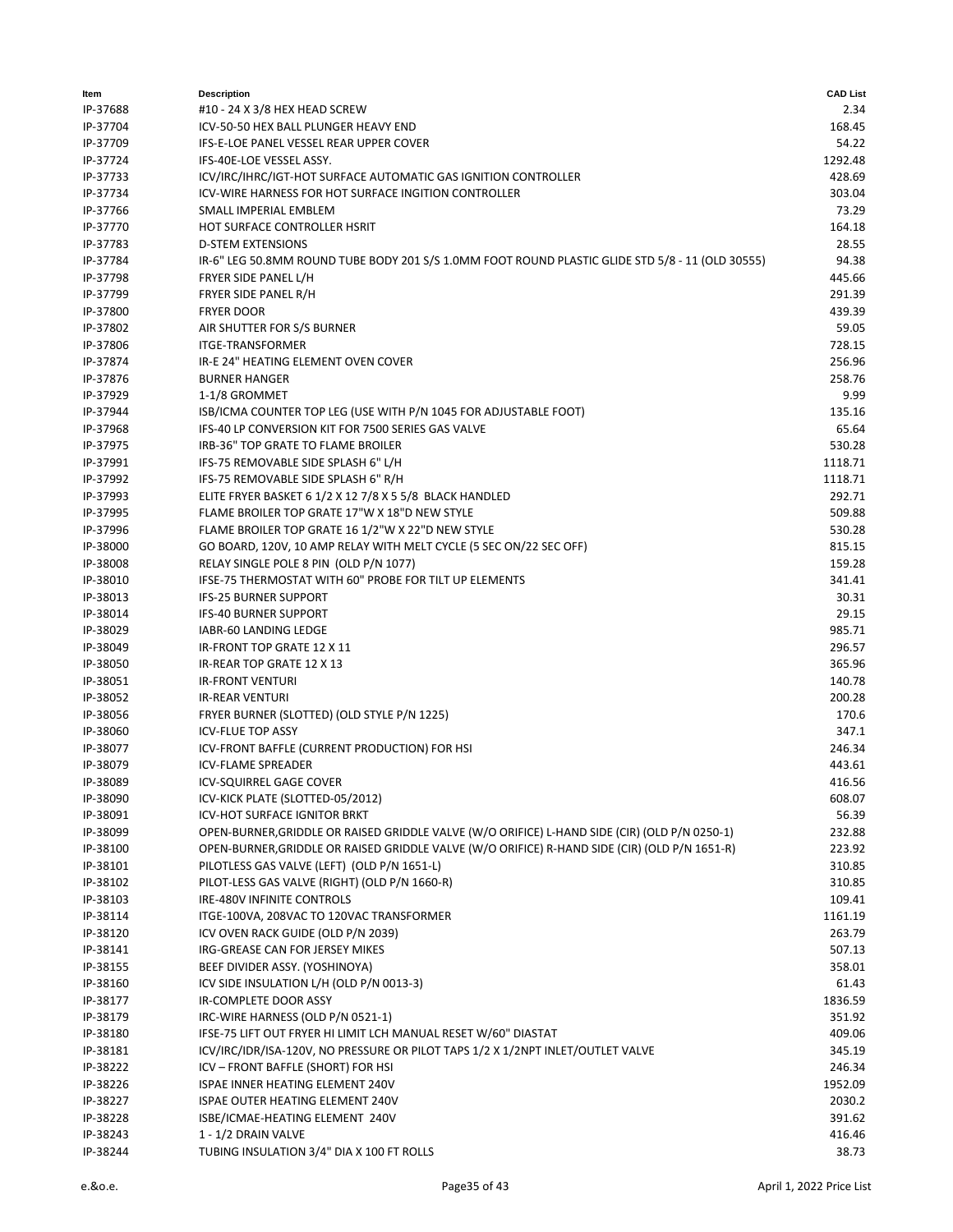| ltem     | <b>Description</b>                                                                               | <b>CAD List</b>  |
|----------|--------------------------------------------------------------------------------------------------|------------------|
| IP-37688 | #10 - 24 X 3/8 HEX HEAD SCREW                                                                    | 2.34             |
| IP-37704 | ICV-50-50 HEX BALL PLUNGER HEAVY END                                                             | 168.45           |
| IP-37709 | IFS-E-LOE PANEL VESSEL REAR UPPER COVER                                                          | 54.22            |
| IP-37724 | IFS-40E-LOE VESSEL ASSY.                                                                         | 1292.48          |
| IP-37733 | ICV/IRC/IHRC/IGT-HOT SURFACE AUTOMATIC GAS IGNITION CONTROLLER                                   | 428.69           |
| IP-37734 | ICV-WIRE HARNESS FOR HOT SURFACE INGITION CONTROLLER                                             | 303.04           |
| IP-37766 | SMALL IMPERIAL EMBLEM                                                                            | 73.29            |
| IP-37770 | HOT SURFACE CONTROLLER HSRIT                                                                     | 164.18           |
| IP-37783 | <b>D-STEM EXTENSIONS</b>                                                                         | 28.55            |
| IP-37784 | IR-6" LEG 50.8MM ROUND TUBE BODY 201 S/S 1.0MM FOOT ROUND PLASTIC GLIDE STD 5/8 - 11 (OLD 30555) | 94.38            |
| IP-37798 | FRYER SIDE PANEL L/H                                                                             | 445.66           |
| IP-37799 | FRYER SIDE PANEL R/H                                                                             | 291.39           |
| IP-37800 | <b>FRYER DOOR</b>                                                                                | 439.39           |
| IP-37802 | AIR SHUTTER FOR S/S BURNER                                                                       | 59.05            |
| IP-37806 | <b>ITGE-TRANSFORMER</b>                                                                          | 728.15           |
| IP-37874 | IR-E 24" HEATING ELEMENT OVEN COVER                                                              | 256.96           |
| IP-37876 | <b>BURNER HANGER</b>                                                                             | 258.76           |
| IP-37929 | 1-1/8 GROMMET                                                                                    | 9.99             |
| IP-37944 | ISB/ICMA COUNTER TOP LEG (USE WITH P/N 1045 FOR ADJUSTABLE FOOT)                                 | 135.16           |
| IP-37968 | IFS-40 LP CONVERSION KIT FOR 7500 SERIES GAS VALVE                                               | 65.64            |
| IP-37975 | IRB-36" TOP GRATE TO FLAME BROILER                                                               | 530.28           |
| IP-37991 | IFS-75 REMOVABLE SIDE SPLASH 6" L/H                                                              | 1118.71          |
| IP-37992 |                                                                                                  | 1118.71          |
|          | IFS-75 REMOVABLE SIDE SPLASH 6" R/H                                                              | 292.71           |
| IP-37993 | ELITE FRYER BASKET 6 1/2 X 12 7/8 X 5 5/8 BLACK HANDLED                                          |                  |
| IP-37995 | FLAME BROILER TOP GRATE 17"W X 18"D NEW STYLE                                                    | 509.88           |
| IP-37996 | FLAME BROILER TOP GRATE 16 1/2"W X 22"D NEW STYLE                                                | 530.28           |
| IP-38000 | GO BOARD, 120V, 10 AMP RELAY WITH MELT CYCLE (5 SEC ON/22 SEC OFF)                               | 815.15           |
| IP-38008 | RELAY SINGLE POLE 8 PIN (OLD P/N 1077)                                                           | 159.28           |
| IP-38010 | IFSE-75 THERMOSTAT WITH 60" PROBE FOR TILT UP ELEMENTS                                           | 341.41           |
| IP-38013 | <b>IFS-25 BURNER SUPPORT</b>                                                                     | 30.31            |
| IP-38014 | <b>IFS-40 BURNER SUPPORT</b>                                                                     | 29.15            |
| IP-38029 | IABR-60 LANDING LEDGE                                                                            | 985.71           |
| IP-38049 | IR-FRONT TOP GRATE 12 X 11                                                                       | 296.57           |
| IP-38050 | IR-REAR TOP GRATE 12 X 13                                                                        | 365.96           |
| IP-38051 | <b>IR-FRONT VENTURI</b>                                                                          | 140.78           |
| IP-38052 | <b>IR-REAR VENTURI</b>                                                                           | 200.28           |
| IP-38056 | FRYER BURNER (SLOTTED) (OLD STYLE P/N 1225)                                                      | 170.6            |
| IP-38060 | <b>ICV-FLUE TOP ASSY</b>                                                                         | 347.1            |
| IP-38077 | ICV-FRONT BAFFLE (CURRENT PRODUCTION) FOR HSI                                                    | 246.34           |
| IP-38079 | <b>ICV-FLAME SPREADER</b>                                                                        | 443.61           |
| IP-38089 | <b>ICV-SQUIRREL GAGE COVER</b>                                                                   | 416.56           |
| IP-38090 | ICV-KICK PLATE (SLOTTED-05/2012)                                                                 | 608.07           |
| IP-38091 | <b>ICV-HOT SURFACE IGNITOR BRKT</b>                                                              | 56.39            |
| IP-38099 | OPEN-BURNER, GRIDDLE OR RAISED GRIDDLE VALVE (W/O ORIFICE) L-HAND SIDE (CIR) (OLD P/N 0250-1)    | 232.88           |
| IP-38100 | OPEN-BURNER, GRIDDLE OR RAISED GRIDDLE VALVE (W/O ORIFICE) R-HAND SIDE (CIR) (OLD P/N 1651-R)    | 223.92           |
| IP-38101 | PILOTLESS GAS VALVE (LEFT) (OLD P/N 1651-L)                                                      | 310.85           |
| IP-38102 | PILOT-LESS GAS VALVE (RIGHT) (OLD P/N 1660-R)                                                    | 310.85           |
| IP-38103 | IRE-480V INFINITE CONTROLS                                                                       | 109.41           |
| IP-38114 | ITGE-100VA, 208VAC TO 120VAC TRANSFORMER                                                         | 1161.19          |
| IP-38120 | ICV OVEN RACK GUIDE (OLD P/N 2039)                                                               | 263.79           |
| IP-38141 | IRG-GREASE CAN FOR JERSEY MIKES                                                                  | 507.13           |
| IP-38155 | BEEF DIVIDER ASSY. (YOSHINOYA)                                                                   | 358.01           |
| IP-38160 | ICV SIDE INSULATION L/H (OLD P/N 0013-3)                                                         | 61.43            |
| IP-38177 | IR-COMPLETE DOOR ASSY                                                                            | 1836.59          |
| IP-38179 | IRC-WIRE HARNESS (OLD P/N 0521-1)                                                                | 351.92           |
| IP-38180 | IFSE-75 LIFT OUT FRYER HI LIMIT LCH MANUAL RESET W/60" DIASTAT                                   | 409.06           |
| IP-38181 | ICV/IRC/IDR/ISA-120V, NO PRESSURE OR PILOT TAPS 1/2 X 1/2NPT INLET/OUTLET VALVE                  | 345.19           |
| IP-38222 | ICV - FRONT BAFFLE (SHORT) FOR HSI                                                               | 246.34           |
| IP-38226 | ISPAE INNER HEATING ELEMENT 240V                                                                 | 1952.09          |
|          |                                                                                                  | 2030.2           |
| IP-38227 | ISPAE OUTER HEATING ELEMENT 240V                                                                 |                  |
| IP-38228 | ISBE/ICMAE-HEATING ELEMENT 240V                                                                  | 391.62<br>416.46 |
| IP-38243 | 1 - 1/2 DRAIN VALVE                                                                              |                  |
| IP-38244 | TUBING INSULATION 3/4" DIA X 100 FT ROLLS                                                        | 38.73            |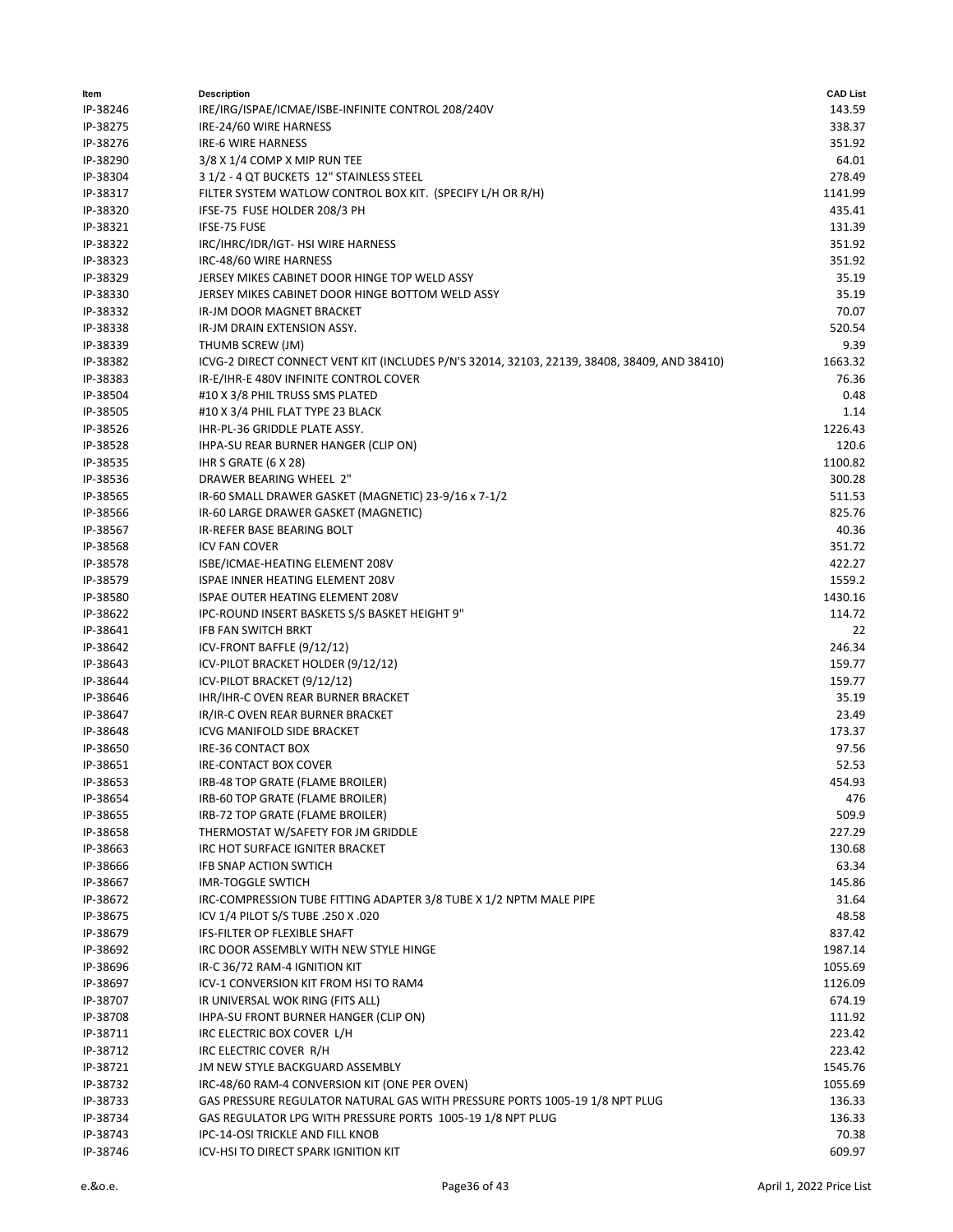| ltem     | <b>Description</b>                                                                           | <b>CAD List</b> |
|----------|----------------------------------------------------------------------------------------------|-----------------|
| IP-38246 | IRE/IRG/ISPAE/ICMAE/ISBE-INFINITE CONTROL 208/240V                                           | 143.59          |
| IP-38275 | IRE-24/60 WIRE HARNESS                                                                       | 338.37          |
| IP-38276 | <b>IRE-6 WIRE HARNESS</b>                                                                    | 351.92          |
| IP-38290 | 3/8 X 1/4 COMP X MIP RUN TEE                                                                 | 64.01           |
| IP-38304 | 3 1/2 - 4 QT BUCKETS 12" STAINLESS STEEL                                                     | 278.49          |
| IP-38317 | FILTER SYSTEM WATLOW CONTROL BOX KIT. (SPECIFY L/H OR R/H)                                   | 1141.99         |
| IP-38320 | IFSE-75 FUSE HOLDER 208/3 PH                                                                 | 435.41          |
|          |                                                                                              |                 |
| IP-38321 | IFSE-75 FUSE                                                                                 | 131.39          |
| IP-38322 | IRC/IHRC/IDR/IGT- HSI WIRE HARNESS                                                           | 351.92          |
| IP-38323 | IRC-48/60 WIRE HARNESS                                                                       | 351.92          |
| IP-38329 | JERSEY MIKES CABINET DOOR HINGE TOP WELD ASSY                                                | 35.19           |
| IP-38330 | JERSEY MIKES CABINET DOOR HINGE BOTTOM WELD ASSY                                             | 35.19           |
| IP-38332 | IR-JM DOOR MAGNET BRACKET                                                                    | 70.07           |
| IP-38338 | IR-JM DRAIN EXTENSION ASSY.                                                                  | 520.54          |
| IP-38339 | THUMB SCREW (JM)                                                                             | 9.39            |
| IP-38382 | ICVG-2 DIRECT CONNECT VENT KIT (INCLUDES P/N'S 32014, 32103, 22139, 38408, 38409, AND 38410) | 1663.32         |
| IP-38383 | IR-E/IHR-E 480V INFINITE CONTROL COVER                                                       | 76.36           |
| IP-38504 | #10 X 3/8 PHIL TRUSS SMS PLATED                                                              | 0.48            |
| IP-38505 | #10 X 3/4 PHIL FLAT TYPE 23 BLACK                                                            | 1.14            |
| IP-38526 | IHR-PL-36 GRIDDLE PLATE ASSY.                                                                | 1226.43         |
| IP-38528 | IHPA-SU REAR BURNER HANGER (CLIP ON)                                                         | 120.6           |
| IP-38535 | IHR S GRATE (6 X 28)                                                                         | 1100.82         |
|          |                                                                                              |                 |
| IP-38536 | DRAWER BEARING WHEEL 2"                                                                      | 300.28          |
| IP-38565 | IR-60 SMALL DRAWER GASKET (MAGNETIC) 23-9/16 x 7-1/2                                         | 511.53          |
| IP-38566 | IR-60 LARGE DRAWER GASKET (MAGNETIC)                                                         | 825.76          |
| IP-38567 | IR-REFER BASE BEARING BOLT                                                                   | 40.36           |
| IP-38568 | <b>ICV FAN COVER</b>                                                                         | 351.72          |
| IP-38578 | ISBE/ICMAE-HEATING ELEMENT 208V                                                              | 422.27          |
| IP-38579 | ISPAE INNER HEATING ELEMENT 208V                                                             | 1559.2          |
| IP-38580 | <b>ISPAE OUTER HEATING ELEMENT 208V</b>                                                      | 1430.16         |
| IP-38622 | IPC-ROUND INSERT BASKETS S/S BASKET HEIGHT 9"                                                | 114.72          |
| IP-38641 | IFB FAN SWITCH BRKT                                                                          | 22              |
| IP-38642 | ICV-FRONT BAFFLE (9/12/12)                                                                   | 246.34          |
| IP-38643 | ICV-PILOT BRACKET HOLDER (9/12/12)                                                           | 159.77          |
| IP-38644 | ICV-PILOT BRACKET (9/12/12)                                                                  | 159.77          |
| IP-38646 | IHR/IHR-C OVEN REAR BURNER BRACKET                                                           | 35.19           |
| IP-38647 | IR/IR-C OVEN REAR BURNER BRACKET                                                             | 23.49           |
| IP-38648 | ICVG MANIFOLD SIDE BRACKET                                                                   | 173.37          |
|          |                                                                                              |                 |
| IP-38650 | IRE-36 CONTACT BOX                                                                           | 97.56           |
| IP-38651 | IRE-CONTACT BOX COVER                                                                        | 52.53           |
| IP-38653 | IRB-48 TOP GRATE (FLAME BROILER)                                                             | 454.93          |
| IP-38654 | IRB-60 TOP GRATE (FLAME BROILER)                                                             | 476             |
| IP-38655 | IRB-72 TOP GRATE (FLAME BROILER)                                                             | 509.9           |
| IP-38658 | THERMOSTAT W/SAFETY FOR JM GRIDDLE                                                           | 227.29          |
| IP-38663 | IRC HOT SURFACE IGNITER BRACKET                                                              | 130.68          |
| IP-38666 | <b>IFB SNAP ACTION SWTICH</b>                                                                | 63.34           |
| IP-38667 | <b>IMR-TOGGLE SWTICH</b>                                                                     | 145.86          |
| IP-38672 | IRC-COMPRESSION TUBE FITTING ADAPTER 3/8 TUBE X 1/2 NPTM MALE PIPE                           | 31.64           |
| IP-38675 | ICV 1/4 PILOT S/S TUBE .250 X .020                                                           | 48.58           |
| IP-38679 | IFS-FILTER OP FLEXIBLE SHAFT                                                                 | 837.42          |
| IP-38692 | IRC DOOR ASSEMBLY WITH NEW STYLE HINGE                                                       | 1987.14         |
| IP-38696 | IR-C 36/72 RAM-4 IGNITION KIT                                                                | 1055.69         |
|          | ICV-1 CONVERSION KIT FROM HSI TO RAM4                                                        | 1126.09         |
| IP-38697 |                                                                                              |                 |
| IP-38707 | IR UNIVERSAL WOK RING (FITS ALL)                                                             | 674.19          |
| IP-38708 | IHPA-SU FRONT BURNER HANGER (CLIP ON)                                                        | 111.92          |
| IP-38711 | IRC ELECTRIC BOX COVER L/H                                                                   | 223.42          |
| IP-38712 | IRC ELECTRIC COVER R/H                                                                       | 223.42          |
| IP-38721 | JM NEW STYLE BACKGUARD ASSEMBLY                                                              | 1545.76         |
| IP-38732 | IRC-48/60 RAM-4 CONVERSION KIT (ONE PER OVEN)                                                | 1055.69         |
| IP-38733 | GAS PRESSURE REGULATOR NATURAL GAS WITH PRESSURE PORTS 1005-19 1/8 NPT PLUG                  | 136.33          |
| IP-38734 | GAS REGULATOR LPG WITH PRESSURE PORTS 1005-19 1/8 NPT PLUG                                   | 136.33          |
| IP-38743 | IPC-14-OSI TRICKLE AND FILL KNOB                                                             | 70.38           |
| IP-38746 | ICV-HSI TO DIRECT SPARK IGNITION KIT                                                         | 609.97          |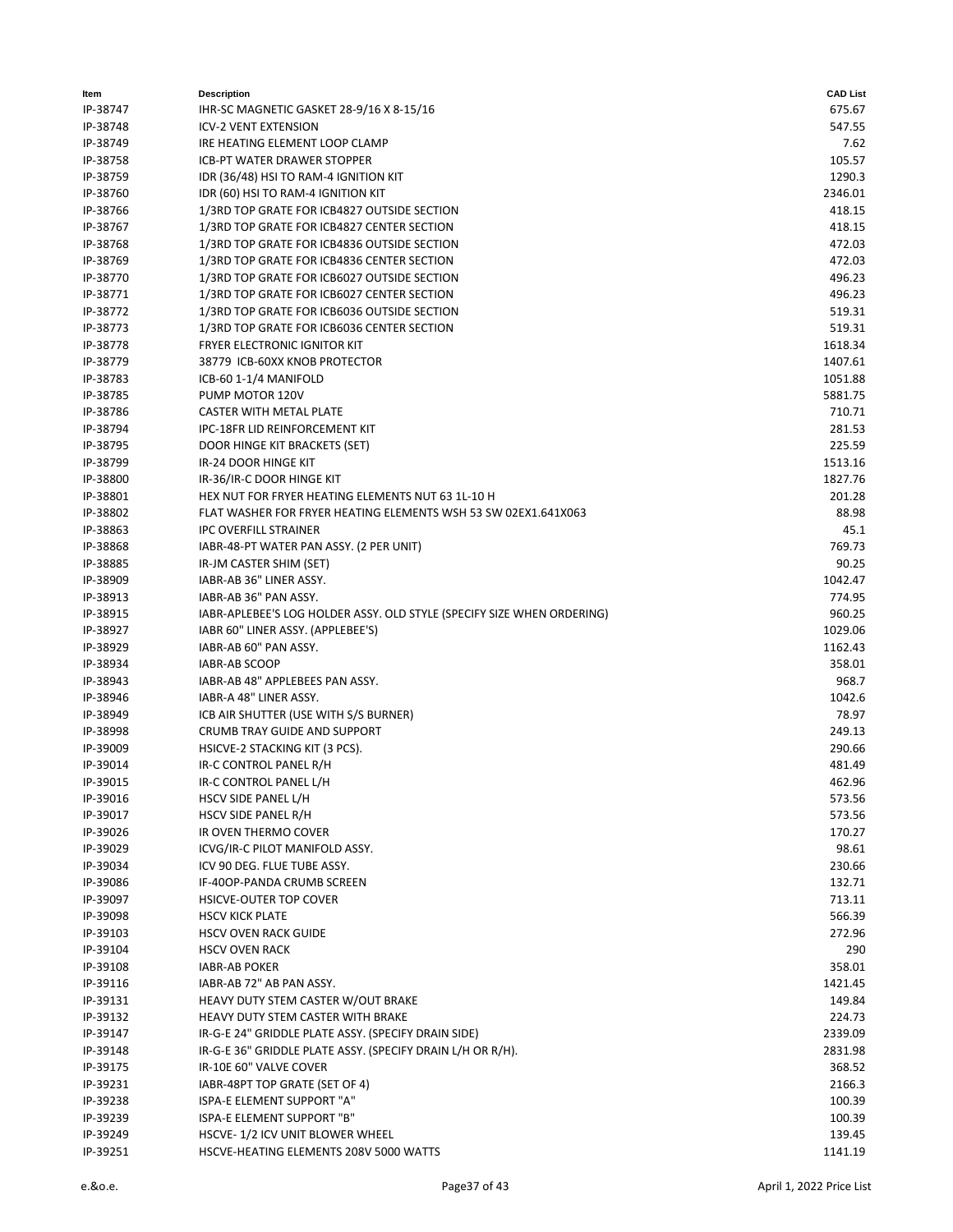| Item                 | <b>Description</b>                                                     | <b>CAD List</b> |
|----------------------|------------------------------------------------------------------------|-----------------|
| IP-38747             | IHR-SC MAGNETIC GASKET 28-9/16 X 8-15/16                               | 675.67          |
| IP-38748             | <b>ICV-2 VENT EXTENSION</b>                                            | 547.55          |
| IP-38749             | IRE HEATING ELEMENT LOOP CLAMP                                         | 7.62            |
| IP-38758             | ICB-PT WATER DRAWER STOPPER                                            | 105.57          |
| IP-38759             | IDR (36/48) HSI TO RAM-4 IGNITION KIT                                  | 1290.3          |
| IP-38760             | IDR (60) HSI TO RAM-4 IGNITION KIT                                     | 2346.01         |
| IP-38766             | 1/3RD TOP GRATE FOR ICB4827 OUTSIDE SECTION                            | 418.15          |
| IP-38767             | 1/3RD TOP GRATE FOR ICB4827 CENTER SECTION                             | 418.15          |
| IP-38768             | 1/3RD TOP GRATE FOR ICB4836 OUTSIDE SECTION                            | 472.03          |
| IP-38769             | 1/3RD TOP GRATE FOR ICB4836 CENTER SECTION                             | 472.03          |
|                      |                                                                        | 496.23          |
| IP-38770<br>IP-38771 | 1/3RD TOP GRATE FOR ICB6027 OUTSIDE SECTION                            |                 |
|                      | 1/3RD TOP GRATE FOR ICB6027 CENTER SECTION                             | 496.23          |
| IP-38772             | 1/3RD TOP GRATE FOR ICB6036 OUTSIDE SECTION                            | 519.31          |
| IP-38773             | 1/3RD TOP GRATE FOR ICB6036 CENTER SECTION                             | 519.31          |
| IP-38778             | <b>FRYER ELECTRONIC IGNITOR KIT</b>                                    | 1618.34         |
| IP-38779             | 38779 ICB-60XX KNOB PROTECTOR                                          | 1407.61         |
| IP-38783             | ICB-60 1-1/4 MANIFOLD                                                  | 1051.88         |
| IP-38785             | PUMP MOTOR 120V                                                        | 5881.75         |
| IP-38786             | <b>CASTER WITH METAL PLATE</b>                                         | 710.71          |
| IP-38794             | IPC-18FR LID REINFORCEMENT KIT                                         | 281.53          |
| IP-38795             | DOOR HINGE KIT BRACKETS (SET)                                          | 225.59          |
| IP-38799             | IR-24 DOOR HINGE KIT                                                   | 1513.16         |
| IP-38800             | IR-36/IR-C DOOR HINGE KIT                                              | 1827.76         |
| IP-38801             | HEX NUT FOR FRYER HEATING ELEMENTS NUT 63 1L-10 H                      | 201.28          |
| IP-38802             | FLAT WASHER FOR FRYER HEATING ELEMENTS WSH 53 SW 02EX1.641X063         | 88.98           |
| IP-38863             | <b>IPC OVERFILL STRAINER</b>                                           | 45.1            |
| IP-38868             | IABR-48-PT WATER PAN ASSY. (2 PER UNIT)                                | 769.73          |
| IP-38885             | IR-JM CASTER SHIM (SET)                                                | 90.25           |
| IP-38909             | IABR-AB 36" LINER ASSY.                                                | 1042.47         |
| IP-38913             | IABR-AB 36" PAN ASSY.                                                  | 774.95          |
| IP-38915             | IABR-APLEBEE'S LOG HOLDER ASSY. OLD STYLE (SPECIFY SIZE WHEN ORDERING) | 960.25          |
| IP-38927             | IABR 60" LINER ASSY. (APPLEBEE'S)                                      | 1029.06         |
|                      |                                                                        |                 |
| IP-38929             | IABR-AB 60" PAN ASSY.                                                  | 1162.43         |
| IP-38934             | <b>IABR-AB SCOOP</b>                                                   | 358.01          |
| IP-38943             | IABR-AB 48" APPLEBEES PAN ASSY.                                        | 968.7           |
| IP-38946             | IABR-A 48" LINER ASSY.                                                 | 1042.6          |
| IP-38949             | ICB AIR SHUTTER (USE WITH S/S BURNER)                                  | 78.97           |
| IP-38998             | CRUMB TRAY GUIDE AND SUPPORT                                           | 249.13          |
| IP-39009             | HSICVE-2 STACKING KIT (3 PCS).                                         | 290.66          |
| IP-39014             | IR-C CONTROL PANEL R/H                                                 | 481.49          |
| IP-39015             | IR-C CONTROL PANEL L/H                                                 | 462.96          |
| IP-39016             | HSCV SIDE PANEL L/H                                                    | 573.56          |
| IP-39017             | HSCV SIDE PANEL R/H                                                    | 573.56          |
| IP-39026             | IR OVEN THERMO COVER                                                   | 170.27          |
| IP-39029             | ICVG/IR-C PILOT MANIFOLD ASSY.                                         | 98.61           |
| IP-39034             | ICV 90 DEG. FLUE TUBE ASSY.                                            | 230.66          |
| IP-39086             | IF-40OP-PANDA CRUMB SCREEN                                             | 132.71          |
| IP-39097             | HSICVE-OUTER TOP COVER                                                 | 713.11          |
| IP-39098             | <b>HSCV KICK PLATE</b>                                                 | 566.39          |
| IP-39103             | <b>HSCV OVEN RACK GUIDE</b>                                            | 272.96          |
| IP-39104             | <b>HSCV OVEN RACK</b>                                                  | 290             |
| IP-39108             | <b>IABR-AB POKER</b>                                                   | 358.01          |
| IP-39116             | IABR-AB 72" AB PAN ASSY.                                               | 1421.45         |
| IP-39131             | HEAVY DUTY STEM CASTER W/OUT BRAKE                                     | 149.84          |
|                      |                                                                        |                 |
| IP-39132             | HEAVY DUTY STEM CASTER WITH BRAKE                                      | 224.73          |
| IP-39147             | IR-G-E 24" GRIDDLE PLATE ASSY. (SPECIFY DRAIN SIDE)                    | 2339.09         |
| IP-39148             | IR-G-E 36" GRIDDLE PLATE ASSY. (SPECIFY DRAIN L/H OR R/H).             | 2831.98         |
| IP-39175             | IR-10E 60" VALVE COVER                                                 | 368.52          |
| IP-39231             | IABR-48PT TOP GRATE (SET OF 4)                                         | 2166.3          |
| IP-39238             | ISPA-E ELEMENT SUPPORT "A"                                             | 100.39          |
| IP-39239             | ISPA-E ELEMENT SUPPORT "B"                                             | 100.39          |
| IP-39249             | HSCVE-1/2 ICV UNIT BLOWER WHEEL                                        | 139.45          |
| IP-39251             | HSCVE-HEATING ELEMENTS 208V 5000 WATTS                                 | 1141.19         |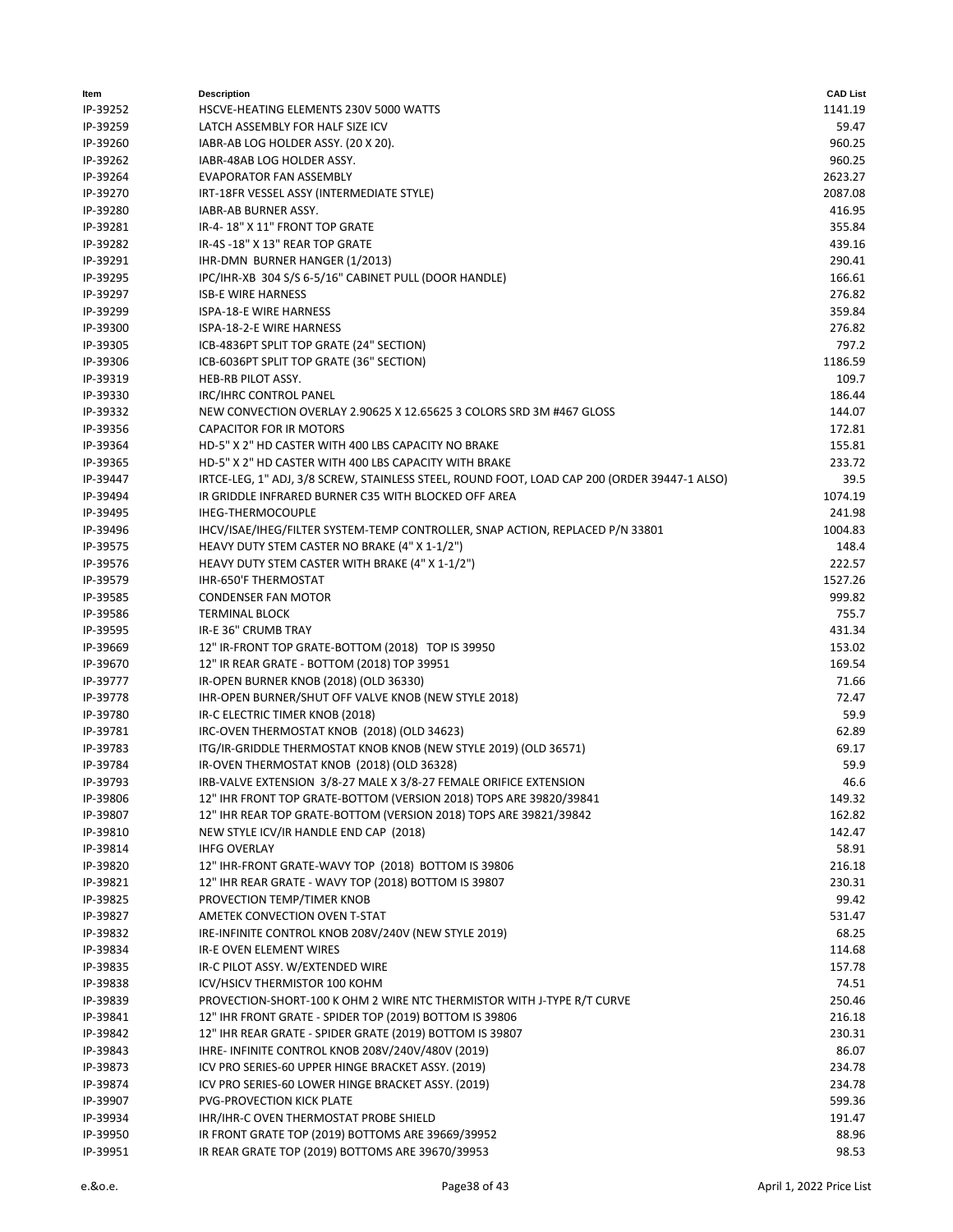| ltem     | <b>Description</b>                                                                           | <b>CAD List</b> |
|----------|----------------------------------------------------------------------------------------------|-----------------|
| IP-39252 | HSCVE-HEATING ELEMENTS 230V 5000 WATTS                                                       | 1141.19         |
| IP-39259 | LATCH ASSEMBLY FOR HALF SIZE ICV                                                             | 59.47           |
| IP-39260 | IABR-AB LOG HOLDER ASSY. (20 X 20).                                                          | 960.25          |
| IP-39262 | IABR-48AB LOG HOLDER ASSY.                                                                   | 960.25          |
| IP-39264 | <b>EVAPORATOR FAN ASSEMBLY</b>                                                               | 2623.27         |
| IP-39270 | IRT-18FR VESSEL ASSY (INTERMEDIATE STYLE)                                                    | 2087.08         |
| IP-39280 | IABR-AB BURNER ASSY.                                                                         | 416.95          |
| IP-39281 | IR-4-18" X 11" FRONT TOP GRATE                                                               | 355.84          |
| IP-39282 | IR-4S-18" X 13" REAR TOP GRATE                                                               | 439.16          |
| IP-39291 | IHR-DMN BURNER HANGER (1/2013)                                                               | 290.41          |
| IP-39295 | IPC/IHR-XB 304 S/S 6-5/16" CABINET PULL (DOOR HANDLE)                                        | 166.61          |
|          |                                                                                              |                 |
| IP-39297 | <b>ISB-E WIRE HARNESS</b>                                                                    | 276.82          |
| IP-39299 | <b>ISPA-18-E WIRE HARNESS</b>                                                                | 359.84          |
| IP-39300 | ISPA-18-2-E WIRE HARNESS                                                                     | 276.82          |
| IP-39305 | ICB-4836PT SPLIT TOP GRATE (24" SECTION)                                                     | 797.2           |
| IP-39306 | ICB-6036PT SPLIT TOP GRATE (36" SECTION)                                                     | 1186.59         |
| IP-39319 | <b>HEB-RB PILOT ASSY.</b>                                                                    | 109.7           |
| IP-39330 | IRC/IHRC CONTROL PANEL                                                                       | 186.44          |
| IP-39332 | NEW CONVECTION OVERLAY 2.90625 X 12.65625 3 COLORS SRD 3M #467 GLOSS                         | 144.07          |
| IP-39356 | <b>CAPACITOR FOR IR MOTORS</b>                                                               | 172.81          |
| IP-39364 | HD-5" X 2" HD CASTER WITH 400 LBS CAPACITY NO BRAKE                                          | 155.81          |
| IP-39365 | HD-5" X 2" HD CASTER WITH 400 LBS CAPACITY WITH BRAKE                                        | 233.72          |
| IP-39447 | IRTCE-LEG, 1" ADJ, 3/8 SCREW, STAINLESS STEEL, ROUND FOOT, LOAD CAP 200 (ORDER 39447-1 ALSO) | 39.5            |
| IP-39494 | IR GRIDDLE INFRARED BURNER C35 WITH BLOCKED OFF AREA                                         | 1074.19         |
| IP-39495 | <b>IHEG-THERMOCOUPLE</b>                                                                     | 241.98          |
| IP-39496 | IHCV/ISAE/IHEG/FILTER SYSTEM-TEMP CONTROLLER, SNAP ACTION, REPLACED P/N 33801                | 1004.83         |
| IP-39575 | HEAVY DUTY STEM CASTER NO BRAKE (4" X 1-1/2")                                                | 148.4           |
| IP-39576 | HEAVY DUTY STEM CASTER WITH BRAKE (4" X 1-1/2")                                              | 222.57          |
| IP-39579 | <b>IHR-650'F THERMOSTAT</b>                                                                  | 1527.26         |
| IP-39585 | <b>CONDENSER FAN MOTOR</b>                                                                   | 999.82          |
| IP-39586 | <b>TERMINAL BLOCK</b>                                                                        | 755.7           |
| IP-39595 | IR-E 36" CRUMB TRAY                                                                          | 431.34          |
|          |                                                                                              |                 |
| IP-39669 | 12" IR-FRONT TOP GRATE-BOTTOM (2018) TOP IS 39950                                            | 153.02          |
| IP-39670 | 12" IR REAR GRATE - BOTTOM (2018) TOP 39951                                                  | 169.54          |
| IP-39777 | IR-OPEN BURNER KNOB (2018) (OLD 36330)                                                       | 71.66           |
| IP-39778 | IHR-OPEN BURNER/SHUT OFF VALVE KNOB (NEW STYLE 2018)                                         | 72.47           |
| IP-39780 | IR-C ELECTRIC TIMER KNOB (2018)                                                              | 59.9            |
| IP-39781 | IRC-OVEN THERMOSTAT KNOB (2018) (OLD 34623)                                                  | 62.89           |
| IP-39783 | ITG/IR-GRIDDLE THERMOSTAT KNOB KNOB (NEW STYLE 2019) (OLD 36571)                             | 69.17           |
| IP-39784 | IR-OVEN THERMOSTAT KNOB (2018) (OLD 36328)                                                   | 59.9            |
| IP-39793 | IRB-VALVE EXTENSION 3/8-27 MALE X 3/8-27 FEMALE ORIFICE EXTENSION                            | 46.6            |
| IP-39806 | 12" IHR FRONT TOP GRATE-BOTTOM (VERSION 2018) TOPS ARE 39820/39841                           | 149.32          |
| IP-39807 | 12" IHR REAR TOP GRATE-BOTTOM (VERSION 2018) TOPS ARE 39821/39842                            | 162.82          |
| IP-39810 | NEW STYLE ICV/IR HANDLE END CAP (2018)                                                       | 142.47          |
| IP-39814 | <b>IHFG OVERLAY</b>                                                                          | 58.91           |
| IP-39820 | 12" IHR-FRONT GRATE-WAVY TOP (2018) BOTTOM IS 39806                                          | 216.18          |
| IP-39821 | 12" IHR REAR GRATE - WAVY TOP (2018) BOTTOM IS 39807                                         | 230.31          |
| IP-39825 | PROVECTION TEMP/TIMER KNOB                                                                   | 99.42           |
| IP-39827 | AMETEK CONVECTION OVEN T-STAT                                                                | 531.47          |
| IP-39832 | IRE-INFINITE CONTROL KNOB 208V/240V (NEW STYLE 2019)                                         | 68.25           |
| IP-39834 | IR-E OVEN ELEMENT WIRES                                                                      | 114.68          |
| IP-39835 | IR-C PILOT ASSY. W/EXTENDED WIRE                                                             | 157.78          |
| IP-39838 | ICV/HSICV THERMISTOR 100 KOHM                                                                | 74.51           |
| IP-39839 | PROVECTION-SHORT-100 K OHM 2 WIRE NTC THERMISTOR WITH J-TYPE R/T CURVE                       | 250.46          |
|          |                                                                                              |                 |
| IP-39841 | 12" IHR FRONT GRATE - SPIDER TOP (2019) BOTTOM IS 39806                                      | 216.18          |
| IP-39842 | 12" IHR REAR GRATE - SPIDER GRATE (2019) BOTTOM IS 39807                                     | 230.31          |
| IP-39843 | IHRE- INFINITE CONTROL KNOB 208V/240V/480V (2019)                                            | 86.07           |
| IP-39873 | ICV PRO SERIES-60 UPPER HINGE BRACKET ASSY. (2019)                                           | 234.78          |
| IP-39874 | ICV PRO SERIES-60 LOWER HINGE BRACKET ASSY. (2019)                                           | 234.78          |
| IP-39907 | <b>PVG-PROVECTION KICK PLATE</b>                                                             | 599.36          |
| IP-39934 | IHR/IHR-C OVEN THERMOSTAT PROBE SHIELD                                                       | 191.47          |
| IP-39950 | IR FRONT GRATE TOP (2019) BOTTOMS ARE 39669/39952                                            | 88.96           |
| IP-39951 | IR REAR GRATE TOP (2019) BOTTOMS ARE 39670/39953                                             | 98.53           |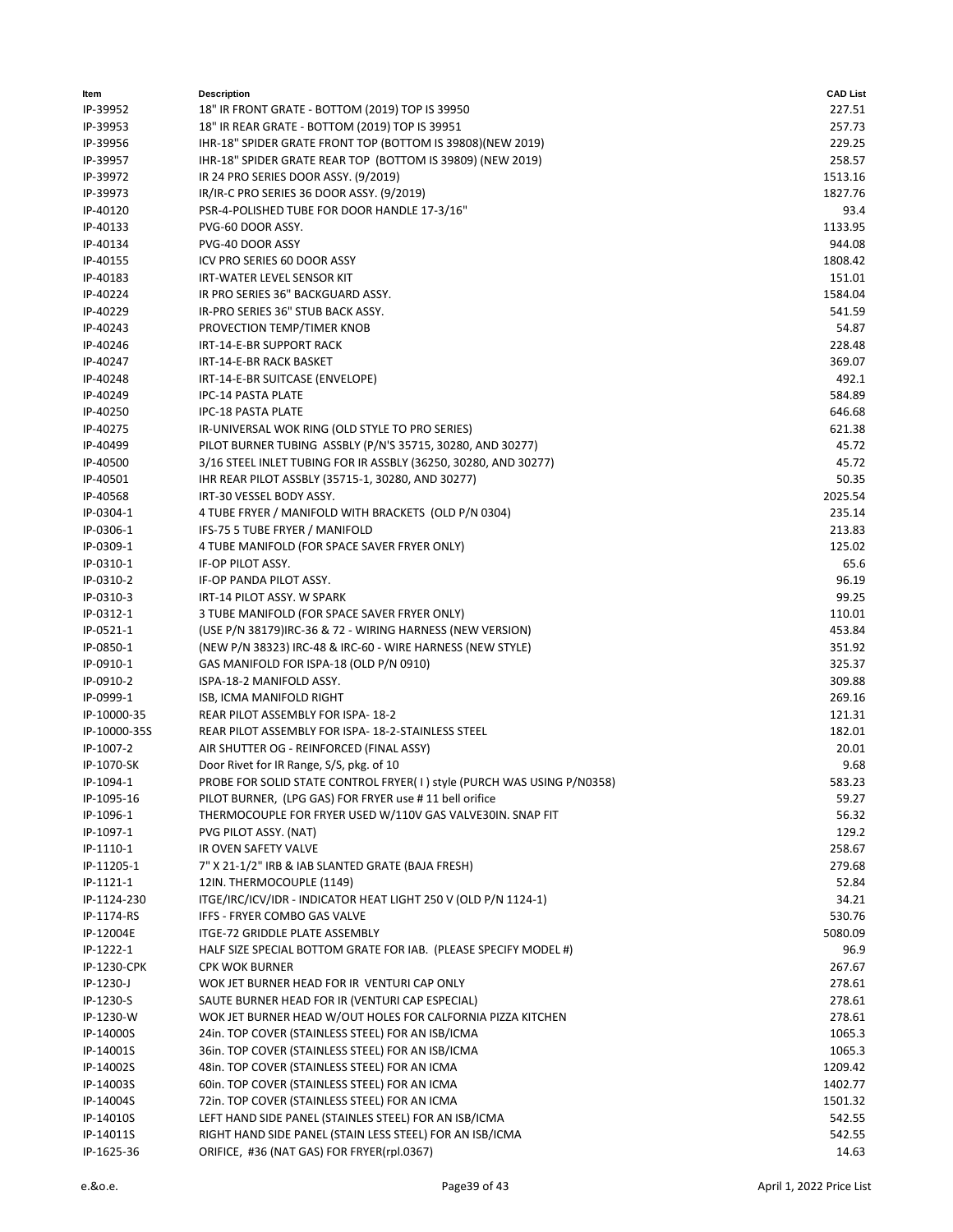| Item                   | <b>Description</b>                                                         | <b>CAD List</b> |
|------------------------|----------------------------------------------------------------------------|-----------------|
| IP-39952               | 18" IR FRONT GRATE - BOTTOM (2019) TOP IS 39950                            | 227.51          |
| IP-39953               | 18" IR REAR GRATE - BOTTOM (2019) TOP IS 39951                             | 257.73          |
| IP-39956               | IHR-18" SPIDER GRATE FRONT TOP (BOTTOM IS 39808)(NEW 2019)                 | 229.25          |
| IP-39957               | IHR-18" SPIDER GRATE REAR TOP (BOTTOM IS 39809) (NEW 2019)                 | 258.57          |
| IP-39972               | IR 24 PRO SERIES DOOR ASSY. (9/2019)                                       | 1513.16         |
| IP-39973               | IR/IR-C PRO SERIES 36 DOOR ASSY. (9/2019)                                  | 1827.76         |
| IP-40120               | PSR-4-POLISHED TUBE FOR DOOR HANDLE 17-3/16"                               | 93.4            |
| IP-40133               | PVG-60 DOOR ASSY.                                                          | 1133.95         |
| IP-40134               | PVG-40 DOOR ASSY                                                           | 944.08          |
| IP-40155               | ICV PRO SERIES 60 DOOR ASSY                                                | 1808.42         |
| IP-40183               | IRT-WATER LEVEL SENSOR KIT                                                 | 151.01          |
| IP-40224               | IR PRO SERIES 36" BACKGUARD ASSY.                                          | 1584.04         |
| IP-40229               | IR-PRO SERIES 36" STUB BACK ASSY.                                          | 541.59          |
| IP-40243               | PROVECTION TEMP/TIMER KNOB                                                 | 54.87           |
| IP-40246               | IRT-14-E-BR SUPPORT RACK                                                   | 228.48          |
| IP-40247               | IRT-14-E-BR RACK BASKET                                                    | 369.07          |
| IP-40248               | IRT-14-E-BR SUITCASE (ENVELOPE)                                            | 492.1           |
| IP-40249               | <b>IPC-14 PASTA PLATE</b>                                                  | 584.89          |
| IP-40250               | <b>IPC-18 PASTA PLATE</b>                                                  | 646.68          |
| IP-40275               | IR-UNIVERSAL WOK RING (OLD STYLE TO PRO SERIES)                            | 621.38          |
| IP-40499               | PILOT BURNER TUBING ASSBLY (P/N'S 35715, 30280, AND 30277)                 | 45.72           |
| IP-40500               | 3/16 STEEL INLET TUBING FOR IR ASSBLY (36250, 30280, AND 30277)            | 45.72           |
| IP-40501               | IHR REAR PILOT ASSBLY (35715-1, 30280, AND 30277)                          | 50.35           |
| IP-40568               | IRT-30 VESSEL BODY ASSY.                                                   | 2025.54         |
| IP-0304-1              | 4 TUBE FRYER / MANIFOLD WITH BRACKETS (OLD P/N 0304)                       | 235.14          |
| IP-0306-1              | IFS-75 5 TUBE FRYER / MANIFOLD                                             | 213.83          |
| IP-0309-1              | 4 TUBE MANIFOLD (FOR SPACE SAVER FRYER ONLY)                               | 125.02          |
| IP-0310-1              | IF-OP PILOT ASSY.                                                          | 65.6            |
| IP-0310-2              | IF-OP PANDA PILOT ASSY.                                                    | 96.19           |
| IP-0310-3<br>IP-0312-1 | IRT-14 PILOT ASSY. W SPARK<br>3 TUBE MANIFOLD (FOR SPACE SAVER FRYER ONLY) | 99.25<br>110.01 |
| IP-0521-1              | (USE P/N 38179)IRC-36 & 72 - WIRING HARNESS (NEW VERSION)                  | 453.84          |
| IP-0850-1              | (NEW P/N 38323) IRC-48 & IRC-60 - WIRE HARNESS (NEW STYLE)                 | 351.92          |
| IP-0910-1              | GAS MANIFOLD FOR ISPA-18 (OLD P/N 0910)                                    | 325.37          |
| IP-0910-2              | ISPA-18-2 MANIFOLD ASSY.                                                   | 309.88          |
| IP-0999-1              | ISB, ICMA MANIFOLD RIGHT                                                   | 269.16          |
| IP-10000-35            | REAR PILOT ASSEMBLY FOR ISPA-18-2                                          | 121.31          |
| IP-10000-35S           | REAR PILOT ASSEMBLY FOR ISPA- 18-2-STAINLESS STEEL                         | 182.01          |
| IP-1007-2              | AIR SHUTTER OG - REINFORCED (FINAL ASSY)                                   | 20.01           |
| IP-1070-SK             | Door Rivet for IR Range, S/S, pkg. of 10                                   | 9.68            |
| IP-1094-1              | PROBE FOR SOLID STATE CONTROL FRYER( I ) style (PURCH WAS USING P/N0358)   | 583.23          |
| IP-1095-16             | PILOT BURNER, (LPG GAS) FOR FRYER use #11 bell orifice                     | 59.27           |
| IP-1096-1              | THERMOCOUPLE FOR FRYER USED W/110V GAS VALVE30IN. SNAP FIT                 | 56.32           |
| IP-1097-1              | PVG PILOT ASSY. (NAT)                                                      | 129.2           |
| IP-1110-1              | IR OVEN SAFETY VALVE                                                       | 258.67          |
| IP-11205-1             | 7" X 21-1/2" IRB & IAB SLANTED GRATE (BAJA FRESH)                          | 279.68          |
| IP-1121-1              | 12IN. THERMOCOUPLE (1149)                                                  | 52.84           |
| IP-1124-230            | ITGE/IRC/ICV/IDR - INDICATOR HEAT LIGHT 250 V (OLD P/N 1124-1)             | 34.21           |
| IP-1174-RS             | IFFS - FRYER COMBO GAS VALVE                                               | 530.76          |
| IP-12004E              | ITGE-72 GRIDDLE PLATE ASSEMBLY                                             | 5080.09         |
| IP-1222-1              | HALF SIZE SPECIAL BOTTOM GRATE FOR IAB. (PLEASE SPECIFY MODEL #)           | 96.9            |
| IP-1230-CPK            | <b>CPK WOK BURNER</b>                                                      | 267.67          |
| $IP-1230-J$            | WOK JET BURNER HEAD FOR IR VENTURI CAP ONLY                                | 278.61          |
| IP-1230-S              | SAUTE BURNER HEAD FOR IR (VENTURI CAP ESPECIAL)                            | 278.61          |
| IP-1230-W              | WOK JET BURNER HEAD W/OUT HOLES FOR CALFORNIA PIZZA KITCHEN                | 278.61          |
| IP-14000S              | 24in. TOP COVER (STAINLESS STEEL) FOR AN ISB/ICMA                          | 1065.3          |
| IP-14001S              | 36in. TOP COVER (STAINLESS STEEL) FOR AN ISB/ICMA                          | 1065.3          |
| IP-14002S              | 48in. TOP COVER (STAINLESS STEEL) FOR AN ICMA                              | 1209.42         |
| IP-14003S              | 60in. TOP COVER (STAINLESS STEEL) FOR AN ICMA                              | 1402.77         |
| IP-14004S              | 72in. TOP COVER (STAINLESS STEEL) FOR AN ICMA                              | 1501.32         |
| IP-14010S              | LEFT HAND SIDE PANEL (STAINLES STEEL) FOR AN ISB/ICMA                      | 542.55          |
| IP-14011S              | RIGHT HAND SIDE PANEL (STAIN LESS STEEL) FOR AN ISB/ICMA                   | 542.55          |
| IP-1625-36             | ORIFICE, #36 (NAT GAS) FOR FRYER(rpl.0367)                                 | 14.63           |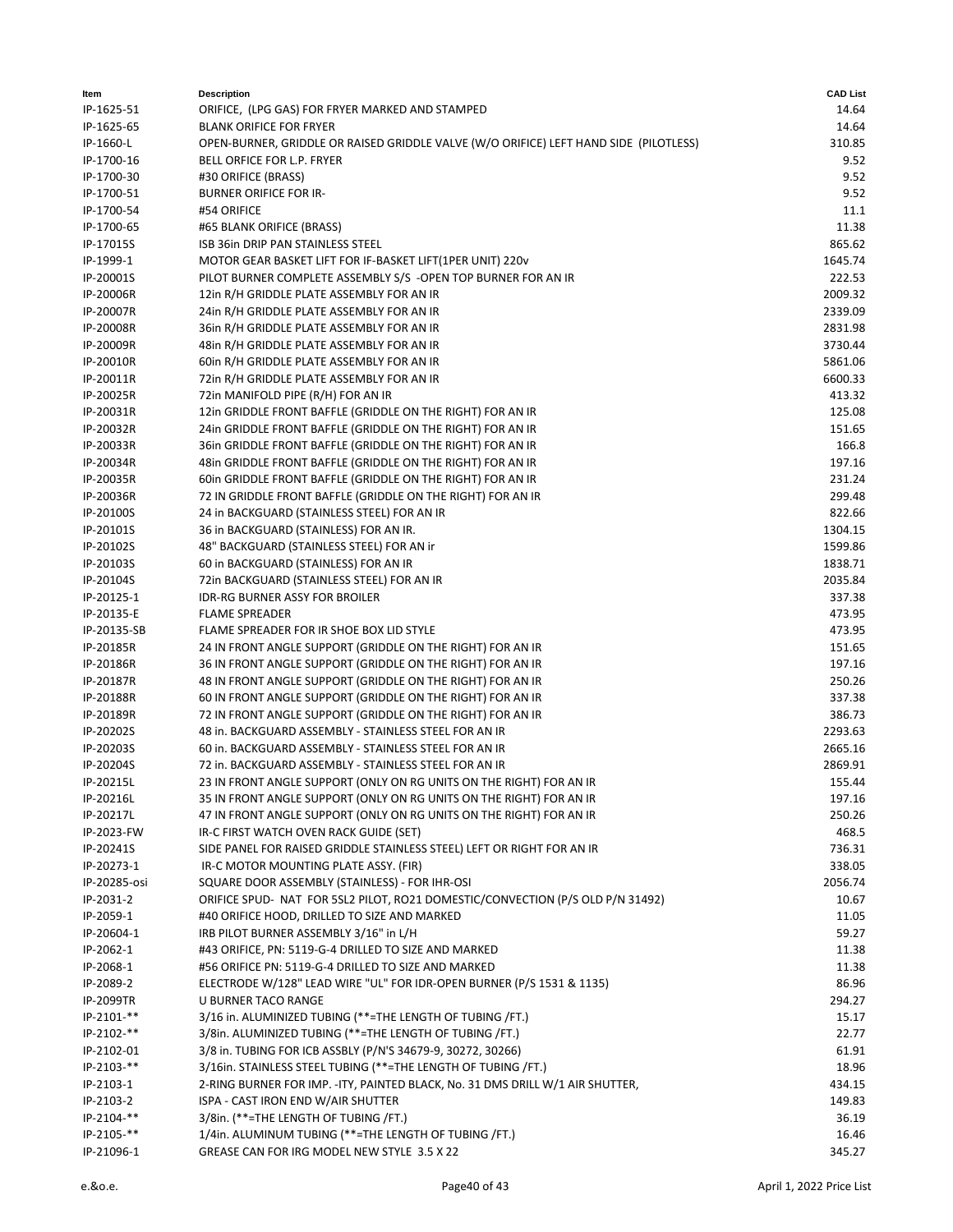| ltem          | <b>Description</b>                                                                    | <b>CAD List</b> |
|---------------|---------------------------------------------------------------------------------------|-----------------|
| IP-1625-51    | ORIFICE, (LPG GAS) FOR FRYER MARKED AND STAMPED                                       | 14.64           |
| IP-1625-65    | <b>BLANK ORIFICE FOR FRYER</b>                                                        | 14.64           |
| IP-1660-L     | OPEN-BURNER, GRIDDLE OR RAISED GRIDDLE VALVE (W/O ORIFICE) LEFT HAND SIDE (PILOTLESS) | 310.85          |
| IP-1700-16    | BELL ORFICE FOR L.P. FRYER                                                            | 9.52            |
| IP-1700-30    | #30 ORIFICE (BRASS)                                                                   | 9.52            |
| IP-1700-51    | <b>BURNER ORIFICE FOR IR-</b>                                                         | 9.52            |
| IP-1700-54    | #54 ORIFICE                                                                           | 11.1            |
| IP-1700-65    | #65 BLANK ORIFICE (BRASS)                                                             | 11.38           |
| IP-17015S     | ISB 36in DRIP PAN STAINLESS STEEL                                                     | 865.62          |
| IP-1999-1     | MOTOR GEAR BASKET LIFT FOR IF-BASKET LIFT(1PER UNIT) 220v                             | 1645.74         |
| IP-20001S     | PILOT BURNER COMPLETE ASSEMBLY S/S -OPEN TOP BURNER FOR AN IR                         | 222.53          |
| IP-20006R     | 12in R/H GRIDDLE PLATE ASSEMBLY FOR AN IR                                             | 2009.32         |
| IP-20007R     | 24in R/H GRIDDLE PLATE ASSEMBLY FOR AN IR                                             | 2339.09         |
| IP-20008R     | 36in R/H GRIDDLE PLATE ASSEMBLY FOR AN IR                                             | 2831.98         |
| IP-20009R     | 48in R/H GRIDDLE PLATE ASSEMBLY FOR AN IR                                             | 3730.44         |
| IP-20010R     | 60in R/H GRIDDLE PLATE ASSEMBLY FOR AN IR                                             | 5861.06         |
| IP-20011R     | 72in R/H GRIDDLE PLATE ASSEMBLY FOR AN IR                                             | 6600.33         |
| IP-20025R     | 72in MANIFOLD PIPE (R/H) FOR AN IR                                                    | 413.32          |
| IP-20031R     | 12in GRIDDLE FRONT BAFFLE (GRIDDLE ON THE RIGHT) FOR AN IR                            | 125.08          |
| IP-20032R     | 24in GRIDDLE FRONT BAFFLE (GRIDDLE ON THE RIGHT) FOR AN IR                            | 151.65          |
| IP-20033R     | 36in GRIDDLE FRONT BAFFLE (GRIDDLE ON THE RIGHT) FOR AN IR                            | 166.8           |
| IP-20034R     | 48in GRIDDLE FRONT BAFFLE (GRIDDLE ON THE RIGHT) FOR AN IR                            | 197.16          |
| IP-20035R     | 60in GRIDDLE FRONT BAFFLE (GRIDDLE ON THE RIGHT) FOR AN IR                            | 231.24          |
| IP-20036R     | 72 IN GRIDDLE FRONT BAFFLE (GRIDDLE ON THE RIGHT) FOR AN IR                           | 299.48          |
| IP-20100S     | 24 in BACKGUARD (STAINLESS STEEL) FOR AN IR                                           | 822.66          |
| IP-20101S     | 36 in BACKGUARD (STAINLESS) FOR AN IR.                                                | 1304.15         |
| IP-20102S     | 48" BACKGUARD (STAINLESS STEEL) FOR AN ir                                             | 1599.86         |
| IP-20103S     | 60 in BACKGUARD (STAINLESS) FOR AN IR                                                 | 1838.71         |
| IP-20104S     | 72in BACKGUARD (STAINLESS STEEL) FOR AN IR                                            | 2035.84         |
| IP-20125-1    | IDR-RG BURNER ASSY FOR BROILER                                                        | 337.38          |
| IP-20135-E    | <b>FLAME SPREADER</b>                                                                 | 473.95          |
| IP-20135-SB   | FLAME SPREADER FOR IR SHOE BOX LID STYLE                                              | 473.95          |
| IP-20185R     | 24 IN FRONT ANGLE SUPPORT (GRIDDLE ON THE RIGHT) FOR AN IR                            | 151.65          |
| IP-20186R     | 36 IN FRONT ANGLE SUPPORT (GRIDDLE ON THE RIGHT) FOR AN IR                            | 197.16          |
| IP-20187R     | 48 IN FRONT ANGLE SUPPORT (GRIDDLE ON THE RIGHT) FOR AN IR                            | 250.26          |
| IP-20188R     | 60 IN FRONT ANGLE SUPPORT (GRIDDLE ON THE RIGHT) FOR AN IR                            | 337.38          |
| IP-20189R     | 72 IN FRONT ANGLE SUPPORT (GRIDDLE ON THE RIGHT) FOR AN IR                            | 386.73          |
| IP-20202S     | 48 in. BACKGUARD ASSEMBLY - STAINLESS STEEL FOR AN IR                                 | 2293.63         |
| IP-20203S     | 60 in. BACKGUARD ASSEMBLY - STAINLESS STEEL FOR AN IR                                 | 2665.16         |
| IP-20204S     | 72 in. BACKGUARD ASSEMBLY - STAINLESS STEEL FOR AN IR                                 | 2869.91         |
| IP-20215L     | 23 IN FRONT ANGLE SUPPORT (ONLY ON RG UNITS ON THE RIGHT) FOR AN IR                   | 155.44          |
| IP-20216L     | 35 IN FRONT ANGLE SUPPORT (ONLY ON RG UNITS ON THE RIGHT) FOR AN IR                   | 197.16          |
| IP-20217L     | 47 IN FRONT ANGLE SUPPORT (ONLY ON RG UNITS ON THE RIGHT) FOR AN IR                   | 250.26          |
| IP-2023-FW    | IR-C FIRST WATCH OVEN RACK GUIDE (SET)                                                | 468.5           |
| IP-20241S     | SIDE PANEL FOR RAISED GRIDDLE STAINLESS STEEL) LEFT OR RIGHT FOR AN IR                | 736.31          |
| IP-20273-1    | IR-C MOTOR MOUNTING PLATE ASSY. (FIR)                                                 | 338.05          |
| IP-20285-osi  | SQUARE DOOR ASSEMBLY (STAINLESS) - FOR IHR-OSI                                        | 2056.74         |
| IP-2031-2     | ORIFICE SPUD- NAT FOR 5SL2 PILOT, RO21 DOMESTIC/CONVECTION (P/S OLD P/N 31492)        | 10.67           |
| IP-2059-1     | #40 ORIFICE HOOD, DRILLED TO SIZE AND MARKED                                          | 11.05           |
| IP-20604-1    | IRB PILOT BURNER ASSEMBLY 3/16" in L/H                                                | 59.27           |
| IP-2062-1     | #43 ORIFICE, PN: 5119-G-4 DRILLED TO SIZE AND MARKED                                  | 11.38           |
| IP-2068-1     | #56 ORIFICE PN: 5119-G-4 DRILLED TO SIZE AND MARKED                                   | 11.38           |
| IP-2089-2     | ELECTRODE W/128" LEAD WIRE "UL" FOR IDR-OPEN BURNER (P/S 1531 & 1135)                 | 86.96           |
| IP-2099TR     | <b>U BURNER TACO RANGE</b>                                                            | 294.27          |
| IP-2101-**    | 3/16 in. ALUMINIZED TUBING (**=THE LENGTH OF TUBING /FT.)                             | 15.17           |
| IP-2102-**    | 3/8in. ALUMINIZED TUBING (**=THE LENGTH OF TUBING /FT.)                               | 22.77           |
| IP-2102-01    | 3/8 in. TUBING FOR ICB ASSBLY (P/N'S 34679-9, 30272, 30266)                           | 61.91           |
| $IP-2103-**$  | 3/16in. STAINLESS STEEL TUBING (**=THE LENGTH OF TUBING /FT.)                         | 18.96           |
| IP-2103-1     | 2-RING BURNER FOR IMP. - ITY, PAINTED BLACK, No. 31 DMS DRILL W/1 AIR SHUTTER,        | 434.15          |
| IP-2103-2     | ISPA - CAST IRON END W/AIR SHUTTER                                                    | 149.83          |
| IP-2104-**    | 3/8in. (**=THE LENGTH OF TUBING /FT.)                                                 | 36.19           |
| $IP-2105-***$ | 1/4in. ALUMINUM TUBING (**=THE LENGTH OF TUBING /FT.)                                 | 16.46           |
| IP-21096-1    | GREASE CAN FOR IRG MODEL NEW STYLE 3.5 X 22                                           | 345.27          |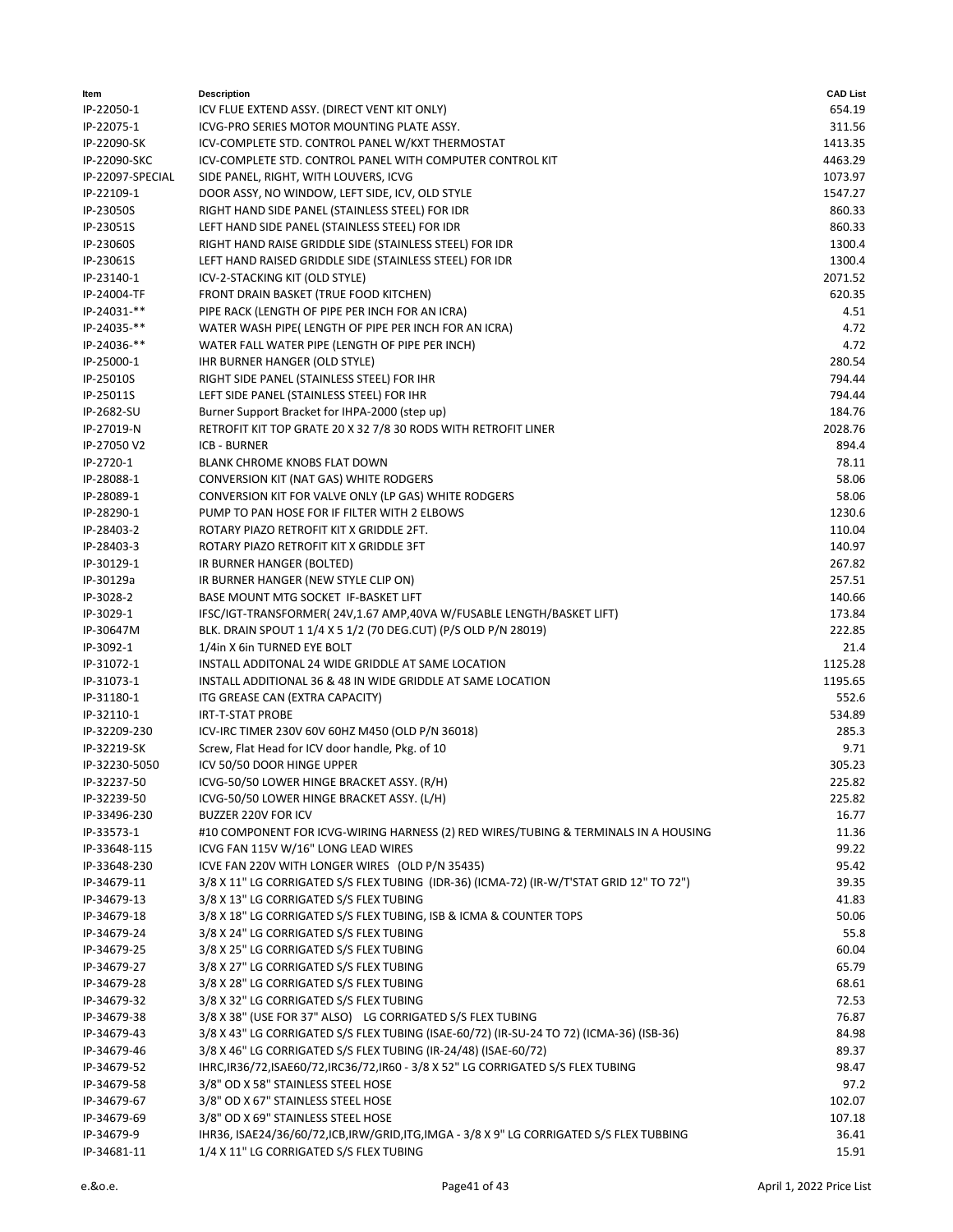| ltem             | <b>Description</b>                                                                       | <b>CAD List</b> |
|------------------|------------------------------------------------------------------------------------------|-----------------|
| IP-22050-1       | ICV FLUE EXTEND ASSY. (DIRECT VENT KIT ONLY)                                             | 654.19          |
| IP-22075-1       | ICVG-PRO SERIES MOTOR MOUNTING PLATE ASSY.                                               | 311.56          |
| IP-22090-SK      | ICV-COMPLETE STD. CONTROL PANEL W/KXT THERMOSTAT                                         | 1413.35         |
| IP-22090-SKC     | ICV-COMPLETE STD. CONTROL PANEL WITH COMPUTER CONTROL KIT                                | 4463.29         |
| IP-22097-SPECIAL | SIDE PANEL, RIGHT, WITH LOUVERS, ICVG                                                    | 1073.97         |
| IP-22109-1       | DOOR ASSY, NO WINDOW, LEFT SIDE, ICV, OLD STYLE                                          | 1547.27         |
| IP-23050S        | RIGHT HAND SIDE PANEL (STAINLESS STEEL) FOR IDR                                          | 860.33          |
| IP-23051S        | LEFT HAND SIDE PANEL (STAINLESS STEEL) FOR IDR                                           | 860.33          |
| IP-23060S        | RIGHT HAND RAISE GRIDDLE SIDE (STAINLESS STEEL) FOR IDR                                  | 1300.4          |
| IP-23061S        | LEFT HAND RAISED GRIDDLE SIDE (STAINLESS STEEL) FOR IDR                                  | 1300.4          |
| IP-23140-1       | ICV-2-STACKING KIT (OLD STYLE)                                                           | 2071.52         |
| IP-24004-TF      | FRONT DRAIN BASKET (TRUE FOOD KITCHEN)                                                   | 620.35          |
| $IP-24031-***$   | PIPE RACK (LENGTH OF PIPE PER INCH FOR AN ICRA)                                          | 4.51            |
| $IP-24035-***$   | WATER WASH PIPE(LENGTH OF PIPE PER INCH FOR AN ICRA)                                     | 4.72            |
| IP-24036-**      | WATER FALL WATER PIPE (LENGTH OF PIPE PER INCH)                                          | 4.72            |
| IP-25000-1       | <b>IHR BURNER HANGER (OLD STYLE)</b>                                                     | 280.54          |
| IP-25010S        | RIGHT SIDE PANEL (STAINLESS STEEL) FOR IHR                                               | 794.44          |
| IP-25011S        | LEFT SIDE PANEL (STAINLESS STEEL) FOR IHR                                                | 794.44          |
| IP-2682-SU       | Burner Support Bracket for IHPA-2000 (step up)                                           | 184.76          |
| IP-27019-N       | RETROFIT KIT TOP GRATE 20 X 32 7/8 30 RODS WITH RETROFIT LINER                           | 2028.76         |
| IP-27050 V2      | <b>ICB - BURNER</b>                                                                      | 894.4           |
| IP-2720-1        | <b>BLANK CHROME KNOBS FLAT DOWN</b>                                                      | 78.11           |
| IP-28088-1       | CONVERSION KIT (NAT GAS) WHITE RODGERS                                                   | 58.06           |
| IP-28089-1       | CONVERSION KIT FOR VALVE ONLY (LP GAS) WHITE RODGERS                                     | 58.06           |
| IP-28290-1       | PUMP TO PAN HOSE FOR IF FILTER WITH 2 ELBOWS                                             | 1230.6          |
| IP-28403-2       | ROTARY PIAZO RETROFIT KIT X GRIDDLE 2FT.                                                 | 110.04          |
| IP-28403-3       | ROTARY PIAZO RETROFIT KIT X GRIDDLE 3FT                                                  | 140.97          |
| IP-30129-1       | IR BURNER HANGER (BOLTED)                                                                | 267.82          |
| IP-30129a        | IR BURNER HANGER (NEW STYLE CLIP ON)                                                     | 257.51          |
| IP-3028-2        | BASE MOUNT MTG SOCKET IF-BASKET LIFT                                                     | 140.66          |
| IP-3029-1        | IFSC/IGT-TRANSFORMER(24V,1.67 AMP,40VA W/FUSABLE LENGTH/BASKET LIFT)                     | 173.84          |
| IP-30647M        | BLK. DRAIN SPOUT 1 1/4 X 5 1/2 (70 DEG.CUT) (P/S OLD P/N 28019)                          | 222.85          |
| IP-3092-1        | 1/4in X 6in TURNED EYE BOLT                                                              | 21.4            |
| IP-31072-1       | INSTALL ADDITONAL 24 WIDE GRIDDLE AT SAME LOCATION                                       | 1125.28         |
| IP-31073-1       | INSTALL ADDITIONAL 36 & 48 IN WIDE GRIDDLE AT SAME LOCATION                              | 1195.65         |
| IP-31180-1       | ITG GREASE CAN (EXTRA CAPACITY)                                                          | 552.6           |
| IP-32110-1       | <b>IRT-T-STAT PROBE</b>                                                                  | 534.89          |
| IP-32209-230     | ICV-IRC TIMER 230V 60V 60HZ M450 (OLD P/N 36018)                                         | 285.3           |
| IP-32219-SK      | Screw, Flat Head for ICV door handle, Pkg. of 10                                         | 9.71            |
| IP-32230-5050    | ICV 50/50 DOOR HINGE UPPER                                                               | 305.23          |
| IP-32237-50      | ICVG-50/50 LOWER HINGE BRACKET ASSY. (R/H)                                               | 225.82          |
| IP-32239-50      | ICVG-50/50 LOWER HINGE BRACKET ASSY. (L/H)                                               | 225.82          |
| IP-33496-230     | BUZZER 220V FOR ICV                                                                      | 16.77           |
| IP-33573-1       | #10 COMPONENT FOR ICVG-WIRING HARNESS (2) RED WIRES/TUBING & TERMINALS IN A HOUSING      | 11.36           |
| IP-33648-115     | ICVG FAN 115V W/16" LONG LEAD WIRES                                                      | 99.22           |
| IP-33648-230     | ICVE FAN 220V WITH LONGER WIRES (OLD P/N 35435)                                          | 95.42           |
| IP-34679-11      | 3/8 X 11" LG CORRIGATED S/S FLEX TUBING (IDR-36) (ICMA-72) (IR-W/T'STAT GRID 12" TO 72") | 39.35           |
| IP-34679-13      | 3/8 X 13" LG CORRIGATED S/S FLEX TUBING                                                  | 41.83           |
| IP-34679-18      | 3/8 X 18" LG CORRIGATED S/S FLEX TUBING, ISB & ICMA & COUNTER TOPS                       | 50.06           |
| IP-34679-24      | 3/8 X 24" LG CORRIGATED S/S FLEX TUBING                                                  | 55.8            |
| IP-34679-25      | 3/8 X 25" LG CORRIGATED S/S FLEX TUBING                                                  | 60.04           |
| IP-34679-27      | 3/8 X 27" LG CORRIGATED S/S FLEX TUBING                                                  | 65.79           |
| IP-34679-28      | 3/8 X 28" LG CORRIGATED S/S FLEX TUBING                                                  | 68.61           |
| IP-34679-32      | 3/8 X 32" LG CORRIGATED S/S FLEX TUBING                                                  | 72.53           |
| IP-34679-38      | 3/8 X 38" (USE FOR 37" ALSO) LG CORRIGATED S/S FLEX TUBING                               | 76.87           |
| IP-34679-43      | 3/8 X 43" LG CORRIGATED S/S FLEX TUBING (ISAE-60/72) (IR-SU-24 TO 72) (ICMA-36) (ISB-36) | 84.98           |
| IP-34679-46      | 3/8 X 46" LG CORRIGATED S/S FLEX TUBING (IR-24/48) (ISAE-60/72)                          | 89.37           |
| IP-34679-52      | IHRC, IR36/72, ISAE60/72, IRC36/72, IR60 - 3/8 X 52" LG CORRIGATED S/S FLEX TUBING       | 98.47           |
| IP-34679-58      | 3/8" OD X 58" STAINLESS STEEL HOSE                                                       | 97.2            |
| IP-34679-67      | 3/8" OD X 67" STAINLESS STEEL HOSE                                                       | 102.07          |
| IP-34679-69      | 3/8" OD X 69" STAINLESS STEEL HOSE                                                       | 107.18          |
| IP-34679-9       | IHR36, ISAE24/36/60/72,ICB,IRW/GRID,ITG,IMGA - 3/8 X 9" LG CORRIGATED S/S FLEX TUBBING   | 36.41           |
| IP-34681-11      | 1/4 X 11" LG CORRIGATED S/S FLEX TUBING                                                  | 15.91           |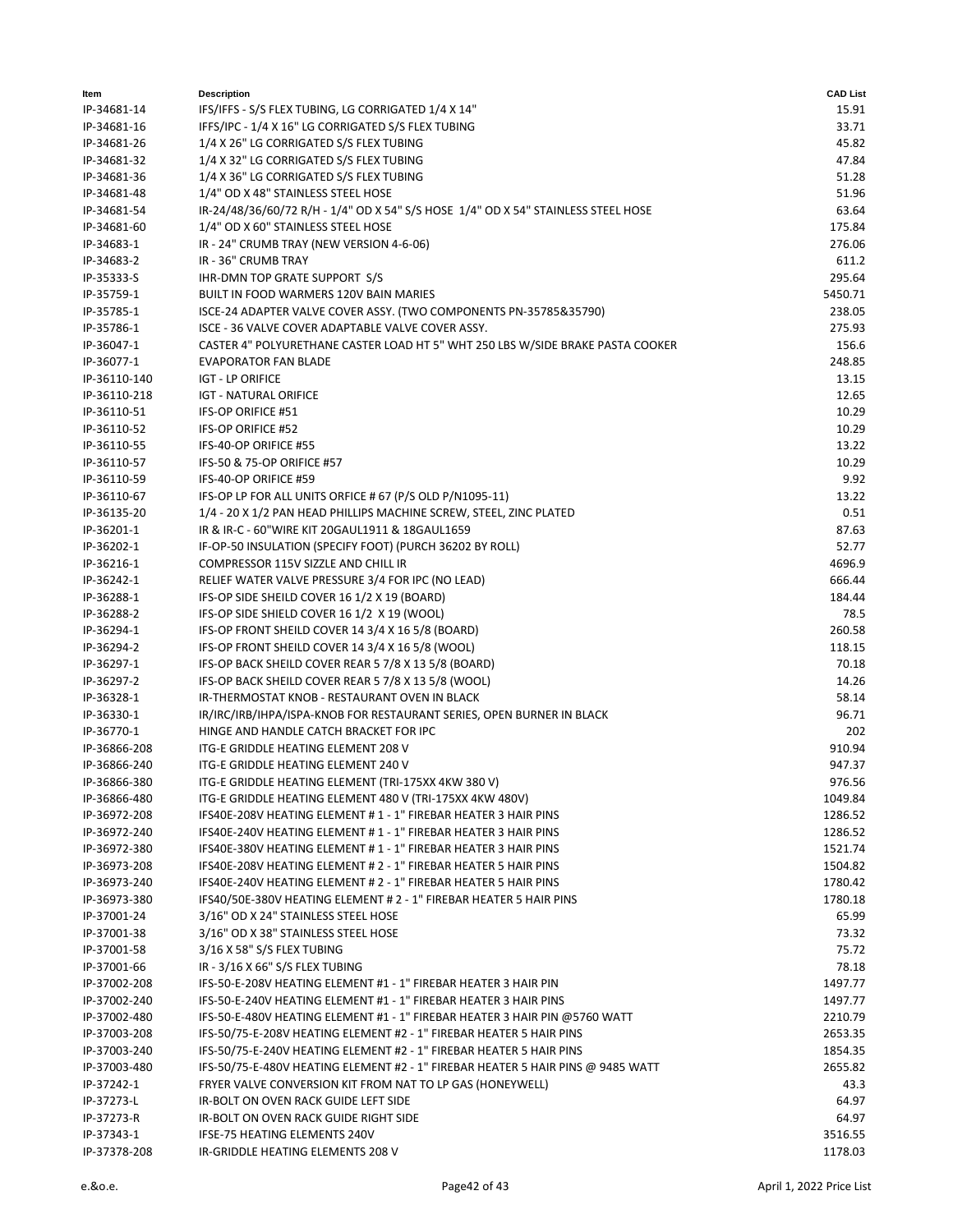| ltem         | <b>Description</b>                                                                | <b>CAD List</b> |
|--------------|-----------------------------------------------------------------------------------|-----------------|
| IP-34681-14  | IFS/IFFS - S/S FLEX TUBING, LG CORRIGATED 1/4 X 14"                               | 15.91           |
| IP-34681-16  | IFFS/IPC - 1/4 X 16" LG CORRIGATED S/S FLEX TUBING                                | 33.71           |
| IP-34681-26  | 1/4 X 26" LG CORRIGATED S/S FLEX TUBING                                           | 45.82           |
| IP-34681-32  | 1/4 X 32" LG CORRIGATED S/S FLEX TUBING                                           | 47.84           |
| IP-34681-36  | 1/4 X 36" LG CORRIGATED S/S FLEX TUBING                                           | 51.28           |
| IP-34681-48  | 1/4" OD X 48" STAINLESS STEEL HOSE                                                | 51.96           |
| IP-34681-54  | IR-24/48/36/60/72 R/H - 1/4" OD X 54" S/S HOSE 1/4" OD X 54" STAINLESS STEEL HOSE | 63.64           |
| IP-34681-60  | 1/4" OD X 60" STAINLESS STEEL HOSE                                                | 175.84          |
| IP-34683-1   | IR - 24" CRUMB TRAY (NEW VERSION 4-6-06)                                          | 276.06          |
| IP-34683-2   | IR - 36" CRUMB TRAY                                                               | 611.2           |
| IP-35333-S   | IHR-DMN TOP GRATE SUPPORT S/S                                                     | 295.64          |
| IP-35759-1   | BUILT IN FOOD WARMERS 120V BAIN MARIES                                            | 5450.71         |
| IP-35785-1   | ISCE-24 ADAPTER VALVE COVER ASSY. (TWO COMPONENTS PN-35785&35790)                 | 238.05          |
| IP-35786-1   | ISCE - 36 VALVE COVER ADAPTABLE VALVE COVER ASSY.                                 | 275.93          |
| IP-36047-1   | CASTER 4" POLYURETHANE CASTER LOAD HT 5" WHT 250 LBS W/SIDE BRAKE PASTA COOKER    | 156.6           |
| IP-36077-1   | <b>EVAPORATOR FAN BLADE</b>                                                       | 248.85          |
| IP-36110-140 | <b>IGT - LP ORIFICE</b>                                                           | 13.15           |
| IP-36110-218 | <b>IGT - NATURAL ORIFICE</b>                                                      | 12.65           |
| IP-36110-51  | IFS-OP ORIFICE #51                                                                | 10.29           |
| IP-36110-52  | IFS-OP ORIFICE #52                                                                | 10.29           |
| IP-36110-55  | IFS-40-OP ORIFICE #55                                                             | 13.22           |
| IP-36110-57  | IFS-50 & 75-OP ORIFICE #57                                                        | 10.29           |
| IP-36110-59  | IFS-40-OP ORIFICE #59                                                             | 9.92            |
| IP-36110-67  | IFS-OP LP FOR ALL UNITS ORFICE #67 (P/S OLD P/N1095-11)                           | 13.22           |
| IP-36135-20  | 1/4 - 20 X 1/2 PAN HEAD PHILLIPS MACHINE SCREW, STEEL, ZINC PLATED                | 0.51            |
| IP-36201-1   | IR & IR-C - 60"WIRE KIT 20GAUL1911 & 18GAUL1659                                   | 87.63           |
| IP-36202-1   | IF-OP-50 INSULATION (SPECIFY FOOT) (PURCH 36202 BY ROLL)                          | 52.77           |
| IP-36216-1   | COMPRESSOR 115V SIZZLE AND CHILL IR                                               | 4696.9          |
| IP-36242-1   | RELIEF WATER VALVE PRESSURE 3/4 FOR IPC (NO LEAD)                                 | 666.44          |
| IP-36288-1   | IFS-OP SIDE SHEILD COVER 16 1/2 X 19 (BOARD)                                      | 184.44          |
| IP-36288-2   | IFS-OP SIDE SHIELD COVER 16 1/2 X 19 (WOOL)                                       | 78.5            |
| IP-36294-1   | IFS-OP FRONT SHEILD COVER 14 3/4 X 16 5/8 (BOARD)                                 | 260.58          |
| IP-36294-2   | IFS-OP FRONT SHEILD COVER 14 3/4 X 16 5/8 (WOOL)                                  | 118.15          |
| IP-36297-1   | IFS-OP BACK SHEILD COVER REAR 5 7/8 X 13 5/8 (BOARD)                              | 70.18           |
| IP-36297-2   | IFS-OP BACK SHEILD COVER REAR 5 7/8 X 13 5/8 (WOOL)                               | 14.26           |
| IP-36328-1   | IR-THERMOSTAT KNOB - RESTAURANT OVEN IN BLACK                                     | 58.14           |
| IP-36330-1   | IR/IRC/IRB/IHPA/ISPA-KNOB FOR RESTAURANT SERIES, OPEN BURNER IN BLACK             | 96.71           |
| IP-36770-1   | HINGE AND HANDLE CATCH BRACKET FOR IPC                                            | 202             |
| IP-36866-208 | ITG-E GRIDDLE HEATING ELEMENT 208 V                                               | 910.94          |
| IP-36866-240 | ITG-E GRIDDLE HEATING ELEMENT 240 V                                               | 947.37          |
| IP-36866-380 | ITG-E GRIDDLE HEATING ELEMENT (TRI-175XX 4KW 380 V)                               | 976.56          |
| IP-36866-480 | ITG-E GRIDDLE HEATING ELEMENT 480 V (TRI-175XX 4KW 480V)                          | 1049.84         |
| IP-36972-208 | IFS40E-208V HEATING ELEMENT #1 - 1" FIREBAR HEATER 3 HAIR PINS                    | 1286.52         |
| IP-36972-240 | IFS40E-240V HEATING ELEMENT #1 - 1" FIREBAR HEATER 3 HAIR PINS                    | 1286.52         |
| IP-36972-380 | IFS40E-380V HEATING ELEMENT #1-1" FIREBAR HEATER 3 HAIR PINS                      | 1521.74         |
| IP-36973-208 | IFS40E-208V HEATING ELEMENT # 2 - 1" FIREBAR HEATER 5 HAIR PINS                   | 1504.82         |
| IP-36973-240 | IFS40E-240V HEATING ELEMENT # 2 - 1" FIREBAR HEATER 5 HAIR PINS                   | 1780.42         |
| IP-36973-380 | IFS40/50E-380V HEATING ELEMENT # 2 - 1" FIREBAR HEATER 5 HAIR PINS                | 1780.18         |
| IP-37001-24  | 3/16" OD X 24" STAINLESS STEEL HOSE                                               | 65.99           |
| IP-37001-38  | 3/16" OD X 38" STAINLESS STEEL HOSE                                               | 73.32           |
| IP-37001-58  | 3/16 X 58" S/S FLEX TUBING                                                        | 75.72           |
| IP-37001-66  | IR - 3/16 X 66" S/S FLEX TUBING                                                   | 78.18           |
| IP-37002-208 | IFS-50-E-208V HEATING ELEMENT #1 - 1" FIREBAR HEATER 3 HAIR PIN                   | 1497.77         |
| IP-37002-240 | IFS-50-E-240V HEATING ELEMENT #1 - 1" FIREBAR HEATER 3 HAIR PINS                  | 1497.77         |
| IP-37002-480 | IFS-50-E-480V HEATING ELEMENT #1 - 1" FIREBAR HEATER 3 HAIR PIN @5760 WATT        | 2210.79         |
| IP-37003-208 | IFS-50/75-E-208V HEATING ELEMENT #2 - 1" FIREBAR HEATER 5 HAIR PINS               | 2653.35         |
| IP-37003-240 | IFS-50/75-E-240V HEATING ELEMENT #2 - 1" FIREBAR HEATER 5 HAIR PINS               | 1854.35         |
| IP-37003-480 | IFS-50/75-E-480V HEATING ELEMENT #2 - 1" FIREBAR HEATER 5 HAIR PINS @ 9485 WATT   | 2655.82         |
| IP-37242-1   | FRYER VALVE CONVERSION KIT FROM NAT TO LP GAS (HONEYWELL)                         | 43.3            |
| IP-37273-L   | IR-BOLT ON OVEN RACK GUIDE LEFT SIDE                                              | 64.97           |
| IP-37273-R   | IR-BOLT ON OVEN RACK GUIDE RIGHT SIDE                                             | 64.97           |
| IP-37343-1   | IFSE-75 HEATING ELEMENTS 240V                                                     | 3516.55         |
| IP-37378-208 | IR-GRIDDLE HEATING ELEMENTS 208 V                                                 | 1178.03         |